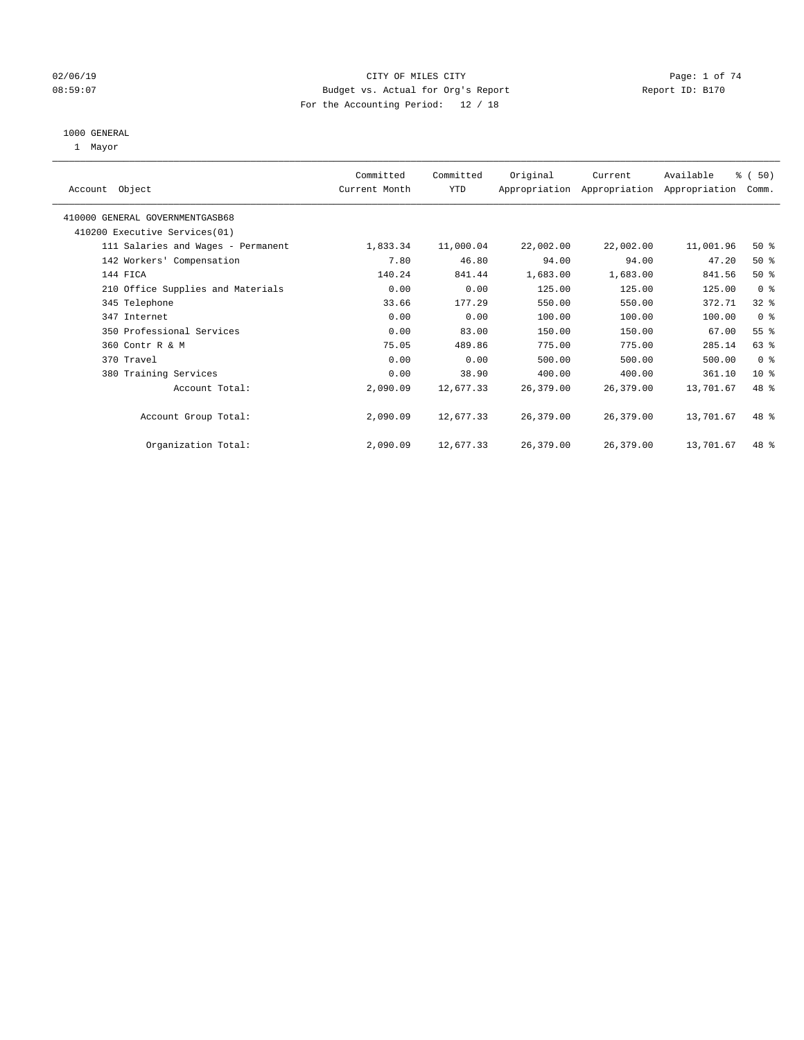### 02/06/19 Page: 1 of 74 08:59:07 Budget vs. Actual for Org's Report Changer Report ID: B170 For the Accounting Period: 12 / 18

#### 1000 GENERAL

1 Mayor

|                                    | Committed     | Committed | Original  | Current   | Available                                 | % (50)          |
|------------------------------------|---------------|-----------|-----------|-----------|-------------------------------------------|-----------------|
| Account Object                     | Current Month | YTD       |           |           | Appropriation Appropriation Appropriation | Comm.           |
| 410000 GENERAL GOVERNMENTGASB68    |               |           |           |           |                                           |                 |
| 410200 Executive Services (01)     |               |           |           |           |                                           |                 |
| 111 Salaries and Wages - Permanent | 1,833.34      | 11,000.04 | 22,002.00 | 22,002.00 | 11,001.96                                 | $50*$           |
| 142 Workers' Compensation          | 7.80          | 46.80     | 94.00     | 94.00     | 47.20                                     | $50*$           |
| 144 FICA                           | 140.24        | 841.44    | 1,683.00  | 1,683.00  | 841.56                                    | $50*$           |
| 210 Office Supplies and Materials  | 0.00          | 0.00      | 125.00    | 125.00    | 125.00                                    | 0 <sub>8</sub>  |
| 345 Telephone                      | 33.66         | 177.29    | 550.00    | 550.00    | 372.71                                    | $32$ $%$        |
| 347 Internet                       | 0.00          | 0.00      | 100.00    | 100.00    | 100.00                                    | 0 <sup>8</sup>  |
| 350 Professional Services          | 0.00          | 83.00     | 150.00    | 150.00    | 67.00                                     | $55$ $%$        |
| 360 Contr R & M                    | 75.05         | 489.86    | 775.00    | 775.00    | 285.14                                    | $63$ $%$        |
| 370 Travel                         | 0.00          | 0.00      | 500.00    | 500.00    | 500.00                                    | 0 <sup>8</sup>  |
| 380 Training Services              | 0.00          | 38.90     | 400.00    | 400.00    | 361.10                                    | 10 <sup>8</sup> |
| Account Total:                     | 2,090.09      | 12,677.33 | 26,379.00 | 26,379.00 | 13,701.67                                 | 48 %            |
| Account Group Total:               | 2,090.09      | 12,677.33 | 26,379.00 | 26,379.00 | 13,701.67                                 | 48 %            |
| Organization Total:                | 2,090.09      | 12,677.33 | 26,379.00 | 26,379.00 | 13,701.67                                 | 48 %            |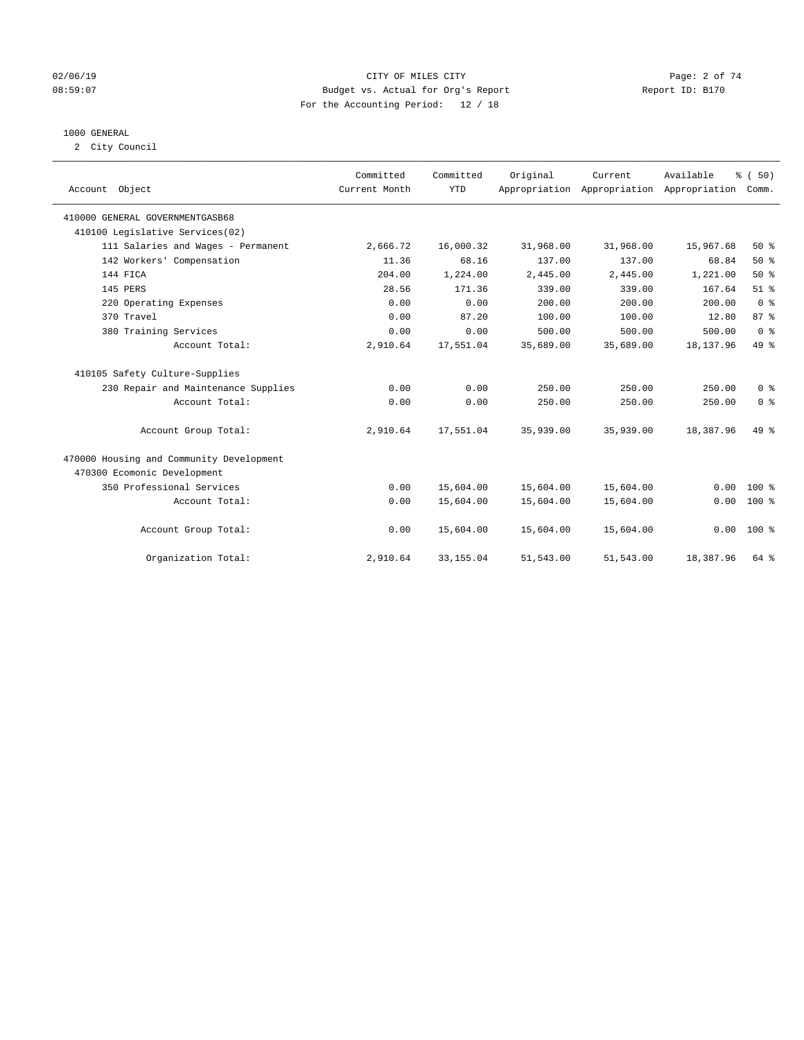### 02/06/19 Page: 2 of 74 08:59:07 Budget vs. Actual for Org's Report Report ID: B170 For the Accounting Period: 12 / 18

### 1000 GENERAL

2 City Council

|                                          | Committed     | Committed  | Original  | Current                                   | Available  | % (50)          |
|------------------------------------------|---------------|------------|-----------|-------------------------------------------|------------|-----------------|
| Account Object                           | Current Month | <b>YTD</b> |           | Appropriation Appropriation Appropriation |            | Comm.           |
|                                          |               |            |           |                                           |            |                 |
| 410000 GENERAL GOVERNMENTGASB68          |               |            |           |                                           |            |                 |
| 410100 Legislative Services(02)          |               |            |           |                                           |            |                 |
| 111 Salaries and Wages - Permanent       | 2,666.72      | 16,000.32  | 31,968.00 | 31,968.00                                 | 15,967.68  | 50%             |
| 142 Workers' Compensation                | 11.36         | 68.16      | 137.00    | 137.00                                    | 68.84      | 50%             |
| 144 FICA                                 | 204.00        | 1,224.00   | 2,445.00  | 2,445.00                                  | 1,221.00   | $50*$           |
| 145 PERS                                 | 28.56         | 171.36     | 339.00    | 339.00                                    | 167.64     | $51$ $%$        |
| 220 Operating Expenses                   | 0.00          | 0.00       | 200.00    | 200.00                                    | 200.00     | 0 <sup>8</sup>  |
| 370 Travel                               | 0.00          | 87.20      | 100.00    | 100.00                                    | 12.80      | 87 <sup>°</sup> |
| 380 Training Services                    | 0.00          | 0.00       | 500.00    | 500.00                                    | 500.00     | 0 <sup>8</sup>  |
| Account Total:                           | 2,910.64      | 17,551.04  | 35,689.00 | 35,689.00                                 | 18, 137.96 | 49 %            |
| 410105 Safety Culture-Supplies           |               |            |           |                                           |            |                 |
| 230 Repair and Maintenance Supplies      | 0.00          | 0.00       | 250.00    | 250.00                                    | 250.00     | 0 <sup>8</sup>  |
| Account Total:                           | 0.00          | 0.00       | 250.00    | 250.00                                    | 250.00     | 0 <sup>8</sup>  |
| Account Group Total:                     | 2,910.64      | 17,551.04  | 35,939.00 | 35,939.00                                 | 18,387.96  | 49 %            |
| 470000 Housing and Community Development |               |            |           |                                           |            |                 |
| 470300 Ecomonic Development              |               |            |           |                                           |            |                 |
| 350 Professional Services                | 0.00          | 15,604.00  | 15,604.00 | 15,604.00                                 | 0.00       | $100*$          |
| Account Total:                           | 0.00          | 15,604.00  | 15,604.00 | 15,604.00                                 | 0.00       | $100*$          |
| Account Group Total:                     | 0.00          | 15,604.00  | 15,604.00 | 15,604.00                                 | 0.00       | $100*$          |
| Organization Total:                      | 2,910.64      | 33, 155.04 | 51,543.00 | 51,543.00                                 | 18,387.96  | 64 %            |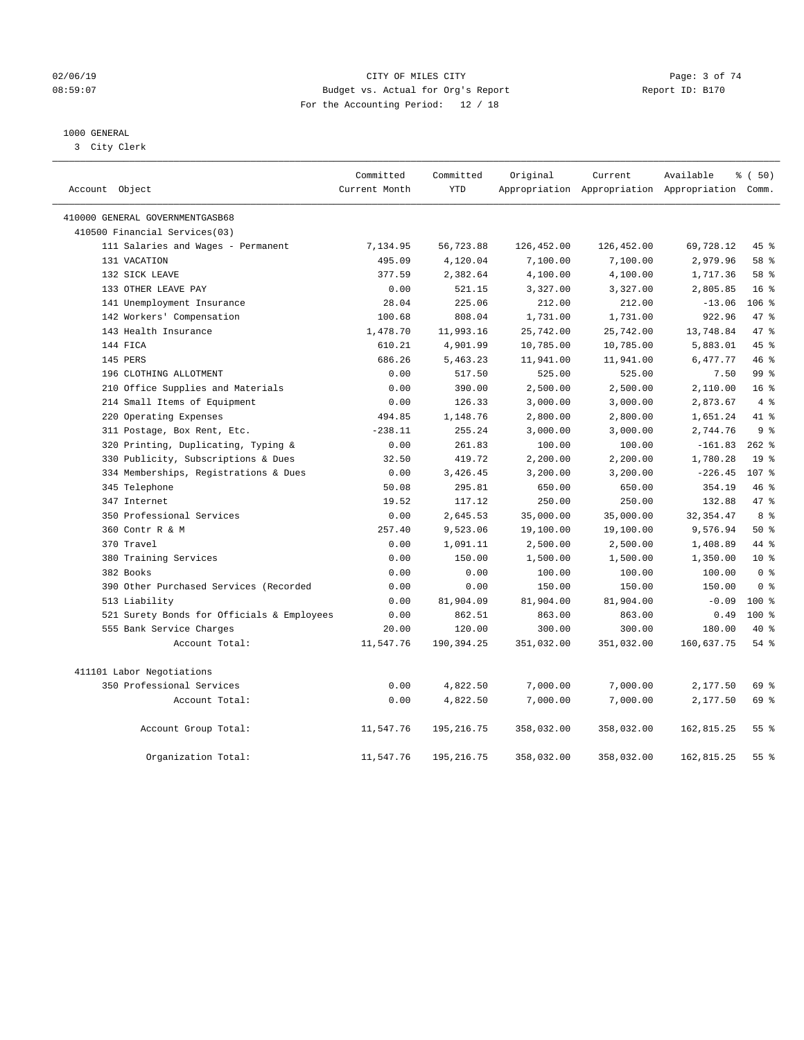### 02/06/19 Page: 3 of 74 08:59:07 Budget vs. Actual for Org's Report Report ID: B170 For the Accounting Period: 12 / 18

### 1000 GENERAL

3 City Clerk

|                                            | Committed     | Committed   | Original   | Current    | Available                                       | % (50)          |
|--------------------------------------------|---------------|-------------|------------|------------|-------------------------------------------------|-----------------|
| Account Object                             | Current Month | <b>YTD</b>  |            |            | Appropriation Appropriation Appropriation Comm. |                 |
| 410000 GENERAL GOVERNMENTGASB68            |               |             |            |            |                                                 |                 |
| 410500 Financial Services(03)              |               |             |            |            |                                                 |                 |
| 111 Salaries and Wages - Permanent         | 7,134.95      | 56,723.88   | 126,452.00 | 126,452.00 | 69,728.12                                       | 45 %            |
| 131 VACATION                               | 495.09        | 4,120.04    | 7,100.00   | 7,100.00   | 2,979.96                                        | 58 %            |
| 132 SICK LEAVE                             | 377.59        | 2,382.64    | 4,100.00   | 4,100.00   | 1,717.36                                        | 58 %            |
| 133 OTHER LEAVE PAY                        | 0.00          | 521.15      | 3,327.00   | 3,327.00   | 2,805.85                                        | 16 <sup>°</sup> |
| 141 Unemployment Insurance                 | 28.04         | 225.06      | 212.00     | 212.00     | $-13.06$                                        | $106$ %         |
| 142 Workers' Compensation                  | 100.68        | 808.04      | 1,731.00   | 1,731.00   | 922.96                                          | 47.8            |
| 143 Health Insurance                       | 1,478.70      | 11,993.16   | 25,742.00  | 25,742.00  | 13,748.84                                       | 47.8            |
| 144 FICA                                   | 610.21        | 4,901.99    | 10,785.00  | 10,785.00  | 5,883.01                                        | 45 %            |
| 145 PERS                                   | 686.26        | 5,463.23    | 11,941.00  | 11,941.00  | 6,477.77                                        | 46%             |
| 196 CLOTHING ALLOTMENT                     | 0.00          | 517.50      | 525.00     | 525.00     | 7.50                                            | 99 <sub>8</sub> |
| 210 Office Supplies and Materials          | 0.00          | 390.00      | 2,500.00   | 2,500.00   | 2,110.00                                        | 16 <sup>°</sup> |
| 214 Small Items of Equipment               | 0.00          | 126.33      | 3,000.00   | 3,000.00   | 2,873.67                                        | 4%              |
| 220 Operating Expenses                     | 494.85        | 1,148.76    | 2,800.00   | 2,800.00   | 1,651.24                                        | 41 %            |
| 311 Postage, Box Rent, Etc.                | $-238.11$     | 255.24      | 3,000.00   | 3,000.00   | 2,744.76                                        | 9 <sup>°</sup>  |
| 320 Printing, Duplicating, Typing &        | 0.00          | 261.83      | 100.00     | 100.00     | $-161.83$                                       | $262$ %         |
| 330 Publicity, Subscriptions & Dues        | 32.50         | 419.72      | 2,200.00   | 2,200.00   | 1,780.28                                        | 19 <sup>°</sup> |
| 334 Memberships, Registrations & Dues      | 0.00          | 3,426.45    | 3,200.00   | 3,200.00   | $-226.45$                                       | 107 %           |
| 345 Telephone                              | 50.08         | 295.81      | 650.00     | 650.00     | 354.19                                          | 46 %            |
| 347 Internet                               | 19.52         | 117.12      | 250.00     | 250.00     | 132.88                                          | 47.8            |
| 350 Professional Services                  | 0.00          | 2,645.53    | 35,000.00  | 35,000.00  | 32, 354.47                                      | 8 %             |
| 360 Contr R & M                            | 257.40        | 9,523.06    | 19,100.00  | 19,100.00  | 9,576.94                                        | 50%             |
| 370 Travel                                 | 0.00          | 1,091.11    | 2,500.00   | 2,500.00   | 1,408.89                                        | 44 %            |
| 380 Training Services                      | 0.00          | 150.00      | 1,500.00   | 1,500.00   | 1,350.00                                        | $10*$           |
| 382 Books                                  | 0.00          | 0.00        | 100.00     | 100.00     | 100.00                                          | 0 <sup>8</sup>  |
| 390 Other Purchased Services (Recorded     | 0.00          | 0.00        | 150.00     | 150.00     | 150.00                                          | 0 <sup>8</sup>  |
| 513 Liability                              | 0.00          | 81,904.09   | 81,904.00  | 81,904.00  | $-0.09$                                         | $100*$          |
| 521 Surety Bonds for Officials & Employees | 0.00          | 862.51      | 863.00     | 863.00     | 0.49                                            | $100*$          |
| 555 Bank Service Charges                   | 20.00         | 120.00      | 300.00     | 300.00     | 180.00                                          | $40*$           |
| Account Total:                             | 11,547.76     | 190,394.25  | 351,032.00 | 351,032.00 | 160,637.75                                      | $54$ %          |
| 411101 Labor Negotiations                  |               |             |            |            |                                                 |                 |
| 350 Professional Services                  | 0.00          | 4,822.50    | 7,000.00   | 7,000.00   | 2,177.50                                        | 69 %            |
| Account Total:                             | 0.00          | 4,822.50    | 7,000.00   | 7,000.00   | 2,177.50                                        | 69 %            |
| Account Group Total:                       | 11,547.76     | 195, 216.75 | 358,032.00 | 358,032.00 | 162,815.25                                      | $55$ $%$        |
| Organization Total:                        | 11,547.76     | 195, 216.75 | 358,032.00 | 358,032.00 | 162,815.25                                      | 55 <sup>8</sup> |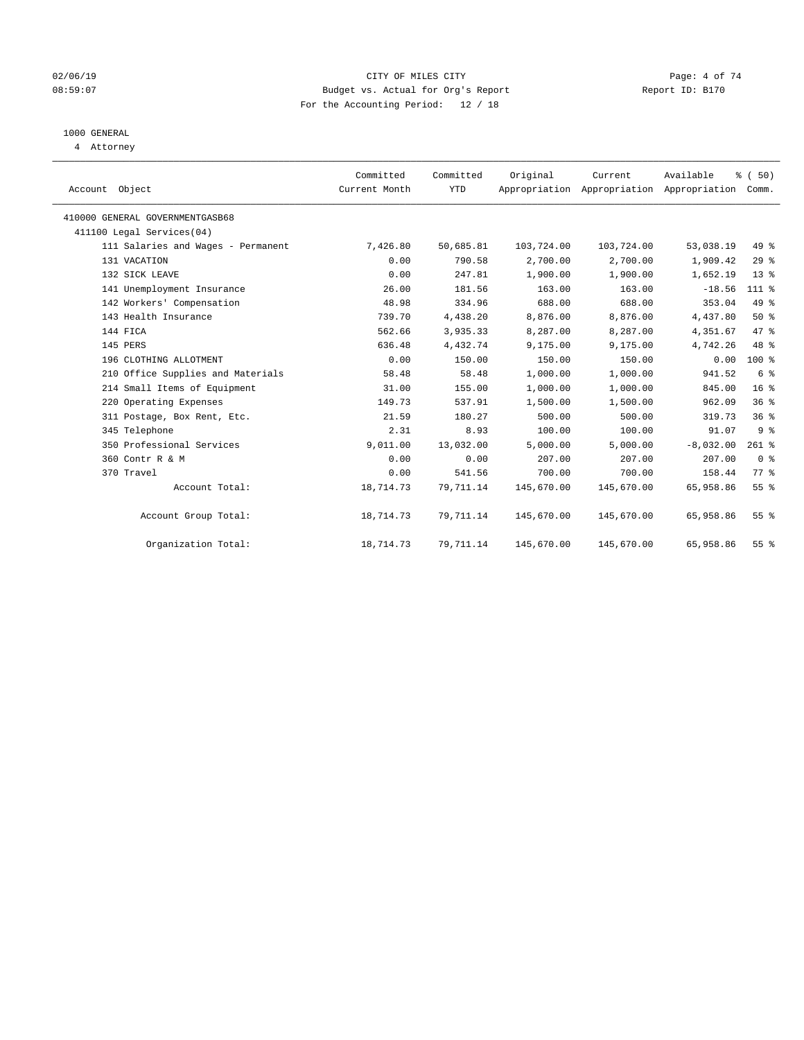### 02/06/19 Page: 4 of 74 08:59:07 Budget vs. Actual for Org's Report Changer Report ID: B170 For the Accounting Period: 12 / 18

### 1000 GENERAL

4 Attorney

| Account Object                  |                                    | Committed<br>Current Month | Committed<br><b>YTD</b> | Original   | Current<br>Appropriation Appropriation Appropriation | Available   | % (50)<br>Comm. |  |
|---------------------------------|------------------------------------|----------------------------|-------------------------|------------|------------------------------------------------------|-------------|-----------------|--|
| 410000 GENERAL GOVERNMENTGASB68 |                                    |                            |                         |            |                                                      |             |                 |  |
| 411100 Legal Services(04)       |                                    |                            |                         |            |                                                      |             |                 |  |
|                                 | 111 Salaries and Wages - Permanent | 7,426.80                   | 50,685.81               | 103,724.00 | 103,724.00                                           | 53,038.19   | 49 %            |  |
| 131 VACATION                    |                                    | 0.00                       | 790.58                  | 2,700.00   | 2,700.00                                             | 1,909.42    | 29%             |  |
| 132 SICK LEAVE                  |                                    | 0.00                       | 247.81                  | 1,900.00   | 1,900.00                                             | 1,652.19    | $13*$           |  |
|                                 | 141 Unemployment Insurance         | 26.00                      | 181.56                  | 163.00     | 163.00                                               | $-18.56$    | $111*$          |  |
|                                 | 142 Workers' Compensation          | 48.98                      | 334.96                  | 688.00     | 688.00                                               | 353.04      | 49.8            |  |
|                                 | 143 Health Insurance               | 739.70                     | 4,438.20                | 8,876.00   | 8,876.00                                             | 4,437.80    | $50*$           |  |
| 144 FICA                        |                                    | 562.66                     | 3,935.33                | 8,287.00   | 8,287.00                                             | 4,351.67    | 47.8            |  |
| 145 PERS                        |                                    | 636.48                     | 4,432.74                | 9,175.00   | 9,175.00                                             | 4,742.26    | 48 %            |  |
|                                 | 196 CLOTHING ALLOTMENT             | 0.00                       | 150.00                  | 150.00     | 150.00                                               | 0.00        | $100*$          |  |
|                                 | 210 Office Supplies and Materials  | 58.48                      | 58.48                   | 1,000.00   | 1,000.00                                             | 941.52      | 6 <sup>°</sup>  |  |
|                                 | 214 Small Items of Equipment       | 31.00                      | 155.00                  | 1,000.00   | 1,000.00                                             | 845.00      | 16 <sup>°</sup> |  |
|                                 | 220 Operating Expenses             | 149.73                     | 537.91                  | 1,500.00   | 1,500.00                                             | 962.09      | 36 <sup>8</sup> |  |
|                                 | 311 Postage, Box Rent, Etc.        | 21.59                      | 180.27                  | 500.00     | 500.00                                               | 319.73      | 36%             |  |
| 345 Telephone                   |                                    | 2.31                       | 8.93                    | 100.00     | 100.00                                               | 91.07       | 9 <sup>°</sup>  |  |
|                                 | 350 Professional Services          | 9,011.00                   | 13,032.00               | 5,000.00   | 5,000.00                                             | $-8,032.00$ | $261$ %         |  |
| 360 Contr R & M                 |                                    | 0.00                       | 0.00                    | 207.00     | 207.00                                               | 207.00      | 0 <sup>8</sup>  |  |
| 370 Travel                      |                                    | 0.00                       | 541.56                  | 700.00     | 700.00                                               | 158.44      | 77.8            |  |
|                                 | Account Total:                     | 18,714.73                  | 79,711.14               | 145,670.00 | 145,670.00                                           | 65,958.86   | 55 <sup>8</sup> |  |
|                                 | Account Group Total:               | 18,714.73                  | 79,711.14               | 145,670.00 | 145,670.00                                           | 65,958.86   | 55 <sup>8</sup> |  |
|                                 | Organization Total:                | 18,714.73                  | 79,711.14               | 145,670.00 | 145,670.00                                           | 65,958.86   | 55%             |  |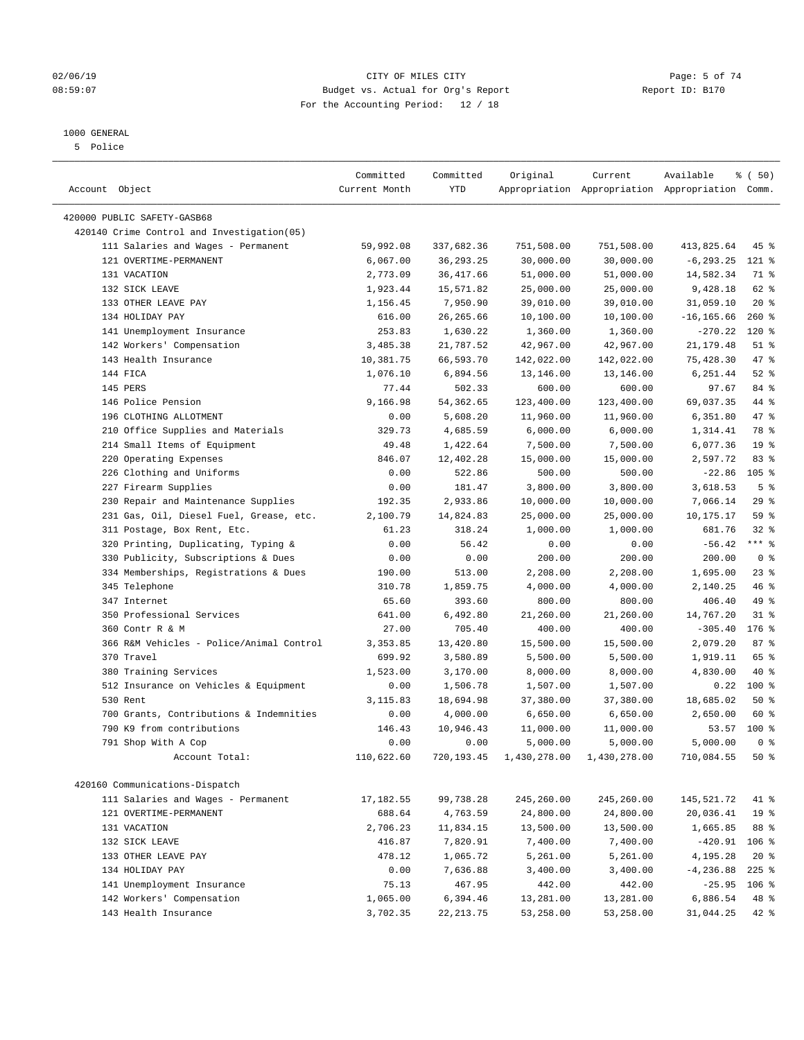### 02/06/19 Page: 5 of 74 08:59:07 Budget vs. Actual for Org's Report Report ID: B170 For the Accounting Period: 12 / 18

————————————————————————————————————————————————————————————————————————————————————————————————————————————————————————————————————

### 1000 GENERAL

5 Police

|                                            | Committed     | Committed   | Original                             | Current    | Available                                       | <sub>ර</sub> ි (50) |
|--------------------------------------------|---------------|-------------|--------------------------------------|------------|-------------------------------------------------|---------------------|
| Account Object                             | Current Month | YTD         |                                      |            | Appropriation Appropriation Appropriation Comm. |                     |
| 420000 PUBLIC SAFETY-GASB68                |               |             |                                      |            |                                                 |                     |
| 420140 Crime Control and Investigation(05) |               |             |                                      |            |                                                 |                     |
| 111 Salaries and Wages - Permanent         | 59,992.08     | 337,682.36  | 751,508.00                           | 751,508.00 | 413,825.64                                      | 45 %                |
| 121 OVERTIME-PERMANENT                     | 6,067.00      | 36, 293. 25 | 30,000.00                            | 30,000.00  | $-6, 293.25$                                    | 121 %               |
| 131 VACATION                               | 2,773.09      | 36,417.66   | 51,000.00                            | 51,000.00  | 14,582.34                                       | 71 %                |
| 132 SICK LEAVE                             | 1,923.44      | 15,571.82   | 25,000.00                            | 25,000.00  | 9,428.18                                        | 62 %                |
| 133 OTHER LEAVE PAY                        | 1,156.45      | 7,950.90    | 39,010.00                            | 39,010.00  | 31,059.10                                       | $20*$               |
| 134 HOLIDAY PAY                            | 616.00        | 26, 265.66  | 10,100.00                            | 10,100.00  | $-16, 165.66$                                   | $260$ %             |
| 141 Unemployment Insurance                 | 253.83        | 1,630.22    | 1,360.00                             | 1,360.00   | $-270.22$                                       | $120*$              |
| 142 Workers' Compensation                  | 3,485.38      | 21,787.52   | 42,967.00                            | 42,967.00  | 21, 179.48                                      | $51$ %              |
| 143 Health Insurance                       | 10,381.75     | 66,593.70   | 142,022.00                           | 142,022.00 | 75,428.30                                       | 47 %                |
| 144 FICA                                   | 1,076.10      | 6,894.56    | 13,146.00                            | 13,146.00  | 6,251.44                                        | $52$ $%$            |
| 145 PERS                                   | 77.44         | 502.33      | 600.00                               | 600.00     | 97.67                                           | 84 %                |
| 146 Police Pension                         | 9,166.98      | 54, 362.65  | 123,400.00                           | 123,400.00 | 69,037.35                                       | 44 %                |
| 196 CLOTHING ALLOTMENT                     | 0.00          | 5,608.20    | 11,960.00                            | 11,960.00  | 6,351.80                                        | 47 %                |
| 210 Office Supplies and Materials          | 329.73        | 4,685.59    | 6,000.00                             | 6,000.00   | 1,314.41                                        | 78 %                |
| 214 Small Items of Equipment               | 49.48         | 1,422.64    | 7,500.00                             | 7,500.00   | 6,077.36                                        | 19 <sup>°</sup>     |
| 220 Operating Expenses                     | 846.07        | 12,402.28   | 15,000.00                            | 15,000.00  | 2,597.72                                        | 83%                 |
| 226 Clothing and Uniforms                  | 0.00          | 522.86      | 500.00                               | 500.00     | $-22.86$                                        | $105$ %             |
| 227 Firearm Supplies                       | 0.00          | 181.47      | 3,800.00                             | 3,800.00   | 3,618.53                                        | 5 <sup>°</sup>      |
| 230 Repair and Maintenance Supplies        | 192.35        | 2,933.86    | 10,000.00                            | 10,000.00  | 7,066.14                                        | 29%                 |
| 231 Gas, Oil, Diesel Fuel, Grease, etc.    | 2,100.79      | 14,824.83   | 25,000.00                            | 25,000.00  | 10,175.17                                       | 59 %                |
| 311 Postage, Box Rent, Etc.                | 61.23         | 318.24      | 1,000.00                             | 1,000.00   | 681.76                                          | $32$ $%$            |
| 320 Printing, Duplicating, Typing &        | 0.00          | 56.42       | 0.00                                 | 0.00       | $-56.42$                                        | $***$ $-$           |
| 330 Publicity, Subscriptions & Dues        | 0.00          | 0.00        | 200.00                               | 200.00     | 200.00                                          | 0 <sup>8</sup>      |
| 334 Memberships, Registrations & Dues      | 190.00        | 513.00      | 2,208.00                             | 2,208.00   | 1,695.00                                        | $23$ %              |
| 345 Telephone                              | 310.78        | 1,859.75    | 4,000.00                             | 4,000.00   | 2,140.25                                        | 46 %                |
| 347 Internet                               | 65.60         | 393.60      | 800.00                               | 800.00     | 406.40                                          | 49 %                |
| 350 Professional Services                  | 641.00        | 6,492.80    | 21,260.00                            | 21,260.00  | 14,767.20                                       | $31$ %              |
| 360 Contr R & M                            | 27.00         | 705.40      | 400.00                               | 400.00     | $-305.40$                                       | $176$ %             |
| 366 R&M Vehicles - Police/Animal Control   | 3,353.85      | 13,420.80   | 15,500.00                            | 15,500.00  | 2,079.20                                        | 87%                 |
| 370 Travel                                 | 699.92        | 3,580.89    | 5,500.00                             | 5,500.00   | 1,919.11                                        | 65 %                |
| 380 Training Services                      | 1,523.00      | 3,170.00    | 8,000.00                             | 8,000.00   | 4,830.00                                        | 40 %                |
| 512 Insurance on Vehicles & Equipment      | 0.00          | 1,506.78    | 1,507.00                             | 1,507.00   | 0.22                                            | 100 %               |
| 530 Rent                                   | 3,115.83      | 18,694.98   | 37,380.00                            | 37,380.00  | 18,685.02                                       | 50%                 |
| 700 Grants, Contributions & Indemnities    | 0.00          | 4,000.00    | 6,650.00                             | 6,650.00   | 2,650.00                                        | 60 %                |
| 790 K9 from contributions                  | 146.43        | 10,946.43   | 11,000.00                            | 11,000.00  | 53.57                                           | $100*$              |
| 791 Shop With A Cop                        | 0.00          | 0.00        | 5,000.00                             | 5,000.00   | 5,000.00                                        | 0 <sup>8</sup>      |
| Account Total:                             | 110,622.60    |             | 720,193.45 1,430,278.00 1,430,278.00 |            | 710,084.55                                      | 50%                 |
|                                            |               |             |                                      |            |                                                 |                     |
| 420160 Communications-Dispatch             |               |             |                                      |            |                                                 |                     |
| 111 Salaries and Wages - Permanent         | 17, 182.55    | 99,738.28   | 245,260.00                           | 245,260.00 | 145,521.72                                      | 41 %                |
| 121 OVERTIME-PERMANENT                     | 688.64        | 4,763.59    | 24,800.00                            | 24,800.00  | 20,036.41                                       | 19 <sup>°</sup>     |
| 131 VACATION                               | 2,706.23      | 11,834.15   | 13,500.00                            | 13,500.00  | 1,665.85                                        | 88 %                |
| 132 SICK LEAVE                             | 416.87        | 7,820.91    | 7,400.00                             | 7,400.00   | $-420.91$                                       | $106$ %             |
| 133 OTHER LEAVE PAY                        | 478.12        | 1,065.72    | 5,261.00                             | 5,261.00   | 4,195.28                                        | $20*$               |
| 134 HOLIDAY PAY                            | 0.00          | 7,636.88    | 3,400.00                             | 3,400.00   | $-4, 236.88$                                    | $225$ %             |
| 141 Unemployment Insurance                 | 75.13         | 467.95      | 442.00                               | 442.00     | $-25.95$                                        | $106$ %             |
| 142 Workers' Compensation                  | 1,065.00      | 6,394.46    | 13,281.00                            | 13,281.00  | 6,886.54                                        | 48 %                |
| 143 Health Insurance                       | 3,702.35      | 22, 213.75  | 53,258.00                            | 53,258.00  | 31,044.25                                       | $42$ %              |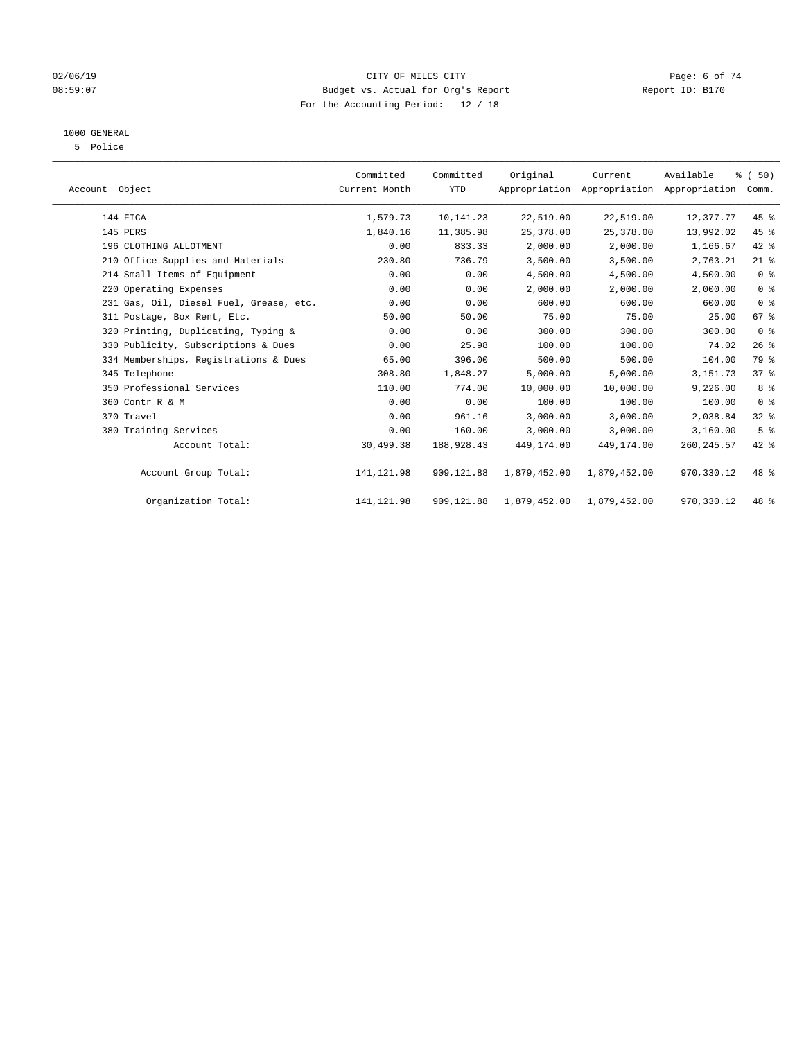### 02/06/19 Page: 6 of 74 08:59:07 Budget vs. Actual for Org's Report Report ID: B170 For the Accounting Period: 12 / 18

### 1000 GENERAL

5 Police

| Account Object |                                         | Committed<br>Current Month | Committed<br><b>YTD</b> | Original     | Current<br>Appropriation Appropriation Appropriation | Available   | % (50)<br>Comm. |  |
|----------------|-----------------------------------------|----------------------------|-------------------------|--------------|------------------------------------------------------|-------------|-----------------|--|
|                | 144 FICA                                | 1,579.73                   | 10,141.23               | 22,519.00    | 22,519.00                                            | 12,377.77   | $45$ %          |  |
|                | 145 PERS                                | 1,840.16                   | 11,385.98               | 25,378.00    | 25,378.00                                            | 13,992.02   | 45 %            |  |
|                | 196 CLOTHING ALLOTMENT                  | 0.00                       | 833.33                  | 2,000.00     | 2,000.00                                             | 1,166.67    | 42 %            |  |
|                | 210 Office Supplies and Materials       | 230.80                     | 736.79                  | 3,500.00     | 3,500.00                                             | 2,763.21    | $21$ %          |  |
|                | 214 Small Items of Equipment            | 0.00                       | 0.00                    | 4,500.00     | 4,500.00                                             | 4,500.00    | 0 <sup>8</sup>  |  |
|                | 220 Operating Expenses                  | 0.00                       | 0.00                    | 2,000.00     | 2,000.00                                             | 2,000.00    | 0 <sup>8</sup>  |  |
|                | 231 Gas, Oil, Diesel Fuel, Grease, etc. | 0.00                       | 0.00                    | 600.00       | 600.00                                               | 600.00      | 0 <sup>8</sup>  |  |
|                | 311 Postage, Box Rent, Etc.             | 50.00                      | 50.00                   | 75.00        | 75.00                                                | 25.00       | 67 %            |  |
|                | 320 Printing, Duplicating, Typing &     | 0.00                       | 0.00                    | 300.00       | 300.00                                               | 300.00      | 0 <sup>8</sup>  |  |
|                | 330 Publicity, Subscriptions & Dues     | 0.00                       | 25.98                   | 100.00       | 100.00                                               | 74.02       | 26%             |  |
|                | 334 Memberships, Registrations & Dues   | 65.00                      | 396.00                  | 500.00       | 500.00                                               | 104.00      | 79 %            |  |
|                | 345 Telephone                           | 308.80                     | 1,848.27                | 5,000.00     | 5,000.00                                             | 3, 151.73   | 37%             |  |
|                | 350 Professional Services               | 110.00                     | 774.00                  | 10,000.00    | 10,000.00                                            | 9,226.00    | 8%              |  |
|                | 360 Contr R & M                         | 0.00                       | 0.00                    | 100.00       | 100.00                                               | 100.00      | 0 <sup>8</sup>  |  |
|                | 370 Travel                              | 0.00                       | 961.16                  | 3,000.00     | 3,000.00                                             | 2,038.84    | $32$ $%$        |  |
|                | 380 Training Services                   | 0.00                       | $-160.00$               | 3,000.00     | 3,000.00                                             | 3,160.00    | $-5$ $%$        |  |
|                | Account Total:                          | 30,499.38                  | 188,928.43              | 449,174.00   | 449, 174, 00                                         | 260, 245.57 | $42*$           |  |
|                | Account Group Total:                    | 141, 121.98                | 909,121.88              | 1,879,452.00 | 1,879,452.00                                         | 970,330.12  | 48 %            |  |
|                | Organization Total:                     | 141, 121.98                | 909,121.88              | 1,879,452.00 | 1,879,452.00                                         | 970,330.12  | 48 %            |  |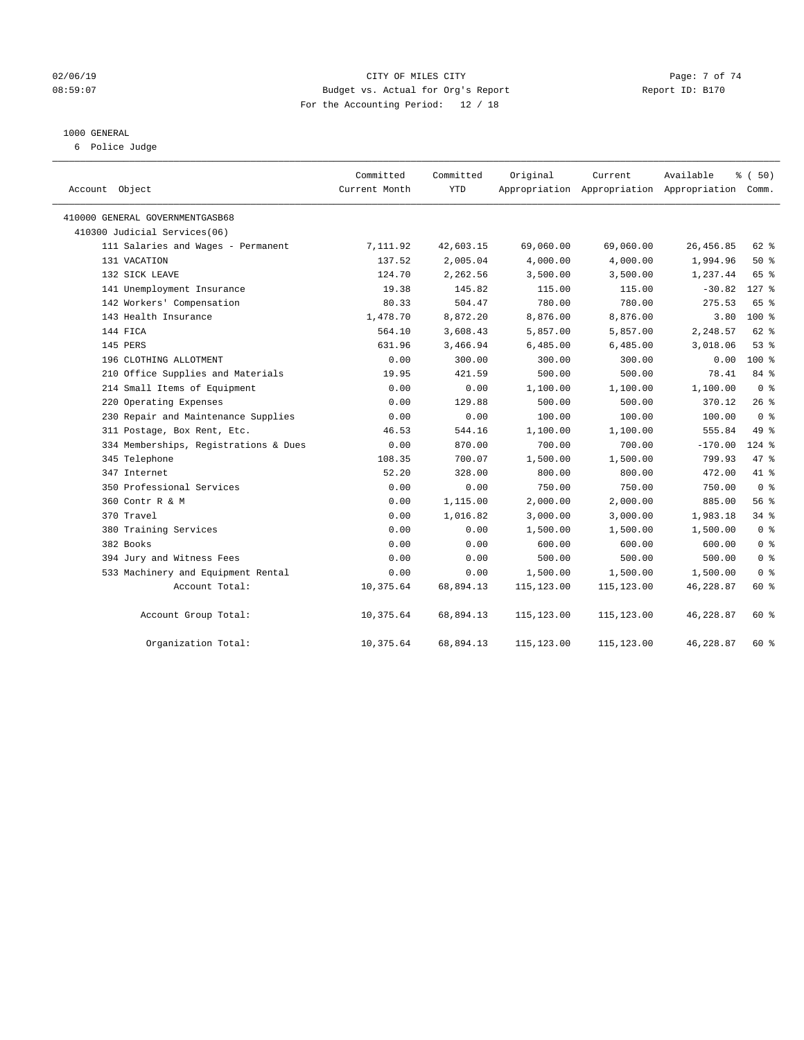### 02/06/19 Page: 7 of 74 08:59:07 Budget vs. Actual for Org's Report Changer Report ID: B170 For the Accounting Period: 12 / 18

### 1000 GENERAL

6 Police Judge

| Account Object                        | Committed<br>Current Month | Committed<br>YTD | Original    | Current     | Available<br>Appropriation Appropriation Appropriation Comm. | % (50)         |
|---------------------------------------|----------------------------|------------------|-------------|-------------|--------------------------------------------------------------|----------------|
| 410000 GENERAL GOVERNMENTGASB68       |                            |                  |             |             |                                                              |                |
| 410300 Judicial Services(06)          |                            |                  |             |             |                                                              |                |
| 111 Salaries and Wages - Permanent    | 7,111.92                   | 42,603.15        | 69,060.00   | 69,060.00   | 26, 456.85                                                   | 62 %           |
| 131 VACATION                          | 137.52                     | 2,005.04         | 4,000.00    | 4,000.00    | 1,994.96                                                     | 50%            |
| 132 SICK LEAVE                        | 124.70                     | 2,262.56         | 3,500.00    | 3,500.00    | 1,237.44                                                     | 65 %           |
| 141 Unemployment Insurance            | 19.38                      | 145.82           | 115.00      | 115.00      | $-30.82$                                                     | $127$ %        |
| 142 Workers' Compensation             | 80.33                      | 504.47           | 780.00      | 780.00      | 275.53                                                       | 65 %           |
| 143 Health Insurance                  | 1,478.70                   | 8,872.20         | 8,876.00    | 8,876.00    | 3.80                                                         | $100*$         |
| 144 FICA                              | 564.10                     | 3,608.43         | 5,857.00    | 5,857.00    | 2,248.57                                                     | $62$ $%$       |
| 145 PERS                              | 631.96                     | 3,466.94         | 6,485.00    | 6,485.00    | 3,018.06                                                     | 53%            |
| 196 CLOTHING ALLOTMENT                | 0.00                       | 300.00           | 300.00      | 300.00      | 0.00                                                         | $100*$         |
| 210 Office Supplies and Materials     | 19.95                      | 421.59           | 500.00      | 500.00      | 78.41                                                        | 84 %           |
| 214 Small Items of Equipment          | 0.00                       | 0.00             | 1,100.00    | 1,100.00    | 1,100.00                                                     | 0 <sup>8</sup> |
| 220 Operating Expenses                | 0.00                       | 129.88           | 500.00      | 500.00      | 370.12                                                       | 26%            |
| 230 Repair and Maintenance Supplies   | 0.00                       | 0.00             | 100.00      | 100.00      | 100.00                                                       | 0 <sup>8</sup> |
| 311 Postage, Box Rent, Etc.           | 46.53                      | 544.16           | 1,100.00    | 1,100.00    | 555.84                                                       | 49 %           |
| 334 Memberships, Registrations & Dues | 0.00                       | 870.00           | 700.00      | 700.00      | $-170.00$                                                    | $124$ %        |
| 345 Telephone                         | 108.35                     | 700.07           | 1,500.00    | 1,500.00    | 799.93                                                       | 47 %           |
| 347 Internet                          | 52.20                      | 328.00           | 800.00      | 800.00      | 472.00                                                       | 41 %           |
| 350 Professional Services             | 0.00                       | 0.00             | 750.00      | 750.00      | 750.00                                                       | 0 <sup>8</sup> |
| 360 Contr R & M                       | 0.00                       | 1,115.00         | 2,000.00    | 2,000.00    | 885.00                                                       | 56%            |
| 370 Travel                            | 0.00                       | 1,016.82         | 3,000.00    | 3,000.00    | 1,983.18                                                     | 34%            |
| 380 Training Services                 | 0.00                       | 0.00             | 1,500.00    | 1,500.00    | 1,500.00                                                     | 0 <sup>8</sup> |
| 382 Books                             | 0.00                       | 0.00             | 600.00      | 600.00      | 600.00                                                       | 0 <sup>8</sup> |
| 394 Jury and Witness Fees             | 0.00                       | 0.00             | 500.00      | 500.00      | 500.00                                                       | 0 <sup>8</sup> |
| 533 Machinery and Equipment Rental    | 0.00                       | 0.00             | 1,500.00    | 1,500.00    | 1,500.00                                                     | 0 <sup>8</sup> |
| Account Total:                        | 10,375.64                  | 68,894.13        | 115, 123.00 | 115,123.00  | 46,228.87                                                    | 60 %           |
| Account Group Total:                  | 10,375.64                  | 68,894.13        | 115,123.00  | 115,123.00  | 46,228.87                                                    | 60 %           |
| Organization Total:                   | 10,375.64                  | 68,894.13        | 115,123.00  | 115, 123.00 | 46,228.87                                                    | 60 %           |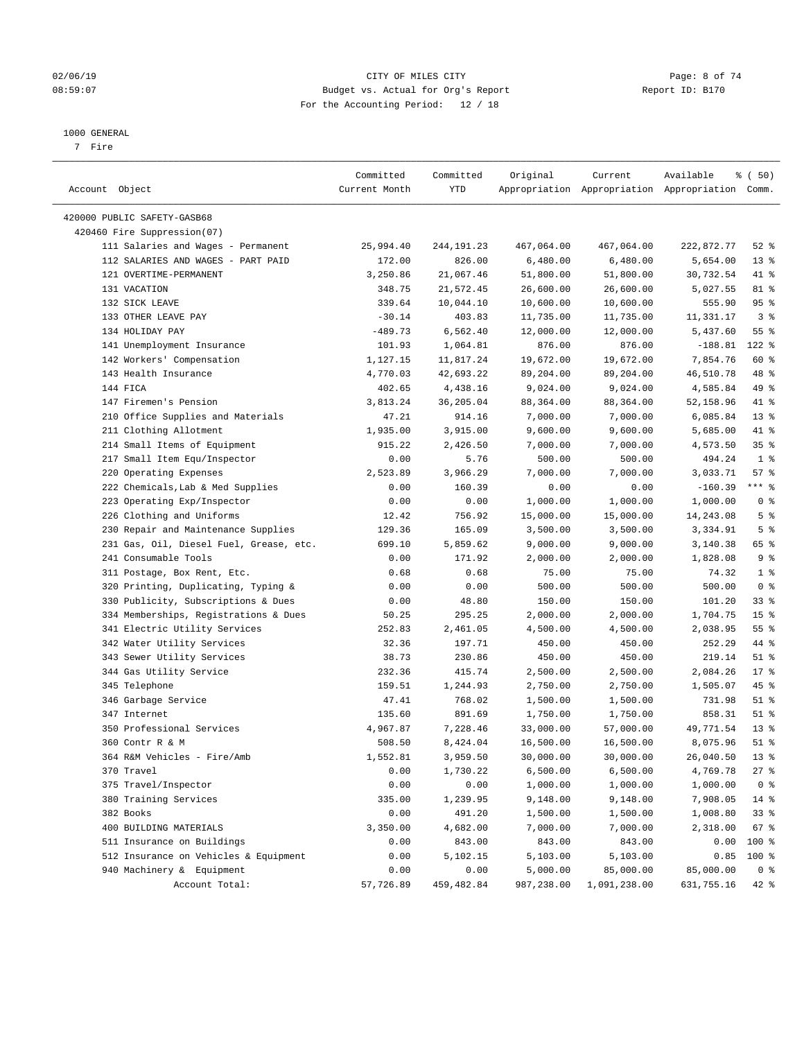### 02/06/19 Page: 8 of 74 08:59:07 Budget vs. Actual for Org's Report Report ID: B170 For the Accounting Period: 12 / 18

————————————————————————————————————————————————————————————————————————————————————————————————————————————————————————————————————

#### 1000 GENERAL

7 Fire

|                                               | Committed         | Committed           | Original               | Current               | Available                                       | % (50)                   |
|-----------------------------------------------|-------------------|---------------------|------------------------|-----------------------|-------------------------------------------------|--------------------------|
| Account Object                                | Current Month     | YTD                 |                        |                       | Appropriation Appropriation Appropriation Comm. |                          |
| 420000 PUBLIC SAFETY-GASB68                   |                   |                     |                        |                       |                                                 |                          |
| 420460 Fire Suppression(07)                   |                   |                     |                        |                       |                                                 |                          |
| 111 Salaries and Wages - Permanent            | 25,994.40         | 244,191.23          | 467,064.00             | 467,064.00            | 222,872.77                                      | $52$ $%$                 |
| 112 SALARIES AND WAGES - PART PAID            | 172.00            | 826.00              | 6,480.00               | 6,480.00              | 5,654.00                                        | $13*$                    |
| 121 OVERTIME-PERMANENT                        | 3,250.86          | 21,067.46           | 51,800.00              | 51,800.00             | 30,732.54                                       | 41 %                     |
| 131 VACATION                                  | 348.75            | 21,572.45           | 26,600.00              | 26,600.00             | 5,027.55                                        | 81 %                     |
| 132 SICK LEAVE                                | 339.64            | 10,044.10           | 10,600.00              | 10,600.00             | 555.90                                          | 95%                      |
| 133 OTHER LEAVE PAY                           | $-30.14$          | 403.83              | 11,735.00              | 11,735.00             | 11,331.17                                       | 3 <sup>°</sup>           |
| 134 HOLIDAY PAY                               | $-489.73$         | 6,562.40            | 12,000.00              | 12,000.00             | 5,437.60                                        | 55 %                     |
| 141 Unemployment Insurance                    | 101.93            | 1,064.81            | 876.00                 | 876.00                | $-188.81$                                       | $122$ %                  |
| 142 Workers' Compensation                     | 1,127.15          | 11,817.24           | 19,672.00              | 19,672.00             | 7,854.76                                        | 60 %                     |
| 143 Health Insurance                          | 4,770.03          | 42,693.22           | 89,204.00              | 89,204.00             | 46,510.78                                       | 48 %                     |
| 144 FICA                                      | 402.65            | 4,438.16            | 9,024.00               | 9,024.00              | 4,585.84                                        | 49 %                     |
| 147 Firemen's Pension                         | 3,813.24          | 36,205.04           | 88,364.00              | 88,364.00             | 52,158.96                                       | 41 %                     |
| 210 Office Supplies and Materials             | 47.21             | 914.16              | 7,000.00               | 7,000.00              | 6,085.84                                        | $13*$                    |
| 211 Clothing Allotment                        | 1,935.00          | 3,915.00            | 9,600.00               | 9,600.00              | 5,685.00                                        | 41 %                     |
| 214 Small Items of Equipment                  | 915.22            | 2,426.50            | 7,000.00               | 7,000.00              | 4,573.50                                        | 35%                      |
| 217 Small Item Equ/Inspector                  | 0.00              | 5.76                | 500.00                 | 500.00                | 494.24                                          | 1 <sup>°</sup>           |
| 220 Operating Expenses                        | 2,523.89          | 3,966.29            | 7,000.00               | 7,000.00              | 3,033.71                                        | 57%                      |
| 222 Chemicals, Lab & Med Supplies             | 0.00              | 160.39              | 0.00                   | 0.00                  | $-160.39$                                       | *** %                    |
| 223 Operating Exp/Inspector                   | 0.00              | 0.00                | 1,000.00               | 1,000.00              | 1,000.00                                        | 0 <sup>8</sup>           |
| 226 Clothing and Uniforms                     | 12.42             | 756.92              | 15,000.00              | 15,000.00             | 14,243.08                                       | 5 <sup>8</sup>           |
| 230 Repair and Maintenance Supplies           | 129.36            | 165.09              | 3,500.00               | 3,500.00              | 3,334.91                                        | 5 <sup>°</sup>           |
| 231 Gas, Oil, Diesel Fuel, Grease, etc.       | 699.10            | 5,859.62            | 9,000.00               | 9,000.00              | 3,140.38                                        | 65 %                     |
| 241 Consumable Tools                          | 0.00              | 171.92              | 2,000.00               | 2,000.00              | 1,828.08                                        | 9%                       |
| 311 Postage, Box Rent, Etc.                   | 0.68              | 0.68                | 75.00                  | 75.00                 | 74.32                                           | 1 <sup>°</sup>           |
| 320 Printing, Duplicating, Typing &           | 0.00              | 0.00                | 500.00                 | 500.00                | 500.00                                          | 0 <sup>8</sup>           |
| 330 Publicity, Subscriptions & Dues           | 0.00              | 48.80               | 150.00                 | 150.00                | 101.20                                          | 33%                      |
| 334 Memberships, Registrations & Dues         | 50.25             | 295.25              | 2,000.00               | 2,000.00              | 1,704.75                                        | 15 <sup>8</sup>          |
| 341 Electric Utility Services                 | 252.83            | 2,461.05            | 4,500.00               | 4,500.00              | 2,038.95                                        | $55$ $%$                 |
| 342 Water Utility Services                    | 32.36             | 197.71              | 450.00                 | 450.00                | 252.29                                          | 44 %                     |
| 343 Sewer Utility Services                    | 38.73             | 230.86              | 450.00                 | 450.00                | 219.14                                          | $51$ %                   |
| 344 Gas Utility Service                       | 232.36            | 415.74              | 2,500.00               | 2,500.00              | 2,084.26                                        | $17*$                    |
| 345 Telephone                                 | 159.51            | 1,244.93            | 2,750.00               | 2,750.00              | 1,505.07                                        | 45 %                     |
| 346 Garbage Service                           | 47.41             | 768.02              | 1,500.00               | 1,500.00              | 731.98                                          | $51$ %                   |
| 347 Internet                                  | 135.60            | 891.69              | 1,750.00               | 1,750.00              | 858.31                                          | $51$ %                   |
| 350 Professional Services                     | 4,967.87          | 7,228.46            | 33,000.00              | 57,000.00             | 49,771.54                                       | $13*$                    |
| 360 Contr R & M                               | 508.50            | 8,424.04            | 16,500.00              | 16,500.00             | 8,075.96                                        | $51$ %                   |
| 364 R&M Vehicles - Fire/Amb                   | 1,552.81          | 3,959.50            |                        |                       |                                                 | $13*$                    |
|                                               |                   |                     | 30,000.00<br>6,500.00  | 30,000.00<br>6,500.00 | 26,040.50<br>4,769.78                           | $27$ %                   |
| 370 Travel                                    | 0.00              | 1,730.22<br>0.00    |                        |                       |                                                 |                          |
| 375 Travel/Inspector<br>380 Training Services | 0.00<br>335.00    |                     | 1,000.00               | 1,000.00<br>9,148.00  | 1,000.00                                        | 0 <sup>8</sup>           |
|                                               |                   | 1,239.95<br>491.20  | 9,148.00               |                       | 7,908.05                                        | $14*$                    |
| 382 Books                                     | 0.00              |                     | 1,500.00               | 1,500.00<br>7,000.00  | 1,008.80                                        | 33%                      |
| 400 BUILDING MATERIALS                        | 3,350.00          | 4,682.00            | 7,000.00               |                       | 2,318.00                                        | 67%                      |
| 511 Insurance on Buildings                    | 0.00              | 843.00<br>5,102.15  | 843.00                 | 843.00<br>5,103.00    | 0.00                                            | 100 %                    |
| 512 Insurance on Vehicles & Equipment         | 0.00              |                     | 5,103.00               | 85,000.00             | 0.85                                            | 100 %                    |
| 940 Machinery & Equipment<br>Account Total:   | 0.00<br>57,726.89 | 0.00<br>459, 482.84 | 5,000.00<br>987,238.00 | 1,091,238.00          | 85,000.00<br>631,755.16                         | 0 <sup>8</sup><br>$42$ % |
|                                               |                   |                     |                        |                       |                                                 |                          |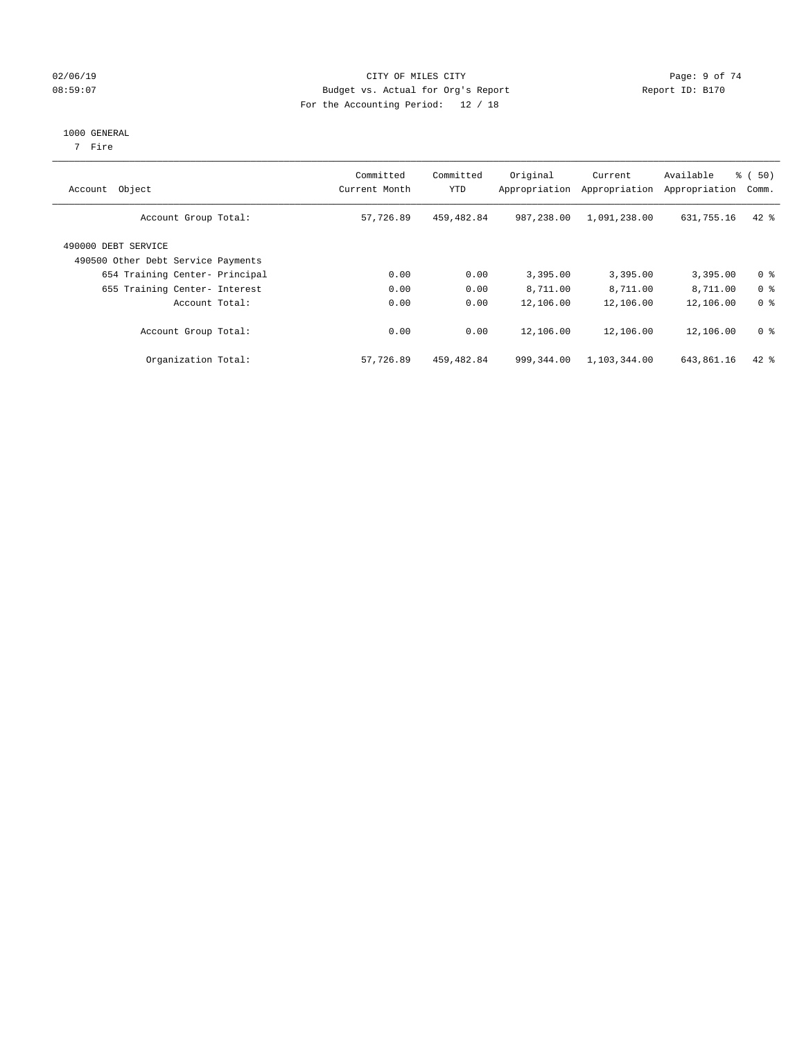### 02/06/19 Page: 9 of 74 08:59:07 Budget vs. Actual for Org's Report Report ID: B170 For the Accounting Period: 12 / 18

#### 1000 GENERAL

7 Fire

| Object<br>Account                                         | Committed<br>Current Month | Committed<br><b>YTD</b> | Original<br>Appropriation | Current<br>Appropriation | Available<br>Appropriation | % (50)<br>Comm. |
|-----------------------------------------------------------|----------------------------|-------------------------|---------------------------|--------------------------|----------------------------|-----------------|
| Account Group Total:                                      | 57,726.89                  | 459,482.84              | 987,238.00                | 1,091,238.00             | 631,755.16                 | $42$ $%$        |
| 490000 DEBT SERVICE<br>490500 Other Debt Service Payments |                            |                         |                           |                          |                            |                 |
| 654 Training Center- Principal                            | 0.00                       | 0.00                    | 3,395.00                  | 3,395.00                 | 3,395.00                   | 0 <sup>8</sup>  |
| 655 Training Center- Interest                             | 0.00                       | 0.00                    | 8,711.00                  | 8,711.00                 | 8,711.00                   | 0 <sup>8</sup>  |
| Account Total:                                            | 0.00                       | 0.00                    | 12,106.00                 | 12,106.00                | 12,106.00                  | 0 <sup>8</sup>  |
| Account Group Total:                                      | 0.00                       | 0.00                    | 12,106.00                 | 12,106.00                | 12,106.00                  | 0 <sup>8</sup>  |
| Organization Total:                                       | 57,726.89                  | 459,482.84              | 999,344.00                | 1,103,344.00             | 643,861.16                 | $42$ %          |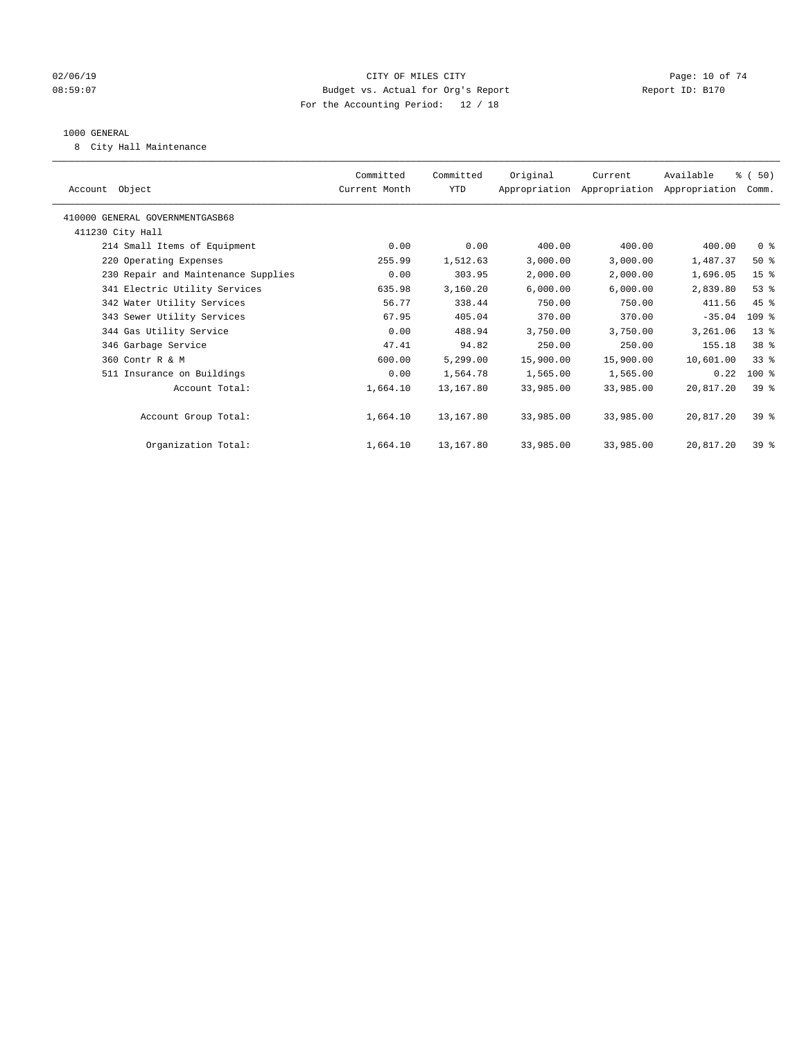### $O2/06/19$  Page: 10 of 74 08:59:07 Budget vs. Actual for Org's Report Report ID: B170 For the Accounting Period: 12 / 18

### 1000 GENERAL

8 City Hall Maintenance

|                                     | Committed     | Committed | Original  | Current                                   | Available | % (50)          |
|-------------------------------------|---------------|-----------|-----------|-------------------------------------------|-----------|-----------------|
| Account Object                      | Current Month | YTD       |           | Appropriation Appropriation Appropriation |           | Comm.           |
| 410000 GENERAL GOVERNMENTGASB68     |               |           |           |                                           |           |                 |
| 411230 City Hall                    |               |           |           |                                           |           |                 |
| 214 Small Items of Equipment        | 0.00          | 0.00      | 400.00    | 400.00                                    | 400.00    | 0 <sup>8</sup>  |
| 220 Operating Expenses              | 255.99        | 1,512.63  | 3,000.00  | 3,000.00                                  | 1,487.37  | $50*$           |
| 230 Repair and Maintenance Supplies | 0.00          | 303.95    | 2,000.00  | 2,000.00                                  | 1,696.05  | 15 <sup>8</sup> |
| 341 Electric Utility Services       | 635.98        | 3,160.20  | 6,000.00  | 6,000.00                                  | 2,839.80  | 53%             |
| 342 Water Utility Services          | 56.77         | 338.44    | 750.00    | 750.00                                    | 411.56    | 45 %            |
| 343 Sewer Utility Services          | 67.95         | 405.04    | 370.00    | 370.00                                    | $-35.04$  | $109$ %         |
| 344 Gas Utility Service             | 0.00          | 488.94    | 3,750.00  | 3,750.00                                  | 3,261.06  | 13 <sup>°</sup> |
| 346 Garbage Service                 | 47.41         | 94.82     | 250.00    | 250.00                                    | 155.18    | 38 <sup>8</sup> |
| 360 Contr R & M                     | 600.00        | 5,299.00  | 15,900.00 | 15,900.00                                 | 10,601.00 | 33 <sup>8</sup> |
| 511 Insurance on Buildings          | 0.00          | 1,564.78  | 1,565.00  | 1,565.00                                  | 0.22      | $100$ %         |
| Account Total:                      | 1,664.10      | 13,167.80 | 33,985.00 | 33,985.00                                 | 20,817.20 | $39*$           |
|                                     |               |           |           |                                           |           |                 |
| Account Group Total:                | 1,664.10      | 13,167.80 | 33,985.00 | 33,985.00                                 | 20,817.20 | $39*$           |
|                                     |               |           |           |                                           |           |                 |
| Organization Total:                 | 1,664.10      | 13,167.80 | 33,985.00 | 33,985.00                                 | 20,817.20 | 39 <sup>8</sup> |
|                                     |               |           |           |                                           |           |                 |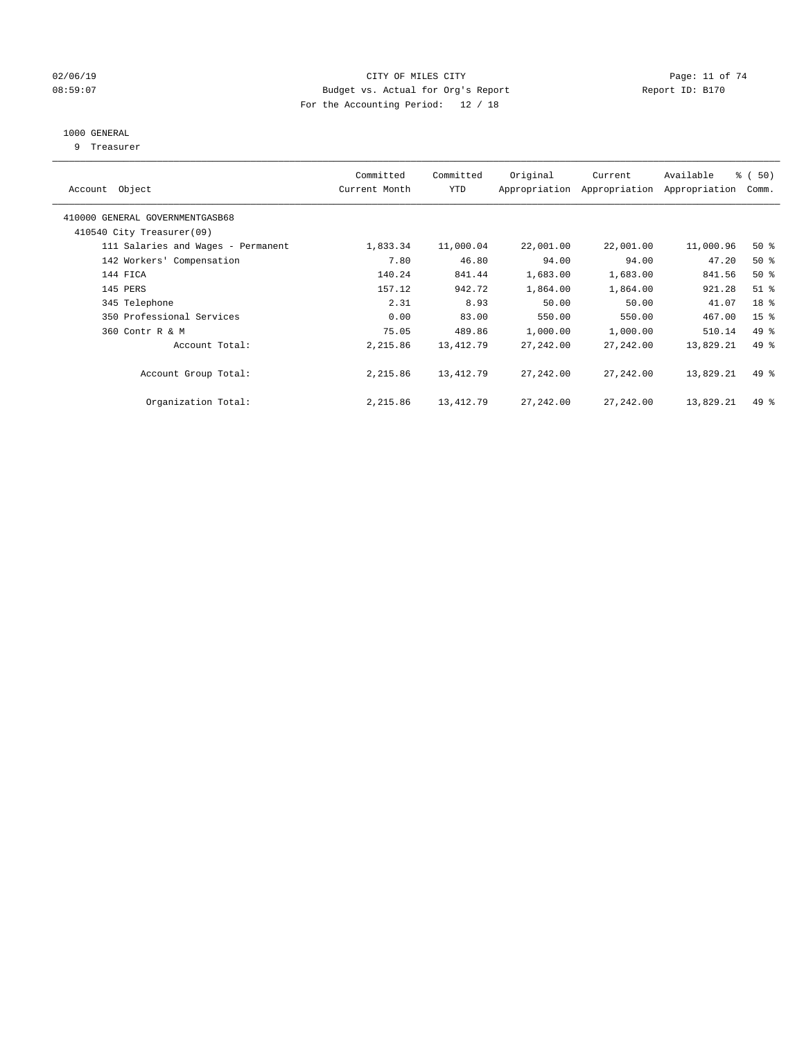### $O2/06/19$  Page: 11 of 74 08:59:07 Budget vs. Actual for Org's Report Changer Report ID: B170 For the Accounting Period: 12 / 18

### 1000 GENERAL

9 Treasurer

| Account Object                                               | Committed<br>Current Month | Committed<br><b>YTD</b> | Original   | Current<br>Appropriation Appropriation | Available<br>Appropriation | % (50)<br>Comm. |
|--------------------------------------------------------------|----------------------------|-------------------------|------------|----------------------------------------|----------------------------|-----------------|
| 410000 GENERAL GOVERNMENTGASB68<br>410540 City Treasurer(09) |                            |                         |            |                                        |                            |                 |
| 111 Salaries and Wages - Permanent                           | 1,833.34                   | 11,000.04               | 22,001.00  | 22,001.00                              | 11,000.96                  | $50*$           |
| 142 Workers' Compensation                                    | 7.80                       | 46.80                   | 94.00      | 94.00                                  | 47.20                      | $50*$           |
| 144 FICA                                                     | 140.24                     | 841.44                  | 1,683.00   | 1,683.00                               | 841.56                     | $50*$           |
| 145 PERS                                                     | 157.12                     | 942.72                  | 1,864.00   | 1,864.00                               | 921.28                     | $51$ %          |
| 345 Telephone                                                | 2.31                       | 8.93                    | 50.00      | 50.00                                  | 41.07                      | 18 %            |
| 350 Professional Services                                    | 0.00                       | 83.00                   | 550.00     | 550.00                                 | 467.00                     | 15 <sup>°</sup> |
| 360 Contr R & M                                              | 75.05                      | 489.86                  | 1,000.00   | 1,000.00                               | 510.14                     | 49 %            |
| Account Total:                                               | 2,215.86                   | 13, 412. 79             | 27, 242.00 | 27,242.00                              | 13,829.21                  | $49*$           |
| Account Group Total:                                         | 2,215.86                   | 13, 412. 79             | 27,242.00  | 27,242.00                              | 13,829.21                  | 49 %            |
| Organization Total:                                          | 2,215.86                   | 13, 412. 79             | 27,242.00  | 27,242.00                              | 13,829.21                  | $49*$           |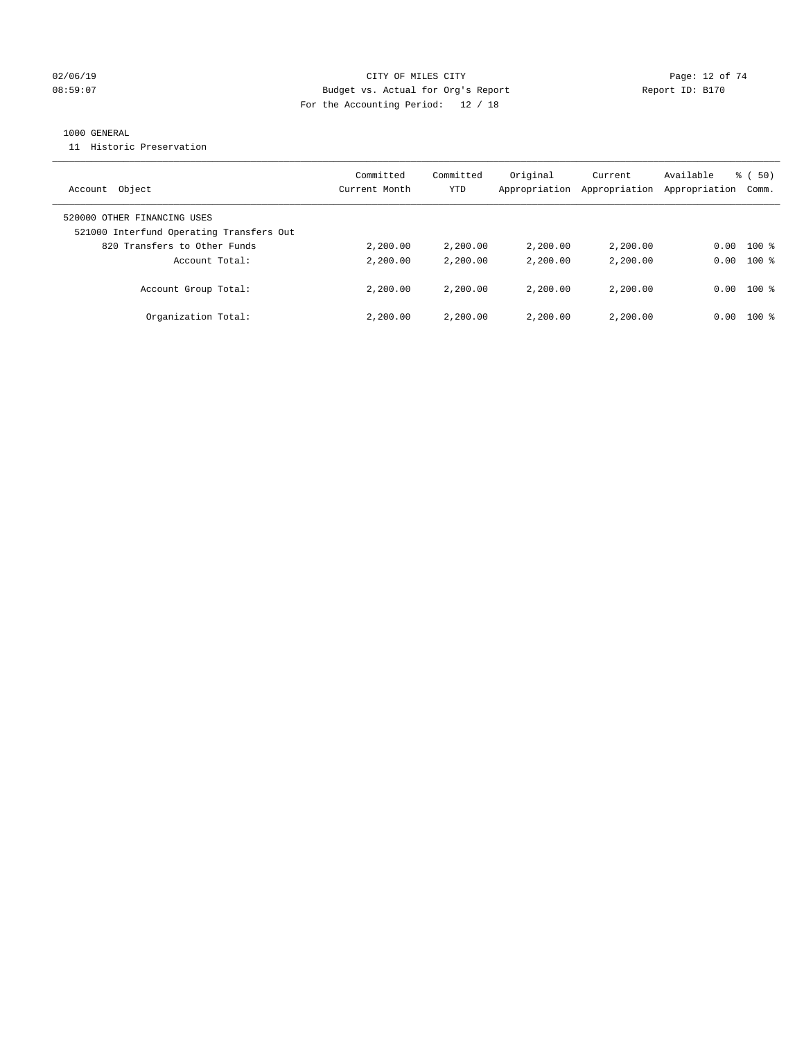### $O2/06/19$  Page: 12 of 74 08:59:07 Budget vs. Actual for Org's Report Changer Report ID: B170 For the Accounting Period: 12 / 18

### 1000 GENERAL

11 Historic Preservation

| Object<br>Account                        | Committed<br>Current Month | Committed<br>YTD | Original<br>Appropriation | Current<br>Appropriation | Available<br>Appropriation | $\frac{2}{3}$ (50)<br>Comm. |
|------------------------------------------|----------------------------|------------------|---------------------------|--------------------------|----------------------------|-----------------------------|
| 520000 OTHER FINANCING USES              |                            |                  |                           |                          |                            |                             |
| 521000 Interfund Operating Transfers Out |                            |                  |                           |                          |                            |                             |
| 820 Transfers to Other Funds             | 2,200.00                   | 2,200.00         | 2,200.00                  | 2,200.00                 | 0.00                       | $100$ %                     |
| Account Total:                           | 2,200.00                   | 2,200.00         | 2,200.00                  | 2,200.00                 | 0.00                       | $100*$                      |
| Account Group Total:                     | 2,200.00                   | 2,200.00         | 2,200.00                  | 2,200.00                 | 0.00                       | $100$ %                     |
| Organization Total:                      | 2,200.00                   | 2,200.00         | 2,200.00                  | 2,200.00                 | 0.00                       | $100*$                      |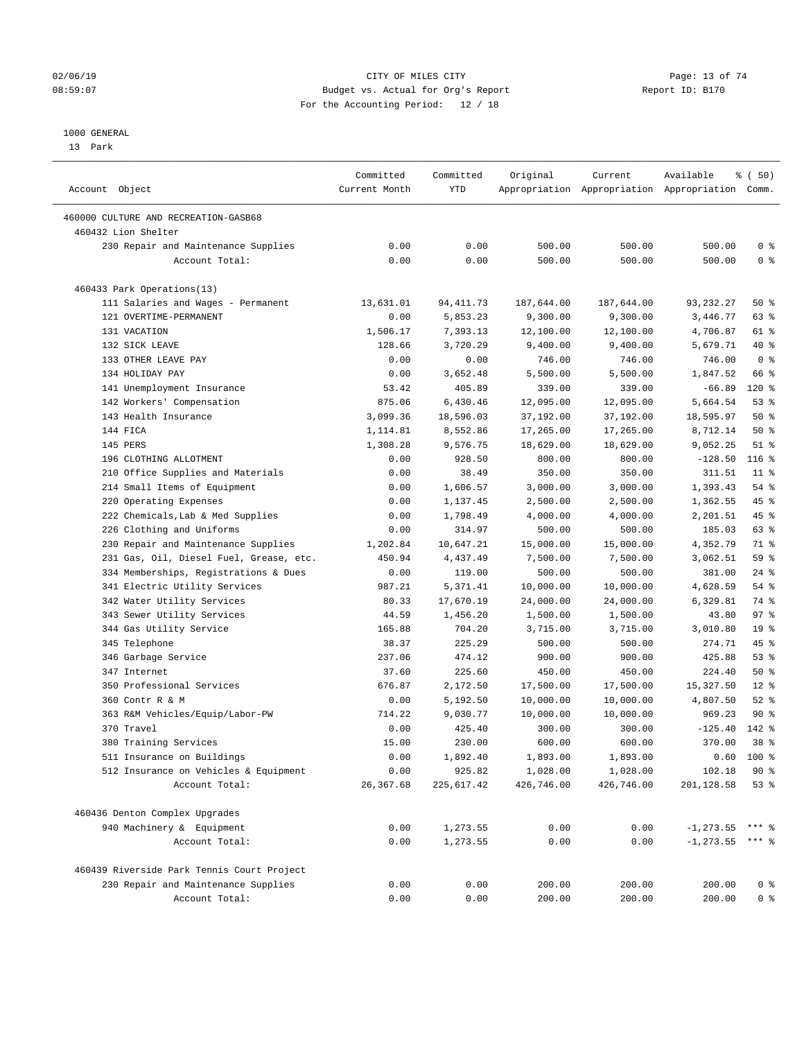### $O2/06/19$  Page: 13 of 74 08:59:07 Budget vs. Actual for Org's Report Report ID: B170 For the Accounting Period: 12 / 18

————————————————————————————————————————————————————————————————————————————————————————————————————————————————————————————————————

#### 1000 GENERAL

13 Park

|                                            | Committed     | Committed  | Original   | Current    | Available                                       | % ( 50)         |
|--------------------------------------------|---------------|------------|------------|------------|-------------------------------------------------|-----------------|
| Account Object                             | Current Month | YTD        |            |            | Appropriation Appropriation Appropriation Comm. |                 |
| 460000 CULTURE AND RECREATION-GASB68       |               |            |            |            |                                                 |                 |
| 460432 Lion Shelter                        |               |            |            |            |                                                 |                 |
| 230 Repair and Maintenance Supplies        | 0.00          | 0.00       | 500.00     | 500.00     | 500.00                                          | 0 <sup>8</sup>  |
| Account Total:                             | 0.00          | 0.00       | 500.00     | 500.00     | 500.00                                          | 0 <sup>8</sup>  |
| 460433 Park Operations(13)                 |               |            |            |            |                                                 |                 |
| 111 Salaries and Wages - Permanent         | 13,631.01     | 94, 411.73 | 187,644.00 | 187,644.00 | 93, 232. 27                                     | 50%             |
| 121 OVERTIME-PERMANENT                     | 0.00          | 5,853.23   | 9,300.00   | 9,300.00   | 3,446.77                                        | 63 %            |
| 131 VACATION                               | 1,506.17      | 7,393.13   | 12,100.00  | 12,100.00  | 4,706.87                                        | 61 %            |
| 132 SICK LEAVE                             | 128.66        | 3,720.29   | 9,400.00   | 9,400.00   | 5,679.71                                        | 40 %            |
| 133 OTHER LEAVE PAY                        | 0.00          | 0.00       | 746.00     | 746.00     | 746.00                                          | 0 <sup>8</sup>  |
| 134 HOLIDAY PAY                            | 0.00          | 3,652.48   | 5,500.00   | 5,500.00   | 1,847.52                                        | 66 %            |
| 141 Unemployment Insurance                 | 53.42         | 405.89     | 339.00     | 339.00     | $-66.89$                                        | $120$ %         |
| 142 Workers' Compensation                  | 875.06        | 6,430.46   | 12,095.00  | 12,095.00  | 5,664.54                                        | 53%             |
| 143 Health Insurance                       | 3,099.36      | 18,596.03  | 37,192.00  | 37,192.00  | 18,595.97                                       | 50%             |
| 144 FICA                                   | 1,114.81      | 8,552.86   | 17,265.00  | 17,265.00  | 8,712.14                                        | 50%             |
| 145 PERS                                   | 1,308.28      | 9,576.75   | 18,629.00  | 18,629.00  | 9,052.25                                        | $51$ %          |
| 196 CLOTHING ALLOTMENT                     | 0.00          | 928.50     | 800.00     | 800.00     | $-128.50$                                       | $116$ %         |
| 210 Office Supplies and Materials          | 0.00          | 38.49      | 350.00     | 350.00     | 311.51                                          | $11$ %          |
| 214 Small Items of Equipment               | 0.00          | 1,606.57   | 3,000.00   | 3,000.00   | 1,393.43                                        | 54 %            |
| 220 Operating Expenses                     | 0.00          | 1,137.45   | 2,500.00   | 2,500.00   | 1,362.55                                        | 45 %            |
| 222 Chemicals, Lab & Med Supplies          | 0.00          | 1,798.49   | 4,000.00   | 4,000.00   | 2,201.51                                        | 45 %            |
| 226 Clothing and Uniforms                  | 0.00          | 314.97     | 500.00     | 500.00     | 185.03                                          | 63%             |
| 230 Repair and Maintenance Supplies        | 1,202.84      | 10,647.21  | 15,000.00  | 15,000.00  | 4,352.79                                        | 71 %            |
| 231 Gas, Oil, Diesel Fuel, Grease, etc.    | 450.94        | 4,437.49   | 7,500.00   | 7,500.00   | 3,062.51                                        | 59 %            |
| 334 Memberships, Registrations & Dues      | 0.00          | 119.00     | 500.00     | 500.00     | 381.00                                          | $24$ %          |
| 341 Electric Utility Services              | 987.21        | 5,371.41   | 10,000.00  | 10,000.00  | 4,628.59                                        | 54 %            |
| 342 Water Utility Services                 | 80.33         | 17,670.19  | 24,000.00  | 24,000.00  | 6,329.81                                        | 74 %            |
| 343 Sewer Utility Services                 | 44.59         | 1,456.20   | 1,500.00   | 1,500.00   | 43.80                                           | 97%             |
| 344 Gas Utility Service                    | 165.88        | 704.20     | 3,715.00   | 3,715.00   | 3,010.80                                        | 19 <sup>°</sup> |
| 345 Telephone                              | 38.37         | 225.29     | 500.00     | 500.00     | 274.71                                          | 45 %            |
| 346 Garbage Service                        | 237.06        | 474.12     | 900.00     | 900.00     | 425.88                                          | 53%             |
| 347 Internet                               | 37.60         | 225.60     | 450.00     | 450.00     | 224.40                                          | 50%             |
| 350 Professional Services                  | 676.87        | 2,172.50   | 17,500.00  | 17,500.00  | 15,327.50                                       | $12*$           |
| 360 Contr R & M                            | 0.00          | 5,192.50   | 10,000.00  | 10,000.00  | 4,807.50                                        | $52$ $%$        |
| 363 R&M Vehicles/Equip/Labor-PW            | 714.22        | 9,030.77   | 10,000.00  | 10,000.00  | 969.23                                          | 90%             |
| 370 Travel                                 | 0.00          | 425.40     | 300.00     | 300.00     | $-125.40$                                       | 142 %           |
| 380 Training Services                      | 15.00         | 230.00     | 600.00     | 600.00     | 370.00                                          | 38 <sup>8</sup> |
| 511 Insurance on Buildings                 | 0.00          | 1,892.40   | 1,893.00   | 1,893.00   |                                                 | $0.60$ 100 %    |
| 512 Insurance on Vehicles & Equipment      | 0.00          | 925.82     | 1,028.00   | 1,028.00   | 102.18                                          | 90 %            |
| Account Total:                             | 26,367.68     | 225,617.42 | 426,746.00 | 426,746.00 | 201,128.58                                      | 53%             |
| 460436 Denton Complex Upgrades             |               |            |            |            |                                                 |                 |
| 940 Machinery & Equipment                  | 0.00          | 1,273.55   | 0.00       | 0.00       | $-1, 273.55$ *** %                              |                 |
| Account Total:                             | 0.00          | 1,273.55   | 0.00       | 0.00       | $-1, 273.55$ *** %                              |                 |
| 460439 Riverside Park Tennis Court Project |               |            |            |            |                                                 |                 |
| 230 Repair and Maintenance Supplies        | 0.00          | 0.00       | 200.00     | 200.00     | 200.00                                          | $0$ %           |
| Account Total:                             | 0.00          | 0.00       | 200.00     | 200.00     | 200.00                                          | 0 <sup>8</sup>  |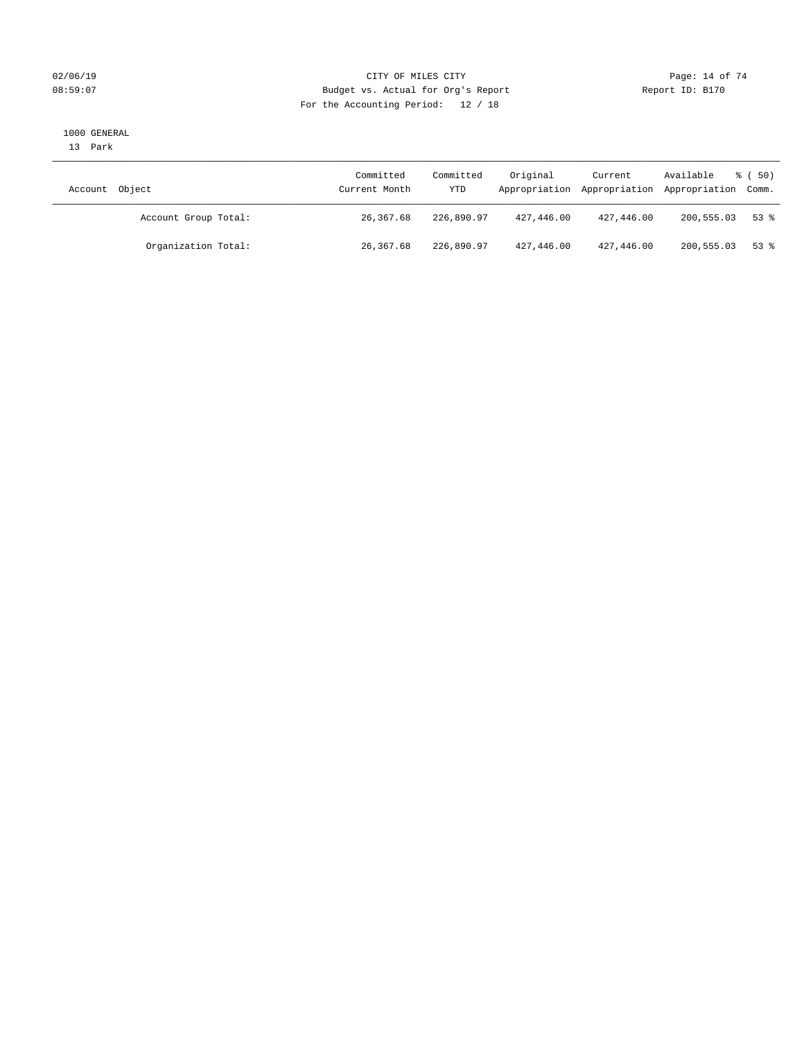### $O2/06/19$  Page: 14 of 74 08:59:07 Budget vs. Actual for Org's Report Report ID: B170 For the Accounting Period: 12 / 18

#### 1000 GENERAL

13 Park

| Account Object       | Committed<br>Current Month | Committed<br>YTD | Original   | Current    | Available<br>Appropriation Appropriation Appropriation Comm. | $\frac{2}{3}$ (50) |
|----------------------|----------------------------|------------------|------------|------------|--------------------------------------------------------------|--------------------|
| Account Group Total: | 26,367.68                  | 226,890.97       | 427,446.00 | 427,446.00 | 200,555.03                                                   | $53$ $%$           |
| Organization Total:  | 26,367.68                  | 226,890.97       | 427,446.00 | 427,446.00 | 200,555.03                                                   | 53 %               |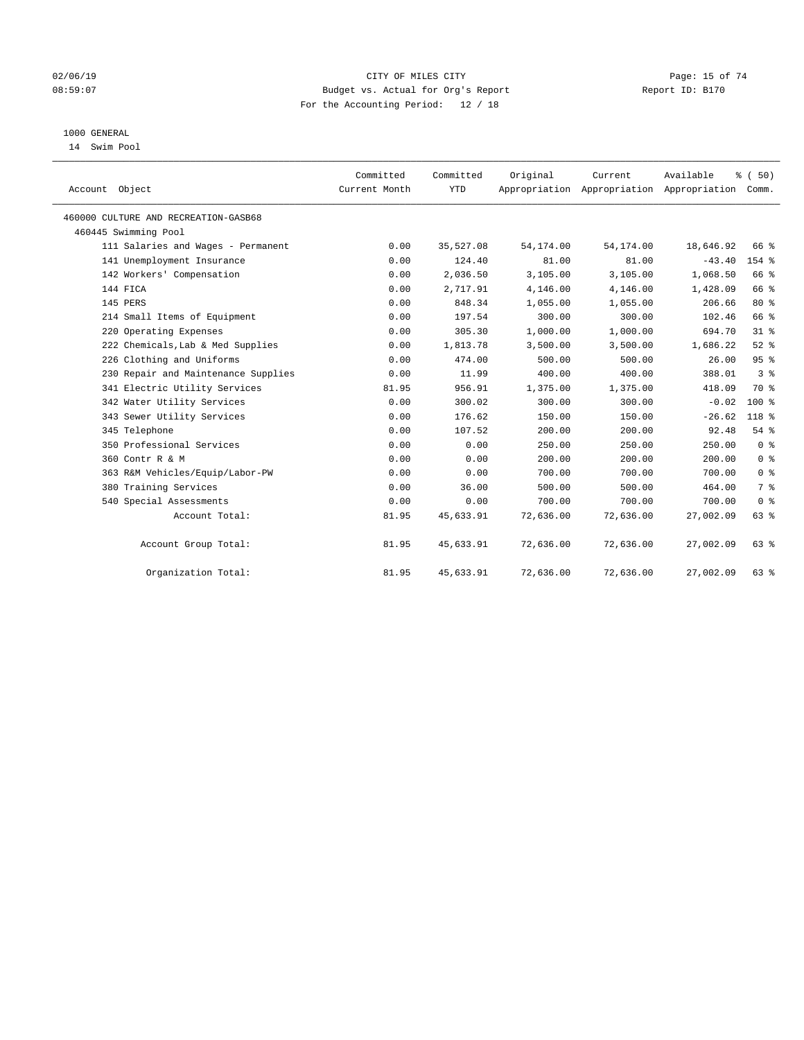### $O2/06/19$  Page: 15 of 74 08:59:07 Budget vs. Actual for Org's Report Changer Report ID: B170 For the Accounting Period: 12 / 18

### 1000 GENERAL

14 Swim Pool

| Account Object                       | Committed<br>Current Month | Committed<br><b>YTD</b> | Original  | Current<br>Appropriation Appropriation Appropriation Comm. | Available | % (50)         |
|--------------------------------------|----------------------------|-------------------------|-----------|------------------------------------------------------------|-----------|----------------|
| 460000 CULTURE AND RECREATION-GASB68 |                            |                         |           |                                                            |           |                |
| 460445 Swimming Pool                 |                            |                         |           |                                                            |           |                |
| 111 Salaries and Wages - Permanent   | 0.00                       | 35,527.08               | 54,174.00 | 54, 174.00                                                 | 18,646.92 | 66 %           |
| 141 Unemployment Insurance           | 0.00                       | 124.40                  | 81.00     | 81.00                                                      | $-43.40$  | $154$ %        |
| 142 Workers' Compensation            | 0.00                       | 2,036.50                | 3,105.00  | 3,105.00                                                   | 1,068.50  | 66 %           |
| 144 FICA                             | 0.00                       | 2,717.91                | 4,146.00  | 4,146.00                                                   | 1,428.09  | 66 %           |
| 145 PERS                             | 0.00                       | 848.34                  | 1,055.00  | 1,055.00                                                   | 206.66    | $80*$          |
| 214 Small Items of Equipment         | 0.00                       | 197.54                  | 300.00    | 300.00                                                     | 102.46    | 66 %           |
| 220 Operating Expenses               | 0.00                       | 305.30                  | 1,000.00  | 1,000.00                                                   | 694.70    | 31.8           |
| 222 Chemicals, Lab & Med Supplies    | 0.00                       | 1,813.78                | 3,500.00  | 3,500.00                                                   | 1,686.22  | $52$ $%$       |
| 226 Clothing and Uniforms            | 0.00                       | 474.00                  | 500.00    | 500.00                                                     | 26.00     | 95%            |
| 230 Repair and Maintenance Supplies  | 0.00                       | 11.99                   | 400.00    | 400.00                                                     | 388.01    | 3 <sup>8</sup> |
| 341 Electric Utility Services        | 81.95                      | 956.91                  | 1,375.00  | 1,375.00                                                   | 418.09    | 70 %           |
| 342 Water Utility Services           | 0.00                       | 300.02                  | 300.00    | 300.00                                                     | $-0.02$   | $100*$         |
| 343 Sewer Utility Services           | 0.00                       | 176.62                  | 150.00    | 150.00                                                     | $-26.62$  | 118 %          |
| 345 Telephone                        | 0.00                       | 107.52                  | 200.00    | 200.00                                                     | 92.48     | 54%            |
| 350 Professional Services            | 0.00                       | 0.00                    | 250.00    | 250.00                                                     | 250.00    | 0 <sup>8</sup> |
| 360 Contr R & M                      | 0.00                       | 0.00                    | 200.00    | 200.00                                                     | 200.00    | 0 <sup>8</sup> |
| 363 R&M Vehicles/Equip/Labor-PW      | 0.00                       | 0.00                    | 700.00    | 700.00                                                     | 700.00    | 0 <sup>8</sup> |
| 380 Training Services                | 0.00                       | 36.00                   | 500.00    | 500.00                                                     | 464.00    | 7 <sup>°</sup> |
| 540 Special Assessments              | 0.00                       | 0.00                    | 700.00    | 700.00                                                     | 700.00    | 0 <sup>8</sup> |
| Account Total:                       | 81.95                      | 45,633.91               | 72,636.00 | 72,636.00                                                  | 27,002.09 | 63%            |
| Account Group Total:                 | 81.95                      | 45,633.91               | 72,636.00 | 72,636.00                                                  | 27,002.09 | 63 %           |
| Organization Total:                  | 81.95                      | 45,633.91               | 72,636.00 | 72,636.00                                                  | 27,002.09 | 63 %           |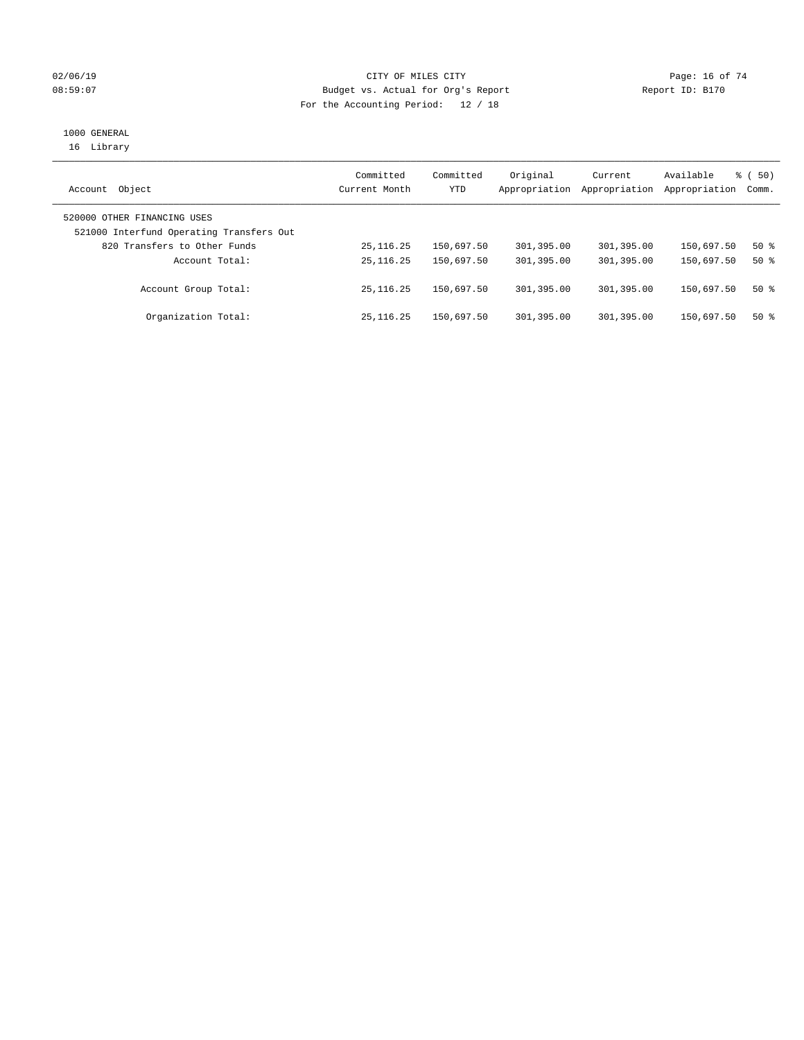### $O2/06/19$  Page: 16 of 74 08:59:07 Budget vs. Actual for Org's Report Changer Report ID: B170 For the Accounting Period: 12 / 18

## 1000 GENERAL

16 Library

| Object<br>Account                                                       | Committed<br>Current Month | Committed<br>YTD | Original<br>Appropriation | Current<br>Appropriation | Available<br>Appropriation | % (50)<br>Comm. |
|-------------------------------------------------------------------------|----------------------------|------------------|---------------------------|--------------------------|----------------------------|-----------------|
| 520000 OTHER FINANCING USES<br>521000 Interfund Operating Transfers Out |                            |                  |                           |                          |                            |                 |
| 820 Transfers to Other Funds                                            | 25, 116. 25                | 150,697.50       | 301,395.00                | 301,395.00               | 150,697.50                 | 50%             |
| Account Total:                                                          | 25, 116, 25                | 150,697.50       | 301,395.00                | 301,395.00               | 150,697.50                 | $50*$           |
| Account Group Total:                                                    | 25, 116, 25                | 150,697.50       | 301,395.00                | 301,395.00               | 150,697.50                 | $50*$           |
| Organization Total:                                                     | 25, 116, 25                | 150,697.50       | 301,395.00                | 301,395.00               | 150,697.50                 | $50*$           |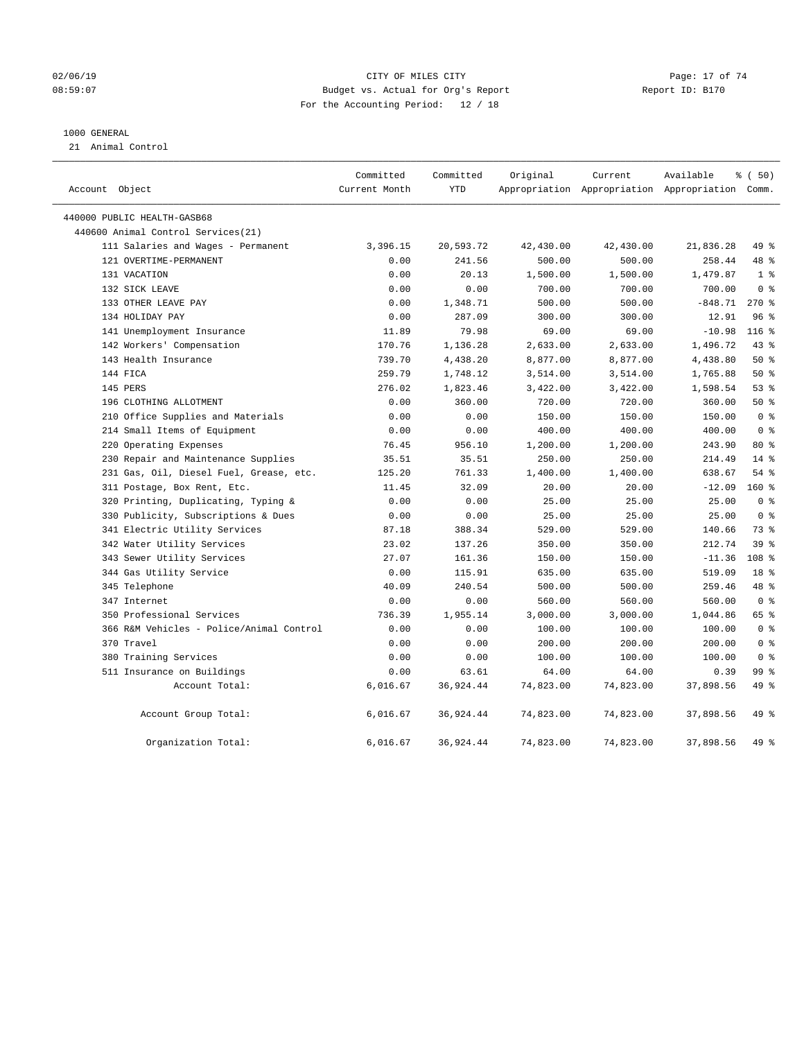### 02/06/19 Page: 17 of 74 08:59:07 Budget vs. Actual for Org's Report Report ID: B170 For the Accounting Period: 12 / 18

### 1000 GENERAL

21 Animal Control

| Account Object                           | Committed<br>Current Month | Committed<br><b>YTD</b> | Original  | Current<br>Appropriation Appropriation Appropriation Comm. | Available | % (50)           |
|------------------------------------------|----------------------------|-------------------------|-----------|------------------------------------------------------------|-----------|------------------|
| 440000 PUBLIC HEALTH-GASB68              |                            |                         |           |                                                            |           |                  |
| 440600 Animal Control Services (21)      |                            |                         |           |                                                            |           |                  |
| 111 Salaries and Wages - Permanent       | 3,396.15                   | 20,593.72               | 42,430.00 | 42,430.00                                                  | 21,836.28 | 49 %             |
| 121 OVERTIME-PERMANENT                   | 0.00                       | 241.56                  | 500.00    | 500.00                                                     | 258.44    | 48 %             |
| 131 VACATION                             | 0.00                       | 20.13                   | 1,500.00  | 1,500.00                                                   | 1,479.87  | 1 <sup>°</sup>   |
| 132 SICK LEAVE                           | 0.00                       | 0.00                    | 700.00    | 700.00                                                     | 700.00    | 0 <sup>8</sup>   |
| 133 OTHER LEAVE PAY                      | 0.00                       | 1,348.71                | 500.00    | 500.00                                                     | $-848.71$ | $270*$           |
| 134 HOLIDAY PAY                          | 0.00                       | 287.09                  | 300.00    | 300.00                                                     | 12.91     | 96%              |
| 141 Unemployment Insurance               | 11.89                      | 79.98                   | 69.00     | 69.00                                                      | $-10.98$  | 116 <sup>8</sup> |
| 142 Workers' Compensation                | 170.76                     | 1,136.28                | 2,633.00  | 2,633.00                                                   | 1,496.72  | 43 %             |
| 143 Health Insurance                     | 739.70                     | 4,438.20                | 8,877.00  | 8,877.00                                                   | 4,438.80  | 50%              |
| 144 FICA                                 | 259.79                     | 1,748.12                | 3,514.00  | 3,514.00                                                   | 1,765.88  | 50%              |
| 145 PERS                                 | 276.02                     | 1,823.46                | 3,422.00  | 3,422.00                                                   | 1,598.54  | 53%              |
| 196 CLOTHING ALLOTMENT                   | 0.00                       | 360.00                  | 720.00    | 720.00                                                     | 360.00    | 50%              |
| 210 Office Supplies and Materials        | 0.00                       | 0.00                    | 150.00    | 150.00                                                     | 150.00    | 0 <sup>8</sup>   |
| 214 Small Items of Equipment             | 0.00                       | 0.00                    | 400.00    | 400.00                                                     | 400.00    | 0 <sup>8</sup>   |
| 220 Operating Expenses                   | 76.45                      | 956.10                  | 1,200.00  | 1,200.00                                                   | 243.90    | 80 %             |
| 230 Repair and Maintenance Supplies      | 35.51                      | 35.51                   | 250.00    | 250.00                                                     | 214.49    | $14*$            |
| 231 Gas, Oil, Diesel Fuel, Grease, etc.  | 125.20                     | 761.33                  | 1,400.00  | 1,400.00                                                   | 638.67    | 54%              |
| 311 Postage, Box Rent, Etc.              | 11.45                      | 32.09                   | 20.00     | 20.00                                                      | $-12.09$  | $160*$           |
| 320 Printing, Duplicating, Typing &      | 0.00                       | 0.00                    | 25.00     | 25.00                                                      | 25.00     | 0 <sup>8</sup>   |
| 330 Publicity, Subscriptions & Dues      | 0.00                       | 0.00                    | 25.00     | 25.00                                                      | 25.00     | 0 <sup>8</sup>   |
| 341 Electric Utility Services            | 87.18                      | 388.34                  | 529.00    | 529.00                                                     | 140.66    | 73 %             |
| 342 Water Utility Services               | 23.02                      | 137.26                  | 350.00    | 350.00                                                     | 212.74    | 39 <sup>8</sup>  |
| 343 Sewer Utility Services               | 27.07                      | 161.36                  | 150.00    | 150.00                                                     | $-11.36$  | 108 <sup>8</sup> |
| 344 Gas Utility Service                  | 0.00                       | 115.91                  | 635.00    | 635.00                                                     | 519.09    | 18 <sup>8</sup>  |
| 345 Telephone                            | 40.09                      | 240.54                  | 500.00    | 500.00                                                     | 259.46    | 48 %             |
| 347 Internet                             | 0.00                       | 0.00                    | 560.00    | 560.00                                                     | 560.00    | 0 <sup>8</sup>   |
| 350 Professional Services                | 736.39                     | 1,955.14                | 3,000.00  | 3,000.00                                                   | 1,044.86  | 65 %             |
| 366 R&M Vehicles - Police/Animal Control | 0.00                       | 0.00                    | 100.00    | 100.00                                                     | 100.00    | 0 <sup>8</sup>   |
| 370 Travel                               | 0.00                       | 0.00                    | 200.00    | 200.00                                                     | 200.00    | 0 <sup>8</sup>   |
| 380 Training Services                    | 0.00                       | 0.00                    | 100.00    | 100.00                                                     | 100.00    | 0 <sup>8</sup>   |
| 511 Insurance on Buildings               | 0.00                       | 63.61                   | 64.00     | 64.00                                                      | 0.39      | 99 <sub>8</sub>  |
| Account Total:                           | 6,016.67                   | 36,924.44               | 74,823.00 | 74,823.00                                                  | 37,898.56 | 49 %             |
| Account Group Total:                     | 6,016.67                   | 36,924.44               | 74,823.00 | 74,823.00                                                  | 37,898.56 | 49 %             |
| Organization Total:                      | 6,016.67                   | 36,924.44               | 74,823.00 | 74,823.00                                                  | 37,898.56 | 49 %             |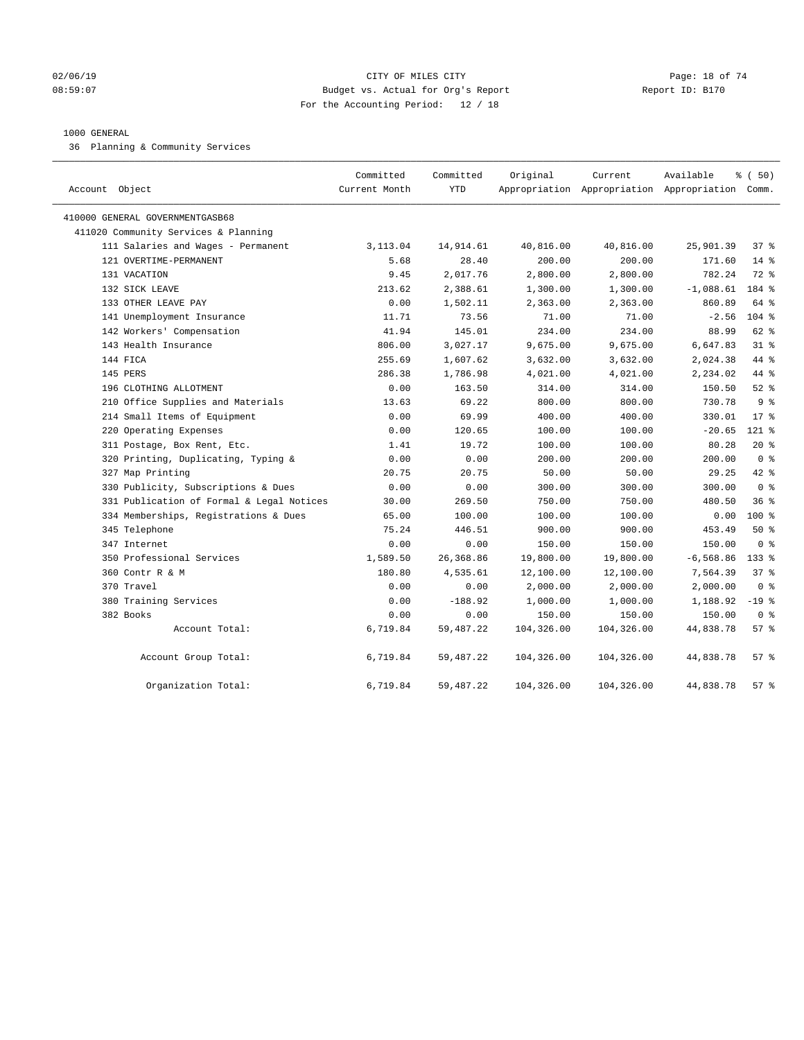### $O2/06/19$  Page: 18 of 74 08:59:07 Budget vs. Actual for Org's Report Report ID: B170 For the Accounting Period: 12 / 18

### 1000 GENERAL

36 Planning & Community Services

| Account Object                            | Committed<br>Current Month | Committed<br><b>YTD</b> | Original   | Current    | Available<br>Appropriation Appropriation Appropriation Comm. | % ( 50)        |
|-------------------------------------------|----------------------------|-------------------------|------------|------------|--------------------------------------------------------------|----------------|
| 410000 GENERAL GOVERNMENTGASB68           |                            |                         |            |            |                                                              |                |
| 411020 Community Services & Planning      |                            |                         |            |            |                                                              |                |
| 111 Salaries and Wages - Permanent        | 3,113.04                   | 14,914.61               | 40,816.00  | 40,816.00  | 25,901.39                                                    | 37%            |
| 121 OVERTIME-PERMANENT                    | 5.68                       | 28.40                   | 200.00     | 200.00     | 171.60                                                       | $14*$          |
| 131 VACATION                              | 9.45                       | 2,017.76                | 2,800.00   | 2,800.00   | 782.24                                                       | 72 %           |
| 132 SICK LEAVE                            | 213.62                     | 2,388.61                | 1,300.00   | 1,300.00   | $-1,088.61$                                                  | 184 %          |
| 133 OTHER LEAVE PAY                       | 0.00                       | 1,502.11                | 2,363.00   | 2,363.00   | 860.89                                                       | 64 %           |
| 141 Unemployment Insurance                | 11.71                      | 73.56                   | 71.00      | 71.00      | $-2.56$                                                      | 104 %          |
| 142 Workers' Compensation                 | 41.94                      | 145.01                  | 234.00     | 234.00     | 88.99                                                        | $62$ $%$       |
| 143 Health Insurance                      | 806.00                     | 3,027.17                | 9,675.00   | 9,675.00   | 6,647.83                                                     | $31$ %         |
| 144 FICA                                  | 255.69                     | 1,607.62                | 3,632.00   | 3,632.00   | 2,024.38                                                     | 44 %           |
| 145 PERS                                  | 286.38                     | 1,786.98                | 4,021.00   | 4,021.00   | 2,234.02                                                     | 44 %           |
| 196 CLOTHING ALLOTMENT                    | 0.00                       | 163.50                  | 314.00     | 314.00     | 150.50                                                       | $52$ $%$       |
| 210 Office Supplies and Materials         | 13.63                      | 69.22                   | 800.00     | 800.00     | 730.78                                                       | 9 <sup>°</sup> |
| 214 Small Items of Equipment              | 0.00                       | 69.99                   | 400.00     | 400.00     | 330.01                                                       | $17*$          |
| 220 Operating Expenses                    | 0.00                       | 120.65                  | 100.00     | 100.00     | $-20.65$                                                     | $121$ %        |
| 311 Postage, Box Rent, Etc.               | 1.41                       | 19.72                   | 100.00     | 100.00     | 80.28                                                        | $20*$          |
| 320 Printing, Duplicating, Typing &       | 0.00                       | 0.00                    | 200.00     | 200.00     | 200.00                                                       | 0 <sup>8</sup> |
| 327 Map Printing                          | 20.75                      | 20.75                   | 50.00      | 50.00      | 29.25                                                        | 42 %           |
| 330 Publicity, Subscriptions & Dues       | 0.00                       | 0.00                    | 300.00     | 300.00     | 300.00                                                       | 0 <sup>8</sup> |
| 331 Publication of Formal & Legal Notices | 30.00                      | 269.50                  | 750.00     | 750.00     | 480.50                                                       | 36%            |
| 334 Memberships, Registrations & Dues     | 65.00                      | 100.00                  | 100.00     | 100.00     | 0.00                                                         | $100*$         |
| 345 Telephone                             | 75.24                      | 446.51                  | 900.00     | 900.00     | 453.49                                                       | 50%            |
| 347 Internet                              | 0.00                       | 0.00                    | 150.00     | 150.00     | 150.00                                                       | 0 <sup>8</sup> |
| 350 Professional Services                 | 1,589.50                   | 26, 368.86              | 19,800.00  | 19,800.00  | $-6, 568.86$                                                 | $133*$         |
| 360 Contr R & M                           | 180.80                     | 4,535.61                | 12,100.00  | 12,100.00  | 7,564.39                                                     | 378            |
| 370 Travel                                | 0.00                       | 0.00                    | 2,000.00   | 2,000.00   | 2,000.00                                                     | 0 <sup>8</sup> |
| 380 Training Services                     | 0.00                       | $-188.92$               | 1,000.00   | 1,000.00   | 1,188.92                                                     | $-19$ %        |
| 382 Books                                 | 0.00                       | 0.00                    | 150.00     | 150.00     | 150.00                                                       | 0 <sup>8</sup> |
| Account Total:                            | 6,719.84                   | 59,487.22               | 104,326.00 | 104,326.00 | 44,838.78                                                    | 57%            |
| Account Group Total:                      | 6,719.84                   | 59,487.22               | 104,326.00 | 104,326.00 | 44,838.78                                                    | 57%            |
| Organization Total:                       | 6,719.84                   | 59, 487. 22             | 104,326.00 | 104,326.00 | 44,838.78                                                    | 57%            |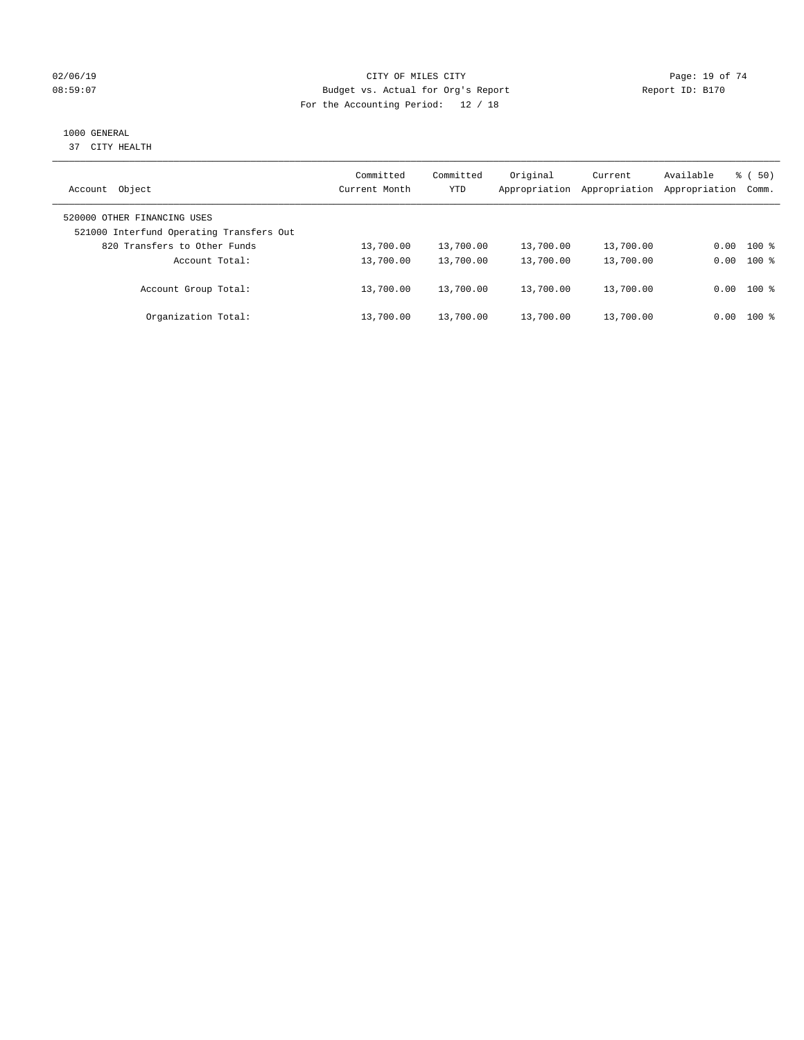### $O2/06/19$  Page: 19 of 74 08:59:07 Budget vs. Actual for Org's Report Changer Report ID: B170 For the Accounting Period: 12 / 18

### 1000 GENERAL

37 CITY HEALTH

| Object<br>Account                                                       | Committed<br>Current Month | Committed<br><b>YTD</b> | Original<br>Appropriation | Current<br>Appropriation | Available<br>Appropriation | % ( 50)<br>Comm. |
|-------------------------------------------------------------------------|----------------------------|-------------------------|---------------------------|--------------------------|----------------------------|------------------|
| 520000 OTHER FINANCING USES<br>521000 Interfund Operating Transfers Out |                            |                         |                           |                          |                            |                  |
| 820 Transfers to Other Funds                                            | 13,700.00                  | 13,700.00               | 13,700.00                 | 13,700.00                | 0.00                       | $100$ %          |
| Account Total:                                                          | 13,700.00                  | 13,700.00               | 13,700.00                 | 13,700.00                | 0.00                       | $100$ %          |
| Account Group Total:                                                    | 13,700.00                  | 13,700.00               | 13,700.00                 | 13,700.00                |                            | $0.00$ 100 %     |
| Organization Total:                                                     | 13,700.00                  | 13,700.00               | 13,700.00                 | 13,700.00                | 0.00                       | $100*$           |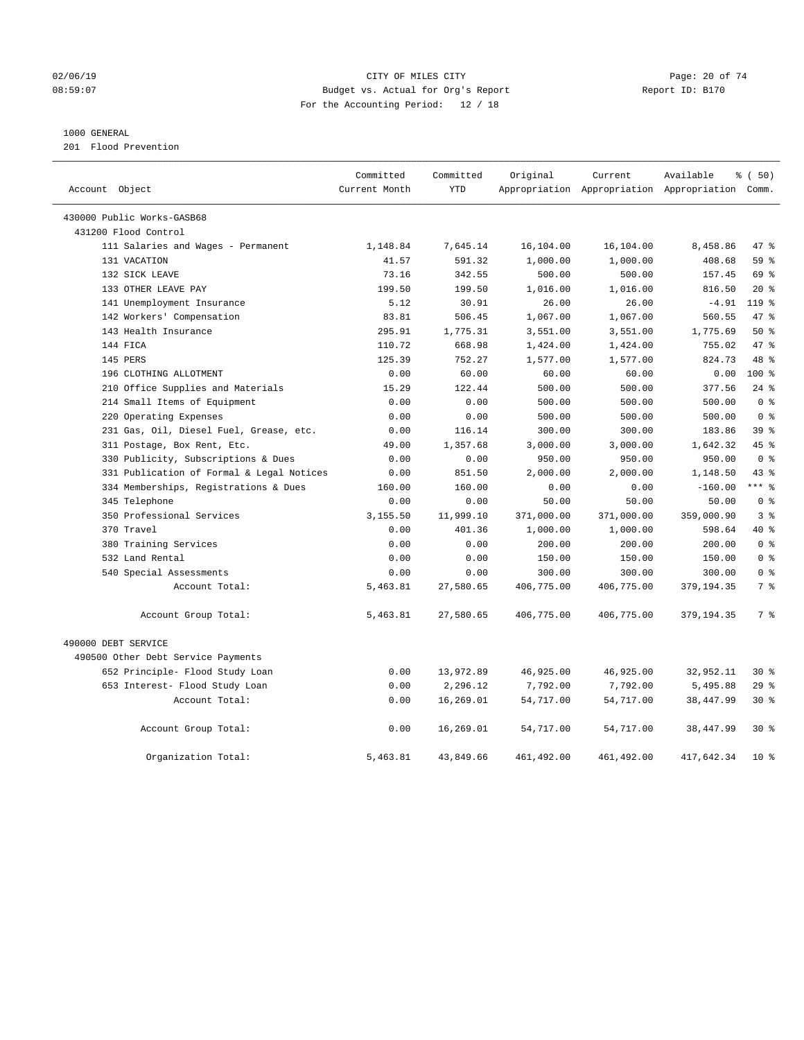### $O2/06/19$  Page: 20 of 74 08:59:07 Budget vs. Actual for Org's Report Report ID: B170 For the Accounting Period: 12 / 18

### 1000 GENERAL

201 Flood Prevention

|                                                    | Committed     | Committed  | Original   | Current     | Available                                       | % (50)           |
|----------------------------------------------------|---------------|------------|------------|-------------|-------------------------------------------------|------------------|
| Account Object                                     | Current Month | <b>YTD</b> |            |             | Appropriation Appropriation Appropriation Comm. |                  |
|                                                    |               |            |            |             |                                                 |                  |
| 430000 Public Works-GASB68<br>431200 Flood Control |               |            |            |             |                                                 |                  |
| 111 Salaries and Wages - Permanent                 | 1,148.84      | 7,645.14   | 16,104.00  | 16,104.00   | 8,458.86                                        | 47.8             |
| 131 VACATION                                       | 41.57         | 591.32     | 1,000.00   | 1,000.00    | 408.68                                          | 59%              |
| 132 SICK LEAVE                                     | 73.16         | 342.55     | 500.00     | 500.00      | 157.45                                          | 69 %             |
| 133 OTHER LEAVE PAY                                | 199.50        | 199.50     | 1,016.00   | 1,016.00    | 816.50                                          | $20*$            |
| 141 Unemployment Insurance                         | 5.12          | 30.91      | 26.00      | 26.00       | $-4.91$                                         | 119 <sub>8</sub> |
| 142 Workers' Compensation                          | 83.81         | 506.45     | 1,067.00   | 1,067.00    | 560.55                                          | 47 %             |
| 143 Health Insurance                               | 295.91        | 1,775.31   | 3,551.00   | 3,551.00    | 1,775.69                                        | 50%              |
| 144 FICA                                           | 110.72        | 668.98     | 1,424.00   | 1,424.00    | 755.02                                          | 47 %             |
| 145 PERS                                           | 125.39        | 752.27     | 1,577.00   | 1,577.00    | 824.73                                          | 48 %             |
| 196 CLOTHING ALLOTMENT                             | 0.00          | 60.00      | 60.00      | 60.00       | 0.00                                            | $100*$           |
| 210 Office Supplies and Materials                  | 15.29         | 122.44     | 500.00     | 500.00      | 377.56                                          | $24$ %           |
| 214 Small Items of Equipment                       | 0.00          | 0.00       | 500.00     | 500.00      | 500.00                                          | 0 <sup>8</sup>   |
| 220 Operating Expenses                             | 0.00          | 0.00       | 500.00     | 500.00      | 500.00                                          | 0 <sup>8</sup>   |
| 231 Gas, Oil, Diesel Fuel, Grease, etc.            | 0.00          | 116.14     | 300.00     | 300.00      | 183.86                                          | 39 <sup>8</sup>  |
| 311 Postage, Box Rent, Etc.                        | 49.00         | 1,357.68   | 3,000.00   | 3,000.00    | 1,642.32                                        | 45 %             |
| 330 Publicity, Subscriptions & Dues                | 0.00          | 0.00       | 950.00     | 950.00      | 950.00                                          | 0 <sup>8</sup>   |
| 331 Publication of Formal & Legal Notices          | 0.00          | 851.50     | 2,000.00   | 2,000.00    | 1,148.50                                        | 43%              |
| 334 Memberships, Registrations & Dues              | 160.00        | 160.00     | 0.00       | 0.00        | $-160.00$                                       | $***$ $%$        |
| 345 Telephone                                      | 0.00          | 0.00       | 50.00      | 50.00       | 50.00                                           | 0 <sup>8</sup>   |
| 350 Professional Services                          | 3,155.50      | 11,999.10  | 371,000.00 | 371,000.00  | 359,000.90                                      | 3%               |
| 370 Travel                                         | 0.00          | 401.36     | 1,000.00   | 1,000.00    | 598.64                                          | 40 %             |
| 380 Training Services                              | 0.00          | 0.00       | 200.00     | 200.00      | 200.00                                          | 0 <sup>8</sup>   |
| 532 Land Rental                                    | 0.00          | 0.00       | 150.00     | 150.00      | 150.00                                          | 0 <sup>8</sup>   |
| 540 Special Assessments                            | 0.00          | 0.00       | 300.00     | 300.00      | 300.00                                          | 0 <sup>8</sup>   |
| Account Total:                                     | 5,463.81      | 27,580.65  | 406,775.00 | 406,775.00  | 379,194.35                                      | 7 <sup>°</sup>   |
|                                                    |               |            |            |             |                                                 |                  |
| Account Group Total:                               | 5,463.81      | 27,580.65  | 406,775.00 | 406,775.00  | 379, 194.35                                     | 7 <sup>°</sup>   |
| 490000 DEBT SERVICE                                |               |            |            |             |                                                 |                  |
| 490500 Other Debt Service Payments                 |               |            |            |             |                                                 |                  |
| 652 Principle- Flood Study Loan                    | 0.00          | 13,972.89  | 46,925.00  | 46,925.00   | 32,952.11                                       | $30*$            |
| 653 Interest- Flood Study Loan                     | 0.00          | 2,296.12   | 7,792.00   | 7,792.00    | 5,495.88                                        | 29%              |
| Account Total:                                     | 0.00          | 16,269.01  | 54,717.00  | 54,717.00   | 38,447.99                                       | $30*$            |
| Account Group Total:                               | 0.00          | 16,269.01  | 54,717.00  | 54,717.00   | 38,447.99                                       | $30*$            |
| Organization Total:                                | 5,463.81      | 43,849.66  | 461,492.00 | 461, 492.00 | 417,642.34                                      | $10*$            |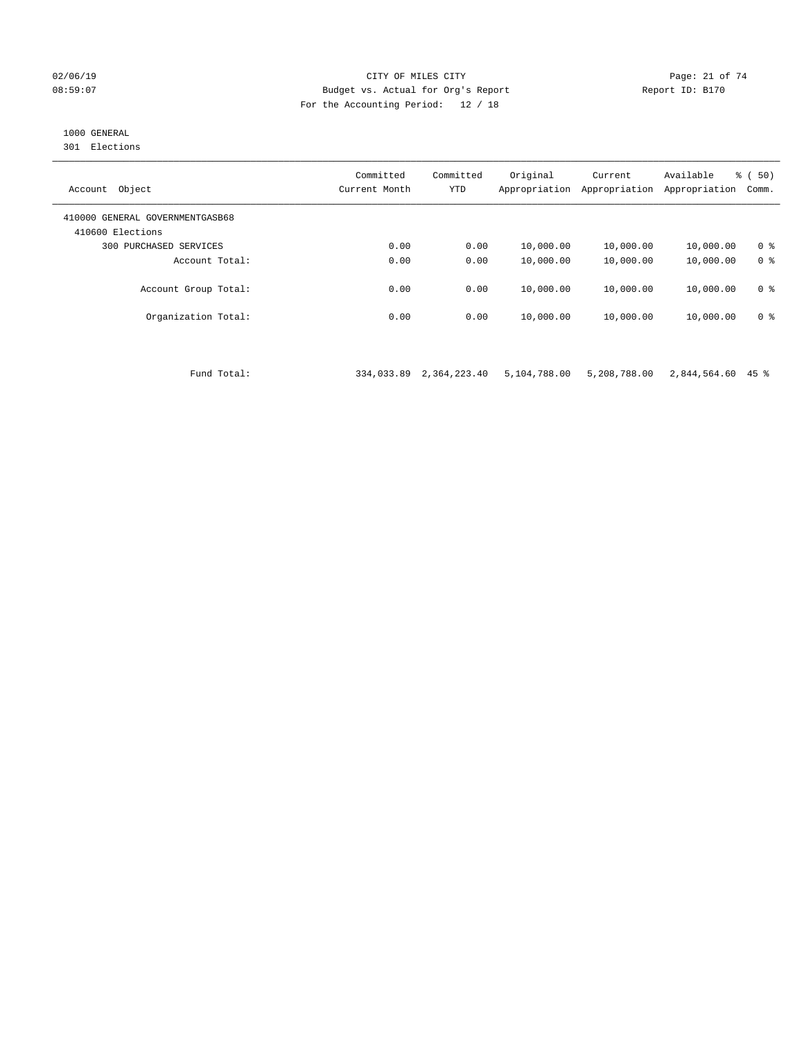### 02/06/19 Page: 21 of 74 08:59:07 Budget vs. Actual for Org's Report Report ID: B170 For the Accounting Period: 12 / 18

### 1000 GENERAL

301 Elections

| Object<br>Account                                   | Committed<br>Current Month | Committed<br><b>YTD</b> | Original<br>Appropriation | Current<br>Appropriation | Available<br>Appropriation | % ( 50)<br>Comm. |
|-----------------------------------------------------|----------------------------|-------------------------|---------------------------|--------------------------|----------------------------|------------------|
| 410000 GENERAL GOVERNMENTGASB68<br>410600 Elections |                            |                         |                           |                          |                            |                  |
| PURCHASED SERVICES<br>300                           | 0.00                       | 0.00                    | 10,000.00                 | 10,000.00                | 10,000.00                  | 0 <sup>8</sup>   |
| Account Total:                                      | 0.00                       | 0.00                    | 10,000.00                 | 10,000.00                | 10,000.00                  | 0 <sup>8</sup>   |
| Account Group Total:                                | 0.00                       | 0.00                    | 10,000.00                 | 10,000.00                | 10,000.00                  | 0 <sup>8</sup>   |
| Organization Total:                                 | 0.00                       | 0.00                    | 10,000.00                 | 10,000.00                | 10,000.00                  | 0 <sup>8</sup>   |
|                                                     |                            |                         |                           |                          |                            |                  |

Fund Total: 334,033.89 2,364,223.40 5,104,788.00 5,208,788.00 2,844,564.60 45 %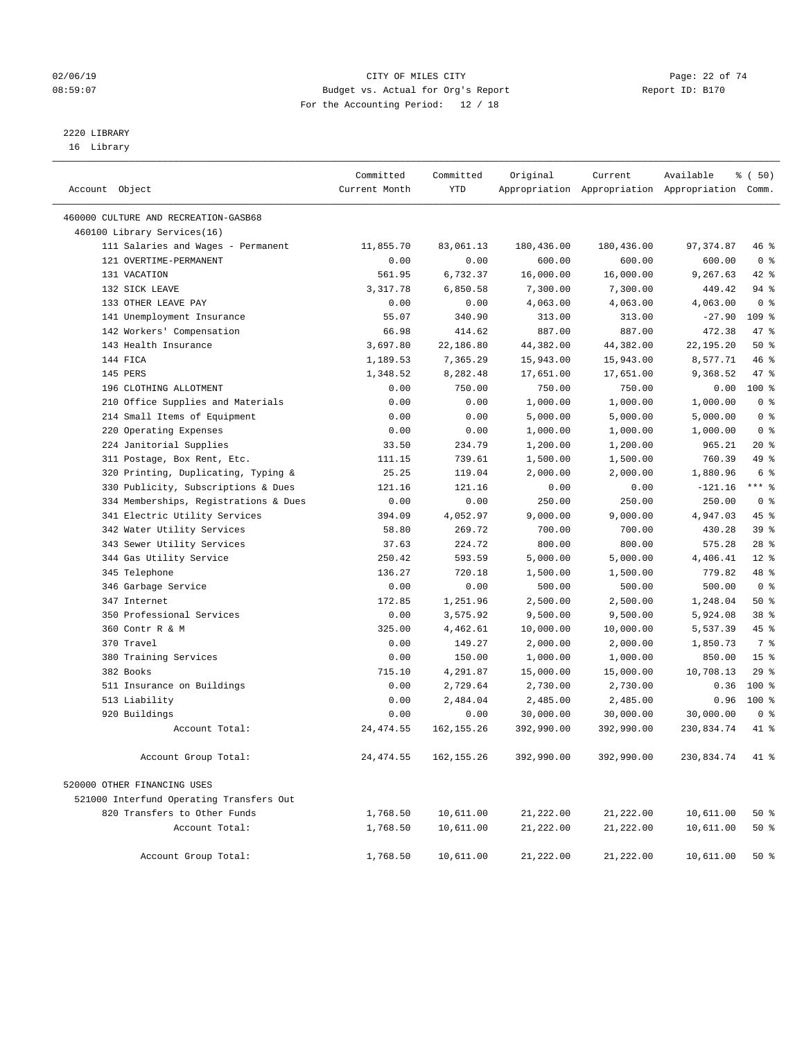### $O2/06/19$  Page: 22 of 74 08:59:07 Budget vs. Actual for Org's Report Report ID: B170 For the Accounting Period: 12 / 18

————————————————————————————————————————————————————————————————————————————————————————————————————————————————————————————————————

# 2220 LIBRARY

16 Library

|                                          | Committed     | Committed            | Original                | Current               | Available                                       | % ( 50)         |  |
|------------------------------------------|---------------|----------------------|-------------------------|-----------------------|-------------------------------------------------|-----------------|--|
| Account Object                           | Current Month | YTD                  |                         |                       | Appropriation Appropriation Appropriation Comm. |                 |  |
| 460000 CULTURE AND RECREATION-GASB68     |               |                      |                         |                       |                                                 |                 |  |
| 460100 Library Services(16)              |               |                      |                         |                       |                                                 |                 |  |
| 111 Salaries and Wages - Permanent       | 11,855.70     | 83,061.13            | 180,436.00              | 180,436.00            | 97, 374.87                                      | 46 %            |  |
| 121 OVERTIME-PERMANENT                   | 0.00          | 0.00                 | 600.00                  | 600.00                | 600.00                                          | 0 <sup>8</sup>  |  |
| 131 VACATION                             | 561.95        | 6,732.37             | 16,000.00               | 16,000.00             | 9,267.63                                        | $42$ %          |  |
| 132 SICK LEAVE                           | 3,317.78      | 6,850.58             | 7,300.00                | 7,300.00              | 449.42                                          | 94 %            |  |
| 133 OTHER LEAVE PAY                      | 0.00          | 0.00                 | 4,063.00                | 4,063.00              | 4,063.00                                        | 0 <sup>8</sup>  |  |
| 141 Unemployment Insurance               | 55.07         | 340.90               | 313.00                  | 313.00                | $-27.90$                                        | $109$ %         |  |
| 142 Workers' Compensation                | 66.98         | 414.62               | 887.00                  | 887.00                | 472.38                                          | 47 %            |  |
| 143 Health Insurance                     | 3,697.80      | 22,186.80            | 44,382.00               | 44,382.00             | 22,195.20                                       | 50%             |  |
| 144 FICA                                 | 1,189.53      | 7,365.29             | 15,943.00               | 15,943.00             | 8,577.71                                        | 46 %            |  |
| 145 PERS                                 | 1,348.52      | 8,282.48             | 17,651.00               | 17,651.00             | 9,368.52                                        | 47 %            |  |
| 196 CLOTHING ALLOTMENT                   | 0.00          | 750.00               | 750.00                  | 750.00                | 0.00                                            | $100$ %         |  |
| 210 Office Supplies and Materials        | 0.00          | 0.00                 | 1,000.00                | 1,000.00              | 1,000.00                                        | 0 <sup>8</sup>  |  |
| 214 Small Items of Equipment             | 0.00          | 0.00                 | 5,000.00                | 5,000.00              | 5,000.00                                        | 0 <sup>8</sup>  |  |
| 220 Operating Expenses                   | 0.00          | 0.00                 | 1,000.00                | 1,000.00              | 1,000.00                                        | 0 <sup>8</sup>  |  |
| 224 Janitorial Supplies                  | 33.50         | 234.79               | 1,200.00                | 1,200.00              | 965.21                                          | $20*$           |  |
| 311 Postage, Box Rent, Etc.              | 111.15        | 739.61               | 1,500.00                | 1,500.00              | 760.39                                          | 49 %            |  |
| 320 Printing, Duplicating, Typing &      | 25.25         | 119.04               | 2,000.00                | 2,000.00              | 1,880.96                                        | 6 %             |  |
| 330 Publicity, Subscriptions & Dues      | 121.16        | 121.16               | 0.00                    | 0.00                  | $-121.16$                                       | $***$ $-$       |  |
| 334 Memberships, Registrations & Dues    | 0.00          | 0.00                 | 250.00                  | 250.00                | 250.00                                          | 0 <sup>8</sup>  |  |
| 341 Electric Utility Services            | 394.09        | 4,052.97             | 9,000.00                | 9,000.00              | 4,947.03                                        | 45 %            |  |
| 342 Water Utility Services               | 58.80         | 269.72               | 700.00                  | 700.00                | 430.28                                          | 39%             |  |
| 343 Sewer Utility Services               | 37.63         | 224.72               | 800.00                  | 800.00                | 575.28                                          | $28$ %          |  |
| 344 Gas Utility Service                  | 250.42        | 593.59               | 5,000.00                | 5,000.00              | 4,406.41                                        | $12*$           |  |
| 345 Telephone                            | 136.27        | 720.18               | 1,500.00                | 1,500.00              | 779.82                                          | 48 %            |  |
| 346 Garbage Service                      | 0.00          | 0.00                 | 500.00                  | 500.00                | 500.00                                          | 0 <sup>8</sup>  |  |
| 347 Internet                             | 172.85        | 1,251.96             | 2,500.00                | 2,500.00              | 1,248.04                                        | 50%             |  |
| 350 Professional Services                | 0.00          | 3,575.92             | 9,500.00                | 9,500.00              | 5,924.08                                        | 38 <sup>8</sup> |  |
| 360 Contr R & M                          | 325.00        | 4,462.61             | 10,000.00               | 10,000.00             | 5,537.39                                        | 45 %            |  |
| 370 Travel                               | 0.00          | 149.27               | 2,000.00                | 2,000.00              | 1,850.73                                        | 7 %             |  |
| 380 Training Services                    | 0.00          | 150.00               | 1,000.00                | 1,000.00              | 850.00                                          | 15 <sup>°</sup> |  |
| 382 Books                                | 715.10        | 4,291.87<br>2,729.64 | 15,000.00               | 15,000.00             | 10,708.13                                       | 29%<br>100 %    |  |
| 511 Insurance on Buildings               | 0.00          |                      | 2,730.00                | 2,730.00              | 0.36                                            | $100*$          |  |
| 513 Liability<br>920 Buildings           | 0.00<br>0.00  | 2,484.04             | 2,485.00                | 2,485.00<br>30,000.00 | 0.96                                            | 0 <sup>8</sup>  |  |
| Account Total:                           | 24, 474.55    | 0.00<br>162, 155.26  | 30,000.00<br>392,990.00 |                       | 30,000.00                                       | 41 %            |  |
|                                          |               |                      |                         | 392,990.00            | 230,834.74                                      |                 |  |
| Account Group Total:                     | 24, 474.55    | 162, 155.26          | 392,990.00              | 392,990.00            | 230.834.74                                      | $41*$           |  |
| 520000 OTHER FINANCING USES              |               |                      |                         |                       |                                                 |                 |  |
| 521000 Interfund Operating Transfers Out |               |                      |                         |                       |                                                 |                 |  |
| 820 Transfers to Other Funds             | 1,768.50      | 10,611.00            | 21,222.00               | 21,222.00             | 10,611.00                                       | 50 %            |  |
| Account Total:                           | 1,768.50      | 10,611.00            | 21,222.00               | 21,222.00             | 10,611.00                                       | 50 %            |  |
| Account Group Total:                     | 1,768.50      | 10,611.00            | 21,222.00               | 21,222.00             | 10,611.00                                       | 50%             |  |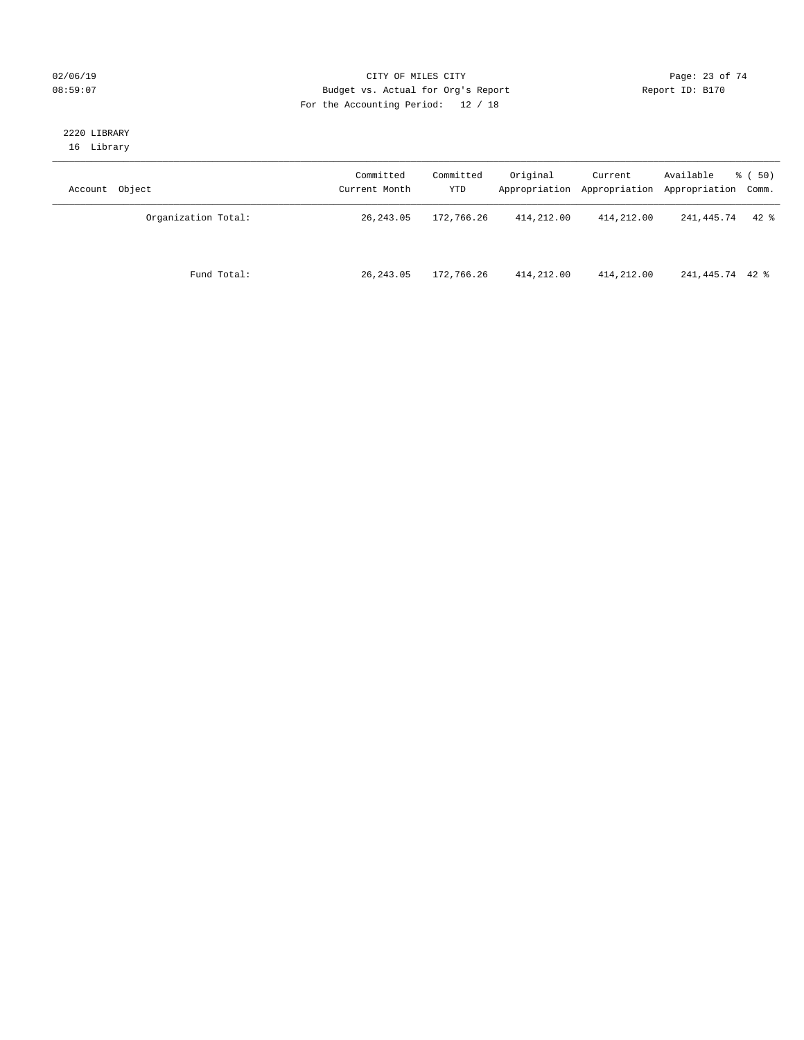### $O2/06/19$  Page: 23 of 74 08:59:07 Budget vs. Actual for Org's Report Report ID: B170 For the Accounting Period: 12 / 18

### 2220 LIBRARY 16 Library

| Account Object      | Committed<br>Current Month | Committed<br>YTD | Original   | Current    | Available<br>Appropriation Appropriation Appropriation Comm. | 8 ( 50)  |
|---------------------|----------------------------|------------------|------------|------------|--------------------------------------------------------------|----------|
| Organization Total: | 26, 243.05                 | 172,766.26       | 414,212.00 | 414,212.00 | 241,445.74                                                   | $42$ $%$ |
| Fund Total:         | 26, 243.05                 | 172,766.26       | 414,212.00 | 414,212.00 | 241,445.74 42 %                                              |          |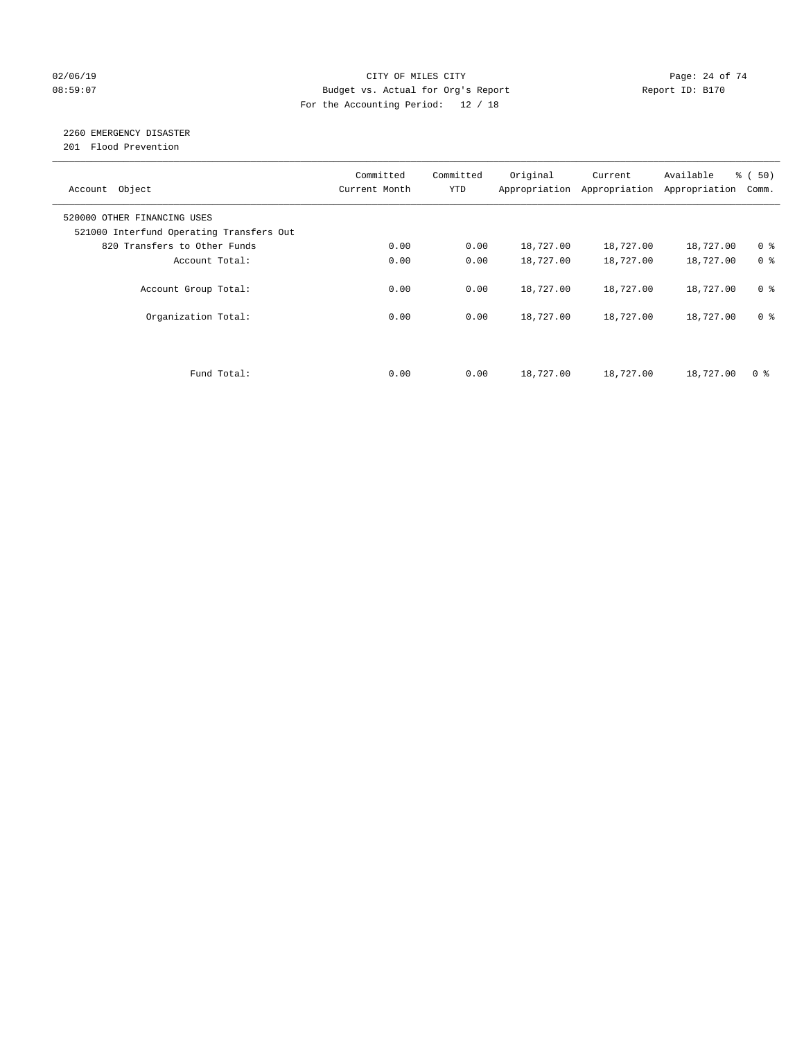### $O2/06/19$  Page: 24 of 74 08:59:07 Budget vs. Actual for Org's Report Changer Report ID: B170 For the Accounting Period: 12 / 18

### 2260 EMERGENCY DISASTER

201 Flood Prevention

| Account Object                                                          | Committed<br>Current Month | Committed<br><b>YTD</b> | Original  | Current<br>Appropriation Appropriation | Available<br>Appropriation | % ( 50)<br>Comm. |
|-------------------------------------------------------------------------|----------------------------|-------------------------|-----------|----------------------------------------|----------------------------|------------------|
| 520000 OTHER FINANCING USES<br>521000 Interfund Operating Transfers Out |                            |                         |           |                                        |                            |                  |
| 820 Transfers to Other Funds                                            | 0.00                       | 0.00                    | 18,727.00 | 18,727.00                              | 18,727.00                  | 0 <sup>8</sup>   |
| Account Total:                                                          | 0.00                       | 0.00                    | 18,727.00 | 18,727.00                              | 18,727.00                  | 0 <sup>8</sup>   |
| Account Group Total:                                                    | 0.00                       | 0.00                    | 18,727.00 | 18,727.00                              | 18,727.00                  | 0 <sup>8</sup>   |
| Organization Total:                                                     | 0.00                       | 0.00                    | 18,727.00 | 18,727.00                              | 18,727.00                  | 0 <sup>8</sup>   |
|                                                                         |                            |                         |           |                                        |                            |                  |
| Fund Total:                                                             | 0.00                       | 0.00                    | 18,727.00 | 18,727.00                              | 18,727.00                  | 0 %              |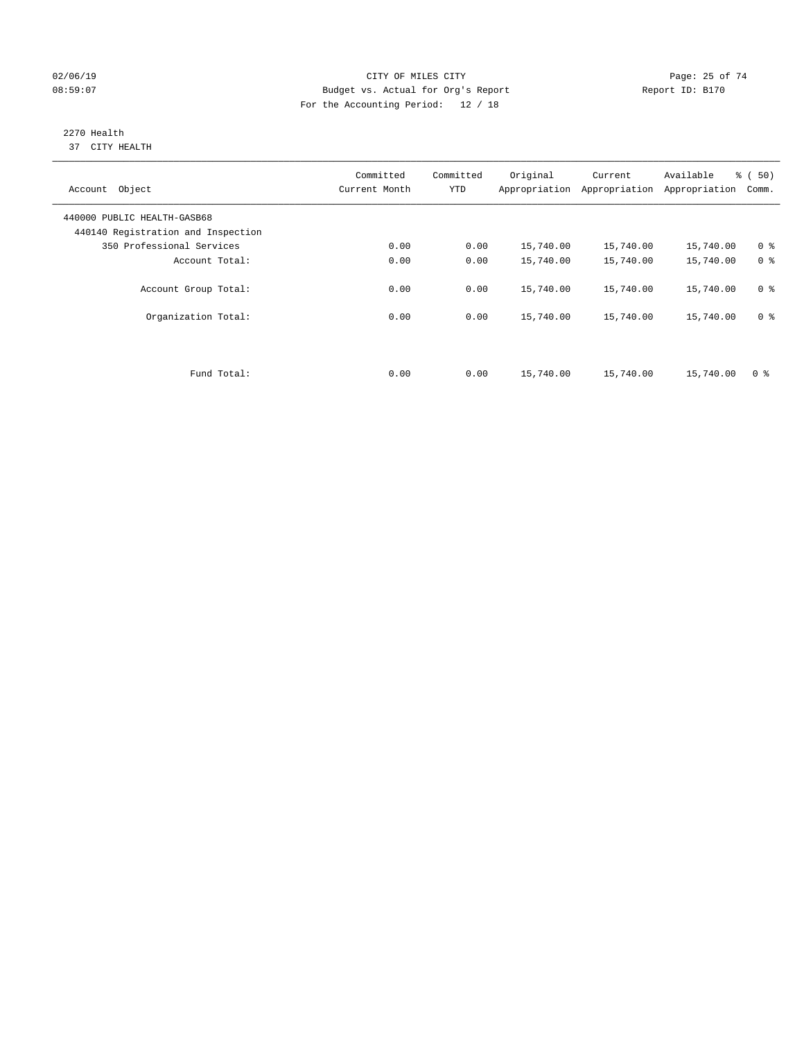### $O2/06/19$  Page: 25 of 74 08:59:07 Budget vs. Actual for Org's Report Report ID: B170 For the Accounting Period: 12 / 18

#### 2270 Health 37 CITY HEALTH

| Account Object                                                    | Committed<br>Current Month | Committed<br><b>YTD</b> | Original  | Current<br>Appropriation Appropriation | Available<br>Appropriation | % ( 50)<br>Comm. |
|-------------------------------------------------------------------|----------------------------|-------------------------|-----------|----------------------------------------|----------------------------|------------------|
| 440000 PUBLIC HEALTH-GASB68<br>440140 Registration and Inspection |                            |                         |           |                                        |                            |                  |
| 350 Professional Services                                         | 0.00                       | 0.00                    | 15,740.00 | 15,740.00                              | 15,740.00                  | 0 <sup>8</sup>   |
| Account Total:                                                    | 0.00                       | 0.00                    | 15,740.00 | 15,740.00                              | 15,740.00                  | 0 <sup>8</sup>   |
| Account Group Total:                                              | 0.00                       | 0.00                    | 15,740.00 | 15,740.00                              | 15,740.00                  | 0 <sup>8</sup>   |
| Organization Total:                                               | 0.00                       | 0.00                    | 15,740.00 | 15,740.00                              | 15,740.00                  | 0 <sup>8</sup>   |
|                                                                   |                            |                         |           |                                        |                            |                  |
| Fund Total:                                                       | 0.00                       | 0.00                    | 15,740.00 | 15,740.00                              | 15,740.00                  | 0 %              |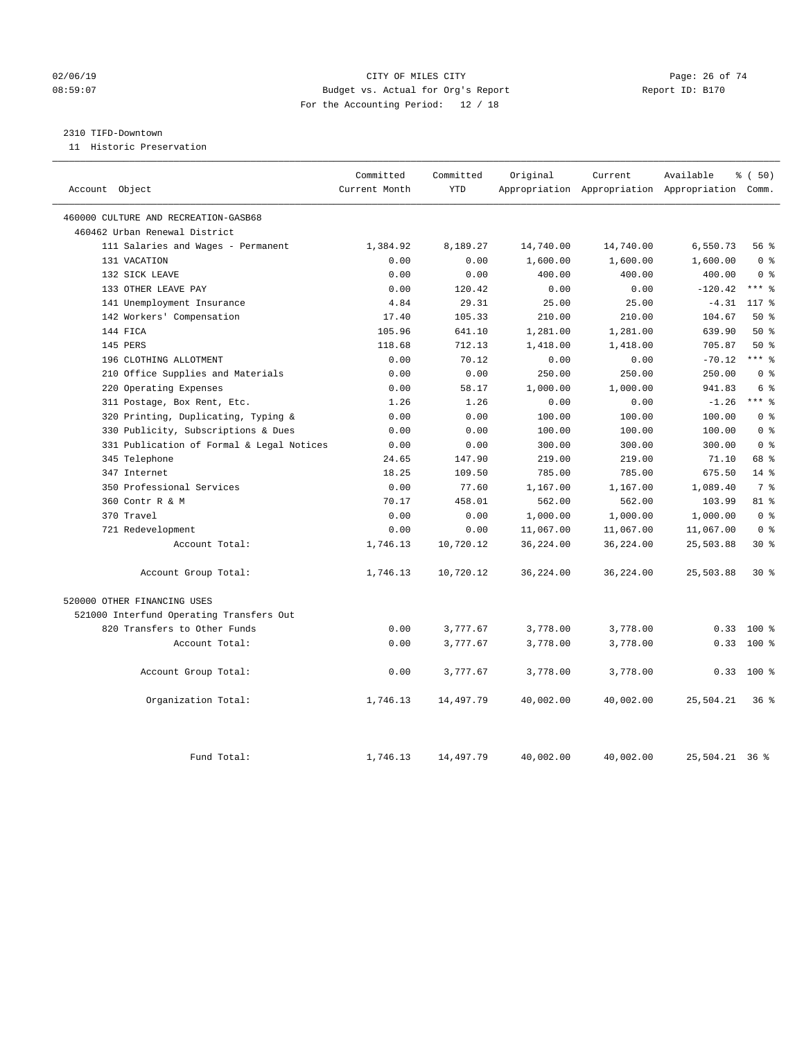### $O2/06/19$  Page: 26 of 74 08:59:07 Budget vs. Actual for Org's Report Report ID: B170 For the Accounting Period: 12 / 18

### 2310 TIFD-Downtown

11 Historic Preservation

|                                           | Committed     | Committed  | Original  | Current   | Available                                       | % (50)         |
|-------------------------------------------|---------------|------------|-----------|-----------|-------------------------------------------------|----------------|
| Account Object                            | Current Month | <b>YTD</b> |           |           | Appropriation Appropriation Appropriation Comm. |                |
| 460000 CULTURE AND RECREATION-GASB68      |               |            |           |           |                                                 |                |
| 460462 Urban Renewal District             |               |            |           |           |                                                 |                |
| 111 Salaries and Wages - Permanent        | 1,384.92      | 8,189.27   | 14,740.00 | 14,740.00 | 6,550.73                                        | 56%            |
| 131 VACATION                              | 0.00          | 0.00       | 1,600.00  | 1,600.00  | 1,600.00                                        | 0 <sup>8</sup> |
| 132 SICK LEAVE                            | 0.00          | 0.00       | 400.00    | 400.00    | 400.00                                          | 0 <sup>8</sup> |
| 133 OTHER LEAVE PAY                       | 0.00          | 120.42     | 0.00      | 0.00      | $-120.42$                                       | $***$ $%$      |
| 141 Unemployment Insurance                | 4.84          | 29.31      | 25.00     | 25.00     | $-4.31$                                         | 117 %          |
| 142 Workers' Compensation                 | 17.40         | 105.33     | 210.00    | 210.00    | 104.67                                          | 50%            |
| 144 FICA                                  | 105.96        | 641.10     | 1,281.00  | 1,281.00  | 639.90                                          | 50%            |
| 145 PERS                                  | 118.68        | 712.13     | 1,418.00  | 1,418.00  | 705.87                                          | 50%            |
| 196 CLOTHING ALLOTMENT                    | 0.00          | 70.12      | 0.00      | 0.00      | $-70.12$                                        | $***$ $%$      |
| 210 Office Supplies and Materials         | 0.00          | 0.00       | 250.00    | 250.00    | 250.00                                          | 0 <sup>8</sup> |
| 220 Operating Expenses                    | 0.00          | 58.17      | 1,000.00  | 1,000.00  | 941.83                                          | 6 <sup>°</sup> |
| 311 Postage, Box Rent, Etc.               | 1.26          | 1.26       | 0.00      | 0.00      | $-1.26$                                         | $***$ 8        |
| 320 Printing, Duplicating, Typing &       | 0.00          | 0.00       | 100.00    | 100.00    | 100.00                                          | 0 <sup>8</sup> |
| 330 Publicity, Subscriptions & Dues       | 0.00          | 0.00       | 100.00    | 100.00    | 100.00                                          | 0 <sup>8</sup> |
| 331 Publication of Formal & Legal Notices | 0.00          | 0.00       | 300.00    | 300.00    | 300.00                                          | 0 <sup>8</sup> |
| 345 Telephone                             | 24.65         | 147.90     | 219.00    | 219.00    | 71.10                                           | 68 %           |
| 347 Internet                              | 18.25         | 109.50     | 785.00    | 785.00    | 675.50                                          | $14*$          |
| 350 Professional Services                 | 0.00          | 77.60      | 1,167.00  | 1,167.00  | 1,089.40                                        | 7 %            |
| 360 Contr R & M                           | 70.17         | 458.01     | 562.00    | 562.00    | 103.99                                          | $81 - 8$       |
| 370 Travel                                | 0.00          | 0.00       | 1,000.00  | 1,000.00  | 1,000.00                                        | 0 <sup>8</sup> |
| 721 Redevelopment                         | 0.00          | 0.00       | 11,067.00 | 11,067.00 | 11,067.00                                       | 0 <sup>8</sup> |
| Account Total:                            | 1,746.13      | 10,720.12  | 36,224.00 | 36,224.00 | 25,503.88                                       | $30*$          |
| Account Group Total:                      | 1,746.13      | 10,720.12  | 36,224.00 | 36,224.00 | 25,503.88                                       | $30*$          |
| 520000 OTHER FINANCING USES               |               |            |           |           |                                                 |                |
| 521000 Interfund Operating Transfers Out  |               |            |           |           |                                                 |                |
| 820 Transfers to Other Funds              | 0.00          | 3,777.67   | 3,778.00  | 3,778.00  | 0.33                                            | $100$ %        |
| Account Total:                            | 0.00          | 3,777.67   | 3,778.00  | 3,778.00  | 0.33                                            | $100*$         |
| Account Group Total:                      | 0.00          | 3,777.67   | 3,778.00  | 3,778.00  |                                                 | $0.33$ 100 %   |
| Organization Total:                       | 1,746.13      | 14,497.79  | 40,002.00 | 40,002.00 | 25,504.21                                       | 36%            |
| Fund Total:                               | 1,746.13      | 14,497.79  | 40,002.00 | 40,002.00 | 25,504.21 36 %                                  |                |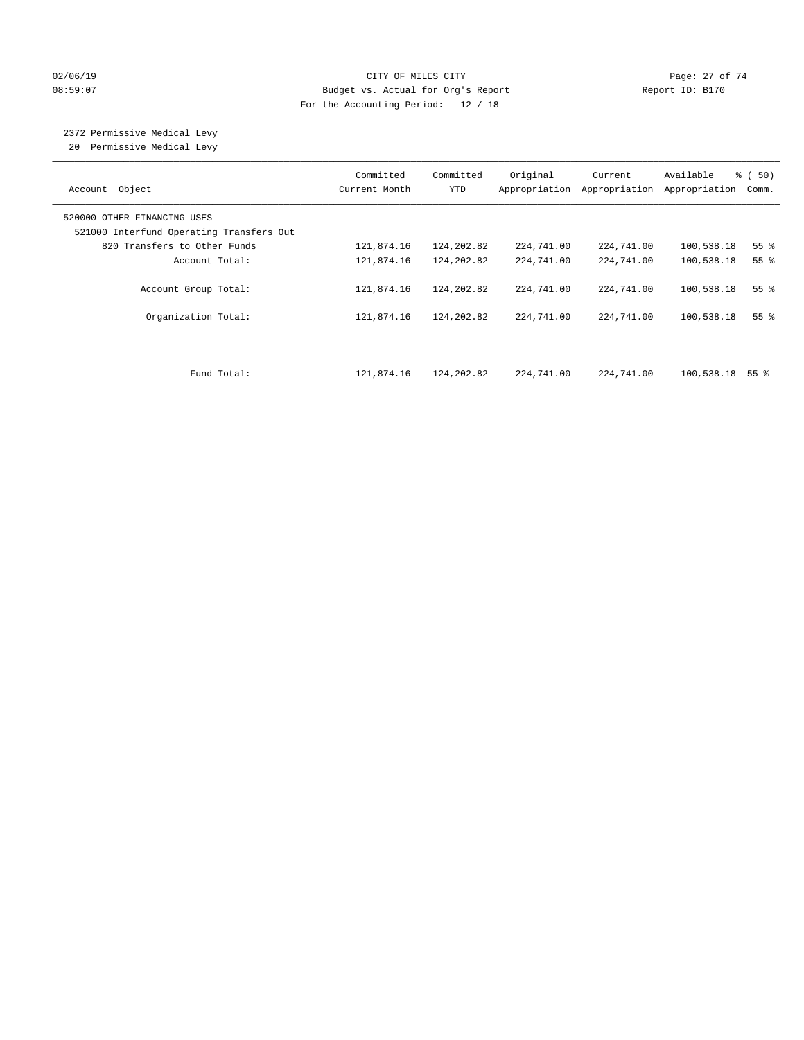### $O2/06/19$  Page: 27 of 74 08:59:07 Budget vs. Actual for Org's Report Changer Report ID: B170 For the Accounting Period: 12 / 18

# 2372 Permissive Medical Levy

20 Permissive Medical Levy

| Object<br>Account                                                       | Committed<br>Current Month | Committed<br><b>YTD</b> | Original<br>Appropriation | Current<br>Appropriation | Available<br>Appropriation | % (50)<br>Comm.    |
|-------------------------------------------------------------------------|----------------------------|-------------------------|---------------------------|--------------------------|----------------------------|--------------------|
| 520000 OTHER FINANCING USES<br>521000 Interfund Operating Transfers Out |                            |                         |                           |                          |                            |                    |
| 820 Transfers to Other Funds                                            | 121,874.16                 | 124,202.82              | 224,741.00                | 224,741.00               | 100,538.18                 | 55 <sup>8</sup>    |
| Account Total:                                                          | 121,874.16                 | 124,202.82              | 224,741.00                | 224,741.00               | 100,538.18                 | 55 <sup>°</sup>    |
| Account Group Total:                                                    | 121,874.16                 | 124,202.82              | 224,741.00                | 224,741.00               | 100,538.18                 | $55$ $\frac{6}{3}$ |
| Organization Total:                                                     | 121,874.16                 | 124,202.82              | 224,741.00                | 224,741.00               | 100,538.18                 | 55 <sup>8</sup>    |
|                                                                         |                            |                         |                           |                          |                            |                    |
| Fund Total:                                                             | 121,874.16                 | 124,202.82              | 224,741.00                | 224,741.00               | $100,538.18$ 55 %          |                    |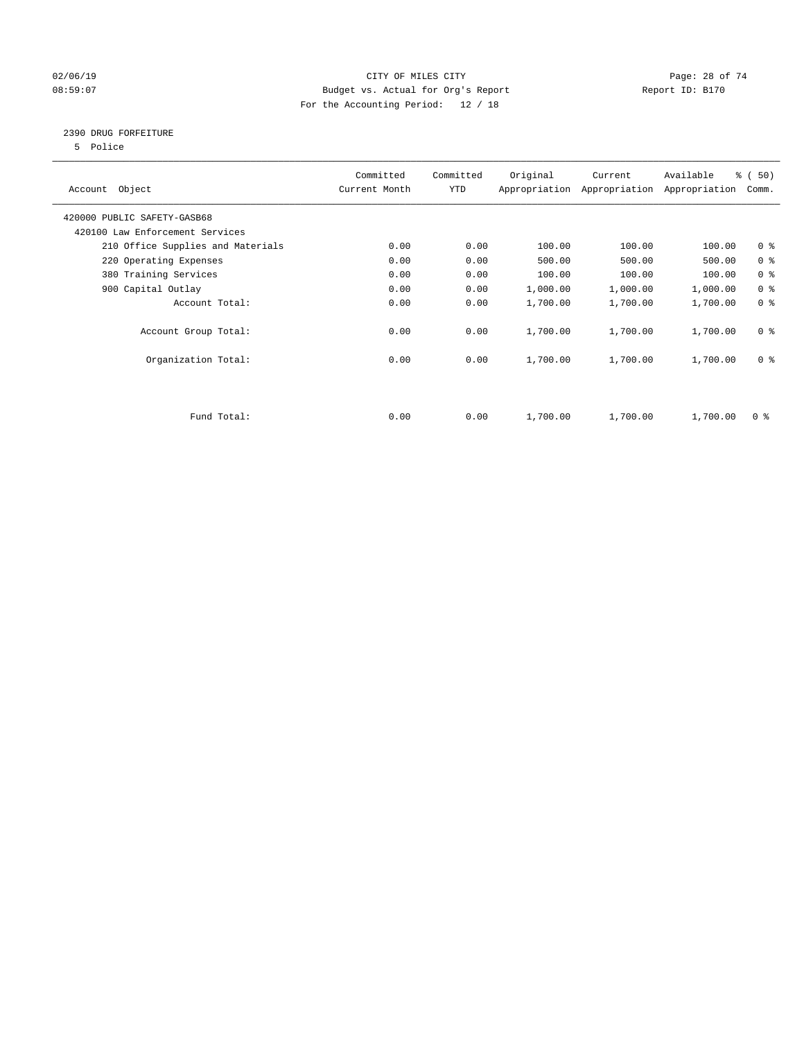### $O2/06/19$  Page: 28 of 74 08:59:07 Budget vs. Actual for Org's Report Changer Report ID: B170 For the Accounting Period: 12 / 18

### 2390 DRUG FORFEITURE

5 Police

| Account Object                    | Committed<br>Current Month | Committed<br>YTD | Original | Current<br>Appropriation Appropriation | Available<br>Appropriation | % (50)<br>Comm. |
|-----------------------------------|----------------------------|------------------|----------|----------------------------------------|----------------------------|-----------------|
| 420000 PUBLIC SAFETY-GASB68       |                            |                  |          |                                        |                            |                 |
| 420100 Law Enforcement Services   |                            |                  |          |                                        |                            |                 |
| 210 Office Supplies and Materials | 0.00                       | 0.00             | 100.00   | 100.00                                 | 100.00                     | 0 <sup>8</sup>  |
| 220 Operating Expenses            | 0.00                       | 0.00             | 500.00   | 500.00                                 | 500.00                     | 0 <sup>8</sup>  |
| 380 Training Services             | 0.00                       | 0.00             | 100.00   | 100.00                                 | 100.00                     | 0 <sup>8</sup>  |
| 900 Capital Outlay                | 0.00                       | 0.00             | 1,000.00 | 1,000.00                               | 1,000.00                   | 0 <sup>8</sup>  |
| Account Total:                    | 0.00                       | 0.00             | 1,700.00 | 1,700.00                               | 1,700.00                   | 0 <sup>8</sup>  |
| Account Group Total:              | 0.00                       | 0.00             | 1,700.00 | 1,700.00                               | 1,700.00                   | 0 <sup>8</sup>  |
| Organization Total:               | 0.00                       | 0.00             | 1,700.00 | 1,700.00                               | 1,700.00                   | 0 <sup>8</sup>  |
|                                   |                            |                  |          |                                        |                            |                 |
| Fund Total:                       | 0.00                       | 0.00             | 1,700.00 | 1,700.00                               | 1,700.00                   | 0 %             |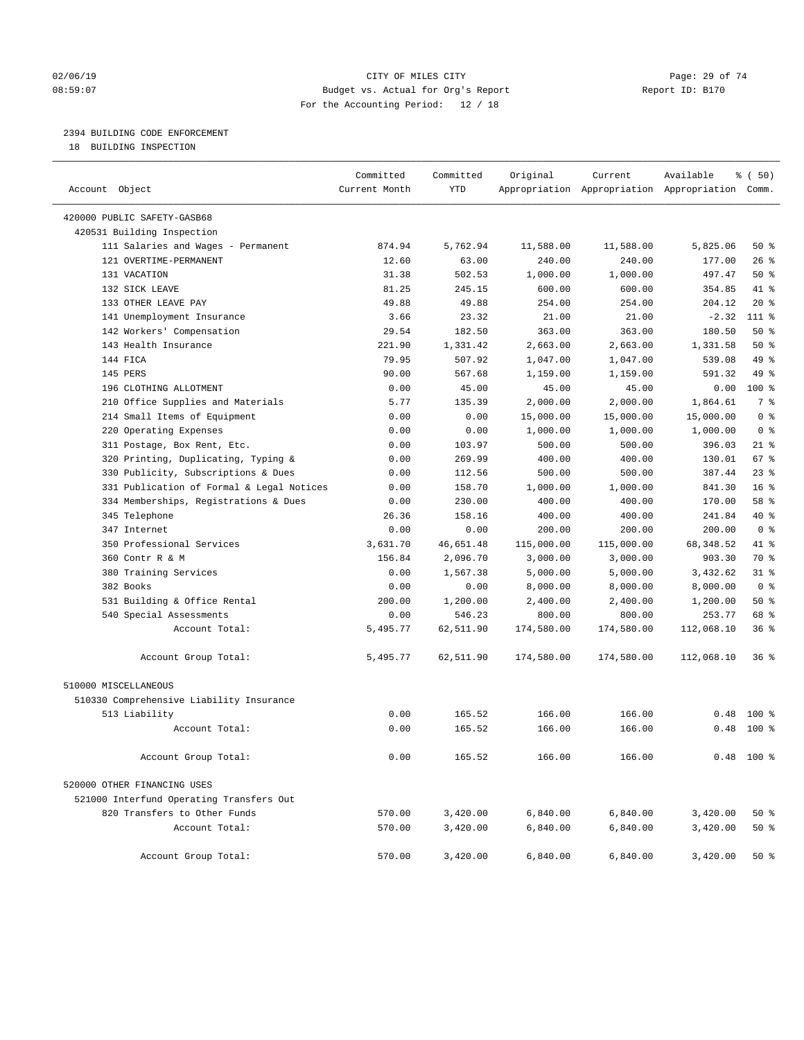### $O2/06/19$  Page: 29 of 74 08:59:07 Budget vs. Actual for Org's Report Report ID: B170 For the Accounting Period: 12 / 18

————————————————————————————————————————————————————————————————————————————————————————————————————————————————————————————————————

### 2394 BUILDING CODE ENFORCEMENT

18 BUILDING INSPECTION

|                                           | Committed     | Committed  | Original   | Current    | Available                                       | % ( 50)         |  |
|-------------------------------------------|---------------|------------|------------|------------|-------------------------------------------------|-----------------|--|
| Account Object                            | Current Month | <b>YTD</b> |            |            | Appropriation Appropriation Appropriation Comm. |                 |  |
| 420000 PUBLIC SAFETY-GASB68               |               |            |            |            |                                                 |                 |  |
| 420531 Building Inspection                |               |            |            |            |                                                 |                 |  |
| 111 Salaries and Wages - Permanent        | 874.94        | 5,762.94   | 11,588.00  | 11,588.00  | 5,825.06                                        | 50%             |  |
| 121 OVERTIME-PERMANENT                    | 12.60         | 63.00      | 240.00     | 240.00     | 177.00                                          | $26$ %          |  |
| 131 VACATION                              | 31.38         | 502.53     | 1,000.00   | 1,000.00   | 497.47                                          | 50%             |  |
| 132 SICK LEAVE                            | 81.25         | 245.15     | 600.00     | 600.00     | 354.85                                          | 41 %            |  |
| 133 OTHER LEAVE PAY                       | 49.88         | 49.88      | 254.00     | 254.00     | 204.12                                          | $20*$           |  |
| 141 Unemployment Insurance                | 3.66          | 23.32      | 21.00      | 21.00      | $-2.32$                                         | 111 %           |  |
| 142 Workers' Compensation                 | 29.54         | 182.50     | 363.00     | 363.00     | 180.50                                          | 50%             |  |
| 143 Health Insurance                      | 221.90        | 1,331.42   | 2,663.00   | 2,663.00   | 1,331.58                                        | 50%             |  |
| 144 FICA                                  | 79.95         | 507.92     | 1,047.00   | 1,047.00   | 539.08                                          | 49 %            |  |
| 145 PERS                                  | 90.00         | 567.68     | 1,159.00   | 1,159.00   | 591.32                                          | 49 %            |  |
| 196 CLOTHING ALLOTMENT                    | 0.00          | 45.00      | 45.00      | 45.00      | 0.00                                            | 100 %           |  |
| 210 Office Supplies and Materials         | 5.77          | 135.39     | 2,000.00   | 2,000.00   | 1,864.61                                        | 7 %             |  |
| 214 Small Items of Equipment              | 0.00          | 0.00       | 15,000.00  | 15,000.00  | 15,000.00                                       | 0 <sup>8</sup>  |  |
| 220 Operating Expenses                    | 0.00          | 0.00       | 1,000.00   | 1,000.00   | 1,000.00                                        | 0 <sup>8</sup>  |  |
| 311 Postage, Box Rent, Etc.               | 0.00          | 103.97     | 500.00     | 500.00     | 396.03                                          | $21$ %          |  |
| 320 Printing, Duplicating, Typing &       | 0.00          | 269.99     | 400.00     | 400.00     | 130.01                                          | 67 %            |  |
| 330 Publicity, Subscriptions & Dues       | 0.00          | 112.56     | 500.00     | 500.00     | 387.44                                          | $23$ $%$        |  |
| 331 Publication of Formal & Legal Notices | 0.00          | 158.70     | 1,000.00   | 1,000.00   | 841.30                                          | 16 <sup>°</sup> |  |
| 334 Memberships, Registrations & Dues     | 0.00          | 230.00     | 400.00     | 400.00     | 170.00                                          | 58 %            |  |
| 345 Telephone                             | 26.36         | 158.16     | 400.00     | 400.00     | 241.84                                          | 40 %            |  |
| 347 Internet                              | 0.00          | 0.00       | 200.00     | 200.00     | 200.00                                          | 0 <sup>8</sup>  |  |
| 350 Professional Services                 | 3,631.70      | 46,651.48  | 115,000.00 | 115,000.00 | 68, 348.52                                      | 41 %            |  |
| 360 Contr R & M                           | 156.84        | 2,096.70   | 3,000.00   | 3,000.00   | 903.30                                          | 70 %            |  |
| 380 Training Services                     | 0.00          | 1,567.38   | 5,000.00   | 5,000.00   | 3,432.62                                        | $31$ %          |  |
| 382 Books                                 | 0.00          | 0.00       | 8,000.00   | 8,000.00   | 8,000.00                                        | 0 <sup>8</sup>  |  |
| 531 Building & Office Rental              | 200.00        | 1,200.00   | 2,400.00   | 2,400.00   | 1,200.00                                        | 50%             |  |
| 540 Special Assessments                   | 0.00          | 546.23     | 800.00     | 800.00     | 253.77                                          | 68 %            |  |
| Account Total:                            | 5,495.77      | 62,511.90  | 174,580.00 | 174,580.00 | 112,068.10                                      | 36%             |  |
| Account Group Total:                      | 5,495.77      | 62,511.90  | 174,580.00 | 174,580.00 | 112,068.10                                      | 36%             |  |
| 510000 MISCELLANEOUS                      |               |            |            |            |                                                 |                 |  |
| 510330 Comprehensive Liability Insurance  |               |            |            |            |                                                 |                 |  |
| 513 Liability                             | 0.00          | 165.52     | 166.00     | 166.00     | 0.48                                            | 100 %           |  |
| Account Total:                            | 0.00          | 165.52     | 166.00     | 166.00     |                                                 | $0.48$ 100 %    |  |
| Account Group Total:                      | 0.00          | 165.52     | 166.00     | 166.00     |                                                 | $0.48$ 100 %    |  |
| 520000 OTHER FINANCING USES               |               |            |            |            |                                                 |                 |  |
| 521000 Interfund Operating Transfers Out  |               |            |            |            |                                                 |                 |  |
| 820 Transfers to Other Funds              | 570.00        | 3,420.00   | 6,840.00   | 6,840.00   | 3,420.00                                        | 50%             |  |
| Account Total:                            | 570.00        | 3,420.00   | 6,840.00   | 6,840.00   | 3,420.00                                        | 50%             |  |
| Account Group Total:                      | 570.00        | 3,420.00   | 6,840.00   | 6,840.00   | 3,420.00                                        | $50*$           |  |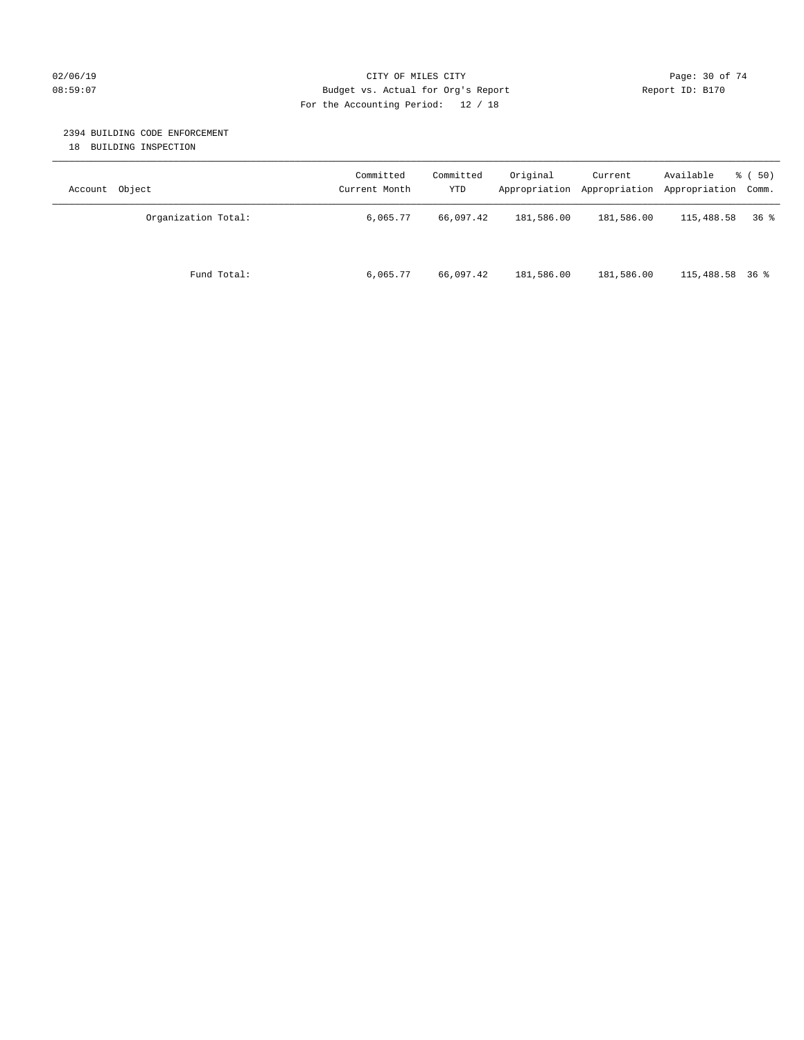### $O2/06/19$  Page: 30 of 74 08:59:07 Budget vs. Actual for Org's Report Report ID: B170 For the Accounting Period: 12 / 18

### 2394 BUILDING CODE ENFORCEMENT

18 BUILDING INSPECTION

| Account Object      | Committed<br>Current Month | Committed<br>YTD | Original   | Current<br>Appropriation Appropriation | Available<br>Appropriation Comm. | 8 ( 50) |
|---------------------|----------------------------|------------------|------------|----------------------------------------|----------------------------------|---------|
| Organization Total: | 6,065.77                   | 66,097.42        | 181,586.00 | 181,586.00                             | 115,488.58                       | 36%     |
| Fund Total:         | 6,065.77                   | 66,097.42        | 181,586.00 | 181,586.00                             | 115,488.58 36 %                  |         |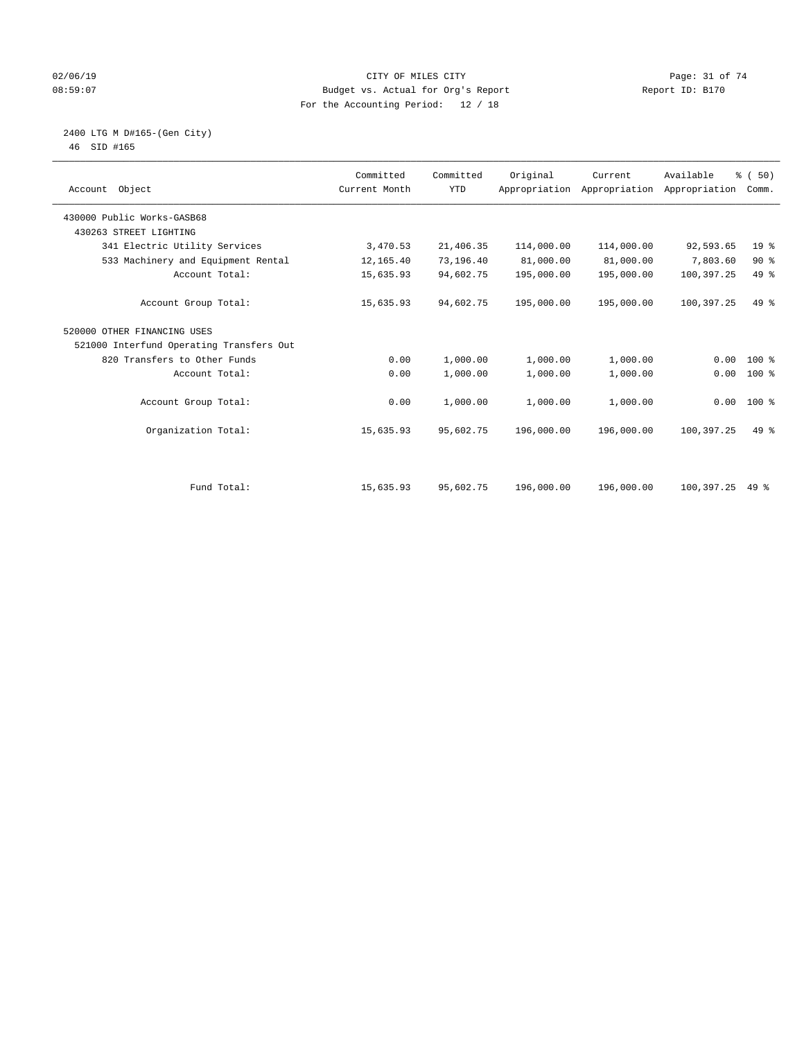### $O2/06/19$  Page: 31 of 74 08:59:07 Budget vs. Actual for Org's Report Changer Report ID: B170 For the Accounting Period: 12 / 18

 2400 LTG M D#165-(Gen City) 46 SID #165

| Account Object                           | Committed<br>Current Month | Committed<br><b>YTD</b> | Original   | Current<br>Appropriation Appropriation | Available<br>Appropriation | % (50)<br>Comm. |  |
|------------------------------------------|----------------------------|-------------------------|------------|----------------------------------------|----------------------------|-----------------|--|
| 430000 Public Works-GASB68               |                            |                         |            |                                        |                            |                 |  |
| 430263 STREET LIGHTING                   |                            |                         |            |                                        |                            |                 |  |
| 341 Electric Utility Services            | 3,470.53                   | 21,406.35               | 114,000.00 | 114,000.00                             | 92,593.65                  | 19 <sup>°</sup> |  |
| 533 Machinery and Equipment Rental       | 12,165.40                  | 73,196.40               | 81,000.00  | 81,000.00                              | 7,803.60                   | 90%             |  |
| Account Total:                           | 15,635.93                  | 94,602.75               | 195,000.00 | 195,000.00                             | 100,397.25                 | 49 %            |  |
| Account Group Total:                     | 15,635.93                  | 94,602.75               | 195,000.00 | 195,000.00                             | 100,397.25                 | $49*$           |  |
| 520000 OTHER FINANCING USES              |                            |                         |            |                                        |                            |                 |  |
| 521000 Interfund Operating Transfers Out |                            |                         |            |                                        |                            |                 |  |
| 820 Transfers to Other Funds             | 0.00                       | 1,000.00                | 1,000.00   | 1,000.00                               | 0.00                       | $100*$          |  |
| Account Total:                           | 0.00                       | 1,000.00                | 1,000.00   | 1,000.00                               | 0.00                       | 100 %           |  |
| Account Group Total:                     | 0.00                       | 1,000.00                | 1,000.00   | 1,000.00                               |                            | $0.00 100$ %    |  |
| Organization Total:                      | 15,635.93                  | 95,602.75               | 196,000.00 | 196,000.00                             | 100,397.25                 | $49*$           |  |
|                                          |                            |                         |            |                                        |                            |                 |  |
| Fund Total:                              | 15,635.93                  | 95,602.75               | 196,000.00 | 196,000.00                             | 100,397.25                 | 49 %            |  |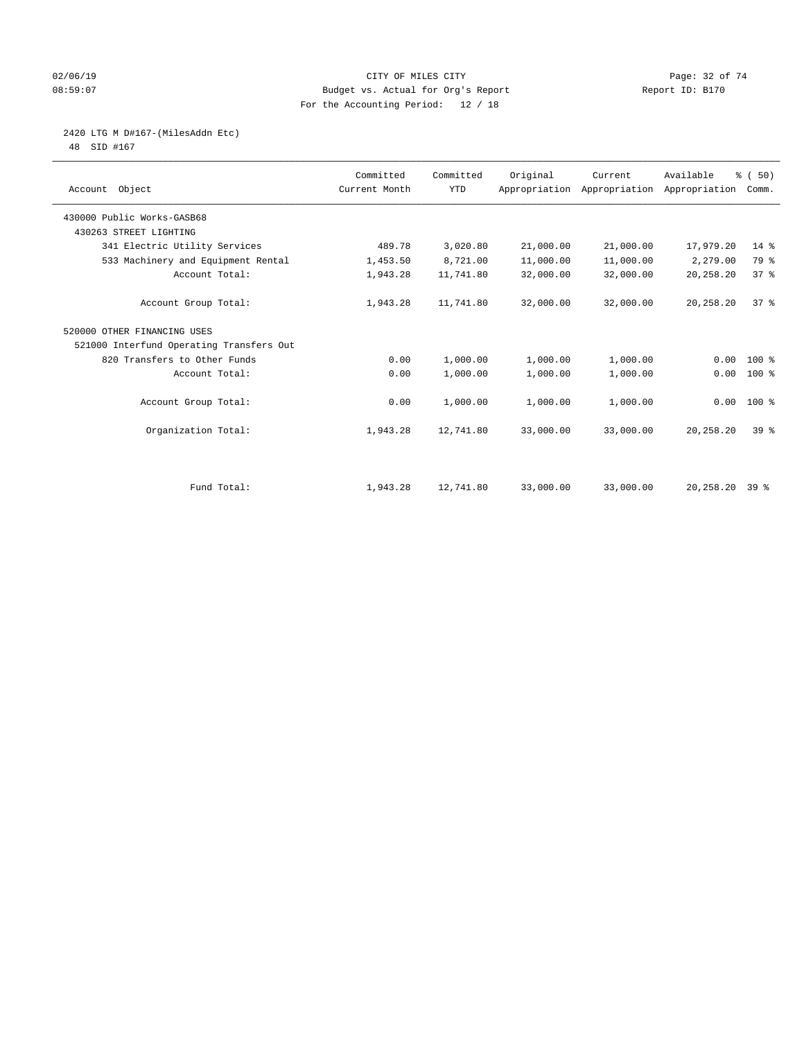### $O2/06/19$  Page: 32 of 74 08:59:07 Budget vs. Actual for Org's Report Report ID: B170 For the Accounting Period: 12 / 18

# 2420 LTG M D#167-(MilesAddn Etc)

48 SID #167

| Account Object                           | Committed<br>Current Month | Committed<br><b>YTD</b> | Original  | Current<br>Appropriation Appropriation Appropriation | Available          | % (50)<br>Comm. |  |
|------------------------------------------|----------------------------|-------------------------|-----------|------------------------------------------------------|--------------------|-----------------|--|
| 430000 Public Works-GASB68               |                            |                         |           |                                                      |                    |                 |  |
| 430263 STREET LIGHTING                   |                            |                         |           |                                                      |                    |                 |  |
| 341 Electric Utility Services            | 489.78                     | 3,020.80                | 21,000.00 | 21,000.00                                            | 17,979.20          | $14*$           |  |
| 533 Machinery and Equipment Rental       | 1,453.50                   | 8,721.00                | 11,000.00 | 11,000.00                                            | 2,279.00           | 79 %            |  |
| Account Total:                           | 1,943.28                   | 11,741.80               | 32,000.00 | 32,000.00                                            | 20,258.20          | 37 <sup>8</sup> |  |
| Account Group Total:                     | 1,943.28                   | 11,741.80               | 32,000.00 | 32,000.00                                            | 20,258.20          | 37 <sup>8</sup> |  |
| 520000 OTHER FINANCING USES              |                            |                         |           |                                                      |                    |                 |  |
| 521000 Interfund Operating Transfers Out |                            |                         |           |                                                      |                    |                 |  |
| 820 Transfers to Other Funds             | 0.00                       | 1,000.00                | 1,000.00  | 1,000.00                                             | 0.00               | $100*$          |  |
| Account Total:                           | 0.00                       | 1,000.00                | 1,000.00  | 1,000.00                                             | 0.00               | $100*$          |  |
| Account Group Total:                     | 0.00                       | 1,000.00                | 1,000.00  | 1,000.00                                             |                    | $0.00$ 100 %    |  |
| Organization Total:                      | 1,943.28                   | 12,741.80               | 33,000.00 | 33,000.00                                            | 20,258.20          | 39 <sup>8</sup> |  |
|                                          |                            |                         |           |                                                      |                    |                 |  |
| Fund Total:                              | 1,943.28                   | 12,741.80               | 33,000.00 | 33,000.00                                            | $20, 258, 20$ 39 % |                 |  |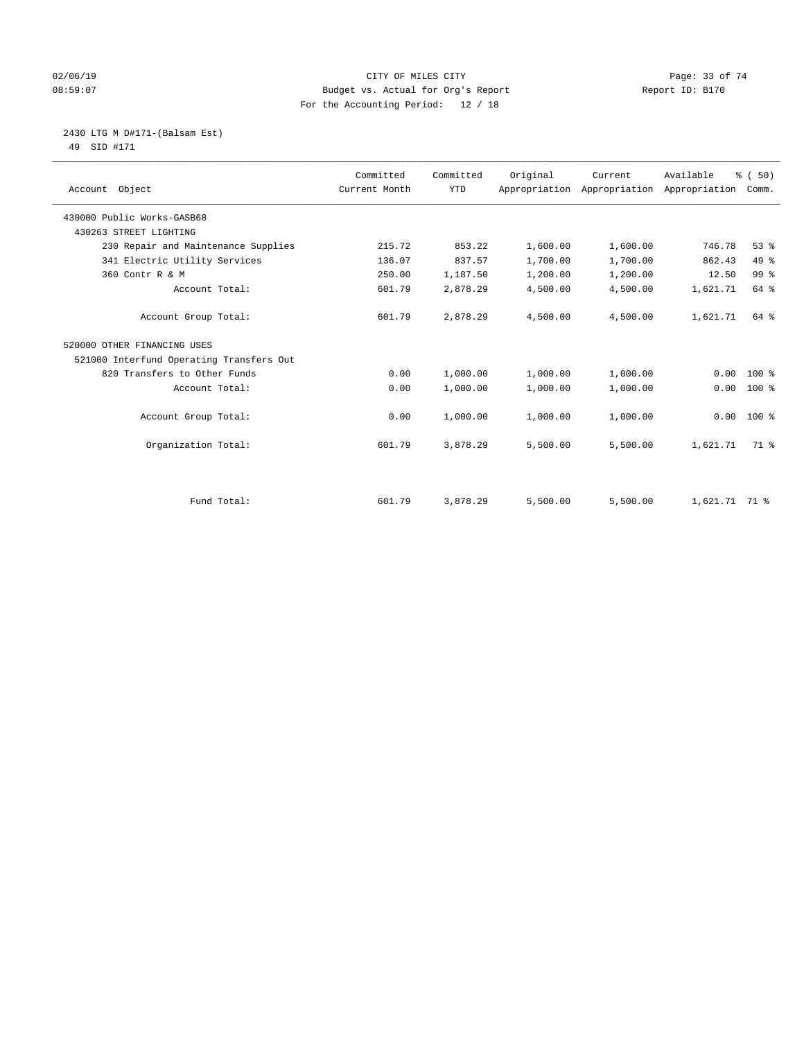### $O2/06/19$  Page: 33 of 74 08:59:07 Budget vs. Actual for Org's Report Report ID: B170 For the Accounting Period: 12 / 18

 2430 LTG M D#171-(Balsam Est) 49 SID #171

| Account Object                           | Committed<br>Current Month | Committed<br><b>YTD</b> | Original | Current<br>Appropriation Appropriation | Available<br>Appropriation | % (50)<br>Comm. |
|------------------------------------------|----------------------------|-------------------------|----------|----------------------------------------|----------------------------|-----------------|
| 430000 Public Works-GASB68               |                            |                         |          |                                        |                            |                 |
| 430263 STREET LIGHTING                   |                            |                         |          |                                        |                            |                 |
| 230 Repair and Maintenance Supplies      | 215.72                     | 853.22                  | 1,600.00 | 1,600.00                               | 746.78                     | 53%             |
| 341 Electric Utility Services            | 136.07                     | 837.57                  | 1,700.00 | 1,700.00                               | 862.43                     | 49 %            |
| 360 Contr R & M                          | 250.00                     | 1,187.50                | 1,200.00 | 1,200.00                               | 12.50                      | 99 <sup>°</sup> |
| Account Total:                           | 601.79                     | 2,878.29                | 4,500.00 | 4,500.00                               | 1,621.71                   | 64 %            |
| Account Group Total:                     | 601.79                     | 2,878.29                | 4,500.00 | 4,500.00                               | 1,621.71                   | 64 %            |
| 520000 OTHER FINANCING USES              |                            |                         |          |                                        |                            |                 |
| 521000 Interfund Operating Transfers Out |                            |                         |          |                                        |                            |                 |
| 820 Transfers to Other Funds             | 0.00                       | 1,000.00                | 1,000.00 | 1,000.00                               | 0.00                       | $100*$          |
| Account Total:                           | 0.00                       | 1,000.00                | 1,000.00 | 1,000.00                               | 0.00                       | $100*$          |
| Account Group Total:                     | 0.00                       | 1,000.00                | 1,000.00 | 1,000.00                               | 0.00                       | $100*$          |
| Organization Total:                      | 601.79                     | 3,878.29                | 5,500.00 | 5,500.00                               | 1,621.71                   | 71.8            |
|                                          |                            |                         |          |                                        |                            |                 |
| Fund Total:                              | 601.79                     | 3,878.29                | 5,500.00 | 5,500.00                               | 1,621.71 71 %              |                 |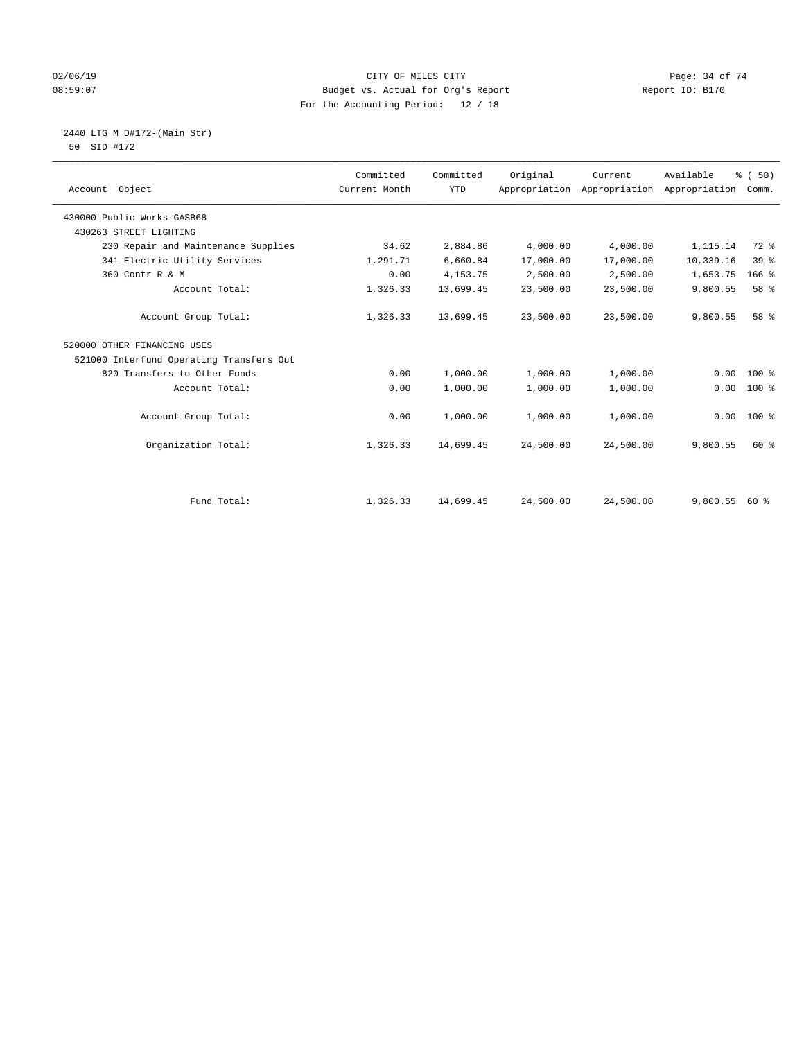### $O2/06/19$  Page: 34 of 74 08:59:07 Budget vs. Actual for Org's Report Report ID: B170 For the Accounting Period: 12 / 18

2440 LTG M D#172-(Main Str)

| 50 SID #172 |  |
|-------------|--|
|-------------|--|

| Account Object                           | Committed<br>Current Month | Committed<br><b>YTD</b> | Original  | Current<br>Appropriation Appropriation | Available<br>Appropriation | % (50)<br>Comm. |
|------------------------------------------|----------------------------|-------------------------|-----------|----------------------------------------|----------------------------|-----------------|
| 430000 Public Works-GASB68               |                            |                         |           |                                        |                            |                 |
| 430263 STREET LIGHTING                   |                            |                         |           |                                        |                            |                 |
| 230 Repair and Maintenance Supplies      | 34.62                      | 2,884.86                | 4,000.00  | 4,000.00                               | 1,115.14                   | 72 %            |
| 341 Electric Utility Services            | 1,291.71                   | 6,660.84                | 17,000.00 | 17,000.00                              | 10,339.16                  | 39 <sup>8</sup> |
| 360 Contr R & M                          | 0.00                       | 4, 153. 75              | 2,500.00  | 2,500.00                               | $-1,653.75$                | $166$ %         |
| Account Total:                           | 1,326.33                   | 13,699.45               | 23,500.00 | 23,500.00                              | 9,800.55                   | 58 %            |
| Account Group Total:                     | 1,326.33                   | 13,699.45               | 23,500.00 | 23,500.00                              | 9,800.55                   | 58 %            |
| 520000 OTHER FINANCING USES              |                            |                         |           |                                        |                            |                 |
| 521000 Interfund Operating Transfers Out |                            |                         |           |                                        |                            |                 |
| 820 Transfers to Other Funds             | 0.00                       | 1,000.00                | 1,000.00  | 1,000.00                               | 0.00                       | $100$ %         |
| Account Total:                           | 0.00                       | 1,000.00                | 1,000.00  | 1,000.00                               | 0.00                       | 100 %           |
| Account Group Total:                     | 0.00                       | 1,000.00                | 1,000.00  | 1,000.00                               | 0.00                       | 100 %           |
| Organization Total:                      | 1,326.33                   | 14,699.45               | 24,500.00 | 24,500.00                              | 9,800.55                   | 60 %            |
|                                          |                            |                         |           |                                        |                            |                 |
| Fund Total:                              | 1,326.33                   | 14,699.45               | 24,500.00 | 24,500.00                              | 9,800.55                   | 60 %            |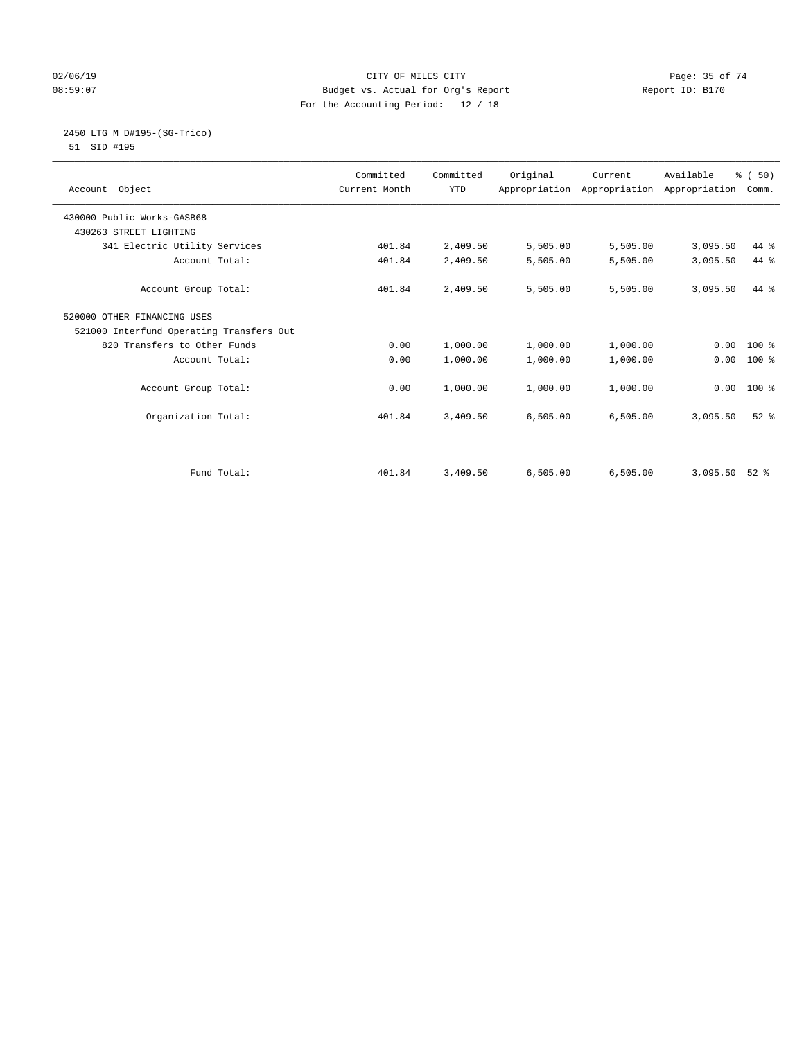### $O2/06/19$  Page: 35 of 74 08:59:07 Budget vs. Actual for Org's Report Report ID: B170 For the Accounting Period: 12 / 18

# 2450 LTG M D#195-(SG-Trico)

51 SID #195

|                                          | Committed     | Committed  | Original | Current  | Available                                 | % (50)   |  |
|------------------------------------------|---------------|------------|----------|----------|-------------------------------------------|----------|--|
| Account Object                           | Current Month | <b>YTD</b> |          |          | Appropriation Appropriation Appropriation | Comm.    |  |
|                                          |               |            |          |          |                                           |          |  |
| 430000 Public Works-GASB68               |               |            |          |          |                                           |          |  |
| 430263 STREET LIGHTING                   |               |            |          |          |                                           |          |  |
| 341 Electric Utility Services            | 401.84        | 2,409.50   | 5,505.00 | 5,505.00 | 3,095.50                                  | 44 %     |  |
| Account Total:                           | 401.84        | 2,409.50   | 5,505.00 | 5,505.00 | 3,095.50                                  | 44 %     |  |
| Account Group Total:                     | 401.84        | 2,409.50   | 5,505.00 | 5,505.00 | 3,095.50                                  | 44 %     |  |
| 520000 OTHER FINANCING USES              |               |            |          |          |                                           |          |  |
| 521000 Interfund Operating Transfers Out |               |            |          |          |                                           |          |  |
| 820 Transfers to Other Funds             | 0.00          | 1,000.00   | 1,000.00 | 1,000.00 | 0.00                                      | $100*$   |  |
| Account Total:                           | 0.00          | 1,000.00   | 1,000.00 | 1,000.00 | 0.00                                      | $100*$   |  |
|                                          |               |            |          |          |                                           |          |  |
| Account Group Total:                     | 0.00          | 1,000.00   | 1,000.00 | 1,000.00 | 0.00                                      | $100*$   |  |
| Organization Total:                      | 401.84        | 3,409.50   | 6,505.00 | 6,505.00 | 3,095.50                                  | $52$ $%$ |  |
|                                          |               |            |          |          |                                           |          |  |
|                                          |               |            |          |          |                                           |          |  |
| Fund Total:                              | 401.84        | 3,409.50   | 6,505.00 | 6,505.00 | 3,095.50                                  | $52*$    |  |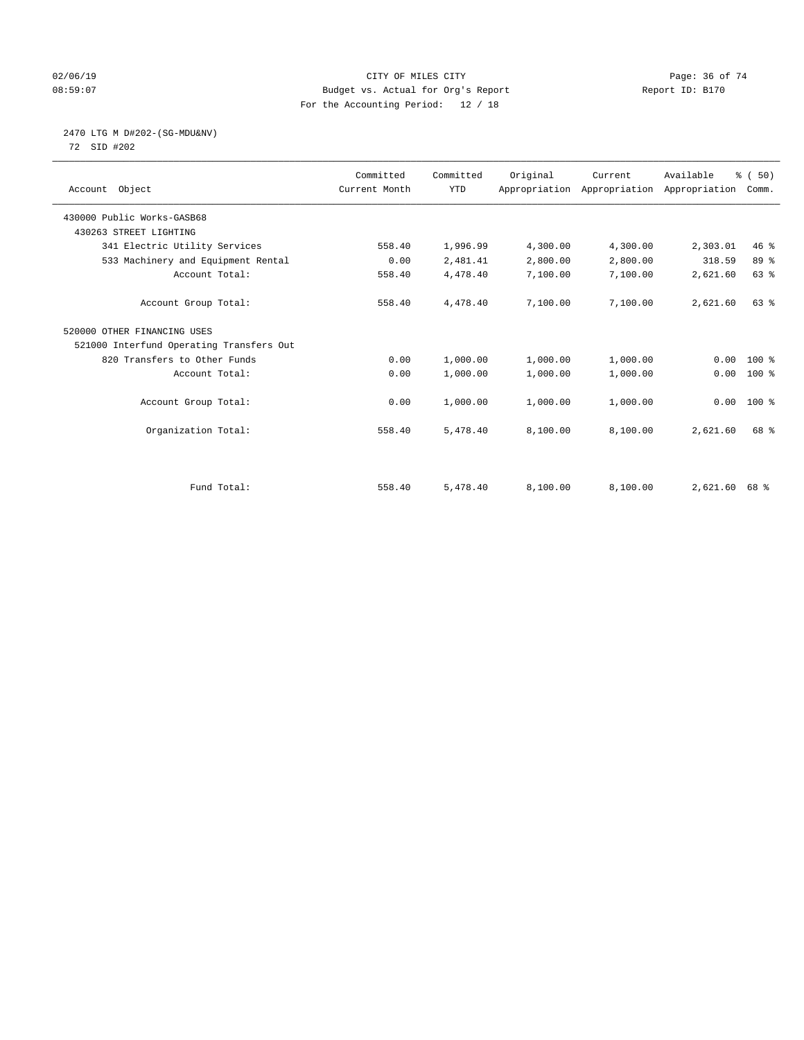### $O2/06/19$  Page: 36 of 74 08:59:07 Budget vs. Actual for Org's Report Report ID: B170 For the Accounting Period: 12 / 18

## 2470 LTG M D#202-(SG-MDU&NV)

72 SID #202

| Account Object                           | Committed<br>Current Month | Committed<br><b>YTD</b> | Original | Current  | Available<br>Appropriation Appropriation Appropriation | % (50)<br>Comm. |
|------------------------------------------|----------------------------|-------------------------|----------|----------|--------------------------------------------------------|-----------------|
| 430000 Public Works-GASB68               |                            |                         |          |          |                                                        |                 |
| 430263 STREET LIGHTING                   |                            |                         |          |          |                                                        |                 |
| 341 Electric Utility Services            | 558.40                     | 1,996.99                | 4,300.00 | 4,300.00 | 2,303.01                                               | $46*$           |
| 533 Machinery and Equipment Rental       | 0.00                       | 2,481.41                | 2,800.00 | 2,800.00 | 318.59                                                 | 89 %            |
| Account Total:                           | 558.40                     | 4,478.40                | 7,100.00 | 7,100.00 | 2,621.60                                               | 63 %            |
| Account Group Total:                     | 558.40                     | 4,478.40                | 7,100.00 | 7,100.00 | 2,621.60                                               | $63$ $%$        |
| 520000 OTHER FINANCING USES              |                            |                         |          |          |                                                        |                 |
| 521000 Interfund Operating Transfers Out |                            |                         |          |          |                                                        |                 |
| 820 Transfers to Other Funds             | 0.00                       | 1,000.00                | 1,000.00 | 1,000.00 | 0.00                                                   | $100*$          |
| Account Total:                           | 0.00                       | 1,000.00                | 1,000.00 | 1,000.00 | 0.00                                                   | 100 %           |
| Account Group Total:                     | 0.00                       | 1,000.00                | 1,000.00 | 1,000.00 | 0.00                                                   | $100*$          |
| Organization Total:                      | 558.40                     | 5,478.40                | 8,100.00 | 8,100.00 | 2,621.60                                               | 68 %            |
|                                          |                            |                         |          |          |                                                        |                 |
| Fund Total:                              | 558.40                     | 5,478.40                | 8,100.00 | 8,100.00 | $2,621.60$ 68 %                                        |                 |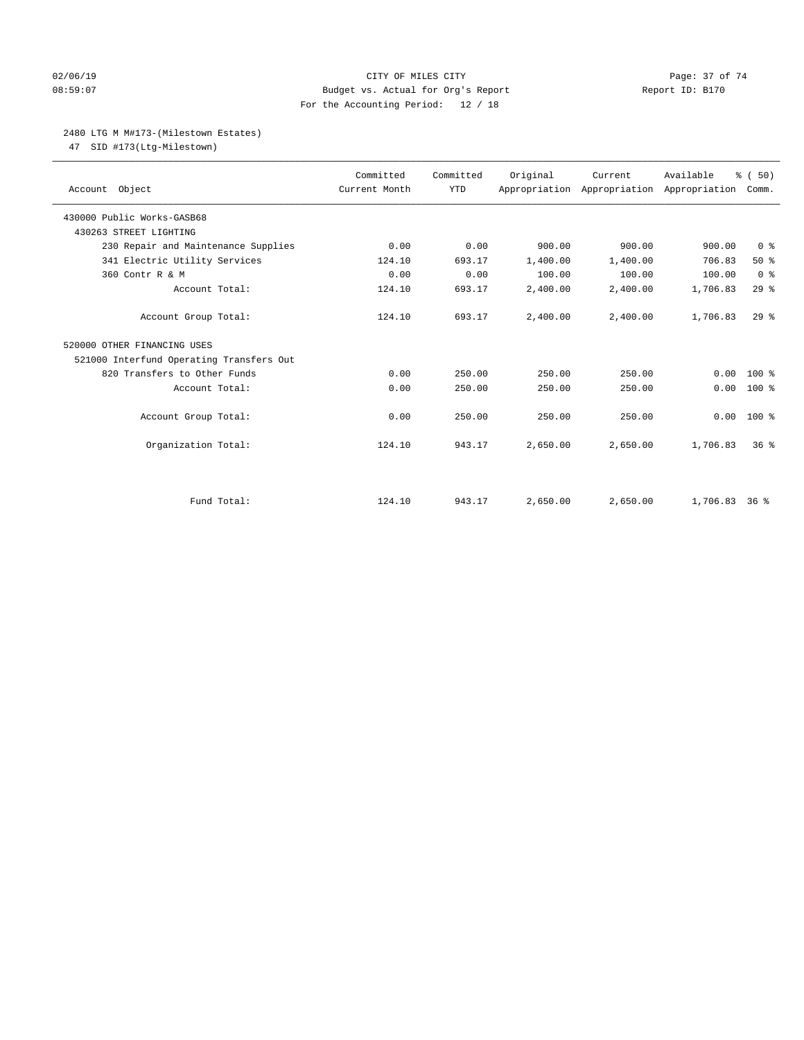## 02/06/19 Page: 37 of 74 08:59:07 Budget vs. Actual for Org's Report Report ID: B170 For the Accounting Period: 12 / 18

## 2480 LTG M M#173-(Milestown Estates)

47 SID #173(Ltg-Milestown)

| Account Object                           | Committed<br>Current Month | Committed<br><b>YTD</b> | Original | Current<br>Appropriation Appropriation Appropriation | Available       | % (50)<br>Comm. |
|------------------------------------------|----------------------------|-------------------------|----------|------------------------------------------------------|-----------------|-----------------|
| 430000 Public Works-GASB68               |                            |                         |          |                                                      |                 |                 |
| 430263 STREET LIGHTING                   |                            |                         |          |                                                      |                 |                 |
| 230 Repair and Maintenance Supplies      | 0.00                       | 0.00                    | 900.00   | 900.00                                               | 900.00          | 0 <sup>8</sup>  |
| 341 Electric Utility Services            | 124.10                     | 693.17                  | 1,400.00 | 1,400.00                                             | 706.83          | 50%             |
| 360 Contr R & M                          | 0.00                       | 0.00                    | 100.00   | 100.00                                               | 100.00          | 0 <sup>8</sup>  |
| Account Total:                           | 124.10                     | 693.17                  | 2,400.00 | 2,400.00                                             | 1,706.83        | 29%             |
| Account Group Total:                     | 124.10                     | 693.17                  | 2,400.00 | 2,400.00                                             | 1,706.83        | $29$ $%$        |
| 520000 OTHER FINANCING USES              |                            |                         |          |                                                      |                 |                 |
| 521000 Interfund Operating Transfers Out |                            |                         |          |                                                      |                 |                 |
| 820 Transfers to Other Funds             | 0.00                       | 250.00                  | 250.00   | 250.00                                               | 0.00            | $100*$          |
| Account Total:                           | 0.00                       | 250.00                  | 250.00   | 250.00                                               | 0.00            | $100*$          |
| Account Group Total:                     | 0.00                       | 250.00                  | 250.00   | 250.00                                               | 0.00            | $100*$          |
| Organization Total:                      | 124.10                     | 943.17                  | 2,650.00 | 2,650.00                                             | 1,706.83        | 36 <sup>8</sup> |
|                                          |                            |                         |          |                                                      |                 |                 |
| Fund Total:                              | 124.10                     | 943.17                  | 2,650.00 | 2,650.00                                             | $1,706.83$ 36 % |                 |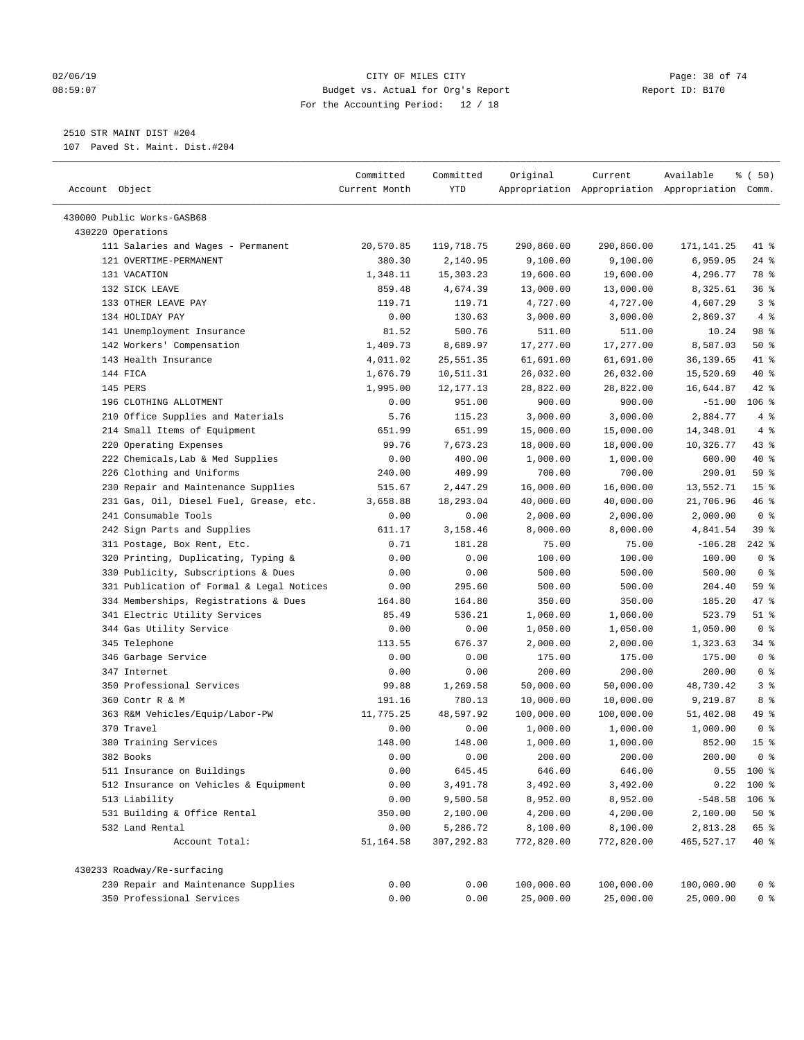### 02/06/19 Page: 38 of 74 08:59:07 Budget vs. Actual for Org's Report Report ID: B170 For the Accounting Period: 12 / 18

————————————————————————————————————————————————————————————————————————————————————————————————————————————————————————————————————

## 2510 STR MAINT DIST #204

107 Paved St. Maint. Dist.#204

|                                                                     | Committed      | Committed              | Original             | Current                                         | Available                   | % (50)                            |
|---------------------------------------------------------------------|----------------|------------------------|----------------------|-------------------------------------------------|-----------------------------|-----------------------------------|
| Account Object                                                      | Current Month  | YTD                    |                      | Appropriation Appropriation Appropriation Comm. |                             |                                   |
|                                                                     |                |                        |                      |                                                 |                             |                                   |
| 430000 Public Works-GASB68                                          |                |                        |                      |                                                 |                             |                                   |
| 430220 Operations                                                   |                |                        |                      |                                                 |                             |                                   |
| 111 Salaries and Wages - Permanent                                  | 20,570.85      | 119,718.75             | 290,860.00           | 290,860.00                                      | 171,141.25                  | 41 %                              |
| 121 OVERTIME-PERMANENT                                              | 380.30         | 2,140.95               | 9,100.00             | 9,100.00                                        | 6,959.05                    | $24$ %                            |
| 131 VACATION                                                        | 1,348.11       | 15,303.23              | 19,600.00            | 19,600.00                                       | 4,296.77                    | 78 %                              |
| 132 SICK LEAVE                                                      | 859.48         | 4,674.39               | 13,000.00            | 13,000.00                                       | 8,325.61                    | 36%                               |
| 133 OTHER LEAVE PAY                                                 | 119.71         | 119.71                 | 4,727.00             | 4,727.00                                        | 4,607.29                    | 3 <sup>8</sup>                    |
| 134 HOLIDAY PAY                                                     | 0.00           | 130.63                 | 3,000.00             | 3,000.00                                        | 2,869.37                    | 4%                                |
| 141 Unemployment Insurance                                          | 81.52          | 500.76                 | 511.00               | 511.00                                          | 10.24                       | 98 %                              |
| 142 Workers' Compensation                                           | 1,409.73       | 8,689.97               | 17,277.00            | 17,277.00                                       | 8,587.03                    | 50%                               |
| 143 Health Insurance                                                | 4,011.02       | 25,551.35              | 61,691.00            | 61,691.00                                       | 36,139.65                   | 41 %                              |
| 144 FICA                                                            | 1,676.79       | 10,511.31              | 26,032.00            | 26,032.00                                       | 15,520.69                   | 40 %                              |
| 145 PERS                                                            | 1,995.00       | 12,177.13              | 28,822.00            | 28,822.00                                       | 16,644.87                   | $42$ %                            |
| 196 CLOTHING ALLOTMENT                                              | 0.00           | 951.00                 | 900.00               | 900.00                                          | $-51.00$                    | $106$ %                           |
| 210 Office Supplies and Materials                                   | 5.76           | 115.23                 | 3,000.00             | 3,000.00                                        | 2,884.77                    | 4%                                |
| 214 Small Items of Equipment                                        | 651.99         | 651.99                 | 15,000.00            | 15,000.00                                       | 14,348.01                   | 4%                                |
| 220 Operating Expenses                                              | 99.76          | 7,673.23               | 18,000.00            | 18,000.00                                       | 10,326.77                   | 43 %                              |
| 222 Chemicals, Lab & Med Supplies                                   | 0.00           | 400.00                 | 1,000.00             | 1,000.00                                        | 600.00                      | 40 %                              |
| 226 Clothing and Uniforms                                           | 240.00         | 409.99                 | 700.00               | 700.00                                          | 290.01                      | 59 %                              |
| 230 Repair and Maintenance Supplies                                 | 515.67         | 2,447.29               | 16,000.00            | 16,000.00                                       | 13,552.71                   | 15 <sup>°</sup>                   |
| 231 Gas, Oil, Diesel Fuel, Grease, etc.                             | 3,658.88       | 18,293.04              | 40,000.00            | 40,000.00                                       | 21,706.96                   | 46 %                              |
| 241 Consumable Tools                                                | 0.00           | 0.00                   | 2,000.00             | 2,000.00                                        | 2,000.00                    | 0 <sup>8</sup>                    |
| 242 Sign Parts and Supplies                                         | 611.17         | 3,158.46               | 8,000.00             | 8,000.00                                        | 4,841.54                    | 39 %                              |
| 311 Postage, Box Rent, Etc.                                         | 0.71           | 181.28                 | 75.00                | 75.00                                           | $-106.28$                   | $242$ %                           |
| 320 Printing, Duplicating, Typing &                                 | 0.00           | 0.00                   | 100.00               | 100.00                                          | 100.00                      | 0 <sup>8</sup>                    |
| 330 Publicity, Subscriptions & Dues                                 | 0.00           | 0.00                   | 500.00               | 500.00                                          | 500.00                      | 0 <sup>8</sup>                    |
| 331 Publication of Formal & Legal Notices                           | 0.00           | 295.60                 | 500.00               | 500.00                                          | 204.40                      | 59 %                              |
| 334 Memberships, Registrations & Dues                               | 164.80         | 164.80                 | 350.00               | 350.00                                          | 185.20                      | 47 %                              |
| 341 Electric Utility Services                                       | 85.49          | 536.21                 | 1,060.00             | 1,060.00                                        | 523.79                      | $51$ %                            |
| 344 Gas Utility Service                                             | 0.00           | 0.00                   | 1,050.00             | 1,050.00                                        | 1,050.00                    | 0 <sup>8</sup>                    |
| 345 Telephone                                                       | 113.55         | 676.37                 | 2,000.00             | 2,000.00                                        | 1,323.63                    | 34%                               |
| 346 Garbage Service                                                 | 0.00           | 0.00                   | 175.00               | 175.00                                          | 175.00                      | 0 <sup>8</sup>                    |
| 347 Internet                                                        | 0.00           | 0.00                   | 200.00               | 200.00                                          | 200.00                      | 0 <sup>8</sup>                    |
| 350 Professional Services                                           | 99.88          | 1,269.58               | 50,000.00            | 50,000.00                                       | 48,730.42                   | 3%                                |
| 360 Contr R & M                                                     | 191.16         | 780.13                 | 10,000.00            | 10,000.00                                       | 9,219.87                    | 8 %                               |
| 363 R&M Vehicles/Equip/Labor-PW                                     | 11,775.25      | 48,597.92              | 100,000.00           | 100,000.00                                      | 51,402.08                   | 49 %                              |
| 370 Travel                                                          | 0.00           | 0.00                   | 1,000.00             | 1,000.00                                        | 1,000.00                    | 0 <sup>8</sup>                    |
| 380 Training Services                                               | 148.00         | 148.00                 | 1,000.00             | 1,000.00                                        | 852.00                      | 15 <sup>8</sup><br>0 <sup>8</sup> |
| 382 Books                                                           | 0.00           | 0.00                   | 200.00               | 200.00                                          | 200.00                      |                                   |
| 511 Insurance on Buildings<br>512 Insurance on Vehicles & Equipment | 0.00           | 645.45                 | 646.00               | 646.00                                          |                             | $0.55$ 100 %                      |
| 513 Liability                                                       | 0.00           | 3,491.78               | 3,492.00             | 3,492.00                                        |                             | $0.22$ 100 %                      |
| 531 Building & Office Rental                                        | 0.00<br>350.00 | 9,500.58<br>2,100.00   | 8,952.00<br>4,200.00 | 8,952.00<br>4,200.00                            | $-548.58$ 106 %<br>2,100.00 | 50%                               |
|                                                                     |                |                        |                      |                                                 |                             |                                   |
| 532 Land Rental<br>Account Total:                                   | 0.00           | 5,286.72<br>307,292.83 | 8,100.00             | 8,100.00                                        | 2,813.28                    | 65 %                              |
|                                                                     | 51,164.58      |                        | 772,820.00           | 772,820.00                                      | 465,527.17                  | 40 %                              |
| 430233 Roadway/Re-surfacing                                         |                |                        |                      |                                                 |                             |                                   |
| 230 Repair and Maintenance Supplies                                 | 0.00           | 0.00                   | 100,000.00           | 100,000.00                                      | 100,000.00                  | 0 <sup>8</sup>                    |
| 350 Professional Services                                           | 0.00           | 0.00                   | 25,000.00            | 25,000.00                                       | 25,000.00                   | 0 %                               |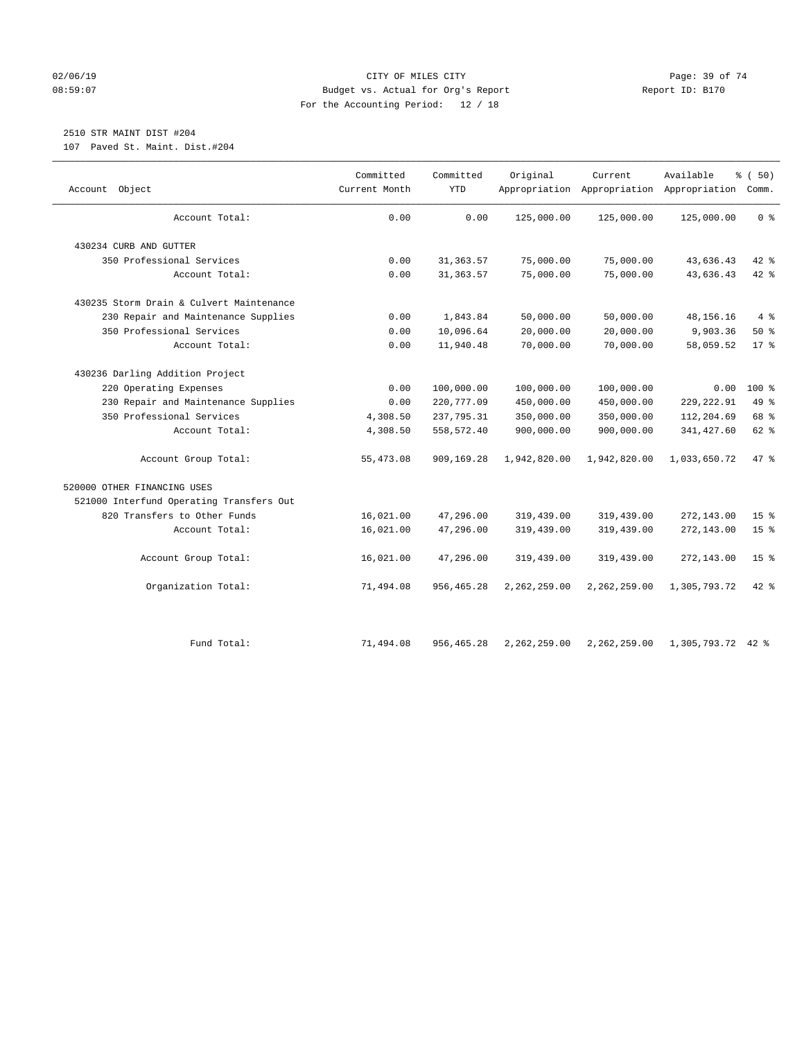### $O2/06/19$  Page: 39 of 74 08:59:07 Budget vs. Actual for Org's Report Report ID: B170 For the Accounting Period: 12 / 18

# 2510 STR MAINT DIST #204

107 Paved St. Maint. Dist.#204

| Object<br>Account                        | Committed<br>Current Month | Committed<br><b>YTD</b> | Original       | Current      | Available<br>Appropriation Appropriation Appropriation Comm. | % (50)          |
|------------------------------------------|----------------------------|-------------------------|----------------|--------------|--------------------------------------------------------------|-----------------|
|                                          |                            |                         |                |              |                                                              |                 |
| Account Total:                           | 0.00                       | 0.00                    | 125,000.00     | 125,000.00   | 125,000.00                                                   | 0 <sup>8</sup>  |
| 430234 CURB AND GUTTER                   |                            |                         |                |              |                                                              |                 |
| 350 Professional Services                | 0.00                       | 31, 363.57              | 75,000.00      | 75,000.00    | 43,636.43                                                    | 42 %            |
| Account Total:                           | 0.00                       | 31, 363.57              | 75,000.00      | 75,000.00    | 43,636.43                                                    | $42$ $%$        |
| 430235 Storm Drain & Culvert Maintenance |                            |                         |                |              |                                                              |                 |
| 230 Repair and Maintenance Supplies      | 0.00                       | 1,843.84                | 50,000.00      | 50,000.00    | 48, 156. 16                                                  | $4\degree$      |
| 350 Professional Services                | 0.00                       | 10,096.64               | 20,000.00      | 20,000.00    | 9,903.36                                                     | 50%             |
| Account Total:                           | 0.00                       | 11,940.48               | 70,000.00      | 70,000.00    | 58,059.52                                                    | $17*$           |
| 430236 Darling Addition Project          |                            |                         |                |              |                                                              |                 |
| 220 Operating Expenses                   | 0.00                       | 100,000.00              | 100,000.00     | 100,000.00   | 0.00                                                         | $100*$          |
| 230 Repair and Maintenance Supplies      | 0.00                       | 220,777.09              | 450,000.00     | 450,000.00   | 229, 222.91                                                  | 49 %            |
| 350 Professional Services                | 4,308.50                   | 237,795.31              | 350,000.00     | 350,000.00   | 112,204.69                                                   | 68 %            |
| Account Total:                           | 4,308.50                   | 558,572.40              | 900,000.00     | 900,000.00   | 341,427.60                                                   | 62 %            |
| Account Group Total:                     | 55,473.08                  | 909,169.28              | 1,942,820.00   | 1,942,820.00 | 1,033,650.72                                                 | 47 %            |
| 520000 OTHER FINANCING USES              |                            |                         |                |              |                                                              |                 |
| 521000 Interfund Operating Transfers Out |                            |                         |                |              |                                                              |                 |
| 820 Transfers to Other Funds             | 16,021.00                  | 47,296.00               | 319,439.00     | 319,439.00   | 272,143.00                                                   | 15 <sup>°</sup> |
| Account Total:                           | 16,021.00                  | 47,296.00               | 319,439.00     | 319,439.00   | 272,143.00                                                   | 15 <sup>8</sup> |
| Account Group Total:                     | 16,021.00                  | 47,296.00               | 319,439.00     | 319,439.00   | 272,143.00                                                   | 15 <sup>8</sup> |
| Organization Total:                      | 71,494.08                  | 956, 465.28             | 2, 262, 259.00 | 2,262,259.00 | 1,305,793.72                                                 | 42 %            |
|                                          |                            |                         |                |              |                                                              |                 |
| Fund Total:                              | 71,494.08                  | 956,465.28              | 2,262,259.00   | 2,262,259.00 | 1,305,793.72                                                 | $42$ %          |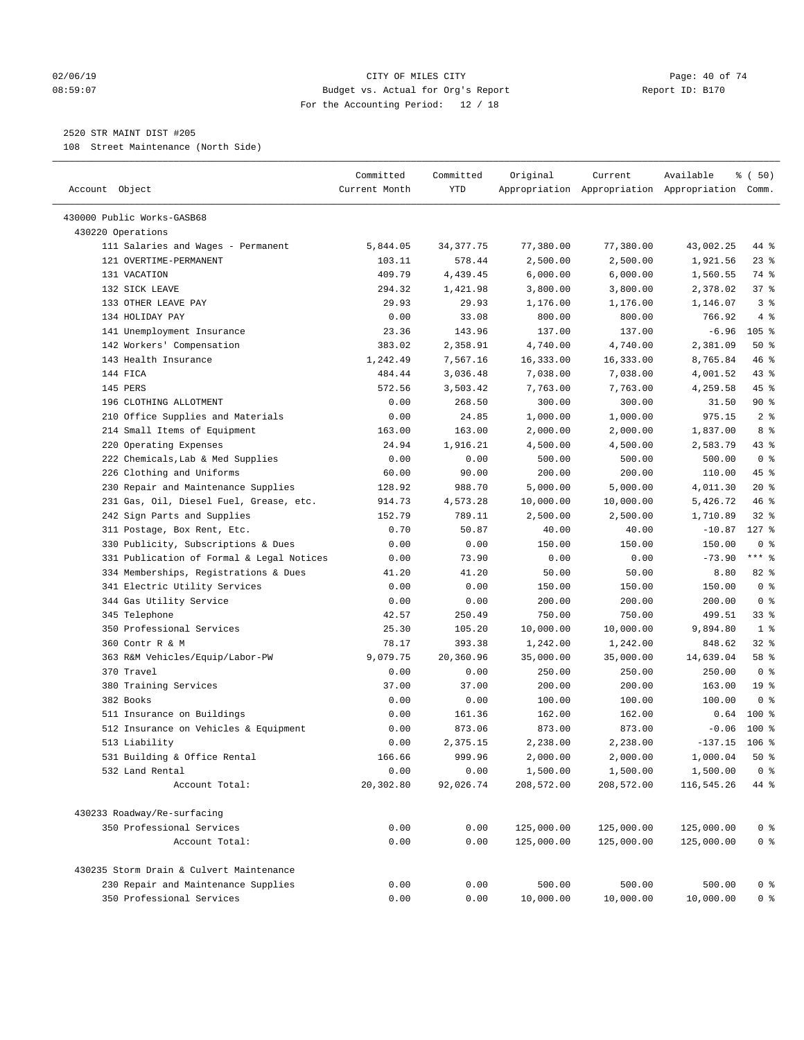### 02/06/19 Page: 40 of 74 08:59:07 Budget vs. Actual for Org's Report Report ID: B170 For the Accounting Period: 12 / 18

————————————————————————————————————————————————————————————————————————————————————————————————————————————————————————————————————

## 2520 STR MAINT DIST #205

108 Street Maintenance (North Side)

|                                                         | Committed        | Committed   | Original   | Current    | Available                                       | ៖ (50)           |
|---------------------------------------------------------|------------------|-------------|------------|------------|-------------------------------------------------|------------------|
| Account Object                                          | Current Month    | YTD         |            |            | Appropriation Appropriation Appropriation Comm. |                  |
|                                                         |                  |             |            |            |                                                 |                  |
| 430000 Public Works-GASB68                              |                  |             |            |            |                                                 |                  |
| 430220 Operations<br>111 Salaries and Wages - Permanent | 5,844.05         | 34, 377. 75 | 77,380.00  | 77,380.00  | 43,002.25                                       | 44 %             |
| 121 OVERTIME-PERMANENT                                  | 103.11           | 578.44      | 2,500.00   | 2,500.00   | 1,921.56                                        | $23$ %           |
| 131 VACATION                                            | 409.79           | 4,439.45    | 6,000.00   | 6,000.00   | 1,560.55                                        | 74 %             |
| 132 SICK LEAVE                                          | 294.32           | 1,421.98    | 3,800.00   | 3,800.00   | 2,378.02                                        | 37%              |
| 133 OTHER LEAVE PAY                                     | 29.93            | 29.93       | 1,176.00   | 1,176.00   | 1,146.07                                        | 3%               |
| 134 HOLIDAY PAY                                         | 0.00             | 33.08       | 800.00     | 800.00     | 766.92                                          | 4%               |
| 141 Unemployment Insurance                              | 23.36            | 143.96      | 137.00     | 137.00     | $-6.96$                                         | 105 <sub>8</sub> |
| 142 Workers' Compensation                               | 383.02           | 2,358.91    | 4,740.00   | 4,740.00   | 2,381.09                                        | 50%              |
| 143 Health Insurance                                    | 1,242.49         | 7,567.16    | 16,333.00  | 16,333.00  | 8,765.84                                        | 46 %             |
| 144 FICA                                                |                  |             | 7,038.00   | 7,038.00   |                                                 | 43 %             |
| 145 PERS                                                | 484.44<br>572.56 | 3,036.48    |            |            | 4,001.52                                        | 45 %             |
| 196 CLOTHING ALLOTMENT                                  |                  | 3,503.42    | 7,763.00   | 7,763.00   | 4,259.58                                        | $90*$            |
|                                                         | 0.00             | 268.50      | 300.00     | 300.00     | 31.50                                           | 2 <sup>8</sup>   |
| 210 Office Supplies and Materials                       | 0.00             | 24.85       | 1,000.00   | 1,000.00   | 975.15                                          |                  |
| 214 Small Items of Equipment                            | 163.00           | 163.00      | 2,000.00   | 2,000.00   | 1,837.00                                        | 8 %              |
| 220 Operating Expenses                                  | 24.94            | 1,916.21    | 4,500.00   | 4,500.00   | 2,583.79                                        | 43 %             |
| 222 Chemicals, Lab & Med Supplies                       | 0.00             | 0.00        | 500.00     | 500.00     | 500.00                                          | 0 <sup>8</sup>   |
| 226 Clothing and Uniforms                               | 60.00            | 90.00       | 200.00     | 200.00     | 110.00                                          | 45 %             |
| 230 Repair and Maintenance Supplies                     | 128.92           | 988.70      | 5,000.00   | 5,000.00   | 4,011.30                                        | $20*$            |
| 231 Gas, Oil, Diesel Fuel, Grease, etc.                 | 914.73           | 4,573.28    | 10,000.00  | 10,000.00  | 5,426.72                                        | 46 %             |
| 242 Sign Parts and Supplies                             | 152.79           | 789.11      | 2,500.00   | 2,500.00   | 1,710.89                                        | $32$ $%$         |
| 311 Postage, Box Rent, Etc.                             | 0.70             | 50.87       | 40.00      | 40.00      | $-10.87$                                        | $127$ %          |
| 330 Publicity, Subscriptions & Dues                     | 0.00             | 0.00        | 150.00     | 150.00     | 150.00                                          | 0 <sup>8</sup>   |
| 331 Publication of Formal & Legal Notices               | 0.00             | 73.90       | 0.00       | 0.00       | $-73.90$                                        | $***$ $-$        |
| 334 Memberships, Registrations & Dues                   | 41.20            | 41.20       | 50.00      | 50.00      | 8.80                                            | 82 %             |
| 341 Electric Utility Services                           | 0.00             | 0.00        | 150.00     | 150.00     | 150.00                                          | 0 <sup>8</sup>   |
| 344 Gas Utility Service                                 | 0.00             | 0.00        | 200.00     | 200.00     | 200.00                                          | 0 <sup>8</sup>   |
| 345 Telephone                                           | 42.57            | 250.49      | 750.00     | 750.00     | 499.51                                          | $33$ $%$         |
| 350 Professional Services                               | 25.30            | 105.20      | 10,000.00  | 10,000.00  | 9,894.80                                        | 1 <sup>8</sup>   |
| 360 Contr R & M                                         | 78.17            | 393.38      | 1,242.00   | 1,242.00   | 848.62                                          | $32$ $%$         |
| 363 R&M Vehicles/Equip/Labor-PW                         | 9,079.75         | 20,360.96   | 35,000.00  | 35,000.00  | 14,639.04                                       | 58 %             |
| 370 Travel                                              | 0.00             | 0.00        | 250.00     | 250.00     | 250.00                                          | 0 <sup>8</sup>   |
| 380 Training Services                                   | 37.00            | 37.00       | 200.00     | 200.00     | 163.00                                          | 19 <sup>°</sup>  |
| 382 Books                                               | 0.00             | 0.00        | 100.00     | 100.00     | 100.00                                          | 0 <sup>8</sup>   |
| 511 Insurance on Buildings                              | 0.00             | 161.36      | 162.00     | 162.00     | 0.64                                            | $100*$           |
| 512 Insurance on Vehicles & Equipment                   | 0.00             | 873.06      | 873.00     | 873.00     | $-0.06$                                         | $100*$           |
| 513 Liability                                           | 0.00             | 2,375.15    | 2,238.00   | 2,238.00   | $-137.15$                                       | 106 %            |
| 531 Building & Office Rental                            | 166.66           | 999.96      | 2,000.00   | 2,000.00   | 1,000.04                                        | 50%              |
| 532 Land Rental                                         | 0.00             | 0.00        | 1,500.00   | 1,500.00   | 1,500.00                                        | 0 <sup>8</sup>   |
| Account Total:                                          | 20,302.80        | 92,026.74   | 208,572.00 | 208,572.00 | 116,545.26                                      | 44 %             |
| 430233 Roadway/Re-surfacing                             |                  |             |            |            |                                                 |                  |
| 350 Professional Services                               | 0.00             | 0.00        | 125,000.00 | 125,000.00 | 125,000.00                                      | 0 <sup>8</sup>   |
| Account Total:                                          | 0.00             | 0.00        | 125,000.00 | 125,000.00 | 125,000.00                                      | 0 <sup>8</sup>   |
|                                                         |                  |             |            |            |                                                 |                  |
| 430235 Storm Drain & Culvert Maintenance                |                  |             |            |            |                                                 |                  |
| 230 Repair and Maintenance Supplies                     | 0.00             | 0.00        | 500.00     | 500.00     | 500.00                                          | $0$ %            |
| 350 Professional Services                               | 0.00             | 0.00        | 10,000.00  | 10,000.00  | 10,000.00                                       | 0 <sup>8</sup>   |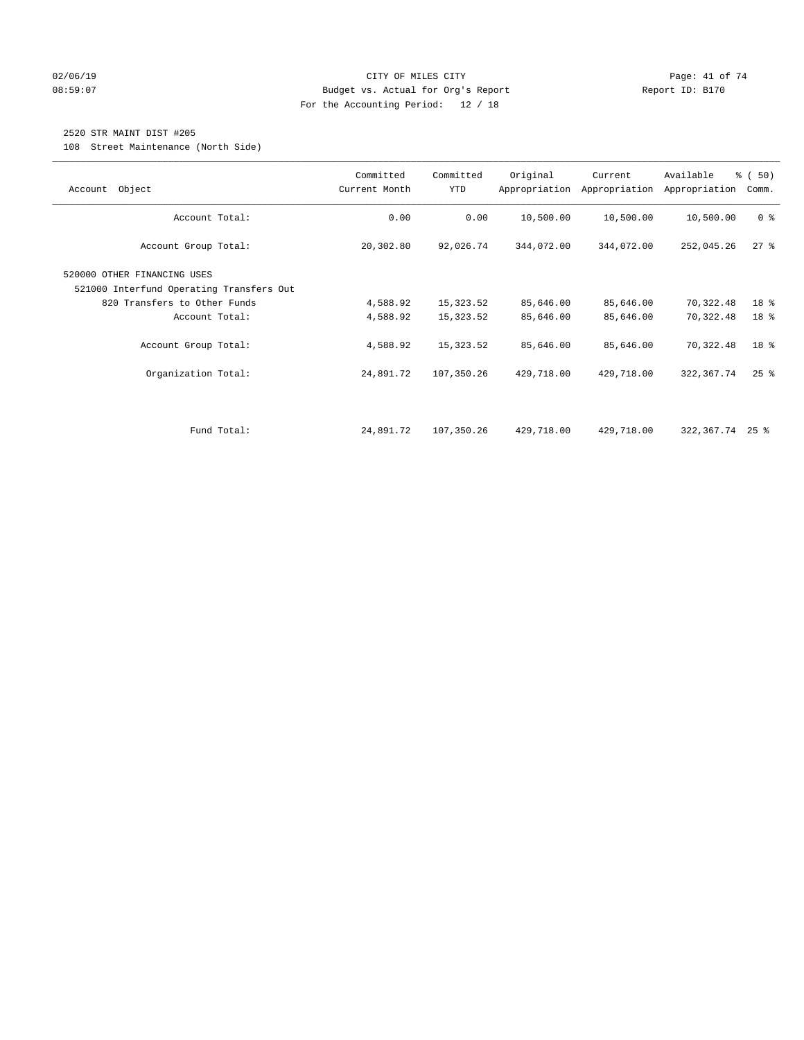### $O2/06/19$  Page: 41 of 74 08:59:07 Budget vs. Actual for Org's Report Report ID: B170 For the Accounting Period: 12 / 18

## 2520 STR MAINT DIST #205

108 Street Maintenance (North Side)

| Object<br>Account                                                                                                                                 | Committed<br>Current Month       | Committed<br><b>YTD</b>             | Original                            | Current<br>Appropriation Appropriation | Available<br>Appropriation          | % (50)<br>Comm.      |
|---------------------------------------------------------------------------------------------------------------------------------------------------|----------------------------------|-------------------------------------|-------------------------------------|----------------------------------------|-------------------------------------|----------------------|
| Account Total:                                                                                                                                    | 0.00                             | 0.00                                | 10,500.00                           | 10,500.00                              | 10,500.00                           | 0 <sup>8</sup>       |
| Account Group Total:                                                                                                                              | 20,302.80                        | 92,026.74                           | 344,072.00                          | 344,072.00                             | 252,045.26                          | $27$ %               |
| 520000 OTHER FINANCING USES<br>521000 Interfund Operating Transfers Out<br>820 Transfers to Other Funds<br>Account Total:<br>Account Group Total: | 4,588.92<br>4,588.92<br>4,588.92 | 15,323.52<br>15,323.52<br>15,323.52 | 85,646.00<br>85,646.00<br>85,646.00 | 85,646.00<br>85,646.00<br>85,646.00    | 70,322.48<br>70,322.48<br>70,322.48 | 18 %<br>18 %<br>18 % |
| Organization Total:                                                                                                                               | 24,891.72                        | 107,350.26                          | 429,718.00                          | 429,718.00                             | 322,367.74                          | $25$ $%$             |
| Fund Total:                                                                                                                                       | 24,891.72                        | 107,350.26                          | 429,718.00                          | 429,718.00                             | $322, 367, 74$ 25 %                 |                      |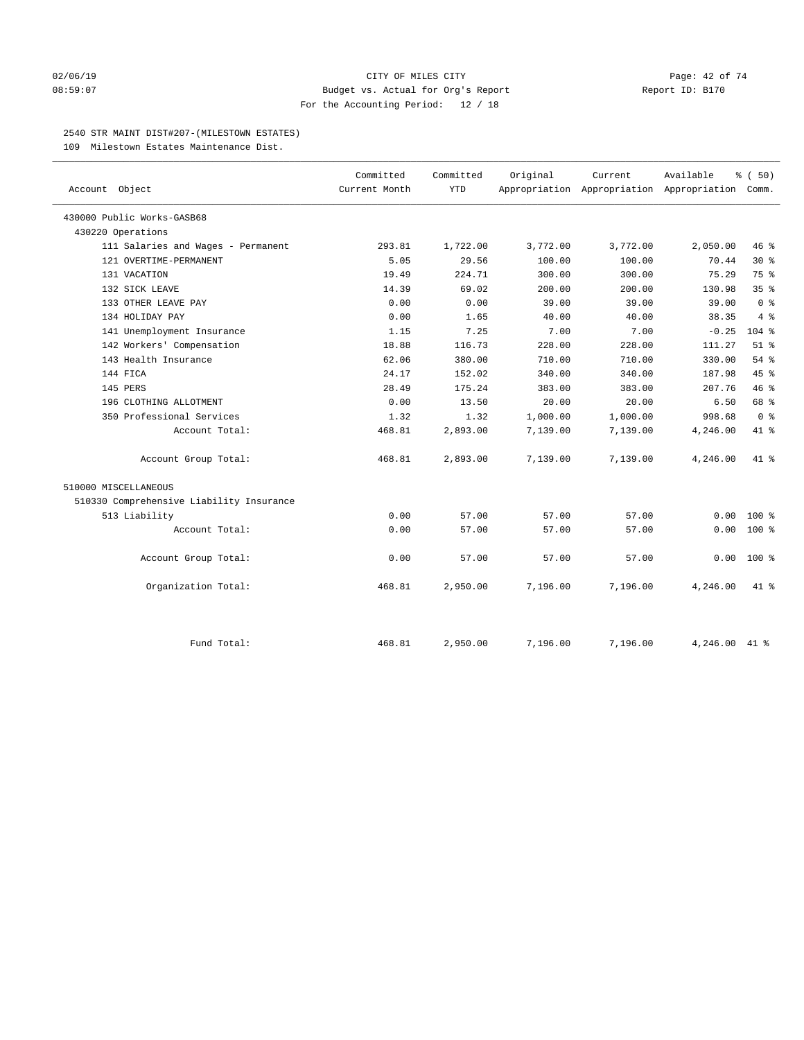### $O2/06/19$  Page: 42 of 74 08:59:07 Budget vs. Actual for Org's Report Report ID: B170 For the Accounting Period: 12 / 18

### 2540 STR MAINT DIST#207-(MILESTOWN ESTATES)

109 Milestown Estates Maintenance Dist.

|                                          | Committed     | Committed  | Original | Current  | Available                                       | % (50)          |
|------------------------------------------|---------------|------------|----------|----------|-------------------------------------------------|-----------------|
| Account Object                           | Current Month | <b>YTD</b> |          |          | Appropriation Appropriation Appropriation Comm. |                 |
| 430000 Public Works-GASB68               |               |            |          |          |                                                 |                 |
| 430220 Operations                        |               |            |          |          |                                                 |                 |
| 111 Salaries and Wages - Permanent       | 293.81        | 1,722.00   | 3,772.00 | 3,772.00 | 2,050.00                                        | 46 %            |
| 121 OVERTIME-PERMANENT                   | 5.05          | 29.56      | 100.00   | 100.00   | 70.44                                           | $30*$           |
| 131 VACATION                             | 19.49         | 224.71     | 300.00   | 300.00   | 75.29                                           | 75 %            |
| 132 SICK LEAVE                           | 14.39         | 69.02      | 200.00   | 200.00   | 130.98                                          | 35 <sup>8</sup> |
| 133 OTHER LEAVE PAY                      | 0.00          | 0.00       | 39.00    | 39.00    | 39.00                                           | 0 <sup>8</sup>  |
| 134 HOLIDAY PAY                          | 0.00          | 1.65       | 40.00    | 40.00    | 38.35                                           | 4%              |
| 141 Unemployment Insurance               | 1.15          | 7.25       | 7.00     | 7.00     | $-0.25$                                         | $104$ %         |
| 142 Workers' Compensation                | 18.88         | 116.73     | 228.00   | 228.00   | 111.27                                          | $51$ %          |
| 143 Health Insurance                     | 62.06         | 380.00     | 710.00   | 710.00   | 330.00                                          | 54%             |
| 144 FICA                                 | 24.17         | 152.02     | 340.00   | 340.00   | 187.98                                          | 45%             |
| 145 PERS                                 | 28.49         | 175.24     | 383.00   | 383.00   | 207.76                                          | 46%             |
| 196 CLOTHING ALLOTMENT                   | 0.00          | 13.50      | 20.00    | 20.00    | 6.50                                            | 68 %            |
| 350 Professional Services                | 1.32          | 1.32       | 1,000.00 | 1,000.00 | 998.68                                          | 0 <sup>8</sup>  |
| Account Total:                           | 468.81        | 2,893.00   | 7,139.00 | 7,139.00 | 4,246.00                                        | 41.8            |
| Account Group Total:                     | 468.81        | 2,893.00   | 7,139.00 | 7,139.00 | 4,246.00                                        | $41 - 26$       |
| 510000 MISCELLANEOUS                     |               |            |          |          |                                                 |                 |
| 510330 Comprehensive Liability Insurance |               |            |          |          |                                                 |                 |
| 513 Liability                            | 0.00          | 57.00      | 57.00    | 57.00    | 0.00                                            | $100*$          |
| Account Total:                           | 0.00          | 57.00      | 57.00    | 57.00    | 0.00                                            | $100*$          |
| Account Group Total:                     | 0.00          | 57.00      | 57.00    | 57.00    | 0.00                                            | $100*$          |
| Organization Total:                      | 468.81        | 2,950.00   | 7,196.00 | 7,196.00 | 4,246.00                                        | $41*$           |
|                                          |               |            |          |          |                                                 |                 |
| Fund Total:                              | 468.81        | 2,950.00   | 7,196.00 | 7,196.00 | 4,246.00                                        | 41 %            |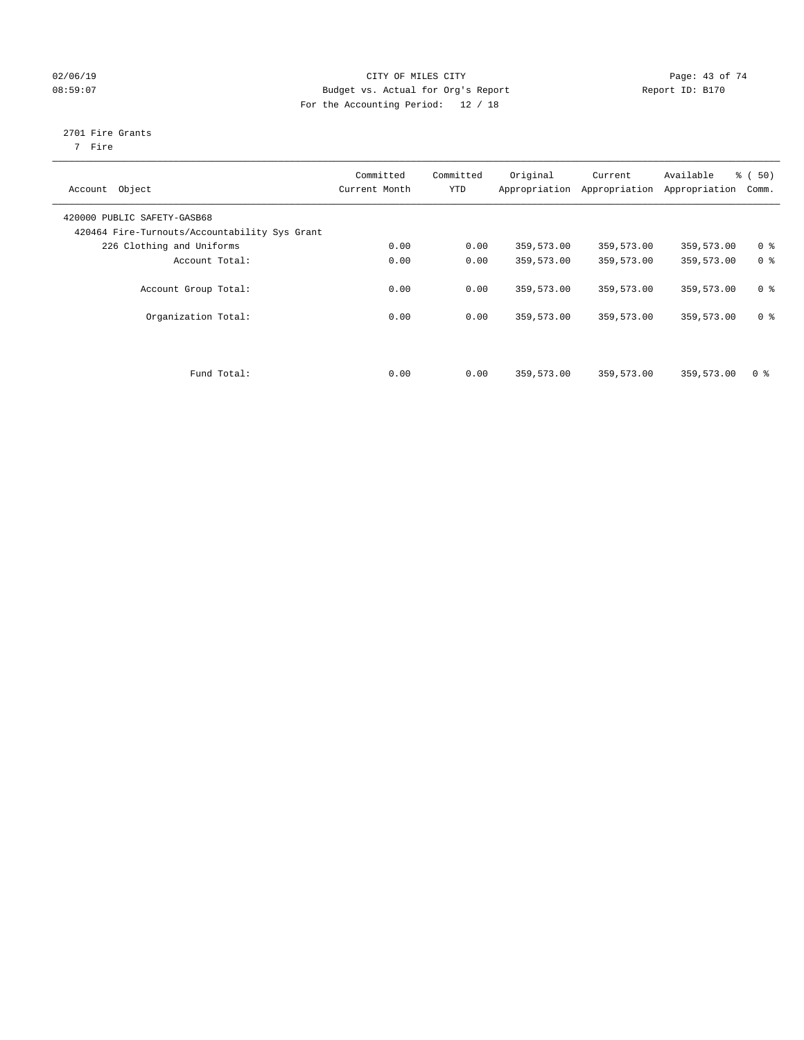## $O2/06/19$  Page: 43 of 74 08:59:07 Budget vs. Actual for Org's Report Report ID: B170 For the Accounting Period: 12 / 18

## 2701 Fire Grants

7 Fire

| Object<br>Account                                                            | Committed<br>Current Month | Committed<br><b>YTD</b> | Original   | Current<br>Appropriation Appropriation | Available<br>Appropriation | % (50)<br>Comm. |
|------------------------------------------------------------------------------|----------------------------|-------------------------|------------|----------------------------------------|----------------------------|-----------------|
| 420000 PUBLIC SAFETY-GASB68<br>420464 Fire-Turnouts/Accountability Sys Grant |                            |                         |            |                                        |                            |                 |
| 226 Clothing and Uniforms                                                    | 0.00                       | 0.00                    | 359,573.00 | 359,573.00                             | 359,573.00                 | 0 <sup>8</sup>  |
| Account Total:                                                               | 0.00                       | 0.00                    | 359,573.00 | 359,573.00                             | 359,573.00                 | 0 <sup>8</sup>  |
| Account Group Total:                                                         | 0.00                       | 0.00                    | 359,573.00 | 359,573.00                             | 359,573.00                 | 0 <sup>8</sup>  |
| Organization Total:                                                          | 0.00                       | 0.00                    | 359,573.00 | 359,573.00                             | 359,573.00                 | 0 <sup>8</sup>  |
|                                                                              |                            |                         |            |                                        |                            |                 |
| Fund Total:                                                                  | 0.00                       | 0.00                    | 359,573.00 | 359,573.00                             | 359,573.00                 | 0 <sup>8</sup>  |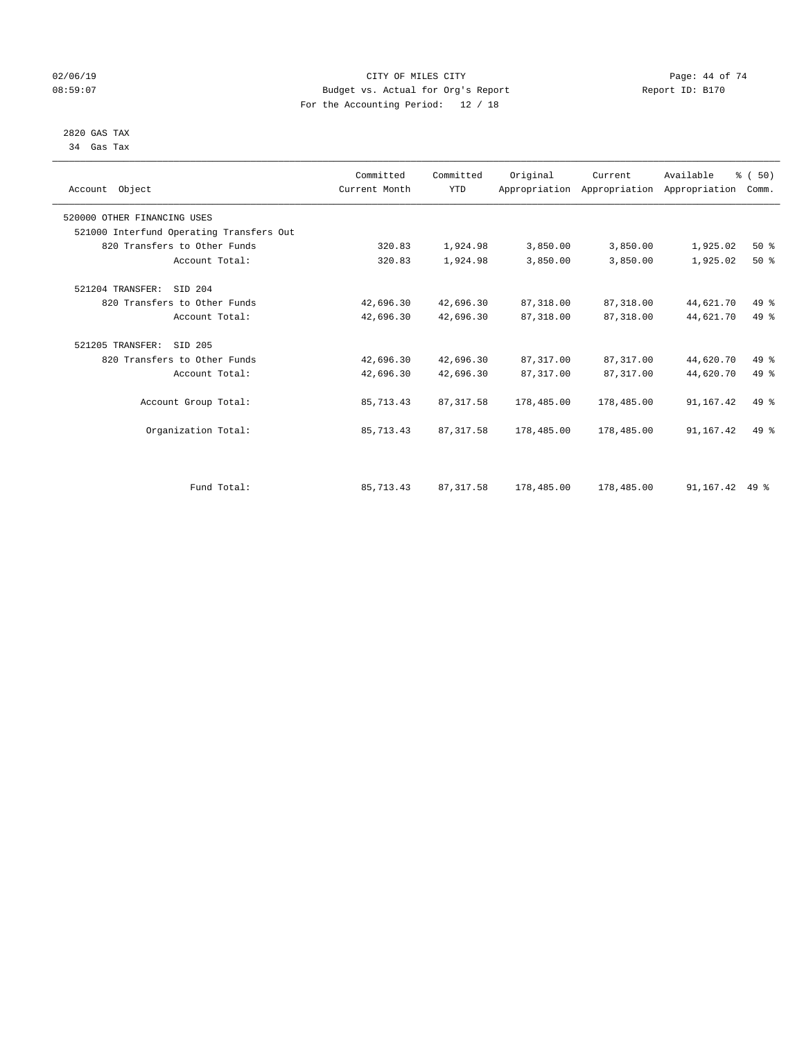## $O2/06/19$  Page: 44 of 74 08:59:07 Budget vs. Actual for Org's Report Report ID: B170 For the Accounting Period: 12 / 18

#### 2820 GAS TAX 34 Gas Tax

| Account Object                           | Committed<br>Current Month | Committed<br><b>YTD</b> | Original   | Current<br>Appropriation Appropriation Appropriation | Available | % (50)<br>Comm. |  |
|------------------------------------------|----------------------------|-------------------------|------------|------------------------------------------------------|-----------|-----------------|--|
| 520000 OTHER FINANCING USES              |                            |                         |            |                                                      |           |                 |  |
| 521000 Interfund Operating Transfers Out |                            |                         |            |                                                      |           |                 |  |
| 820 Transfers to Other Funds             | 320.83                     | 1,924.98                | 3,850.00   | 3,850.00                                             | 1,925.02  | 50%             |  |
| Account Total:                           | 320.83                     | 1,924.98                | 3,850.00   | 3,850.00                                             | 1,925.02  | 50%             |  |
| 521204 TRANSFER:<br>SID 204              |                            |                         |            |                                                      |           |                 |  |
| 820 Transfers to Other Funds             | 42,696.30                  | 42,696.30               | 87, 318.00 | 87,318.00                                            | 44,621.70 | 49 %            |  |
| Account Total:                           | 42,696.30                  | 42,696.30               | 87,318.00  | 87,318.00                                            | 44,621.70 | 49 %            |  |
| SID 205<br>521205 TRANSFER:              |                            |                         |            |                                                      |           |                 |  |
| 820 Transfers to Other Funds             | 42,696.30                  | 42,696.30               | 87,317.00  | 87,317.00                                            | 44,620.70 | 49 %            |  |
| Account Total:                           | 42,696.30                  | 42,696.30               | 87, 317.00 | 87, 317.00                                           | 44,620.70 | 49 %            |  |
| Account Group Total:                     | 85,713.43                  | 87, 317.58              | 178,485.00 | 178,485.00                                           | 91,167.42 | 49 %            |  |
| Organization Total:                      | 85,713.43                  | 87, 317.58              | 178,485.00 | 178,485.00                                           | 91,167.42 | 49 %            |  |
|                                          |                            |                         |            |                                                      |           |                 |  |
| Fund Total:                              | 85,713.43                  | 87, 317.58              | 178,485.00 | 178,485.00                                           | 91,167.42 | $49*$           |  |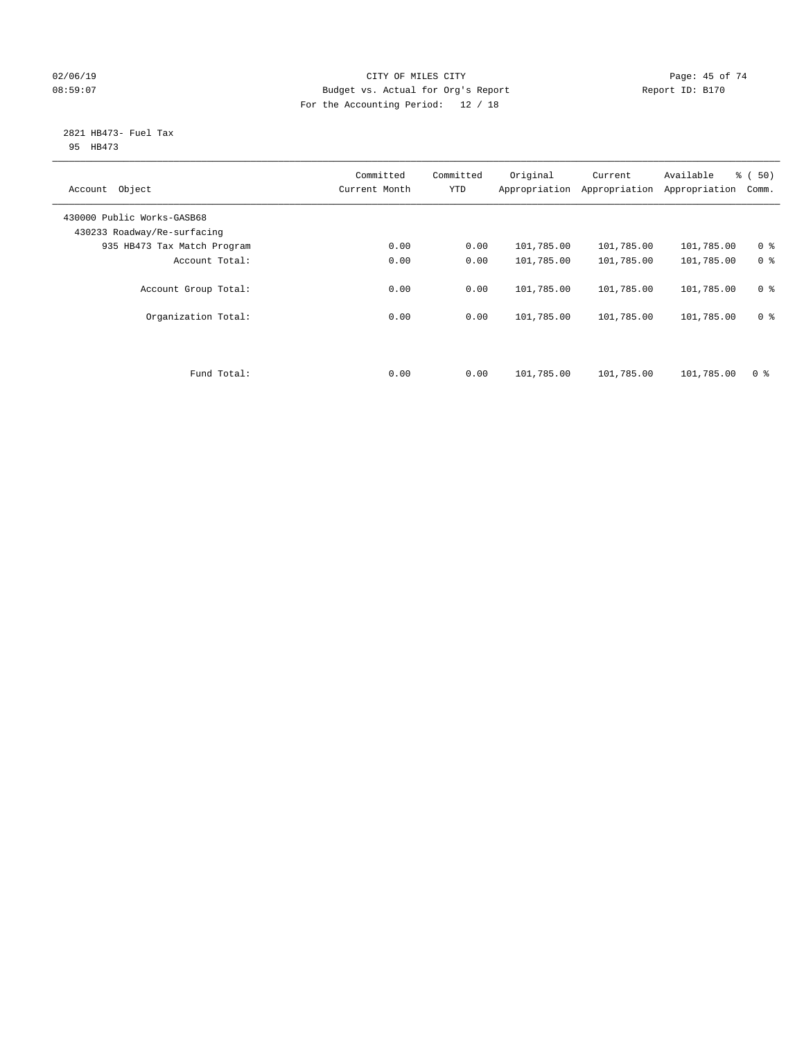## $O2/06/19$  Page: 45 of 74 08:59:07 Budget vs. Actual for Org's Report Report ID: B170 For the Accounting Period: 12 / 18

#### 2821 HB473- Fuel Tax 95 HB473

| Object<br>Account                                         | Committed<br>Current Month | Committed<br><b>YTD</b> | Original<br>Appropriation | Current<br>Appropriation | Available<br>Appropriation | % (50)<br>Comm. |
|-----------------------------------------------------------|----------------------------|-------------------------|---------------------------|--------------------------|----------------------------|-----------------|
| 430000 Public Works-GASB68<br>430233 Roadway/Re-surfacing |                            |                         |                           |                          |                            |                 |
| 935 HB473 Tax Match Program                               | 0.00                       | 0.00                    | 101,785.00                | 101,785.00               | 101,785.00                 | 0 <sup>8</sup>  |
| Account Total:                                            | 0.00                       | 0.00                    | 101,785.00                | 101,785.00               | 101,785.00                 | 0 <sup>8</sup>  |
| Account Group Total:                                      | 0.00                       | 0.00                    | 101,785.00                | 101,785.00               | 101,785.00                 | 0 <sup>8</sup>  |
| Organization Total:                                       | 0.00                       | 0.00                    | 101,785.00                | 101,785.00               | 101,785.00                 | 0 <sup>8</sup>  |
|                                                           |                            |                         |                           |                          |                            |                 |
| Fund Total:                                               | 0.00                       | 0.00                    | 101,785.00                | 101,785.00               | 101,785.00                 | 0 %             |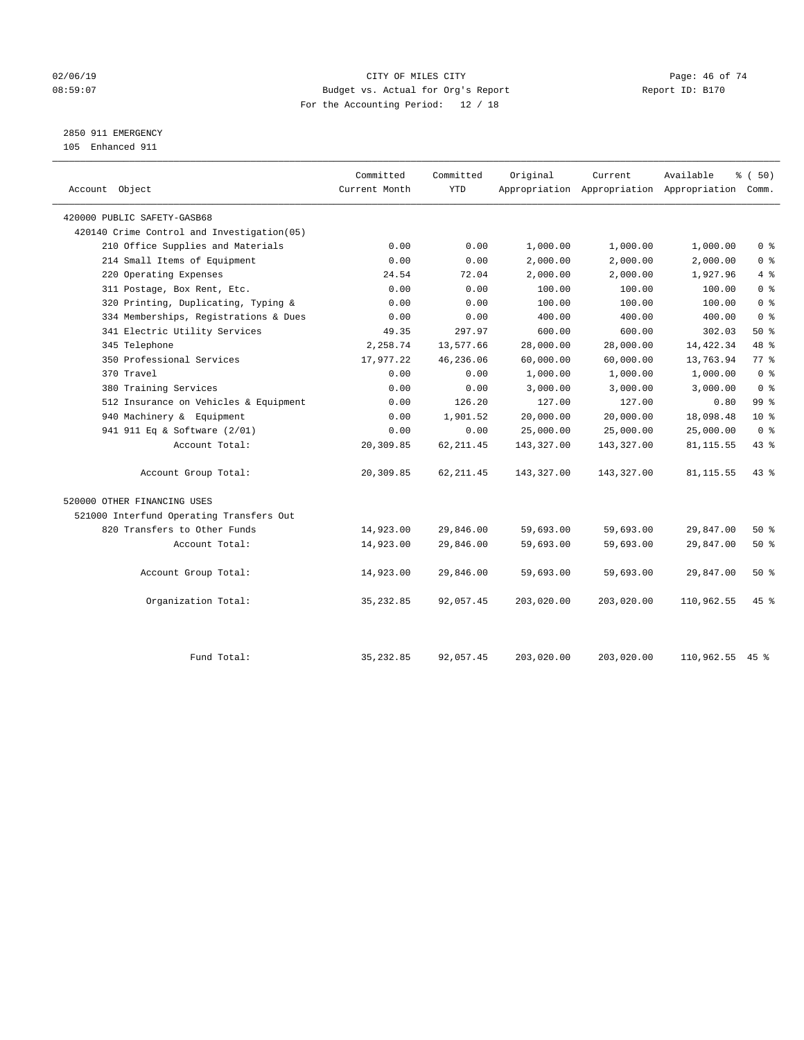## $O2/06/19$  Page: 46 of 74 08:59:07 Budget vs. Actual for Org's Report Changer Report ID: B170 For the Accounting Period: 12 / 18

## 2850 911 EMERGENCY

105 Enhanced 911

| 420000 PUBLIC SAFETY-GASB68<br>420140 Crime Control and Investigation (05)<br>210 Office Supplies and Materials<br>214 Small Items of Equipment<br>220 Operating Expenses<br>311 Postage, Box Rent, Etc.<br>320 Printing, Duplicating, Typing &<br>334 Memberships, Registrations & Dues<br>341 Electric Utility Services<br>345 Telephone<br>350 Professional Services<br>370 Travel | 0.00<br>0.00<br>24.54 | 0.00<br>0.00 | 1,000.00   |            |            |                 |
|---------------------------------------------------------------------------------------------------------------------------------------------------------------------------------------------------------------------------------------------------------------------------------------------------------------------------------------------------------------------------------------|-----------------------|--------------|------------|------------|------------|-----------------|
|                                                                                                                                                                                                                                                                                                                                                                                       |                       |              |            |            |            |                 |
|                                                                                                                                                                                                                                                                                                                                                                                       |                       |              |            |            |            |                 |
|                                                                                                                                                                                                                                                                                                                                                                                       |                       |              |            | 1,000.00   | 1,000.00   | 0 <sup>8</sup>  |
|                                                                                                                                                                                                                                                                                                                                                                                       |                       |              | 2,000.00   | 2,000.00   | 2,000.00   | 0 <sup>8</sup>  |
|                                                                                                                                                                                                                                                                                                                                                                                       |                       | 72.04        | 2,000.00   | 2,000.00   | 1,927.96   | 4%              |
|                                                                                                                                                                                                                                                                                                                                                                                       | 0.00                  | 0.00         | 100.00     | 100.00     | 100.00     | 0 <sup>8</sup>  |
|                                                                                                                                                                                                                                                                                                                                                                                       | 0.00                  | 0.00         | 100.00     | 100.00     | 100.00     | 0 <sup>8</sup>  |
|                                                                                                                                                                                                                                                                                                                                                                                       | 0.00                  | 0.00         | 400.00     | 400.00     | 400.00     | 0 <sup>8</sup>  |
|                                                                                                                                                                                                                                                                                                                                                                                       | 49.35                 | 297.97       | 600.00     | 600.00     | 302.03     | 50%             |
|                                                                                                                                                                                                                                                                                                                                                                                       | 2,258.74              | 13,577.66    | 28,000.00  | 28,000.00  | 14,422.34  | 48 %            |
|                                                                                                                                                                                                                                                                                                                                                                                       | 17,977.22             | 46,236.06    | 60,000.00  | 60,000.00  | 13,763.94  | 77.8            |
|                                                                                                                                                                                                                                                                                                                                                                                       | 0.00                  | 0.00         | 1,000.00   | 1,000.00   | 1,000.00   | 0 <sup>8</sup>  |
| 380 Training Services                                                                                                                                                                                                                                                                                                                                                                 | 0.00                  | 0.00         | 3,000.00   | 3,000.00   | 3,000.00   | 0 <sup>8</sup>  |
| 512 Insurance on Vehicles & Equipment                                                                                                                                                                                                                                                                                                                                                 | 0.00                  | 126.20       | 127.00     | 127.00     | 0.80       | 99 <sub>8</sub> |
| 940 Machinery & Equipment                                                                                                                                                                                                                                                                                                                                                             | 0.00                  | 1,901.52     | 20,000.00  | 20,000.00  | 18,098.48  | 10 <sup>8</sup> |
| 941 911 Eq & Software (2/01)                                                                                                                                                                                                                                                                                                                                                          | 0.00                  | 0.00         | 25,000.00  | 25,000.00  | 25,000.00  | 0 <sup>8</sup>  |
| Account Total:                                                                                                                                                                                                                                                                                                                                                                        | 20,309.85             | 62, 211.45   | 143,327.00 | 143,327.00 | 81, 115.55 | 43 %            |
| Account Group Total:                                                                                                                                                                                                                                                                                                                                                                  | 20,309.85             | 62, 211.45   | 143,327.00 | 143,327.00 | 81, 115.55 | 43.8            |
| 520000 OTHER FINANCING USES                                                                                                                                                                                                                                                                                                                                                           |                       |              |            |            |            |                 |
| 521000 Interfund Operating Transfers Out                                                                                                                                                                                                                                                                                                                                              |                       |              |            |            |            |                 |
| 820 Transfers to Other Funds                                                                                                                                                                                                                                                                                                                                                          | 14,923.00             | 29,846.00    | 59,693.00  | 59,693.00  | 29,847.00  | 50%             |
| Account Total:                                                                                                                                                                                                                                                                                                                                                                        | 14,923.00             | 29,846.00    | 59,693.00  | 59,693.00  | 29,847.00  | 50%             |
| Account Group Total:                                                                                                                                                                                                                                                                                                                                                                  | 14,923.00             | 29,846.00    | 59,693.00  | 59,693.00  | 29,847.00  | 50%             |
| Organization Total:                                                                                                                                                                                                                                                                                                                                                                   | 35, 232.85            | 92,057.45    | 203,020.00 | 203,020.00 | 110,962.55 | 45 %            |
| Fund Total:                                                                                                                                                                                                                                                                                                                                                                           |                       |              |            |            |            |                 |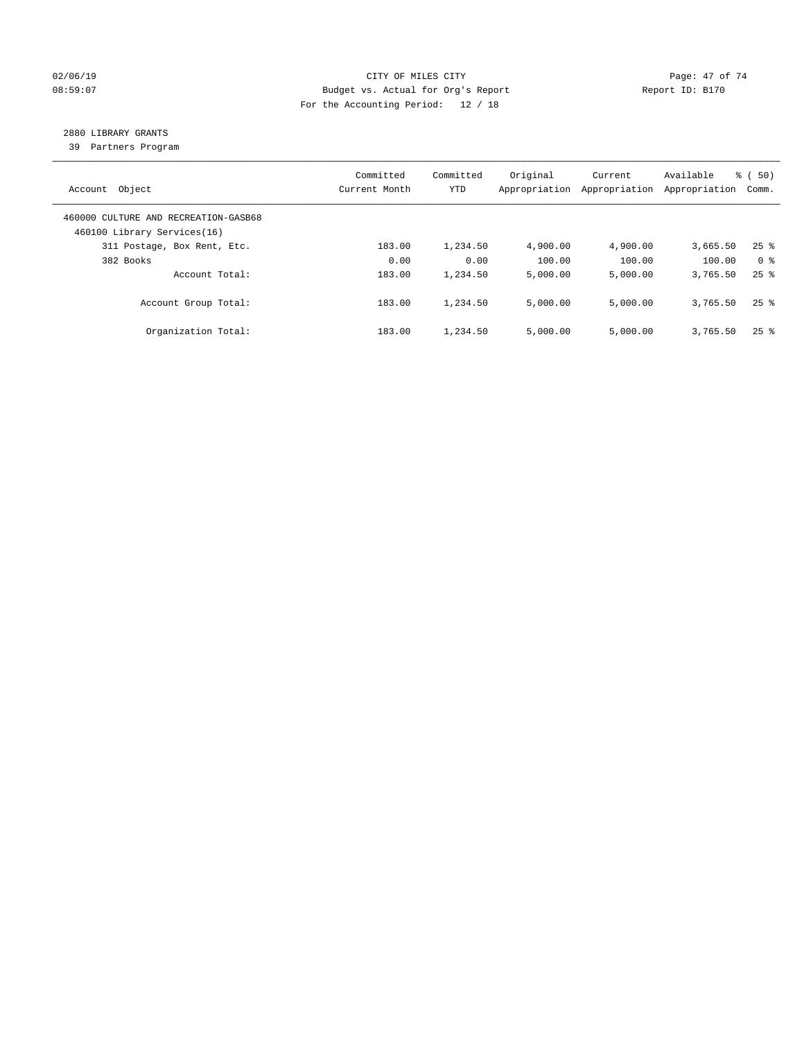## $O2/06/19$  Page: 47 of 74 08:59:07 Budget vs. Actual for Org's Report Changer Report ID: B170 For the Accounting Period: 12 / 18

## 2880 LIBRARY GRANTS

39 Partners Program

| Account Object                                                      | Committed<br>Current Month | Committed<br><b>YTD</b> | Original<br>Appropriation | Current<br>Appropriation | Available<br>Appropriation | % ( 50)<br>Comm.   |
|---------------------------------------------------------------------|----------------------------|-------------------------|---------------------------|--------------------------|----------------------------|--------------------|
| 460000 CULTURE AND RECREATION-GASB68<br>460100 Library Services(16) |                            |                         |                           |                          |                            |                    |
| 311 Postage, Box Rent, Etc.                                         | 183.00                     | 1,234.50                | 4,900.00                  | 4,900.00                 | 3,665.50                   | $25$ $\frac{6}{5}$ |
| 382 Books                                                           | 0.00                       | 0.00                    | 100.00                    | 100.00                   | 100.00                     | 0 <sup>8</sup>     |
| Account Total:                                                      | 183.00                     | 1,234.50                | 5,000.00                  | 5,000.00                 | 3,765.50                   | $25$ $%$           |
| Account Group Total:                                                | 183.00                     | 1,234.50                | 5,000.00                  | 5.000.00                 | 3,765.50                   | $25$ $\frac{6}{5}$ |
| Organization Total:                                                 | 183.00                     | 1,234.50                | 5.000.00                  | 5,000.00                 | 3,765.50                   | $25$ %             |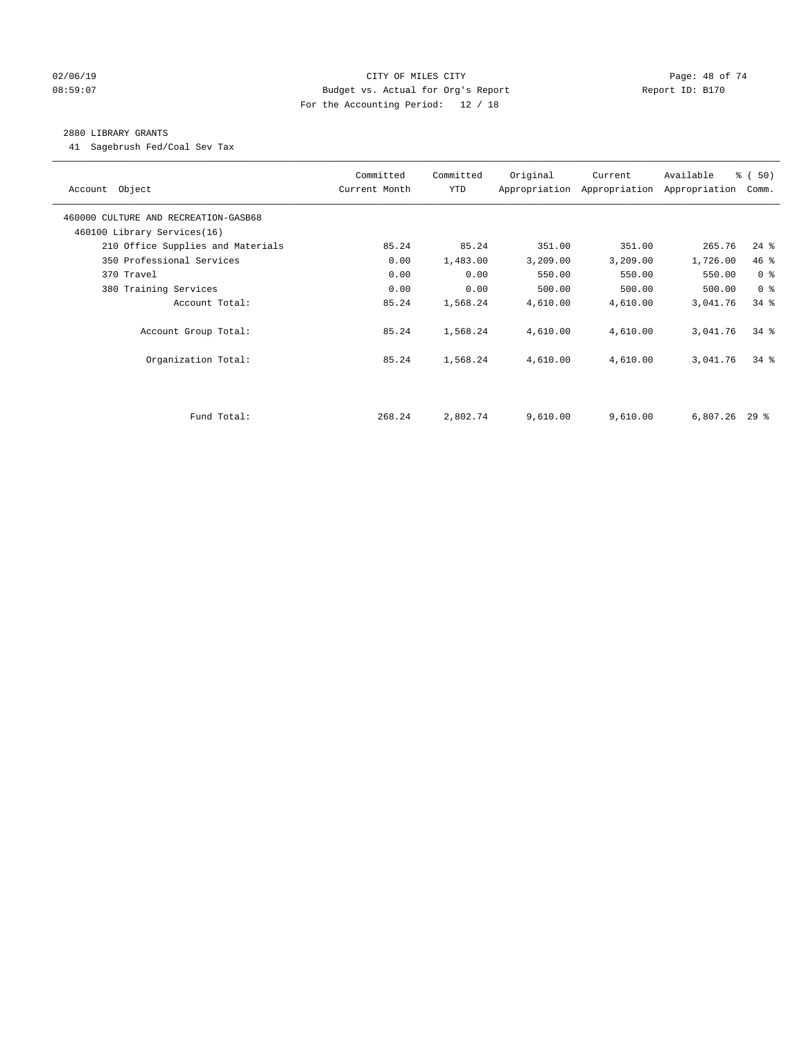## $O2/06/19$  Page: 48 of 74 08:59:07 Budget vs. Actual for Org's Report Report ID: B170 For the Accounting Period: 12 / 18

## 2880 LIBRARY GRANTS

41 Sagebrush Fed/Coal Sev Tax

| Account Object                       | Committed<br>Current Month | Committed<br><b>YTD</b> | Original | Current<br>Appropriation Appropriation Appropriation | Available       | % (50)<br>Comm. |
|--------------------------------------|----------------------------|-------------------------|----------|------------------------------------------------------|-----------------|-----------------|
| 460000 CULTURE AND RECREATION-GASB68 |                            |                         |          |                                                      |                 |                 |
| 460100 Library Services(16)          |                            |                         |          |                                                      |                 |                 |
| 210 Office Supplies and Materials    | 85.24                      | 85.24                   | 351.00   | 351.00                                               | 265.76          | $24$ %          |
| 350 Professional Services            | 0.00                       | 1,483.00                | 3,209.00 | 3,209.00                                             | 1,726.00        | 46%             |
| 370 Travel                           | 0.00                       | 0.00                    | 550.00   | 550.00                                               | 550.00          | 0 <sup>8</sup>  |
| 380 Training Services                | 0.00                       | 0.00                    | 500.00   | 500.00                                               | 500.00          | 0 <sup>8</sup>  |
| Account Total:                       | 85.24                      | 1,568.24                | 4,610.00 | 4,610.00                                             | 3,041.76        | $34$ $%$        |
| Account Group Total:                 | 85.24                      | 1,568.24                | 4,610.00 | 4,610.00                                             | 3,041.76        | $34$ $%$        |
| Organization Total:                  | 85.24                      | 1,568.24                | 4,610.00 | 4,610.00                                             | 3,041.76        | $34$ $%$        |
|                                      |                            |                         |          |                                                      |                 |                 |
| Fund Total:                          | 268.24                     | 2,802.74                | 9,610.00 | 9,610.00                                             | $6,807.26$ 29 % |                 |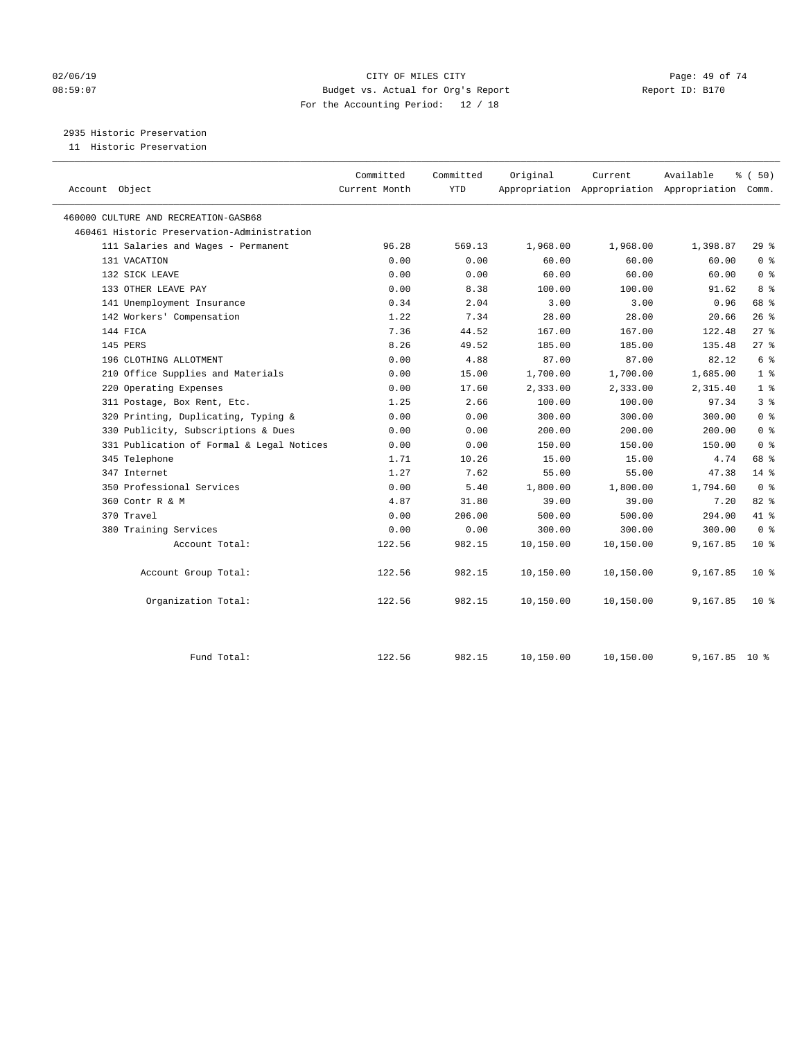## $O2/06/19$  Page: 49 of 74 08:59:07 Budget vs. Actual for Org's Report Report ID: B170 For the Accounting Period: 12 / 18

2935 Historic Preservation

11 Historic Preservation

|                                             | Committed     | Committed  | Original  | Current   | Available                                       | % (50)          |
|---------------------------------------------|---------------|------------|-----------|-----------|-------------------------------------------------|-----------------|
| Account Object                              | Current Month | <b>YTD</b> |           |           | Appropriation Appropriation Appropriation Comm. |                 |
| 460000 CULTURE AND RECREATION-GASB68        |               |            |           |           |                                                 |                 |
| 460461 Historic Preservation-Administration |               |            |           |           |                                                 |                 |
| 111 Salaries and Wages - Permanent          | 96.28         | 569.13     | 1,968.00  | 1,968.00  | 1,398.87                                        | 29%             |
| 131 VACATION                                | 0.00          | 0.00       | 60.00     | 60.00     | 60.00                                           | 0 <sup>8</sup>  |
| 132 SICK LEAVE                              | 0.00          | 0.00       | 60.00     | 60.00     | 60.00                                           | 0 <sup>8</sup>  |
| 133 OTHER LEAVE PAY                         | 0.00          | 8.38       | 100.00    | 100.00    | 91.62                                           | 8 %             |
| 141 Unemployment Insurance                  | 0.34          | 2.04       | 3.00      | 3.00      | 0.96                                            | 68 %            |
| 142 Workers' Compensation                   | 1.22          | 7.34       | 28.00     | 28.00     | 20.66                                           | 26%             |
| 144 FICA                                    | 7.36          | 44.52      | 167.00    | 167.00    | 122.48                                          | $27$ %          |
| 145 PERS                                    | 8.26          | 49.52      | 185.00    | 185.00    | 135.48                                          | $27$ %          |
| 196 CLOTHING ALLOTMENT                      | 0.00          | 4.88       | 87.00     | 87.00     | 82.12                                           | 6 <sup>°</sup>  |
| 210 Office Supplies and Materials           | 0.00          | 15.00      | 1,700.00  | 1,700.00  | 1,685.00                                        | 1 <sup>°</sup>  |
| 220 Operating Expenses                      | 0.00          | 17.60      | 2,333.00  | 2,333.00  | 2,315.40                                        | 1 <sup>8</sup>  |
| 311 Postage, Box Rent, Etc.                 | 1.25          | 2.66       | 100.00    | 100.00    | 97.34                                           | 3 <sup>8</sup>  |
| 320 Printing, Duplicating, Typing &         | 0.00          | 0.00       | 300.00    | 300.00    | 300.00                                          | 0 <sup>8</sup>  |
| 330 Publicity, Subscriptions & Dues         | 0.00          | 0.00       | 200.00    | 200.00    | 200.00                                          | 0 <sup>8</sup>  |
| 331 Publication of Formal & Legal Notices   | 0.00          | 0.00       | 150.00    | 150.00    | 150.00                                          | 0 <sup>8</sup>  |
| 345 Telephone                               | 1.71          | 10.26      | 15.00     | 15.00     | 4.74                                            | 68 %            |
| 347 Internet                                | 1.27          | 7.62       | 55.00     | 55.00     | 47.38                                           | $14*$           |
| 350 Professional Services                   | 0.00          | 5.40       | 1,800.00  | 1,800.00  | 1,794.60                                        | 0 <sup>8</sup>  |
| 360 Contr R & M                             | 4.87          | 31.80      | 39.00     | 39.00     | 7.20                                            | 82%             |
| 370 Travel                                  | 0.00          | 206.00     | 500.00    | 500.00    | 294.00                                          | 41 %            |
| 380 Training Services                       | 0.00          | 0.00       | 300.00    | 300.00    | 300.00                                          | 0 <sup>8</sup>  |
| Account Total:                              | 122.56        | 982.15     | 10,150.00 | 10,150.00 | 9,167.85                                        | $10*$           |
| Account Group Total:                        | 122.56        | 982.15     | 10,150.00 | 10,150.00 | 9,167.85                                        | $10*$           |
| Organization Total:                         | 122.56        | 982.15     | 10,150.00 | 10,150.00 | 9,167.85                                        | 10 <sup>8</sup> |
| Fund Total:                                 | 122.56        | 982.15     | 10,150.00 | 10,150.00 | 9,167.85 10 %                                   |                 |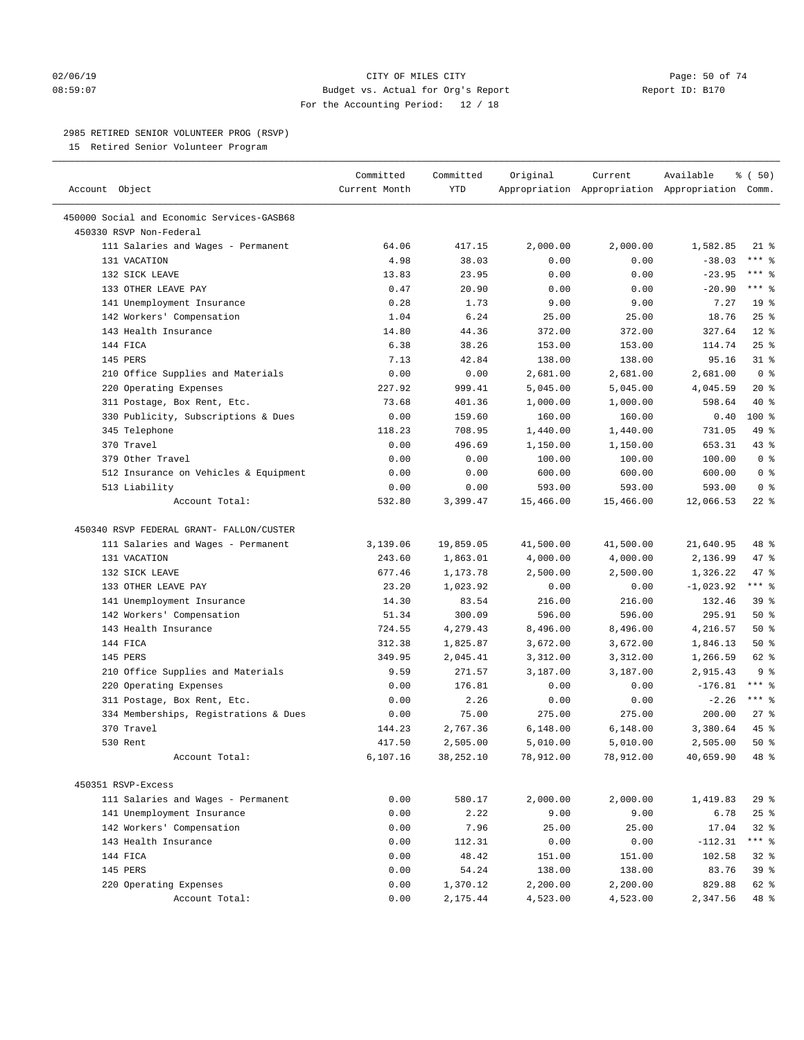### $O2/06/19$  Page: 50 of 74 08:59:07 Budget vs. Actual for Org's Report Report ID: B170 For the Accounting Period: 12 / 18

————————————————————————————————————————————————————————————————————————————————————————————————————————————————————————————————————

## 2985 RETIRED SENIOR VOLUNTEER PROG (RSVP)

15 Retired Senior Volunteer Program

|                                            | Committed     | Committed       | Original           | Current            | Available                                       | <sub>ර</sub> ි (50) |  |
|--------------------------------------------|---------------|-----------------|--------------------|--------------------|-------------------------------------------------|---------------------|--|
| Account Object                             | Current Month | YTD             |                    |                    | Appropriation Appropriation Appropriation Comm. |                     |  |
| 450000 Social and Economic Services-GASB68 |               |                 |                    |                    |                                                 |                     |  |
| 450330 RSVP Non-Federal                    |               |                 |                    |                    |                                                 |                     |  |
| 111 Salaries and Wages - Permanent         | 64.06         | 417.15          | 2,000.00           | 2,000.00           | 1,582.85                                        | 21 %                |  |
| 131 VACATION                               | 4.98          | 38.03           | 0.00               | 0.00               | $-38.03$                                        | $***$ $%$           |  |
| 132 SICK LEAVE                             | 13.83         | 23.95           | 0.00               | 0.00               | $-23.95$                                        | *** 응               |  |
| 133 OTHER LEAVE PAY                        | 0.47          | 20.90           | 0.00               | 0.00               | $-20.90$                                        | $***$ $%$           |  |
| 141 Unemployment Insurance                 | 0.28          | 1.73            | 9.00               | 9.00               | 7.27                                            | 19 <sup>°</sup>     |  |
| 142 Workers' Compensation                  | 1.04          | 6.24            | 25.00              | 25.00              | 18.76                                           | $25$ %              |  |
| 143 Health Insurance                       | 14.80         | 44.36           | 372.00             | 372.00             | 327.64                                          | $12*$               |  |
| 144 FICA                                   | 6.38          | 38.26           | 153.00             | 153.00             | 114.74                                          | $25$ %              |  |
| 145 PERS                                   | 7.13          | 42.84           | 138.00             | 138.00             | 95.16                                           | $31$ %              |  |
| 210 Office Supplies and Materials          | 0.00          | 0.00            | 2,681.00           | 2,681.00           | 2,681.00                                        | 0 <sup>8</sup>      |  |
| 220 Operating Expenses                     | 227.92        | 999.41          | 5,045.00           | 5,045.00           | 4,045.59                                        | $20*$               |  |
| 311 Postage, Box Rent, Etc.                | 73.68         | 401.36          | 1,000.00           | 1,000.00           | 598.64                                          | 40 %                |  |
| 330 Publicity, Subscriptions & Dues        | 0.00          | 159.60          | 160.00             | 160.00             | 0.40                                            | $100*$              |  |
| 345 Telephone                              | 118.23        | 708.95          | 1,440.00           | 1,440.00           | 731.05                                          | 49 %                |  |
| 370 Travel                                 | 0.00          | 496.69          | 1,150.00           | 1,150.00           | 653.31                                          | 43 %                |  |
| 379 Other Travel                           | 0.00          | 0.00            | 100.00             | 100.00             | 100.00                                          | 0 <sup>8</sup>      |  |
| 512 Insurance on Vehicles & Equipment      | 0.00          | 0.00            | 600.00             | 600.00             | 600.00                                          | 0 <sup>8</sup>      |  |
| 513 Liability                              | 0.00          | 0.00            | 593.00             | 593.00             | 593.00                                          | 0 <sup>8</sup>      |  |
| Account Total:                             | 532.80        | 3,399.47        | 15,466.00          | 15,466.00          | 12,066.53                                       | $22$ %              |  |
|                                            |               |                 |                    |                    |                                                 |                     |  |
| 450340 RSVP FEDERAL GRANT- FALLON/CUSTER   |               |                 |                    |                    |                                                 |                     |  |
| 111 Salaries and Wages - Permanent         | 3,139.06      | 19,859.05       | 41,500.00          | 41,500.00          | 21,640.95                                       | 48 %                |  |
| 131 VACATION                               | 243.60        | 1,863.01        | 4,000.00           | 4,000.00           | 2,136.99                                        | 47 %                |  |
| 132 SICK LEAVE                             | 677.46        | 1,173.78        | 2,500.00           | 2,500.00           | 1,326.22                                        | 47 %                |  |
| 133 OTHER LEAVE PAY                        | 23.20         | 1,023.92        | 0.00               | 0.00               | $-1,023.92$                                     | $***$ $_{8}$        |  |
| 141 Unemployment Insurance                 | 14.30         | 83.54           | 216.00             | 216.00             | 132.46                                          | 39 <sup>8</sup>     |  |
| 142 Workers' Compensation                  | 51.34         | 300.09          | 596.00             | 596.00             | 295.91                                          | 50%                 |  |
| 143 Health Insurance                       | 724.55        | 4,279.43        | 8,496.00           | 8,496.00           | 4,216.57                                        | 50%                 |  |
| 144 FICA                                   | 312.38        | 1,825.87        | 3,672.00           | 3,672.00           | 1,846.13                                        | 50%                 |  |
| 145 PERS                                   | 349.95        | 2,045.41        | 3,312.00           | 3,312.00           | 1,266.59                                        | 62 %                |  |
| 210 Office Supplies and Materials          | 9.59          | 271.57          | 3,187.00           | 3,187.00           | 2,915.43                                        | 9 <sup>8</sup>      |  |
| 220 Operating Expenses                     | 0.00          | 176.81          | 0.00               | 0.00               | $-176.81$                                       | $***$ %             |  |
| 311 Postage, Box Rent, Etc.                | 0.00          | 2.26            | 0.00               | 0.00               | $-2.26$                                         | $***$ $-$           |  |
| 334 Memberships, Registrations & Dues      | 0.00          | 75.00           | 275.00             | 275.00             | 200.00                                          | $27$ %              |  |
| 370 Travel                                 | 144.23        | 2,767.36        | 6,148.00           | 6,148.00           | 3,380.64                                        | 45 %                |  |
| 530 Rent                                   | 417.50        | 2,505.00        | 5,010.00           | 5,010.00           | 2,505.00                                        | 50%                 |  |
| Account Total:                             | 6,107.16      | 38,252.10       | 78,912.00          | 78,912.00          | 40,659.90                                       | 48 %                |  |
|                                            |               |                 |                    |                    |                                                 |                     |  |
| 450351 RSVP-Excess                         |               |                 |                    |                    |                                                 |                     |  |
| 111 Salaries and Wages - Permanent         | 0.00<br>0.00  | 580.17          | 2,000.00<br>9.00   | 2,000.00<br>9.00   | 1,419.83                                        | 29%<br>25%          |  |
| 141 Unemployment Insurance                 | 0.00          | 2.22<br>7.96    | 25.00              | 25.00              | 6.78<br>17.04                                   | $32$ $%$            |  |
| 142 Workers' Compensation                  |               |                 |                    |                    |                                                 |                     |  |
| 143 Health Insurance<br>144 FICA           | 0.00<br>0.00  | 112.31<br>48.42 | 0.00               | 0.00               | $-112.31$                                       | *** 응<br>$32$ $%$   |  |
|                                            |               | 54.24           | 151.00             | 151.00             | 102.58                                          | 39 %                |  |
| 145 PERS<br>220 Operating Expenses         | 0.00<br>0.00  | 1,370.12        | 138.00<br>2,200.00 | 138.00<br>2,200.00 | 83.76<br>829.88                                 | 62 %                |  |
| Account Total:                             | 0.00          | 2,175.44        | 4,523.00           | 4,523.00           | 2,347.56                                        | 48 %                |  |
|                                            |               |                 |                    |                    |                                                 |                     |  |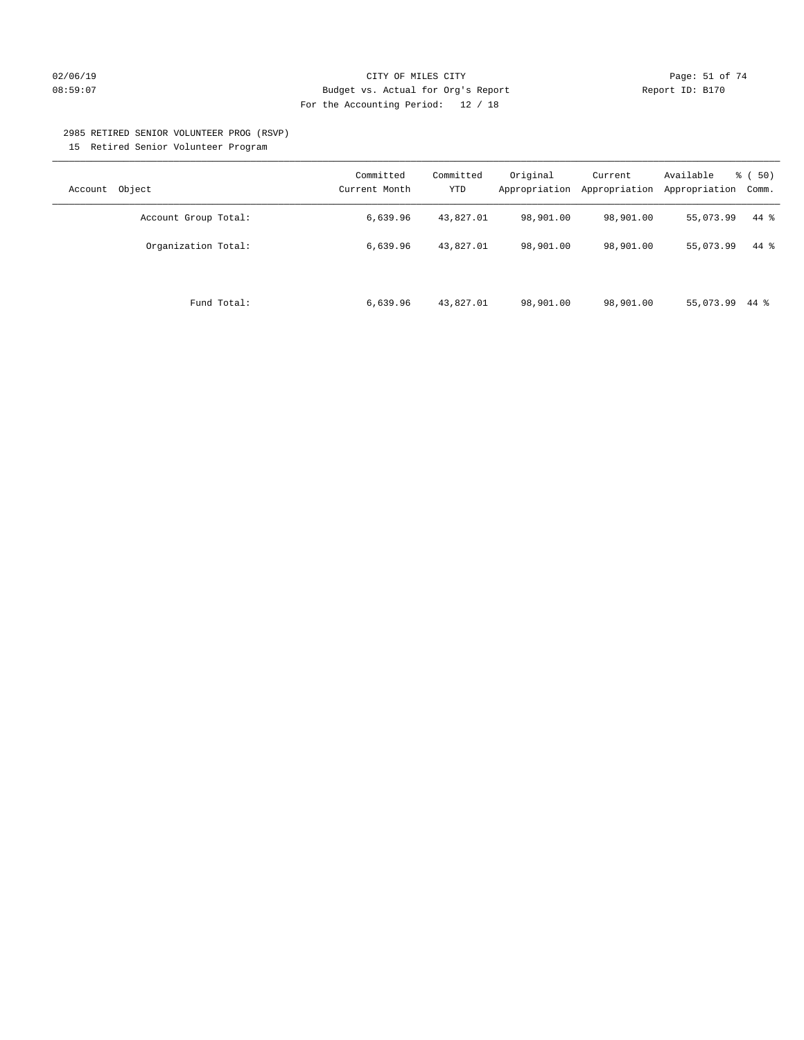## $O2/06/19$  Page: 51 of 74 08:59:07 Budget vs. Actual for Org's Report Report ID: B170 For the Accounting Period: 12 / 18

#### 2985 RETIRED SENIOR VOLUNTEER PROG (RSVP)

15 Retired Senior Volunteer Program

| Object<br>Account    | Committed<br>Current Month | Committed<br><b>YTD</b> | Original<br>Appropriation | Current<br>Appropriation | Available<br>Appropriation | % ( 50)<br>Comm. |
|----------------------|----------------------------|-------------------------|---------------------------|--------------------------|----------------------------|------------------|
| Account Group Total: | 6,639.96                   | 43,827.01               | 98,901.00                 | 98,901.00                | 55,073.99                  | 44 %             |
| Organization Total:  | 6,639.96                   | 43,827.01               | 98,901.00                 | 98,901.00                | 55,073.99                  | $44*$            |
| Fund Total:          | 6,639.96                   | 43,827.01               | 98,901.00                 | 98,901.00                | 55,073.99                  | 44 %             |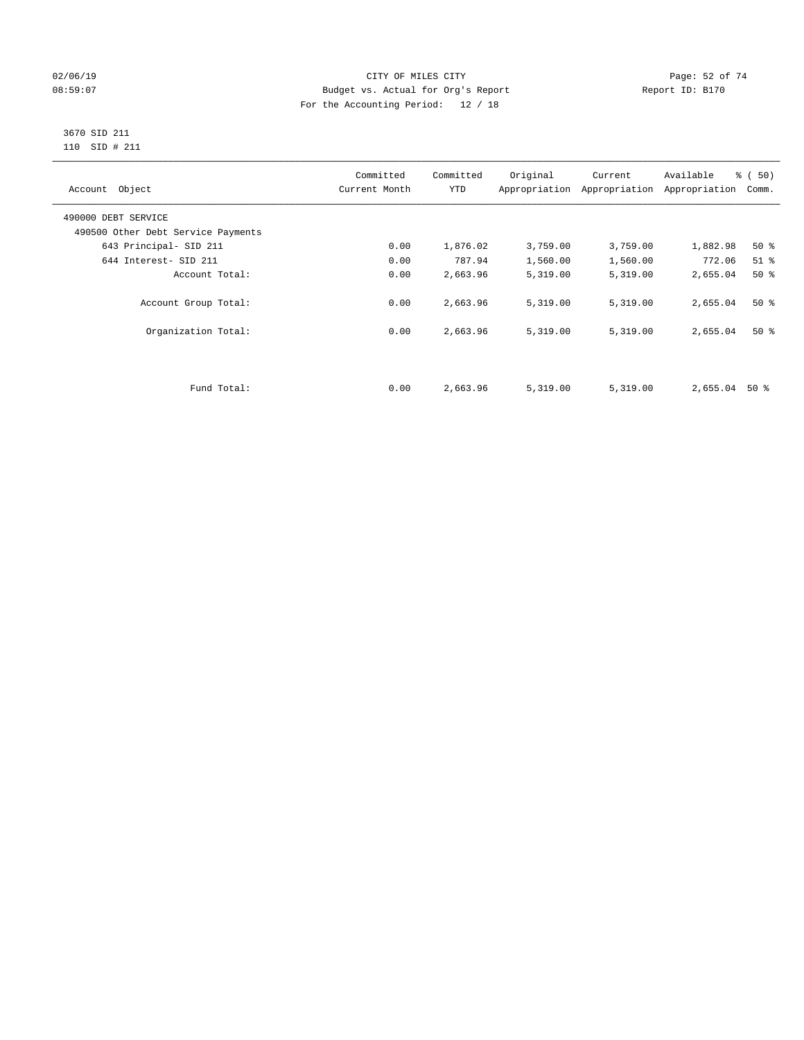## $O2/06/19$  Page: 52 of 74 08:59:07 Budget vs. Actual for Org's Report Changer Report ID: B170 For the Accounting Period: 12 / 18

#### 3670 SID 211 110 SID # 211

| Account Object                     | Committed<br>Current Month | Committed<br><b>YTD</b> | Original | Current<br>Appropriation Appropriation | Available<br>Appropriation | % (50)<br>Comm. |
|------------------------------------|----------------------------|-------------------------|----------|----------------------------------------|----------------------------|-----------------|
| 490000 DEBT SERVICE                |                            |                         |          |                                        |                            |                 |
| 490500 Other Debt Service Payments |                            |                         |          |                                        |                            |                 |
| 643 Principal- SID 211             | 0.00                       | 1,876.02                | 3,759.00 | 3,759.00                               | 1,882.98                   | 50%             |
| 644 Interest- SID 211              | 0.00                       | 787.94                  | 1,560.00 | 1,560.00                               | 772.06                     | $51$ %          |
| Account Total:                     | 0.00                       | 2,663.96                | 5,319.00 | 5,319.00                               | 2,655.04                   | $50*$           |
| Account Group Total:               | 0.00                       | 2,663.96                | 5,319.00 | 5,319.00                               | 2,655.04                   | $50*$           |
| Organization Total:                | 0.00                       | 2,663.96                | 5,319.00 | 5,319.00                               | 2,655.04                   | $50*$           |
|                                    |                            |                         |          |                                        |                            |                 |
| Fund Total:                        | 0.00                       | 2,663.96                | 5,319.00 | 5,319.00                               | 2,655.04                   | 50 %            |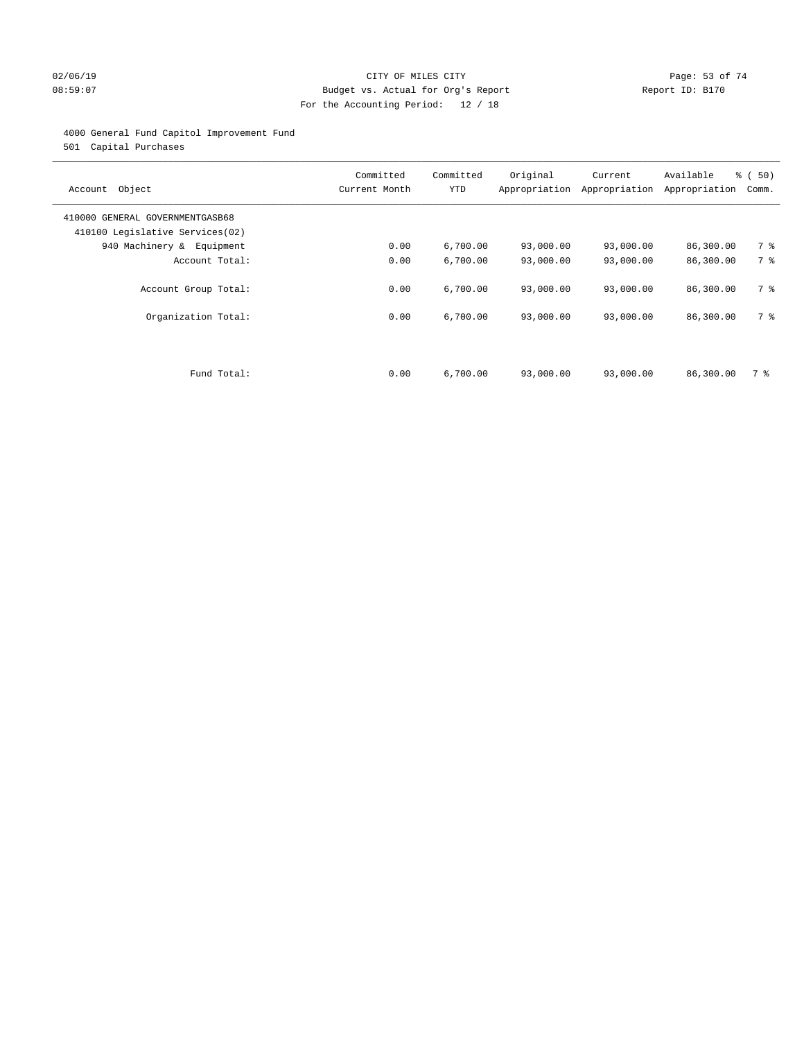## $O2/06/19$  Page: 53 of 74 08:59:07 Budget vs. Actual for Org's Report Report ID: B170 For the Accounting Period: 12 / 18

## 4000 General Fund Capitol Improvement Fund

501 Capital Purchases

| Object<br>Account                                                  | Committed<br>Current Month | Committed<br><b>YTD</b> | Original<br>Appropriation | Current<br>Appropriation | Available<br>Appropriation | % ( 50)<br>Comm. |
|--------------------------------------------------------------------|----------------------------|-------------------------|---------------------------|--------------------------|----------------------------|------------------|
| 410000 GENERAL GOVERNMENTGASB68<br>410100 Legislative Services(02) |                            |                         |                           |                          |                            |                  |
| 940 Machinery & Equipment                                          | 0.00                       | 6,700.00                | 93,000.00                 | 93,000.00                | 86,300.00                  | 7 %              |
| Account Total:                                                     | 0.00                       | 6,700.00                | 93,000.00                 | 93,000.00                | 86,300.00                  | 7 %              |
| Account Group Total:                                               | 0.00                       | 6,700.00                | 93,000.00                 | 93,000.00                | 86,300.00                  | 7 %              |
| Organization Total:                                                | 0.00                       | 6,700.00                | 93,000.00                 | 93,000.00                | 86,300.00                  | 7 %              |
|                                                                    |                            |                         |                           |                          |                            |                  |
| Fund Total:                                                        | 0.00                       | 6,700.00                | 93,000.00                 | 93,000.00                | 86,300.00                  | 7 %              |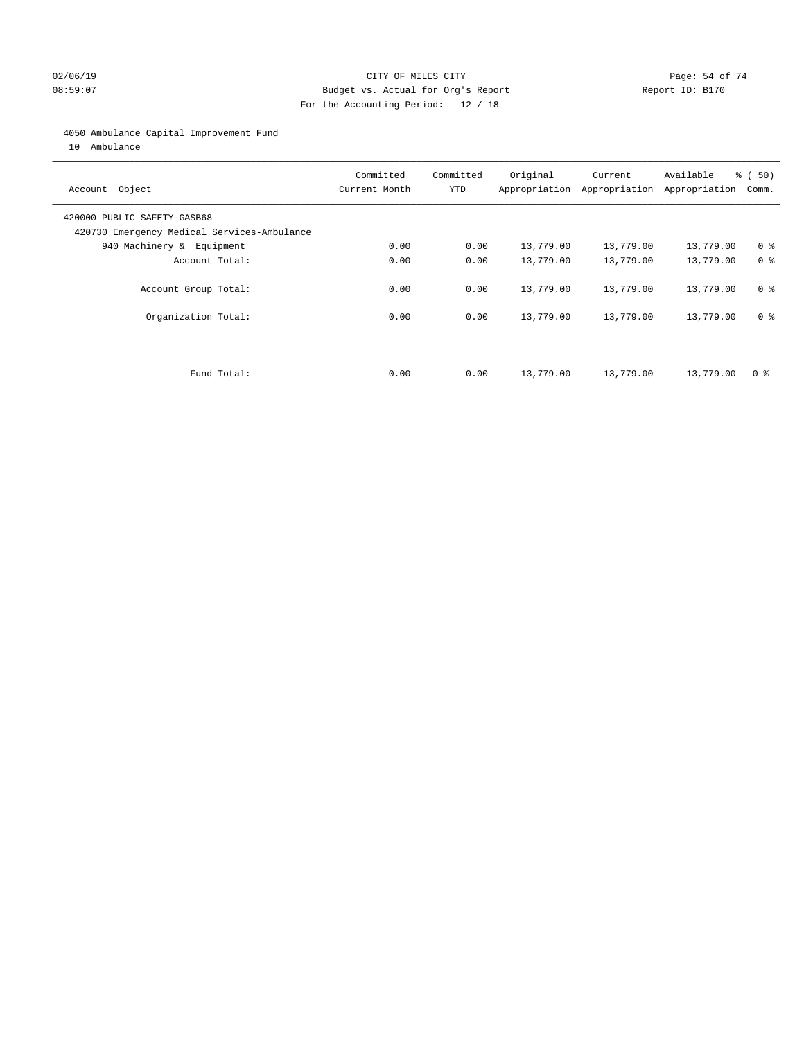## $O2/06/19$  Page: 54 of 74 08:59:07 Budget vs. Actual for Org's Report Report ID: B170 For the Accounting Period: 12 / 18

## 4050 Ambulance Capital Improvement Fund

10 Ambulance

| Account Object                                                             | Committed<br>Current Month | Committed<br><b>YTD</b> | Original  | Current<br>Appropriation Appropriation | Available<br>Appropriation | % ( 50)<br>Comm. |
|----------------------------------------------------------------------------|----------------------------|-------------------------|-----------|----------------------------------------|----------------------------|------------------|
| 420000 PUBLIC SAFETY-GASB68<br>420730 Emergency Medical Services-Ambulance |                            |                         |           |                                        |                            |                  |
| 940 Machinery & Equipment                                                  | 0.00                       | 0.00                    | 13,779.00 | 13,779.00                              | 13,779.00                  | 0 <sup>8</sup>   |
| Account Total:                                                             | 0.00                       | 0.00                    | 13,779.00 | 13,779.00                              | 13,779.00                  | 0 <sup>8</sup>   |
| Account Group Total:                                                       | 0.00                       | 0.00                    | 13,779.00 | 13,779.00                              | 13,779.00                  | 0 <sup>8</sup>   |
| Organization Total:                                                        | 0.00                       | 0.00                    | 13,779.00 | 13,779.00                              | 13,779.00                  | 0 <sup>8</sup>   |
|                                                                            |                            |                         |           |                                        |                            |                  |
| Fund Total:                                                                | 0.00                       | 0.00                    | 13,779.00 | 13,779.00                              | 13,779.00                  | 0 %              |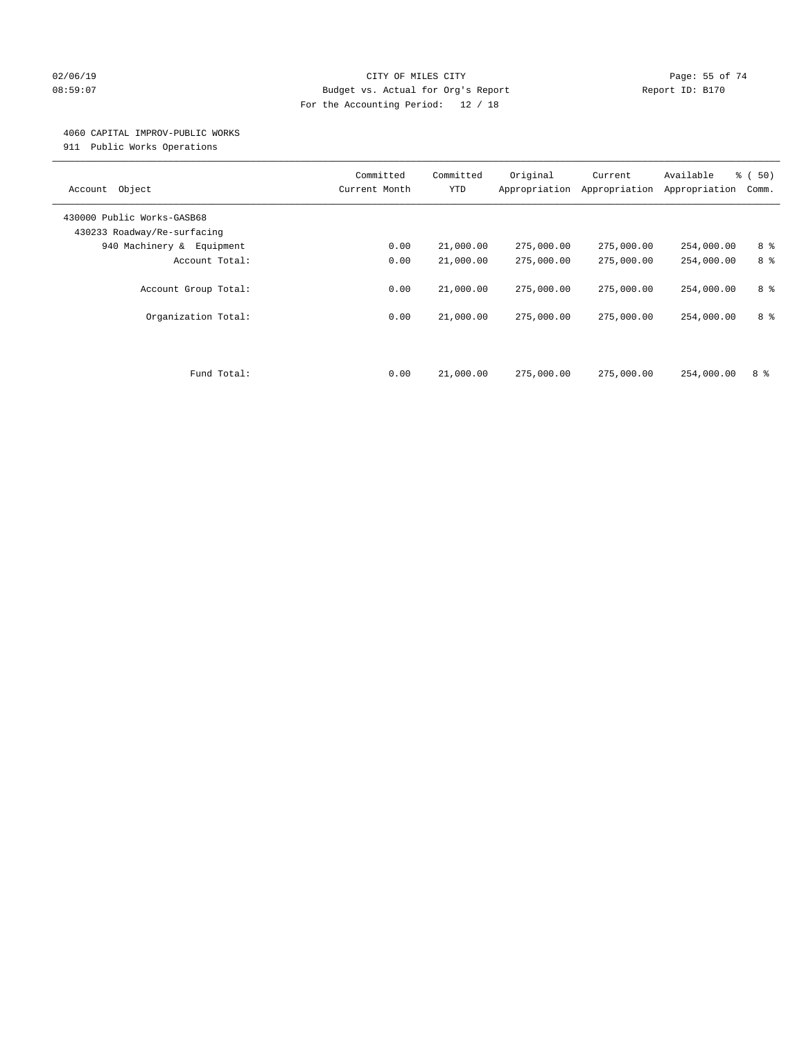## $O2/06/19$  Page: 55 of 74 08:59:07 Budget vs. Actual for Org's Report Changer Report ID: B170 For the Accounting Period: 12 / 18

## 4060 CAPITAL IMPROV-PUBLIC WORKS

911 Public Works Operations

| Object<br>Account                                         | Committed<br>Current Month | Committed<br><b>YTD</b> | Original<br>Appropriation | Current<br>Appropriation | Available<br>Appropriation | % (50)<br>Comm. |
|-----------------------------------------------------------|----------------------------|-------------------------|---------------------------|--------------------------|----------------------------|-----------------|
| 430000 Public Works-GASB68<br>430233 Roadway/Re-surfacing |                            |                         |                           |                          |                            |                 |
| 940 Machinery & Equipment                                 | 0.00                       | 21,000.00               | 275,000.00                | 275,000.00               | 254,000.00                 | 8 %             |
| Account Total:                                            | 0.00                       | 21,000.00               | 275,000.00                | 275,000.00               | 254,000.00                 | 8 %             |
| Account Group Total:                                      | 0.00                       | 21,000.00               | 275,000.00                | 275,000.00               | 254,000.00                 | 8 %             |
| Organization Total:                                       | 0.00                       | 21,000.00               | 275,000.00                | 275,000.00               | 254,000.00                 | 8 %             |
| Fund Total:                                               | 0.00                       | 21,000.00               | 275,000.00                | 275,000.00               | 254,000.00                 | 8 %             |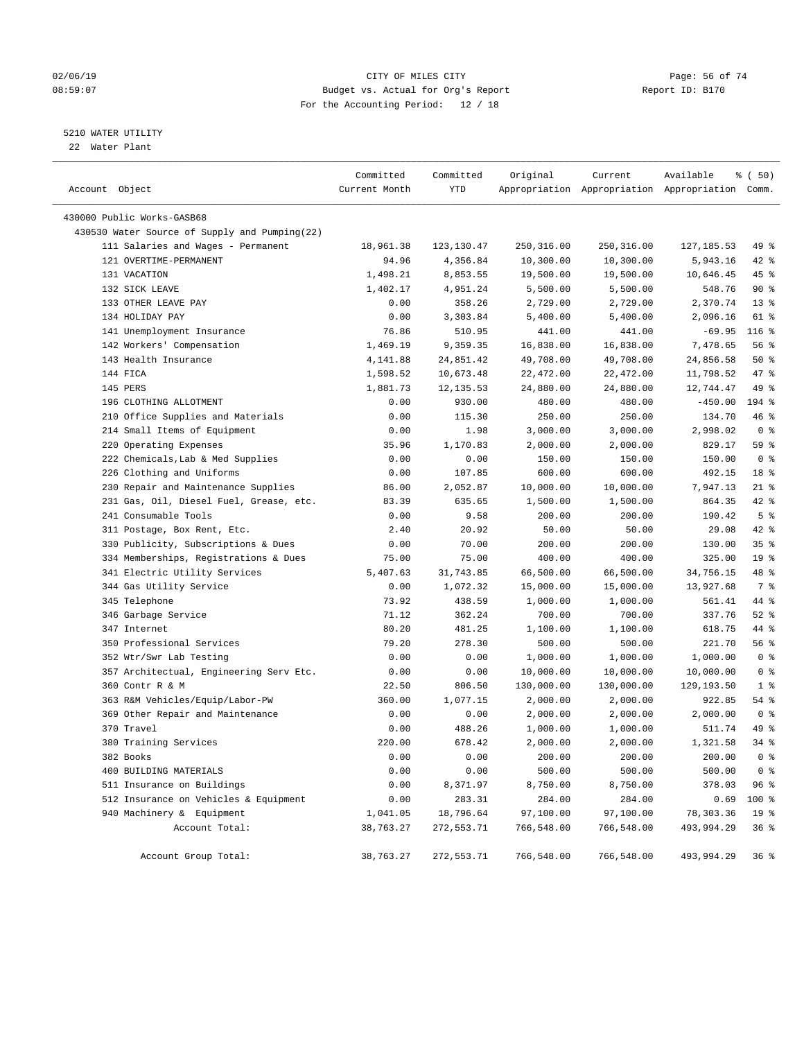## $O2/06/19$  Page: 56 of 74 08:59:07 Budget vs. Actual for Org's Report Changer Report ID: B170 For the Accounting Period: 12 / 18

————————————————————————————————————————————————————————————————————————————————————————————————————————————————————————————————————

## 5210 WATER UTILITY

22 Water Plant

|                                               | Committed     | Committed   | Original   | Current    | Available                                       | 8 ( 50)         |
|-----------------------------------------------|---------------|-------------|------------|------------|-------------------------------------------------|-----------------|
| Account Object                                | Current Month | YTD         |            |            | Appropriation Appropriation Appropriation Comm. |                 |
| 430000 Public Works-GASB68                    |               |             |            |            |                                                 |                 |
| 430530 Water Source of Supply and Pumping(22) |               |             |            |            |                                                 |                 |
| 111 Salaries and Wages - Permanent            | 18,961.38     | 123, 130.47 | 250,316.00 | 250,316.00 | 127, 185.53                                     | 49 %            |
| 121 OVERTIME-PERMANENT                        | 94.96         | 4,356.84    | 10,300.00  | 10,300.00  | 5,943.16                                        | $42$ %          |
| 131 VACATION                                  | 1,498.21      | 8,853.55    | 19,500.00  | 19,500.00  | 10,646.45                                       | 45 %            |
| 132 SICK LEAVE                                | 1,402.17      | 4,951.24    | 5,500.00   | 5,500.00   | 548.76                                          | 90%             |
| 133 OTHER LEAVE PAY                           | 0.00          | 358.26      | 2,729.00   | 2,729.00   | 2,370.74                                        | $13*$           |
| 134 HOLIDAY PAY                               | 0.00          | 3,303.84    | 5,400.00   | 5,400.00   | 2,096.16                                        | 61 %            |
| 141 Unemployment Insurance                    | 76.86         | 510.95      | 441.00     | 441.00     | $-69.95$                                        | $116$ %         |
| 142 Workers' Compensation                     | 1,469.19      | 9,359.35    | 16,838.00  | 16,838.00  | 7,478.65                                        | 56%             |
| 143 Health Insurance                          | 4,141.88      | 24,851.42   | 49,708.00  | 49,708.00  | 24,856.58                                       | 50%             |
| 144 FICA                                      | 1,598.52      | 10,673.48   | 22,472.00  | 22,472.00  | 11,798.52                                       | 47 %            |
| 145 PERS                                      | 1,881.73      | 12, 135.53  | 24,880.00  | 24,880.00  | 12,744.47                                       | 49 %            |
| 196 CLOTHING ALLOTMENT                        | 0.00          | 930.00      | 480.00     | 480.00     | $-450.00$                                       | 194 %           |
| 210 Office Supplies and Materials             | 0.00          | 115.30      | 250.00     | 250.00     | 134.70                                          | 46 %            |
| 214 Small Items of Equipment                  | 0.00          | 1.98        | 3,000.00   | 3,000.00   | 2,998.02                                        | 0 <sup>8</sup>  |
| 220 Operating Expenses                        | 35.96         | 1,170.83    | 2,000.00   | 2,000.00   | 829.17                                          | 59 %            |
| 222 Chemicals, Lab & Med Supplies             | 0.00          | 0.00        | 150.00     | 150.00     | 150.00                                          | 0 <sup>8</sup>  |
| 226 Clothing and Uniforms                     | 0.00          | 107.85      | 600.00     | 600.00     | 492.15                                          | 18 <sup>8</sup> |
| 230 Repair and Maintenance Supplies           | 86.00         | 2,052.87    | 10,000.00  | 10,000.00  | 7,947.13                                        | $21$ %          |
| 231 Gas, Oil, Diesel Fuel, Grease, etc.       | 83.39         | 635.65      | 1,500.00   | 1,500.00   | 864.35                                          | $42$ %          |
| 241 Consumable Tools                          | 0.00          | 9.58        | 200.00     | 200.00     | 190.42                                          | 5 <sup>8</sup>  |
| 311 Postage, Box Rent, Etc.                   | 2.40          | 20.92       | 50.00      | 50.00      | 29.08                                           | $42$ %          |
| 330 Publicity, Subscriptions & Dues           | 0.00          | 70.00       | 200.00     | 200.00     | 130.00                                          | 35%             |
| 334 Memberships, Registrations & Dues         | 75.00         | 75.00       | 400.00     | 400.00     | 325.00                                          | 19 <sup>°</sup> |
| 341 Electric Utility Services                 | 5,407.63      | 31,743.85   | 66,500.00  | 66,500.00  | 34,756.15                                       | 48 %            |
| 344 Gas Utility Service                       | 0.00          | 1,072.32    | 15,000.00  | 15,000.00  | 13,927.68                                       | 7 %             |
| 345 Telephone                                 | 73.92         | 438.59      | 1,000.00   | 1,000.00   | 561.41                                          | 44 %            |
| 346 Garbage Service                           | 71.12         | 362.24      | 700.00     | 700.00     | 337.76                                          | $52$ $%$        |
| 347 Internet                                  | 80.20         | 481.25      | 1,100.00   | 1,100.00   | 618.75                                          | 44 %            |
| 350 Professional Services                     | 79.20         | 278.30      | 500.00     | 500.00     | 221.70                                          | 56%             |
| 352 Wtr/Swr Lab Testing                       | 0.00          | 0.00        | 1,000.00   | 1,000.00   | 1,000.00                                        | 0 <sup>8</sup>  |
| 357 Architectual, Engineering Serv Etc.       | 0.00          | 0.00        | 10,000.00  | 10,000.00  | 10,000.00                                       | 0 <sup>8</sup>  |
| 360 Contr R & M                               | 22.50         | 806.50      | 130,000.00 | 130,000.00 | 129,193.50                                      | 1 <sup>8</sup>  |
| 363 R&M Vehicles/Equip/Labor-PW               | 360.00        | 1,077.15    | 2,000.00   | 2,000.00   | 922.85                                          | $54$ %          |
| 369 Other Repair and Maintenance              | 0.00          | 0.00        | 2,000.00   | 2,000.00   | 2,000.00                                        | 0 <sup>8</sup>  |
| 370 Travel                                    | 0.00          | 488.26      | 1,000.00   | 1,000.00   | 511.74                                          | 49 %            |
| 380 Training Services                         | 220.00        | 678.42      | 2,000.00   | 2,000.00   | 1,321.58                                        | $34$ $%$        |
| 382 Books                                     | 0.00          | 0.00        | 200.00     | 200.00     | 200.00                                          | 0 <sup>8</sup>  |
| 400 BUILDING MATERIALS                        | 0.00          | 0.00        | 500.00     | 500.00     | 500.00                                          | 0 <sup>8</sup>  |
| 511 Insurance on Buildings                    | 0.00          | 8,371.97    | 8,750.00   | 8,750.00   | 378.03                                          | 96%             |
| 512 Insurance on Vehicles & Equipment         | 0.00          | 283.31      | 284.00     | 284.00     | 0.69                                            | 100 %           |
| 940 Machinery & Equipment                     | 1,041.05      | 18,796.64   | 97,100.00  | 97,100.00  | 78,303.36                                       | $19*$           |
| Account Total:                                | 38,763.27     | 272,553.71  | 766,548.00 | 766,548.00 | 493,994.29                                      | 36%             |
| Account Group Total:                          | 38,763.27     | 272,553.71  | 766,548.00 | 766,548.00 | 493,994.29                                      | 36 <sup>8</sup> |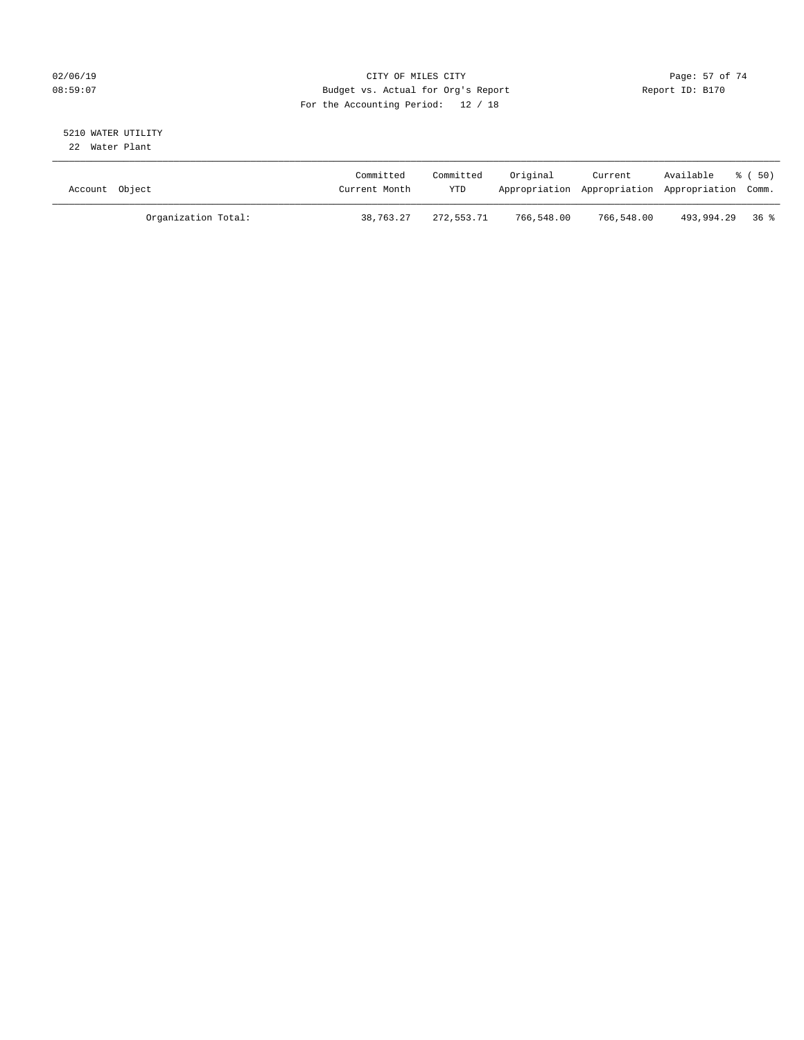## $O2/06/19$  Page: 57 of 74 08:59:07 Budget vs. Actual for Org's Report Report ID: B170 For the Accounting Period: 12 / 18

#### 5210 WATER UTILITY 22 Water Plant

| Account Object      | Committed<br>Current Month | Committed<br><b>YTD</b> | Original   | Current    | Available<br>Appropriation Appropriation Appropriation Comm. | 8 ( 50 ) |
|---------------------|----------------------------|-------------------------|------------|------------|--------------------------------------------------------------|----------|
| Organization Total: | 38,763.27                  | 272,553.71              | 766,548.00 | 766,548.00 | 493,994.29 36 %                                              |          |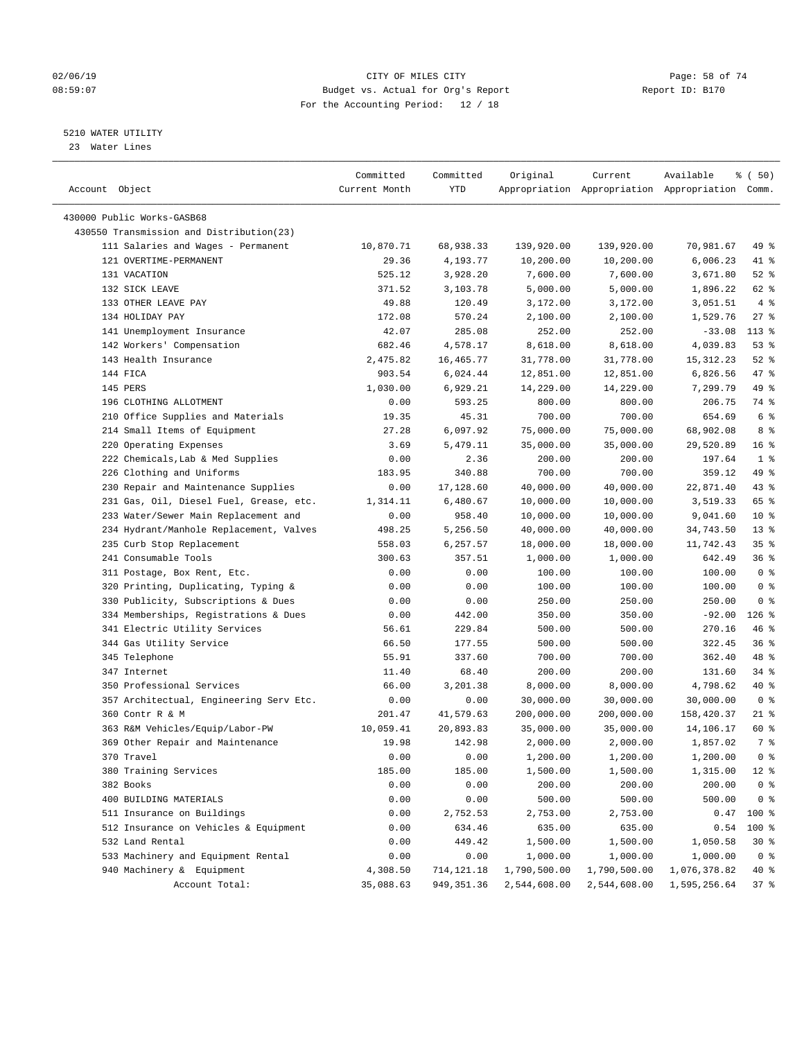## $O2/06/19$  Page: 58 of 74 08:59:07 Budget vs. Actual for Org's Report Changer Report ID: B170 For the Accounting Period: 12 / 18

————————————————————————————————————————————————————————————————————————————————————————————————————————————————————————————————————

## 5210 WATER UTILITY

23 Water Lines

|                                          | Committed     | Committed    | Original     | Current                                         | Available    | <sub>ර</sub> ි (50) |
|------------------------------------------|---------------|--------------|--------------|-------------------------------------------------|--------------|---------------------|
| Account Object                           | Current Month | YTD          |              | Appropriation Appropriation Appropriation Comm. |              |                     |
|                                          |               |              |              |                                                 |              |                     |
| 430000 Public Works-GASB68               |               |              |              |                                                 |              |                     |
| 430550 Transmission and Distribution(23) |               |              |              |                                                 |              |                     |
| 111 Salaries and Wages - Permanent       | 10,870.71     | 68,938.33    | 139,920.00   | 139,920.00                                      | 70,981.67    | 49 %                |
| 121 OVERTIME-PERMANENT                   | 29.36         | 4,193.77     | 10,200.00    | 10,200.00                                       | 6,006.23     | 41 %                |
| 131 VACATION                             | 525.12        | 3,928.20     | 7,600.00     | 7,600.00                                        | 3,671.80     | $52$ $%$            |
| 132 SICK LEAVE                           | 371.52        | 3,103.78     | 5,000.00     | 5,000.00                                        | 1,896.22     | 62 %                |
| 133 OTHER LEAVE PAY                      | 49.88         | 120.49       | 3,172.00     | 3,172.00                                        | 3,051.51     | 4%                  |
| 134 HOLIDAY PAY                          | 172.08        | 570.24       | 2,100.00     | 2,100.00                                        | 1,529.76     | $27$ %              |
| 141 Unemployment Insurance               | 42.07         | 285.08       | 252.00       | 252.00                                          | $-33.08$     | $113*$              |
| 142 Workers' Compensation                | 682.46        | 4,578.17     | 8,618.00     | 8,618.00                                        | 4,039.83     | 53%                 |
| 143 Health Insurance                     | 2,475.82      | 16,465.77    | 31,778.00    | 31,778.00                                       | 15, 312. 23  | $52$ $%$            |
| 144 FICA                                 | 903.54        | 6,024.44     | 12,851.00    | 12,851.00                                       | 6,826.56     | 47 %                |
| 145 PERS                                 | 1,030.00      | 6,929.21     | 14,229.00    | 14,229.00                                       | 7,299.79     | 49 %                |
| 196 CLOTHING ALLOTMENT                   | 0.00          | 593.25       | 800.00       | 800.00                                          | 206.75       | 74 %                |
| 210 Office Supplies and Materials        | 19.35         | 45.31        | 700.00       | 700.00                                          | 654.69       | 6 <sup>°</sup>      |
| 214 Small Items of Equipment             | 27.28         | 6,097.92     | 75,000.00    | 75,000.00                                       | 68,902.08    | 8 %                 |
| 220 Operating Expenses                   | 3.69          | 5,479.11     | 35,000.00    | 35,000.00                                       | 29,520.89    | 16%                 |
| 222 Chemicals, Lab & Med Supplies        | 0.00          | 2.36         | 200.00       | 200.00                                          | 197.64       | 1 <sup>°</sup>      |
| 226 Clothing and Uniforms                | 183.95        | 340.88       | 700.00       | 700.00                                          | 359.12       | 49 %                |
| 230 Repair and Maintenance Supplies      | 0.00          | 17,128.60    | 40,000.00    | 40,000.00                                       | 22,871.40    | 43 %                |
| 231 Gas, Oil, Diesel Fuel, Grease, etc.  | 1,314.11      | 6,480.67     | 10,000.00    | 10,000.00                                       | 3,519.33     | 65 %                |
| 233 Water/Sewer Main Replacement and     | 0.00          | 958.40       | 10,000.00    | 10,000.00                                       | 9,041.60     | $10*$               |
| 234 Hydrant/Manhole Replacement, Valves  | 498.25        | 5,256.50     | 40,000.00    | 40,000.00                                       | 34,743.50    | $13*$               |
| 235 Curb Stop Replacement                | 558.03        | 6,257.57     | 18,000.00    | 18,000.00                                       | 11,742.43    | 35%                 |
| 241 Consumable Tools                     | 300.63        | 357.51       | 1,000.00     | 1,000.00                                        | 642.49       | 36%                 |
| 311 Postage, Box Rent, Etc.              | 0.00          | 0.00         | 100.00       | 100.00                                          | 100.00       | 0 <sup>8</sup>      |
| 320 Printing, Duplicating, Typing &      | 0.00          | 0.00         | 100.00       | 100.00                                          | 100.00       | 0 <sup>8</sup>      |
| 330 Publicity, Subscriptions & Dues      | 0.00          | 0.00         | 250.00       | 250.00                                          | 250.00       | 0 <sup>8</sup>      |
| 334 Memberships, Registrations & Dues    | 0.00          | 442.00       | 350.00       | 350.00                                          | $-92.00$     | $126$ %             |
| 341 Electric Utility Services            | 56.61         | 229.84       | 500.00       | 500.00                                          | 270.16       | 46 %                |
| 344 Gas Utility Service                  | 66.50         | 177.55       | 500.00       | 500.00                                          | 322.45       | 36%                 |
| 345 Telephone                            | 55.91         | 337.60       | 700.00       | 700.00                                          | 362.40       | 48 %                |
| 347 Internet                             | 11.40         | 68.40        | 200.00       | 200.00                                          | 131.60       | 34 %                |
| 350 Professional Services                | 66.00         | 3,201.38     | 8,000.00     | 8,000.00                                        | 4,798.62     | 40 %                |
| 357 Architectual, Engineering Serv Etc.  | 0.00          | 0.00         | 30,000.00    | 30,000.00                                       | 30,000.00    | 0 <sup>8</sup>      |
| 360 Contr R & M                          | 201.47        | 41,579.63    | 200,000.00   | 200,000.00                                      | 158,420.37   | $21$ %              |
| 363 R&M Vehicles/Equip/Labor-PW          | 10,059.41     | 20,893.83    | 35,000.00    | 35,000.00                                       | 14,106.17    | 60 %                |
| 369 Other Repair and Maintenance         | 19.98         | 142.98       | 2,000.00     | 2,000.00                                        | 1,857.02     | 7 %                 |
| 370 Travel                               | 0.00          | 0.00         | 1,200.00     | 1,200.00                                        | 1,200.00     | 0 <sup>8</sup>      |
| 380 Training Services                    | 185.00        | 185.00       | 1,500.00     | 1,500.00                                        | 1,315.00     | $12*$               |
| 382 Books                                | 0.00          | 0.00         | 200.00       | 200.00                                          | 200.00       | 0 <sup>8</sup>      |
| 400 BUILDING MATERIALS                   | 0.00          | 0.00         | 500.00       | 500.00                                          | 500.00       | 0 <sup>8</sup>      |
| 511 Insurance on Buildings               | 0.00          | 2,752.53     | 2,753.00     | 2,753.00                                        | 0.47         | 100 %               |
| 512 Insurance on Vehicles & Equipment    | 0.00          | 634.46       | 635.00       | 635.00                                          | 0.54         | 100 %               |
| 532 Land Rental                          | 0.00          | 449.42       | 1,500.00     | 1,500.00                                        | 1,050.58     | $30*$               |
| 533 Machinery and Equipment Rental       | 0.00          | 0.00         | 1,000.00     | 1,000.00                                        | 1,000.00     | 0 <sup>8</sup>      |
| 940 Machinery & Equipment                | 4,308.50      | 714, 121. 18 | 1,790,500.00 | 1,790,500.00                                    | 1,076,378.82 | $40*$               |
| Account Total:                           | 35,088.63     | 949, 351.36  | 2,544,608.00 | 2,544,608.00                                    | 1,595,256.64 | 37%                 |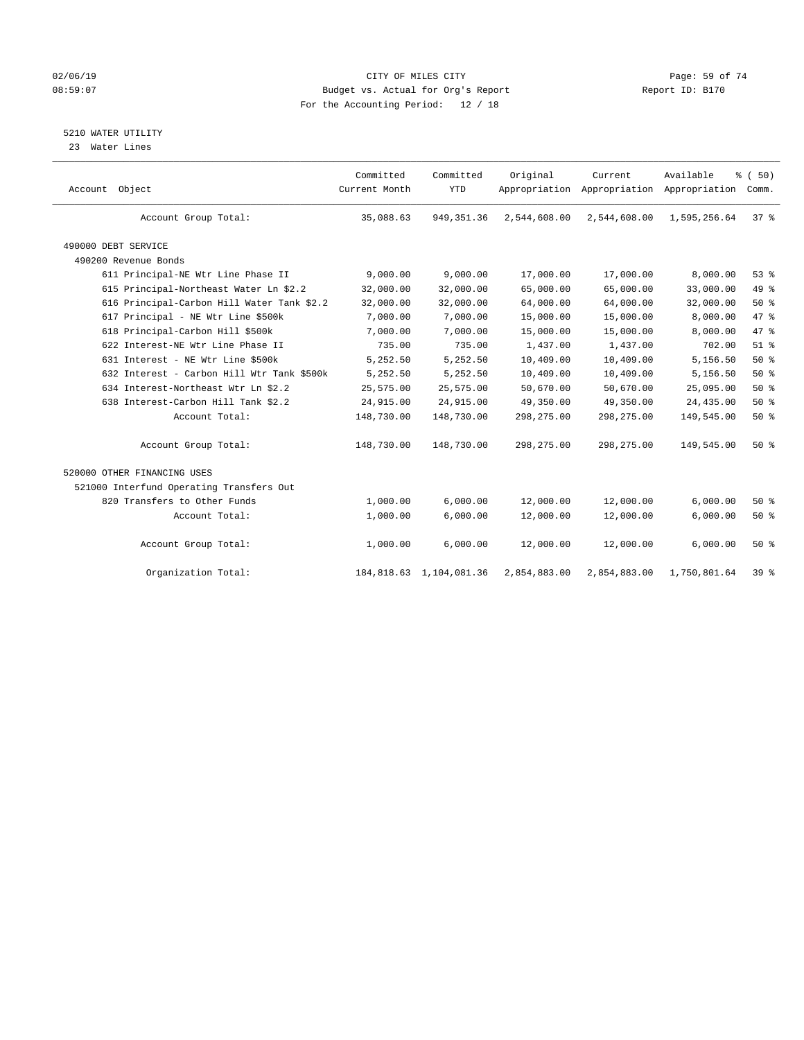## $O2/06/19$  Page: 59 of 74 08:59:07 Budget vs. Actual for Org's Report Changer Report ID: B170 For the Accounting Period: 12 / 18

## 5210 WATER UTILITY

23 Water Lines

| Account Object                             | Committed<br>Current Month | Committed<br><b>YTD</b> | Original     | Current<br>Appropriation Appropriation Appropriation | Available    | % (50)<br>Comm. |  |
|--------------------------------------------|----------------------------|-------------------------|--------------|------------------------------------------------------|--------------|-----------------|--|
| Account Group Total:                       | 35,088.63                  | 949, 351.36             | 2,544,608.00 | 2,544,608.00                                         | 1,595,256.64 | 37 <sup>8</sup> |  |
| 490000 DEBT SERVICE                        |                            |                         |              |                                                      |              |                 |  |
| 490200 Revenue Bonds                       |                            |                         |              |                                                      |              |                 |  |
| 611 Principal-NE Wtr Line Phase II         | 9,000.00                   | 9,000.00                | 17,000.00    | 17,000.00                                            | 8,000.00     | 53%             |  |
| 615 Principal-Northeast Water Ln \$2.2     | 32,000.00                  | 32,000.00               | 65,000.00    | 65,000.00                                            | 33,000.00    | 49 %            |  |
| 616 Principal-Carbon Hill Water Tank \$2.2 | 32,000.00                  | 32,000.00               | 64,000.00    | 64,000.00                                            | 32,000.00    | $50*$           |  |
| 617 Principal - NE Wtr Line \$500k         | 7,000.00                   | 7,000.00                | 15,000.00    | 15,000.00                                            | 8,000.00     | 47 %            |  |
| 618 Principal-Carbon Hill \$500k           | 7,000.00                   | 7,000.00                | 15,000.00    | 15,000.00                                            | 8,000.00     | 47 %            |  |
| 622 Interest-NE Wtr Line Phase II          | 735.00                     | 735.00                  | 1,437.00     | 1,437.00                                             | 702.00       | $51$ $%$        |  |
| 631 Interest - NE Wtr Line \$500k          | 5,252.50                   | 5,252.50                | 10,409.00    | 10,409.00                                            | 5,156.50     | 50%             |  |
| 632 Interest - Carbon Hill Wtr Tank \$500k | 5,252.50                   | 5,252.50                | 10,409.00    | 10,409.00                                            | 5,156.50     | 50%             |  |
| 634 Interest-Northeast Wtr Ln \$2.2        | 25,575.00                  | 25,575.00               | 50,670.00    | 50,670.00                                            | 25,095.00    | 50%             |  |
| 638 Interest-Carbon Hill Tank \$2.2        | 24,915.00                  | 24,915.00               | 49,350.00    | 49,350.00                                            | 24,435.00    | 50%             |  |
| Account Total:                             | 148,730.00                 | 148,730.00              | 298, 275.00  | 298,275.00                                           | 149,545.00   | 50%             |  |
| Account Group Total:                       | 148,730.00                 | 148,730.00              | 298, 275.00  | 298, 275.00                                          | 149,545.00   | 50%             |  |
| 520000 OTHER FINANCING USES                |                            |                         |              |                                                      |              |                 |  |
| 521000 Interfund Operating Transfers Out   |                            |                         |              |                                                      |              |                 |  |
| 820 Transfers to Other Funds               | 1,000.00                   | 6,000.00                | 12,000.00    | 12,000.00                                            | 6,000.00     | 50%             |  |
| Account Total:                             | 1,000.00                   | 6,000.00                | 12,000.00    | 12,000.00                                            | 6,000.00     | 50%             |  |
| Account Group Total:                       | 1,000.00                   | 6,000.00                | 12,000.00    | 12,000.00                                            | 6,000.00     | 50%             |  |
| Organization Total:                        | 184,818.63                 | 1,104,081.36            | 2,854,883.00 | 2,854,883.00                                         | 1,750,801.64 | 39 <sup>8</sup> |  |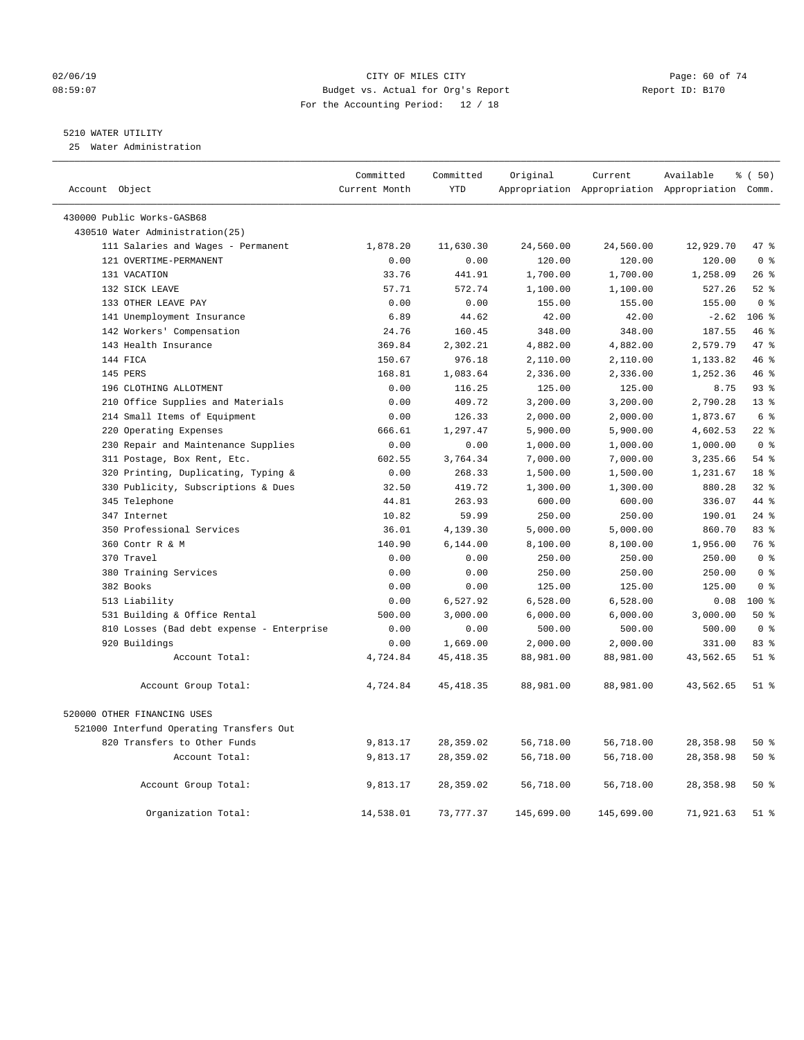### 02/06/19 Page: 60 of 74 08:59:07 Budget vs. Actual for Org's Report Report ID: B170 For the Accounting Period: 12 / 18

## 5210 WATER UTILITY

25 Water Administration

| Account Object                            | Committed<br>Current Month | Committed<br><b>YTD</b> | Original   | Current    | Available<br>Appropriation Appropriation Appropriation Comm. | % (50)          |
|-------------------------------------------|----------------------------|-------------------------|------------|------------|--------------------------------------------------------------|-----------------|
| 430000 Public Works-GASB68                |                            |                         |            |            |                                                              |                 |
| 430510 Water Administration(25)           |                            |                         |            |            |                                                              |                 |
| 111 Salaries and Wages - Permanent        | 1,878.20                   | 11,630.30               | 24,560.00  | 24,560.00  | 12,929.70                                                    | 47 %            |
| 121 OVERTIME-PERMANENT                    | 0.00                       | 0.00                    | 120.00     | 120.00     | 120.00                                                       | 0 <sup>8</sup>  |
| 131 VACATION                              | 33.76                      | 441.91                  | 1,700.00   | 1,700.00   | 1,258.09                                                     | $26$ %          |
| 132 SICK LEAVE                            | 57.71                      | 572.74                  | 1,100.00   | 1,100.00   | 527.26                                                       | $52$ $%$        |
| 133 OTHER LEAVE PAY                       | 0.00                       | 0.00                    | 155.00     | 155.00     | 155.00                                                       | 0 <sup>8</sup>  |
| 141 Unemployment Insurance                | 6.89                       | 44.62                   | 42.00      | 42.00      | $-2.62$                                                      | $106$ %         |
| 142 Workers' Compensation                 | 24.76                      | 160.45                  | 348.00     | 348.00     | 187.55                                                       | 46%             |
| 143 Health Insurance                      | 369.84                     | 2,302.21                | 4,882.00   | 4,882.00   | 2,579.79                                                     | 47 %            |
| 144 FICA                                  | 150.67                     | 976.18                  | 2,110.00   | 2,110.00   | 1,133.82                                                     | 46 %            |
| 145 PERS                                  | 168.81                     | 1,083.64                | 2,336.00   | 2,336.00   | 1,252.36                                                     | 46 %            |
| 196 CLOTHING ALLOTMENT                    | 0.00                       | 116.25                  | 125.00     | 125.00     | 8.75                                                         | 93%             |
| 210 Office Supplies and Materials         | 0.00                       | 409.72                  | 3,200.00   | 3,200.00   | 2,790.28                                                     | 13 <sup>8</sup> |
| 214 Small Items of Equipment              | 0.00                       | 126.33                  | 2,000.00   | 2,000.00   | 1,873.67                                                     | 6 <sup>°</sup>  |
| 220 Operating Expenses                    | 666.61                     | 1,297.47                | 5,900.00   | 5,900.00   | 4,602.53                                                     | $22$ %          |
| 230 Repair and Maintenance Supplies       | 0.00                       | 0.00                    | 1,000.00   | 1,000.00   | 1,000.00                                                     | 0 <sup>8</sup>  |
| 311 Postage, Box Rent, Etc.               | 602.55                     | 3,764.34                | 7,000.00   | 7,000.00   | 3,235.66                                                     | 54%             |
| 320 Printing, Duplicating, Typing &       | 0.00                       | 268.33                  | 1,500.00   | 1,500.00   | 1,231.67                                                     | 18 <sup>8</sup> |
| 330 Publicity, Subscriptions & Dues       | 32.50                      | 419.72                  | 1,300.00   | 1,300.00   | 880.28                                                       | 32%             |
| 345 Telephone                             | 44.81                      | 263.93                  | 600.00     | 600.00     | 336.07                                                       | 44 %            |
| 347 Internet                              | 10.82                      | 59.99                   | 250.00     | 250.00     | 190.01                                                       | $24$ %          |
| 350 Professional Services                 | 36.01                      | 4,139.30                | 5,000.00   | 5,000.00   | 860.70                                                       | 83 %            |
| 360 Contr R & M                           | 140.90                     | 6,144.00                | 8,100.00   | 8,100.00   | 1,956.00                                                     | 76 %            |
| 370 Travel                                | 0.00                       | 0.00                    | 250.00     | 250.00     | 250.00                                                       | 0 <sup>8</sup>  |
| 380 Training Services                     | 0.00                       | 0.00                    | 250.00     | 250.00     | 250.00                                                       | 0 <sup>8</sup>  |
| 382 Books                                 | 0.00                       | 0.00                    | 125.00     | 125.00     | 125.00                                                       | 0 <sup>8</sup>  |
| 513 Liability                             | 0.00                       | 6,527.92                | 6,528.00   | 6,528.00   | 0.08                                                         | $100*$          |
| 531 Building & Office Rental              | 500.00                     | 3,000.00                | 6,000.00   | 6,000.00   | 3,000.00                                                     | 50%             |
| 810 Losses (Bad debt expense - Enterprise | 0.00                       | 0.00                    | 500.00     | 500.00     | 500.00                                                       | 0 <sup>8</sup>  |
| 920 Buildings                             | 0.00                       | 1,669.00                | 2,000.00   | 2,000.00   | 331.00                                                       | 83 %            |
| Account Total:                            | 4,724.84                   | 45, 418.35              | 88,981.00  | 88,981.00  | 43,562.65                                                    | $51$ %          |
| Account Group Total:                      | 4,724.84                   | 45, 418.35              | 88,981.00  | 88,981.00  | 43,562.65                                                    | $51$ %          |
| 520000 OTHER FINANCING USES               |                            |                         |            |            |                                                              |                 |
| 521000 Interfund Operating Transfers Out  |                            |                         |            |            |                                                              |                 |
| 820 Transfers to Other Funds              | 9,813.17                   | 28,359.02               | 56,718.00  | 56,718.00  | 28,358.98                                                    | 50%             |
| Account Total:                            | 9,813.17                   | 28,359.02               | 56,718.00  | 56,718.00  | 28, 358.98                                                   | 50%             |
| Account Group Total:                      | 9,813.17                   | 28,359.02               | 56,718.00  | 56,718.00  | 28, 358.98                                                   | 50%             |
| Organization Total:                       | 14,538.01                  | 73, 777.37              | 145,699.00 | 145,699.00 | 71,921.63                                                    | $51$ %          |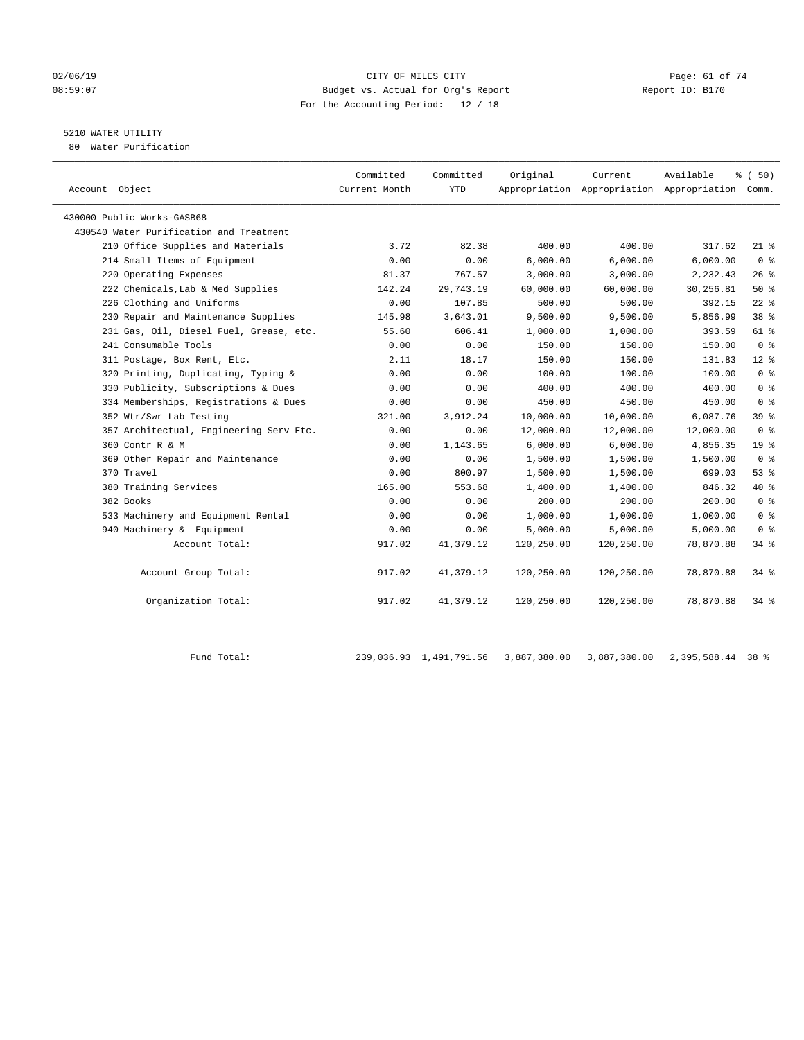### 02/06/19 Page: 61 of 74 08:59:07 Budget vs. Actual for Org's Report Report ID: B170 For the Accounting Period: 12 / 18

## 5210 WATER UTILITY

80 Water Purification

| Account Object                          | Committed<br>Current Month | Committed<br><b>YTD</b> | Original   | Current    | Available<br>Appropriation Appropriation Appropriation Comm. | 8 ( 50)         |
|-----------------------------------------|----------------------------|-------------------------|------------|------------|--------------------------------------------------------------|-----------------|
| 430000 Public Works-GASB68              |                            |                         |            |            |                                                              |                 |
| 430540 Water Purification and Treatment |                            |                         |            |            |                                                              |                 |
| 210 Office Supplies and Materials       | 3.72                       | 82.38                   | 400.00     | 400.00     | 317.62                                                       | $21$ %          |
| 214 Small Items of Equipment            | 0.00                       | 0.00                    | 6.000.00   | 6.000.00   | 6.000.00                                                     | 0 <sup>8</sup>  |
| 220 Operating Expenses                  | 81.37                      | 767.57                  | 3,000.00   | 3,000.00   | 2,232.43                                                     | 26%             |
| 222 Chemicals, Lab & Med Supplies       | 142.24                     | 29,743.19               | 60,000.00  | 60,000.00  | 30,256.81                                                    | 50%             |
| 226 Clothing and Uniforms               | 0.00                       | 107.85                  | 500.00     | 500.00     | 392.15                                                       | $22$ %          |
| 230 Repair and Maintenance Supplies     | 145.98                     | 3,643.01                | 9,500.00   | 9,500.00   | 5,856.99                                                     | 38 <sup>8</sup> |
| 231 Gas, Oil, Diesel Fuel, Grease, etc. | 55.60                      | 606.41                  | 1,000.00   | 1,000.00   | 393.59                                                       | 61 %            |
| 241 Consumable Tools                    | 0.00                       | 0.00                    | 150.00     | 150.00     | 150.00                                                       | 0 <sup>8</sup>  |
| 311 Postage, Box Rent, Etc.             | 2.11                       | 18.17                   | 150.00     | 150.00     | 131.83                                                       | $12$ %          |
| 320 Printing, Duplicating, Typing &     | 0.00                       | 0.00                    | 100.00     | 100.00     | 100.00                                                       | 0 <sup>8</sup>  |
| 330 Publicity, Subscriptions & Dues     | 0.00                       | 0.00                    | 400.00     | 400.00     | 400.00                                                       | 0 <sup>8</sup>  |
| 334 Memberships, Registrations & Dues   | 0.00                       | 0.00                    | 450.00     | 450.00     | 450.00                                                       | 0 <sup>8</sup>  |
| 352 Wtr/Swr Lab Testing                 | 321.00                     | 3,912.24                | 10,000.00  | 10,000.00  | 6,087.76                                                     | 39 %            |
| 357 Architectual, Engineering Serv Etc. | 0.00                       | 0.00                    | 12,000.00  | 12,000.00  | 12,000.00                                                    | 0 <sup>8</sup>  |
| 360 Contr R & M                         | 0.00                       | 1,143.65                | 6,000.00   | 6,000.00   | 4,856.35                                                     | 19 <sup>°</sup> |
| 369 Other Repair and Maintenance        | 0.00                       | 0.00                    | 1,500.00   | 1,500.00   | 1,500.00                                                     | 0 <sup>8</sup>  |
| 370 Travel                              | 0.00                       | 800.97                  | 1,500.00   | 1,500.00   | 699.03                                                       | 53%             |
| 380 Training Services                   | 165.00                     | 553.68                  | 1,400.00   | 1,400.00   | 846.32                                                       | $40*$           |
| 382 Books                               | 0.00                       | 0.00                    | 200.00     | 200.00     | 200.00                                                       | 0 <sup>8</sup>  |
| 533 Machinery and Equipment Rental      | 0.00                       | 0.00                    | 1,000.00   | 1,000.00   | 1,000.00                                                     | 0 <sup>8</sup>  |
| 940 Machinery & Equipment               | 0.00                       | 0.00                    | 5,000.00   | 5,000.00   | 5,000.00                                                     | 0 <sup>8</sup>  |
| Account Total:                          | 917.02                     | 41,379.12               | 120,250.00 | 120,250.00 | 78,870.88                                                    | 34%             |
| Account Group Total:                    | 917.02                     | 41,379.12               | 120,250.00 | 120,250.00 | 78,870.88                                                    | 34 %            |
| Organization Total:                     | 917.02                     | 41,379.12               | 120,250.00 | 120,250.00 | 78,870.88                                                    | $34$ $%$        |

Fund Total: 239,036.93 1,491,791.56 3,887,380.00 3,887,380.00 2,395,588.44 38 %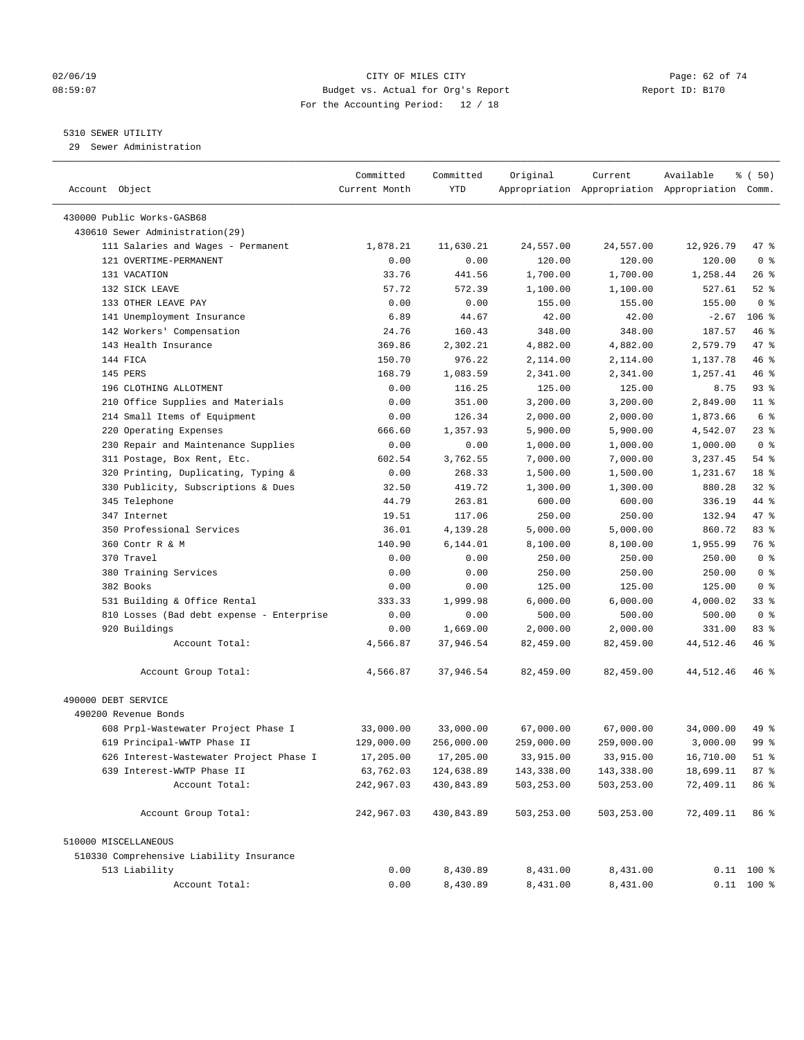### 02/06/19 Page: 62 of 74 08:59:07 Budget vs. Actual for Org's Report Report ID: B170 For the Accounting Period: 12 / 18

————————————————————————————————————————————————————————————————————————————————————————————————————————————————————————————————————

## 5310 SEWER UTILITY

29 Sewer Administration

|                                           | Committed     | Committed  | Original         | Current          | Available                                       | ៖ (50)         |
|-------------------------------------------|---------------|------------|------------------|------------------|-------------------------------------------------|----------------|
| Account Object                            | Current Month | YTD        |                  |                  | Appropriation Appropriation Appropriation Comm. |                |
| 430000 Public Works-GASB68                |               |            |                  |                  |                                                 |                |
| 430610 Sewer Administration(29)           |               |            |                  |                  |                                                 |                |
| 111 Salaries and Wages - Permanent        | 1,878.21      | 11,630.21  | 24,557.00        | 24,557.00        | 12,926.79                                       | 47 %           |
| 121 OVERTIME-PERMANENT                    | 0.00          | 0.00       | 120.00           | 120.00           | 120.00                                          | 0 <sup>8</sup> |
| 131 VACATION                              | 33.76         | 441.56     | 1,700.00         | 1,700.00         | 1,258.44                                        | $26$ %         |
| 132 SICK LEAVE                            | 57.72         | 572.39     | 1,100.00         | 1,100.00         | 527.61                                          | $52$ $%$       |
| 133 OTHER LEAVE PAY                       | 0.00          | 0.00       | 155.00           | 155.00           | 155.00                                          | 0 <sup>8</sup> |
| 141 Unemployment Insurance                | 6.89          | 44.67      | 42.00            | 42.00            | $-2.67$                                         | $106$ %        |
| 142 Workers' Compensation                 | 24.76         | 160.43     | 348.00           | 348.00           | 187.57                                          | 46 %           |
| 143 Health Insurance                      | 369.86        | 2,302.21   | 4,882.00         | 4,882.00         | 2,579.79                                        | 47 %           |
| 144 FICA                                  | 150.70        | 976.22     | 2,114.00         | 2,114.00         | 1,137.78                                        | 46 %           |
| 145 PERS                                  | 168.79        | 1,083.59   | 2,341.00         | 2,341.00         | 1,257.41                                        | 46 %           |
| 196 CLOTHING ALLOTMENT                    | 0.00          | 116.25     | 125.00           | 125.00           | 8.75                                            | $93$ $%$       |
| 210 Office Supplies and Materials         | 0.00          | 351.00     | 3,200.00         | 3,200.00         | 2,849.00                                        | $11$ %         |
| 214 Small Items of Equipment              | 0.00          | 126.34     | 2,000.00         | 2,000.00         | 1,873.66                                        | 6 %            |
| 220 Operating Expenses                    | 666.60        | 1,357.93   | 5,900.00         | 5,900.00         | 4,542.07                                        | $23$ %         |
| 230 Repair and Maintenance Supplies       | 0.00          | 0.00       | 1,000.00         | 1,000.00         | 1,000.00                                        | 0 <sup>8</sup> |
| 311 Postage, Box Rent, Etc.               | 602.54        | 3,762.55   | 7,000.00         | 7,000.00         | 3,237.45                                        | $54$ %         |
| 320 Printing, Duplicating, Typing &       | 0.00          | 268.33     | 1,500.00         | 1,500.00         | 1,231.67                                        | 18 %           |
| 330 Publicity, Subscriptions & Dues       | 32.50         | 419.72     | 1,300.00         | 1,300.00         | 880.28                                          | $32$ $%$       |
| 345 Telephone                             | 44.79         | 263.81     | 600.00           | 600.00           | 336.19                                          | 44 %           |
| 347 Internet                              | 19.51         | 117.06     | 250.00           | 250.00           | 132.94                                          | 47 %           |
| 350 Professional Services                 | 36.01         | 4,139.28   | 5,000.00         | 5,000.00         | 860.72                                          | 83%            |
| 360 Contr R & M                           | 140.90        | 6,144.01   |                  |                  | 1,955.99                                        | 76 %           |
| 370 Travel                                |               |            | 8,100.00         | 8,100.00         |                                                 | 0 <sup>8</sup> |
|                                           | 0.00          | 0.00       | 250.00<br>250.00 | 250.00<br>250.00 | 250.00<br>250.00                                | 0 <sup>8</sup> |
| 380 Training Services                     | 0.00          | 0.00       |                  |                  |                                                 |                |
| 382 Books<br>531 Building & Office Rental | 0.00          | 0.00       | 125.00           | 125.00           | 125.00                                          | 0 <sup>8</sup> |
|                                           | 333.33        | 1,999.98   | 6,000.00         | 6,000.00         | 4,000.02                                        | 33%            |
| 810 Losses (Bad debt expense - Enterprise | 0.00          | 0.00       | 500.00           | 500.00           | 500.00                                          | 0 <sup>8</sup> |
| 920 Buildings                             | 0.00          | 1,669.00   | 2,000.00         | 2,000.00         | 331.00                                          | 83%            |
| Account Total:                            | 4,566.87      | 37,946.54  | 82,459.00        | 82,459.00        | 44,512.46                                       | 46 %           |
| Account Group Total:                      | 4,566.87      | 37,946.54  | 82,459.00        | 82,459.00        | 44,512.46                                       | 46 %           |
| 490000 DEBT SERVICE                       |               |            |                  |                  |                                                 |                |
| 490200 Revenue Bonds                      |               |            |                  |                  |                                                 |                |
| 608 Prpl-Wastewater Project Phase I       | 33,000.00     | 33,000.00  | 67,000.00        | 67,000.00        | 34,000.00                                       | 49 %           |
| 619 Principal-WWTP Phase II               | 129,000.00    | 256,000.00 | 259,000.00       | 259,000.00       | 3,000.00                                        | 99 %           |
| 626 Interest-Wastewater Project Phase I   | 17,205.00     | 17,205.00  | 33,915.00        | 33,915.00        | 16,710.00                                       | $51$ %         |
| 639 Interest-WWTP Phase II                | 63,762.03     | 124,638.89 | 143,338.00       | 143,338.00       | 18,699.11                                       | 87%            |
| Account Total:                            | 242,967.03    | 430,843.89 | 503,253.00       | 503,253.00       | 72,409.11                                       | 86 %           |
| Account Group Total:                      | 242,967.03    | 430,843.89 | 503,253.00       | 503,253.00       | 72,409.11                                       | 86 %           |
| 510000 MISCELLANEOUS                      |               |            |                  |                  |                                                 |                |
| 510330 Comprehensive Liability Insurance  |               |            |                  |                  |                                                 |                |
| 513 Liability                             | 0.00          | 8,430.89   | 8,431.00         | 8,431.00         |                                                 | $0.11$ 100 %   |
| Account Total:                            | 0.00          | 8,430.89   | 8,431.00         | 8,431.00         |                                                 | $0.11$ 100 %   |
|                                           |               |            |                  |                  |                                                 |                |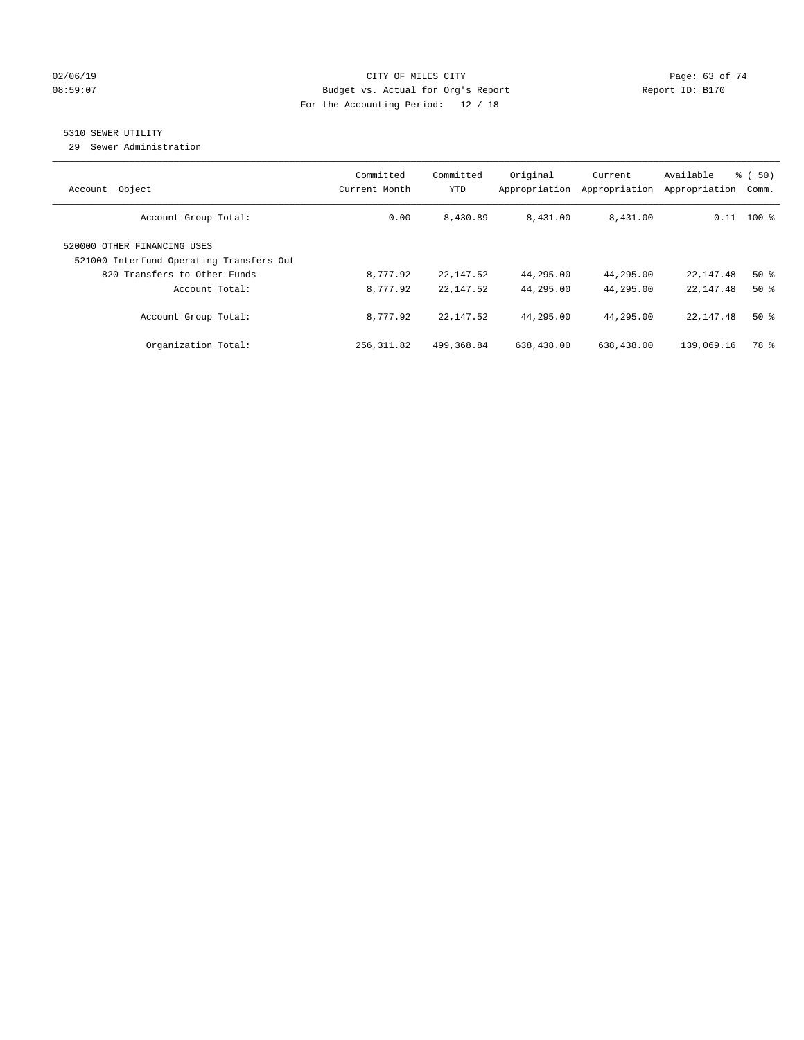### $O2/06/19$  Page: 63 of 74 08:59:07 Budget vs. Actual for Org's Report Changer Report ID: B170 For the Accounting Period: 12 / 18

## 5310 SEWER UTILITY

29 Sewer Administration

| Object<br>Account                                                                                       | Committed<br>Current Month | Committed<br>YTD | Original<br>Appropriation | Current<br>Appropriation | Available<br>Appropriation | % ( 50)<br>Comm. |
|---------------------------------------------------------------------------------------------------------|----------------------------|------------------|---------------------------|--------------------------|----------------------------|------------------|
| Account Group Total:                                                                                    | 0.00                       | 8,430.89         | 8,431.00                  | 8,431.00                 |                            | $0.11$ 100 %     |
| 520000 OTHER FINANCING USES<br>521000 Interfund Operating Transfers Out<br>820 Transfers to Other Funds | 8,777.92                   | 22,147.52        | 44,295.00                 | 44,295.00                | 22,147.48                  | $50*$            |
| Account Total:                                                                                          | 8,777.92                   | 22,147.52        | 44,295.00                 | 44,295.00                | 22, 147.48                 | 50%              |
| Account Group Total:                                                                                    | 8,777.92                   | 22,147.52        | 44,295.00                 | 44,295.00                | 22, 147, 48                | 50%              |
| Organization Total:                                                                                     | 256, 311.82                | 499,368.84       | 638,438.00                | 638,438.00               | 139,069.16                 | 78 %             |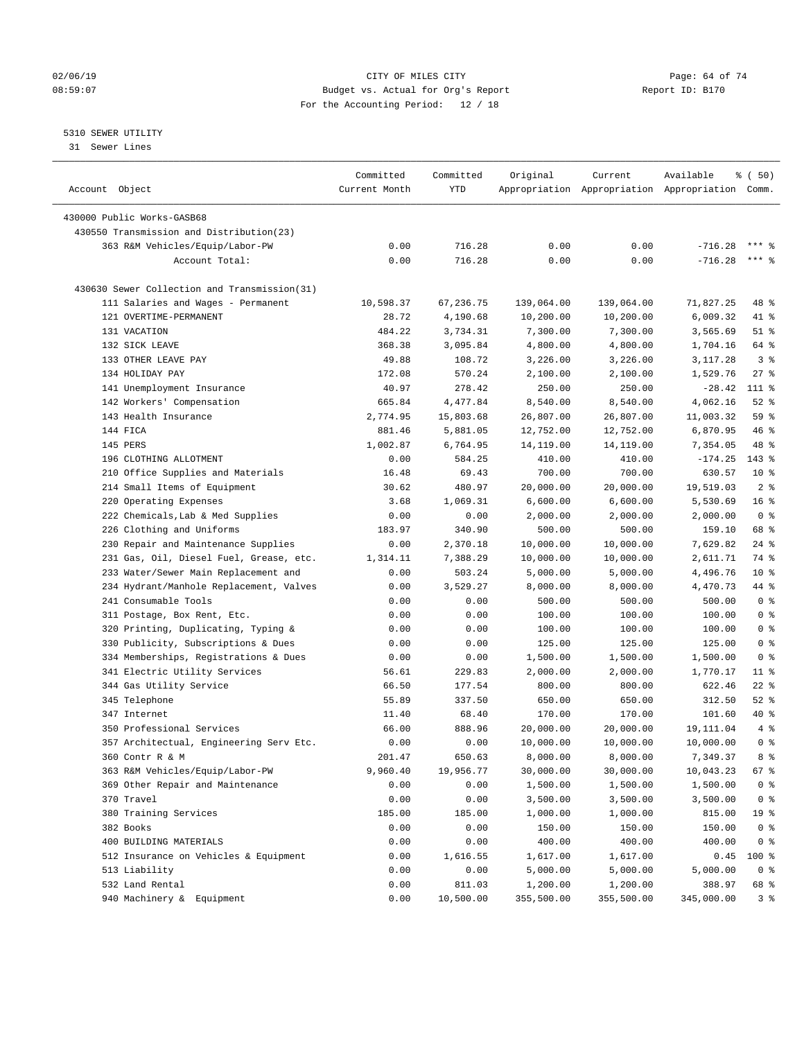## $O2/06/19$  Page: 64 of 74 08:59:07 Budget vs. Actual for Org's Report Report ID: B170 For the Accounting Period: 12 / 18

## 5310 SEWER UTILITY

31 Sewer Lines

| Account Object                               | Committed<br>Current Month | Committed<br>YTD | Original   | Current    | Available<br>Appropriation Appropriation Appropriation Comm. | % ( 50)         |
|----------------------------------------------|----------------------------|------------------|------------|------------|--------------------------------------------------------------|-----------------|
|                                              |                            |                  |            |            |                                                              |                 |
| 430000 Public Works-GASB68                   |                            |                  |            |            |                                                              |                 |
| 430550 Transmission and Distribution(23)     |                            |                  |            |            |                                                              |                 |
| 363 R&M Vehicles/Equip/Labor-PW              | 0.00                       | 716.28           | 0.00       | 0.00       | $-716.28$                                                    |                 |
| Account Total:                               | 0.00                       | 716.28           | 0.00       | 0.00       | $-716.28$                                                    | $***$ $%$       |
| 430630 Sewer Collection and Transmission(31) |                            |                  |            |            |                                                              |                 |
| 111 Salaries and Wages - Permanent           | 10,598.37                  | 67,236.75        | 139,064.00 | 139,064.00 | 71,827.25                                                    | 48 %            |
| 121 OVERTIME-PERMANENT                       | 28.72                      | 4,190.68         | 10,200.00  | 10,200.00  | 6,009.32                                                     | 41 %            |
| 131 VACATION                                 | 484.22                     | 3,734.31         | 7,300.00   | 7,300.00   | 3,565.69                                                     | $51$ %          |
| 132 SICK LEAVE                               | 368.38                     | 3,095.84         | 4,800.00   | 4,800.00   | 1,704.16                                                     | 64 %            |
| 133 OTHER LEAVE PAY                          | 49.88                      | 108.72           | 3,226.00   | 3,226.00   | 3,117.28                                                     | 3 <sup>8</sup>  |
| 134 HOLIDAY PAY                              | 172.08                     | 570.24           | 2,100.00   | 2,100.00   | 1,529.76                                                     | $27$ %          |
| 141 Unemployment Insurance                   | 40.97                      | 278.42           | 250.00     | 250.00     | $-28.42$                                                     | 111 %           |
| 142 Workers' Compensation                    | 665.84                     | 4,477.84         | 8,540.00   | 8,540.00   | 4,062.16                                                     | $52$ $%$        |
| 143 Health Insurance                         | 2,774.95                   | 15,803.68        | 26,807.00  | 26,807.00  | 11,003.32                                                    | 59 %            |
| 144 FICA                                     | 881.46                     | 5,881.05         | 12,752.00  | 12,752.00  | 6,870.95                                                     | 46 %            |
| 145 PERS                                     | 1,002.87                   | 6,764.95         | 14,119.00  | 14,119.00  | 7,354.05                                                     | 48 %            |
| 196 CLOTHING ALLOTMENT                       | 0.00                       | 584.25           | 410.00     | 410.00     | $-174.25$                                                    | 143 %           |
| 210 Office Supplies and Materials            | 16.48                      | 69.43            | 700.00     | 700.00     | 630.57                                                       | $10*$           |
| 214 Small Items of Equipment                 | 30.62                      | 480.97           | 20,000.00  | 20,000.00  | 19,519.03                                                    | 2 <sup>°</sup>  |
| 220 Operating Expenses                       | 3.68                       | 1,069.31         | 6,600.00   | 6,600.00   | 5,530.69                                                     | 16 <sup>°</sup> |
| 222 Chemicals, Lab & Med Supplies            | 0.00                       | 0.00             | 2,000.00   | 2,000.00   | 2,000.00                                                     | 0 <sup>8</sup>  |
| 226 Clothing and Uniforms                    | 183.97                     | 340.90           | 500.00     | 500.00     | 159.10                                                       | 68 %            |
| 230 Repair and Maintenance Supplies          | 0.00                       | 2,370.18         | 10,000.00  | 10,000.00  | 7,629.82                                                     | $24$ %          |
| 231 Gas, Oil, Diesel Fuel, Grease, etc.      | 1,314.11                   | 7,388.29         | 10,000.00  | 10,000.00  | 2,611.71                                                     | 74 %            |
| 233 Water/Sewer Main Replacement and         | 0.00                       | 503.24           | 5,000.00   | 5,000.00   | 4,496.76                                                     | $10*$           |
| 234 Hydrant/Manhole Replacement, Valves      | 0.00                       | 3,529.27         | 8,000.00   | 8,000.00   | 4,470.73                                                     | 44 %            |
| 241 Consumable Tools                         | 0.00                       | 0.00             | 500.00     | 500.00     | 500.00                                                       | 0 <sup>8</sup>  |
| 311 Postage, Box Rent, Etc.                  | 0.00                       | 0.00             | 100.00     | 100.00     | 100.00                                                       | 0 <sup>8</sup>  |
| 320 Printing, Duplicating, Typing &          | 0.00                       | 0.00             | 100.00     | 100.00     | 100.00                                                       | 0 <sup>8</sup>  |
| 330 Publicity, Subscriptions & Dues          | 0.00                       | 0.00             | 125.00     | 125.00     | 125.00                                                       | 0 <sup>8</sup>  |
| 334 Memberships, Registrations & Dues        | 0.00                       | 0.00             | 1,500.00   | 1,500.00   | 1,500.00                                                     | 0 <sup>8</sup>  |
| 341 Electric Utility Services                | 56.61                      | 229.83           | 2,000.00   | 2,000.00   | 1,770.17                                                     | $11$ %          |
| 344 Gas Utility Service                      | 66.50                      | 177.54           | 800.00     | 800.00     | 622.46                                                       | $22$ %          |
| 345 Telephone                                | 55.89                      | 337.50           | 650.00     | 650.00     | 312.50                                                       | $52$ $%$        |
| 347 Internet                                 | 11.40                      | 68.40            | 170.00     | 170.00     | 101.60                                                       | 40 %            |
| 350 Professional Services                    | 66.00                      | 888.96           | 20,000.00  | 20,000.00  | 19,111.04                                                    | 4%              |
| 357 Architectual, Engineering Serv Etc.      | 0.00                       | 0.00             | 10,000.00  | 10,000.00  | 10,000.00                                                    | 0 <sup>8</sup>  |
| 360 Contr R & M                              | 201.47                     | 650.63           | 8,000.00   | 8,000.00   | 7,349.37                                                     | 8 %             |
| 363 R&M Vehicles/Equip/Labor-PW              | 9,960.40                   | 19,956.77        | 30,000.00  | 30,000.00  | 10,043.23                                                    | 67 %            |
|                                              | 0.00                       | 0.00             |            |            |                                                              | 0 <sup>8</sup>  |
| 369 Other Repair and Maintenance             |                            |                  | 1,500.00   | 1,500.00   | 1,500.00                                                     |                 |
| 370 Travel                                   | 0.00                       | 0.00             | 3,500.00   | 3,500.00   | 3,500.00                                                     | 0 <sup>8</sup>  |
| 380 Training Services                        | 185.00                     | 185.00           | 1,000.00   | 1,000.00   | 815.00                                                       | 19 <sup>°</sup> |
| 382 Books                                    | 0.00                       | 0.00             | 150.00     | 150.00     | 150.00                                                       | 0 <sup>8</sup>  |
| 400 BUILDING MATERIALS                       | 0.00                       | 0.00             | 400.00     | 400.00     | 400.00                                                       | 0 <sup>8</sup>  |
| 512 Insurance on Vehicles & Equipment        | 0.00                       | 1,616.55         | 1,617.00   | 1,617.00   | 0.45                                                         | 100 %           |
| 513 Liability                                | 0.00                       | 0.00             | 5,000.00   | 5,000.00   | 5,000.00                                                     | 0 <sup>8</sup>  |
| 532 Land Rental                              | 0.00                       | 811.03           | 1,200.00   | 1,200.00   | 388.97                                                       | 68 %            |
| 940 Machinery & Equipment                    | 0.00                       | 10,500.00        | 355,500.00 | 355,500.00 | 345,000.00                                                   | 3 <sup>°</sup>  |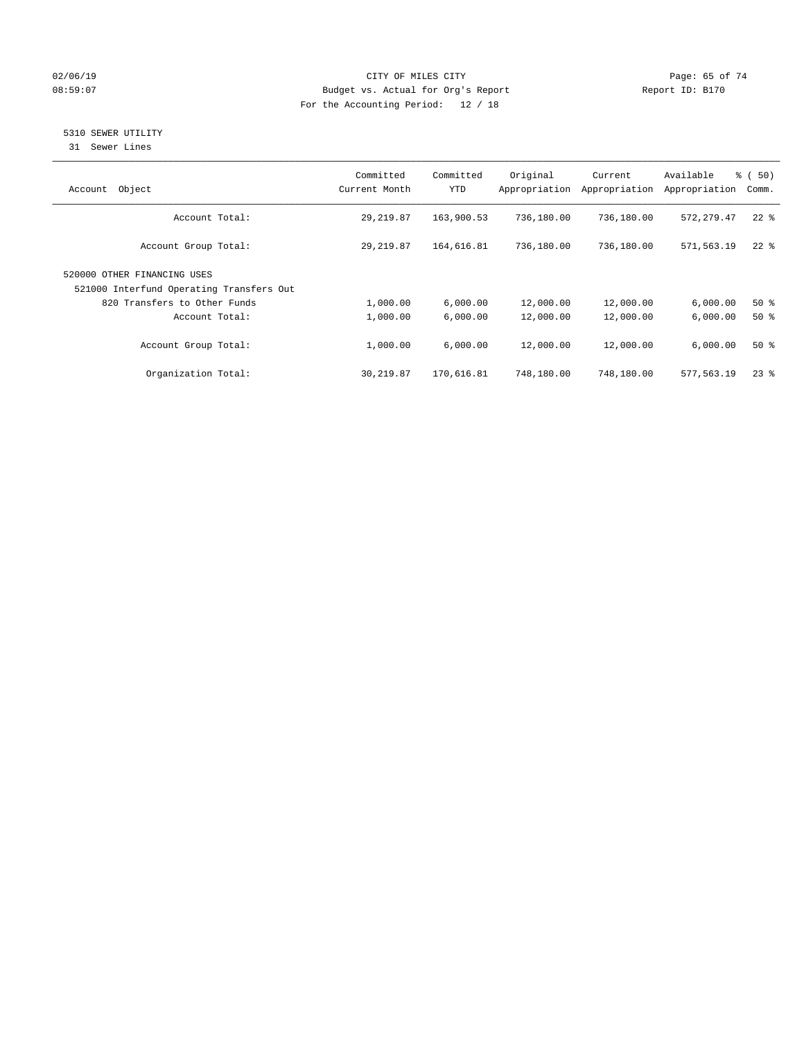## $O2/06/19$  Page: 65 of 74 08:59:07 Budget vs. Actual for Org's Report Changer Report ID: B170 For the Accounting Period: 12 / 18

## 5310 SEWER UTILITY

31 Sewer Lines

| Object<br>Account                                                       | Committed<br>Current Month | Committed<br><b>YTD</b> | Original<br>Appropriation | Current<br>Appropriation | Available<br>Appropriation | <sub>ර</sub> ි (50)<br>Comm. |
|-------------------------------------------------------------------------|----------------------------|-------------------------|---------------------------|--------------------------|----------------------------|------------------------------|
| Account Total:                                                          | 29, 219.87                 | 163,900.53              | 736,180.00                | 736,180.00               | 572, 279.47                | $22$ %                       |
| Account Group Total:                                                    | 29, 219.87                 | 164,616.81              | 736,180.00                | 736,180.00               | 571,563.19                 | $22$ $%$                     |
| 520000 OTHER FINANCING USES<br>521000 Interfund Operating Transfers Out |                            |                         |                           |                          |                            |                              |
| 820 Transfers to Other Funds                                            | 1,000.00                   | 6,000.00                | 12,000.00                 | 12,000.00                | 6,000.00                   | $50*$                        |
| Account Total:                                                          | 1,000.00                   | 6,000.00                | 12,000.00                 | 12,000.00                | 6,000.00                   | $50*$                        |
| Account Group Total:                                                    | 1,000.00                   | 6,000.00                | 12,000.00                 | 12,000.00                | 6.000.00                   | $50*$                        |
| Organization Total:                                                     | 30,219.87                  | 170,616.81              | 748,180.00                | 748,180.00               | 577.563.19                 | 238                          |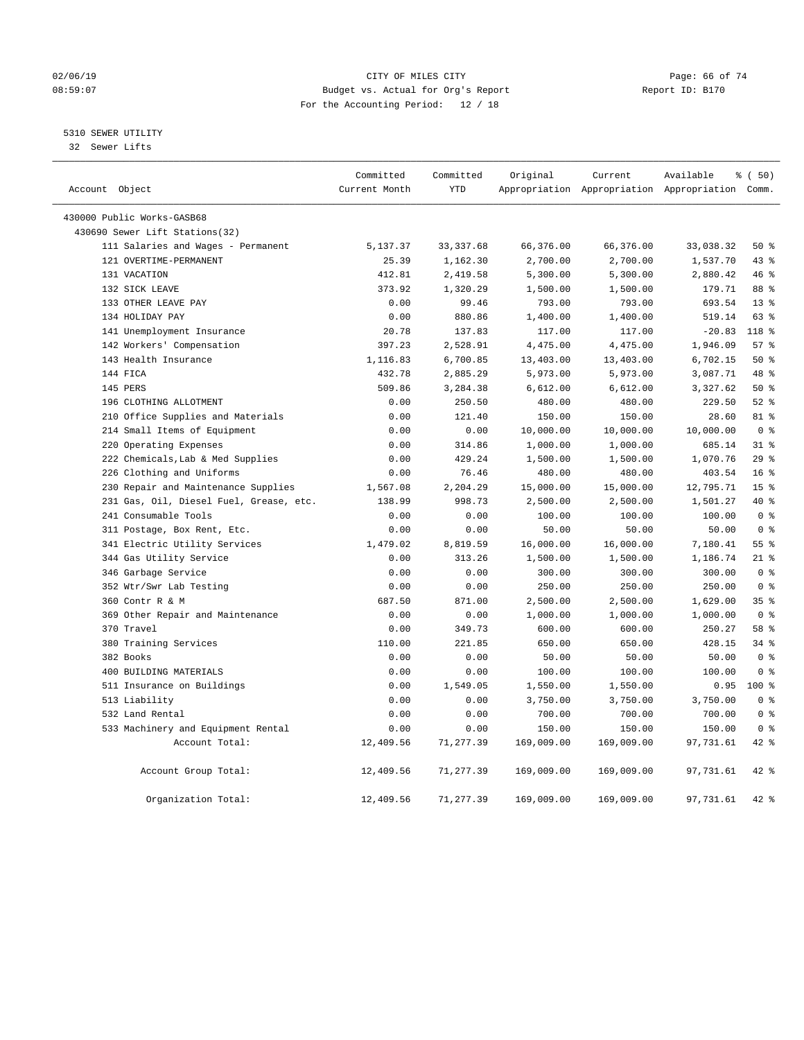## $O2/06/19$  Page: 66 of 74 08:59:07 Budget vs. Actual for Org's Report Changer Report ID: B170 For the Accounting Period: 12 / 18

## 5310 SEWER UTILITY

32 Sewer Lifts

|                |                                         | Committed     | Committed  | Original   | Current    | Available                                       | % (50)          |
|----------------|-----------------------------------------|---------------|------------|------------|------------|-------------------------------------------------|-----------------|
| Account Object |                                         | Current Month | <b>YTD</b> |            |            | Appropriation Appropriation Appropriation Comm. |                 |
|                | 430000 Public Works-GASB68              |               |            |            |            |                                                 |                 |
|                | 430690 Sewer Lift Stations (32)         |               |            |            |            |                                                 |                 |
|                | 111 Salaries and Wages - Permanent      | 5,137.37      | 33, 337.68 | 66,376.00  | 66,376.00  | 33,038.32                                       | 50%             |
|                | 121 OVERTIME-PERMANENT                  | 25.39         | 1,162.30   | 2,700.00   | 2,700.00   | 1,537.70                                        | $43$ %          |
|                | 131 VACATION                            | 412.81        | 2,419.58   | 5,300.00   | 5,300.00   | 2,880.42                                        | 46 %            |
|                | 132 SICK LEAVE                          | 373.92        | 1,320.29   | 1,500.00   | 1,500.00   | 179.71                                          | 88 %            |
|                | 133 OTHER LEAVE PAY                     | 0.00          | 99.46      | 793.00     | 793.00     | 693.54                                          | $13*$           |
|                | 134 HOLIDAY PAY                         | 0.00          | 880.86     | 1,400.00   | 1,400.00   | 519.14                                          | 63 %            |
|                | 141 Unemployment Insurance              | 20.78         | 137.83     | 117.00     | 117.00     | $-20.83$                                        | 118 %           |
|                | 142 Workers' Compensation               | 397.23        | 2,528.91   | 4,475.00   | 4,475.00   | 1,946.09                                        | 57%             |
|                | 143 Health Insurance                    | 1,116.83      | 6,700.85   | 13,403.00  | 13,403.00  | 6,702.15                                        | 50%             |
|                | 144 FICA                                | 432.78        | 2,885.29   | 5,973.00   | 5,973.00   | 3,087.71                                        | 48 %            |
|                | 145 PERS                                | 509.86        | 3,284.38   | 6,612.00   | 6,612.00   | 3,327.62                                        | 50%             |
|                | 196 CLOTHING ALLOTMENT                  | 0.00          | 250.50     | 480.00     | 480.00     | 229.50                                          | $52$ $%$        |
|                | 210 Office Supplies and Materials       | 0.00          | 121.40     | 150.00     | 150.00     | 28.60                                           | 81 %            |
|                | 214 Small Items of Equipment            | 0.00          | 0.00       | 10,000.00  | 10,000.00  | 10,000.00                                       | 0 <sup>8</sup>  |
|                | 220 Operating Expenses                  | 0.00          | 314.86     | 1,000.00   | 1,000.00   | 685.14                                          | 318             |
|                | 222 Chemicals, Lab & Med Supplies       | 0.00          | 429.24     | 1,500.00   | 1,500.00   | 1,070.76                                        | 29%             |
|                | 226 Clothing and Uniforms               | 0.00          | 76.46      | 480.00     | 480.00     | 403.54                                          | 16 <sup>8</sup> |
|                | 230 Repair and Maintenance Supplies     | 1,567.08      | 2,204.29   | 15,000.00  | 15,000.00  | 12,795.71                                       | 15 <sup>°</sup> |
|                | 231 Gas, Oil, Diesel Fuel, Grease, etc. | 138.99        | 998.73     | 2,500.00   | 2,500.00   | 1,501.27                                        | $40*$           |
|                | 241 Consumable Tools                    | 0.00          | 0.00       | 100.00     | 100.00     | 100.00                                          | 0 <sup>8</sup>  |
|                | 311 Postage, Box Rent, Etc.             | 0.00          | 0.00       | 50.00      | 50.00      | 50.00                                           | 0 <sup>8</sup>  |
|                | 341 Electric Utility Services           | 1,479.02      | 8,819.59   | 16,000.00  | 16,000.00  | 7,180.41                                        | 55 %            |
|                | 344 Gas Utility Service                 | 0.00          | 313.26     | 1,500.00   | 1,500.00   | 1,186.74                                        | $21$ %          |
|                | 346 Garbage Service                     | 0.00          | 0.00       | 300.00     | 300.00     | 300.00                                          | 0 <sup>8</sup>  |
|                | 352 Wtr/Swr Lab Testing                 | 0.00          | 0.00       | 250.00     | 250.00     | 250.00                                          | 0 <sup>8</sup>  |
|                | 360 Contr R & M                         | 687.50        | 871.00     | 2,500.00   | 2,500.00   | 1,629.00                                        | 35 <sup>8</sup> |
|                | 369 Other Repair and Maintenance        | 0.00          | 0.00       | 1,000.00   | 1,000.00   | 1,000.00                                        | 0 <sup>8</sup>  |
|                | 370 Travel                              | 0.00          | 349.73     | 600.00     | 600.00     | 250.27                                          | 58 %            |
|                | 380 Training Services                   | 110.00        | 221.85     | 650.00     | 650.00     | 428.15                                          | $34$ $%$        |
|                | 382 Books                               | 0.00          | 0.00       | 50.00      | 50.00      | 50.00                                           | 0 <sup>8</sup>  |
|                | 400 BUILDING MATERIALS                  | 0.00          | 0.00       | 100.00     | 100.00     | 100.00                                          | 0 <sup>8</sup>  |
|                | 511 Insurance on Buildings              | 0.00          | 1,549.05   | 1,550.00   | 1,550.00   | 0.95                                            | $100*$          |
|                | 513 Liability                           | 0.00          | 0.00       | 3,750.00   | 3,750.00   | 3,750.00                                        | 0 <sup>8</sup>  |
|                | 532 Land Rental                         | 0.00          | 0.00       | 700.00     | 700.00     | 700.00                                          | 0 <sup>8</sup>  |
|                | 533 Machinery and Equipment Rental      | 0.00          | 0.00       | 150.00     | 150.00     | 150.00                                          | 0 <sup>8</sup>  |
|                | Account Total:                          | 12,409.56     | 71,277.39  | 169,009.00 | 169,009.00 | 97,731.61                                       | $42$ %          |
|                | Account Group Total:                    | 12,409.56     | 71,277.39  | 169,009.00 | 169,009.00 | 97,731.61                                       | $42$ $%$        |
|                | Organization Total:                     | 12,409.56     | 71, 277.39 | 169,009.00 | 169,009.00 | 97,731.61                                       | $42$ %          |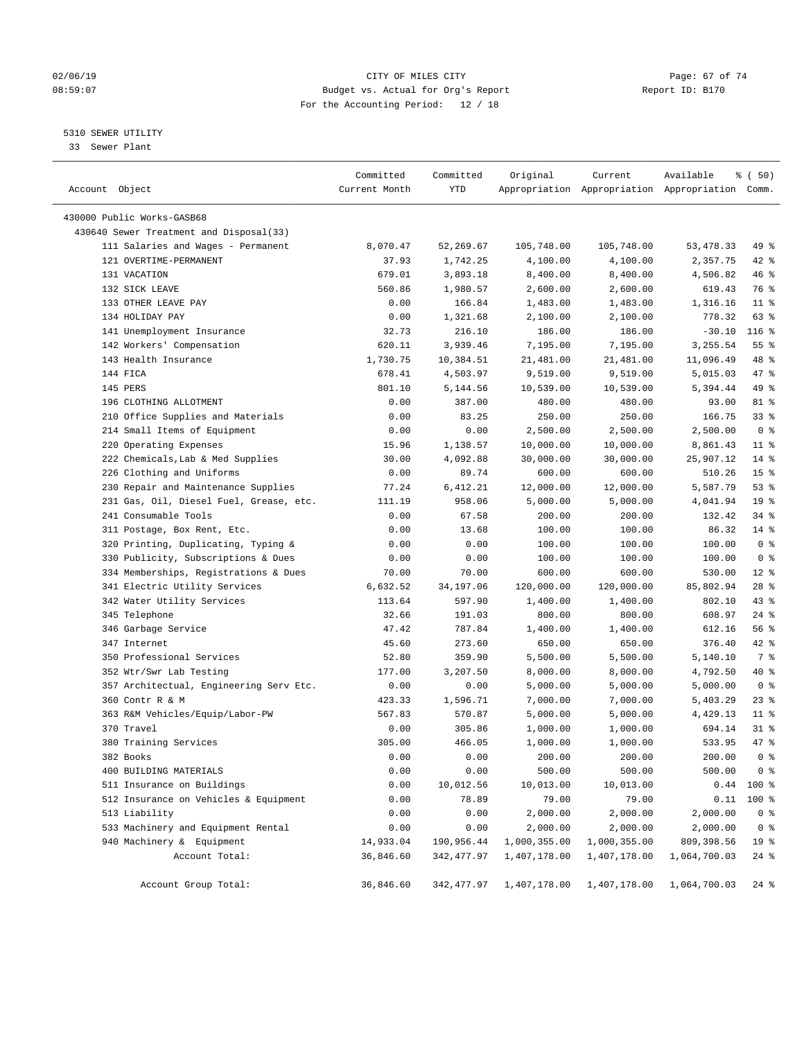## $O2/06/19$  Page: 67 of 74 08:59:07 Budget vs. Actual for Org's Report Report ID: B170 For the Accounting Period: 12 / 18

————————————————————————————————————————————————————————————————————————————————————————————————————————————————————————————————————

## 5310 SEWER UTILITY

33 Sewer Plant

|                                         | Committed     | Committed   | Original     | Current      | Available                                       | % ( 50)         |
|-----------------------------------------|---------------|-------------|--------------|--------------|-------------------------------------------------|-----------------|
| Account Object                          | Current Month | YTD         |              |              | Appropriation Appropriation Appropriation Comm. |                 |
|                                         |               |             |              |              |                                                 |                 |
| 430000 Public Works-GASB68              |               |             |              |              |                                                 |                 |
| 430640 Sewer Treatment and Disposal(33) |               |             |              |              |                                                 |                 |
| 111 Salaries and Wages - Permanent      | 8,070.47      | 52,269.67   | 105,748.00   | 105,748.00   | 53, 478.33                                      | 49 %            |
| 121 OVERTIME-PERMANENT                  | 37.93         | 1,742.25    | 4,100.00     | 4,100.00     | 2,357.75                                        | $42$ %          |
| 131 VACATION                            | 679.01        | 3,893.18    | 8,400.00     | 8,400.00     | 4,506.82                                        | 46 %            |
| 132 SICK LEAVE                          | 560.86        | 1,980.57    | 2,600.00     | 2,600.00     | 619.43                                          | 76 %            |
| 133 OTHER LEAVE PAY                     | 0.00          | 166.84      | 1,483.00     | 1,483.00     | 1,316.16                                        | $11$ %          |
| 134 HOLIDAY PAY                         | 0.00          | 1,321.68    | 2,100.00     | 2,100.00     | 778.32                                          | 63 %            |
| 141 Unemployment Insurance              | 32.73         | 216.10      | 186.00       | 186.00       | $-30.10$                                        | $116$ %         |
| 142 Workers' Compensation               | 620.11        | 3,939.46    | 7,195.00     | 7,195.00     | 3,255.54                                        | $55$ $%$        |
| 143 Health Insurance                    | 1,730.75      | 10,384.51   | 21,481.00    | 21,481.00    | 11,096.49                                       | 48 %            |
| 144 FICA                                | 678.41        | 4,503.97    | 9,519.00     | 9,519.00     | 5,015.03                                        | 47 %            |
| 145 PERS                                | 801.10        | 5,144.56    | 10,539.00    | 10,539.00    | 5,394.44                                        | 49 %            |
| 196 CLOTHING ALLOTMENT                  | 0.00          | 387.00      | 480.00       | 480.00       | 93.00                                           | 81 %            |
| 210 Office Supplies and Materials       | 0.00          | 83.25       | 250.00       | 250.00       | 166.75                                          | 33%             |
| 214 Small Items of Equipment            | 0.00          | 0.00        | 2,500.00     | 2,500.00     | 2,500.00                                        | 0 <sup>8</sup>  |
| 220 Operating Expenses                  | 15.96         | 1,138.57    | 10,000.00    | 10,000.00    | 8,861.43                                        | $11$ %          |
| 222 Chemicals, Lab & Med Supplies       | 30.00         | 4,092.88    | 30,000.00    | 30,000.00    | 25,907.12                                       | $14*$           |
| 226 Clothing and Uniforms               | 0.00          | 89.74       | 600.00       | 600.00       | 510.26                                          | 15 <sup>°</sup> |
| 230 Repair and Maintenance Supplies     | 77.24         | 6,412.21    | 12,000.00    | 12,000.00    | 5,587.79                                        | 53%             |
| 231 Gas, Oil, Diesel Fuel, Grease, etc. | 111.19        | 958.06      | 5,000.00     | 5,000.00     | 4,041.94                                        | 19 <sup>°</sup> |
| 241 Consumable Tools                    | 0.00          | 67.58       | 200.00       | 200.00       | 132.42                                          | $34$ $%$        |
| 311 Postage, Box Rent, Etc.             | 0.00          | 13.68       | 100.00       | 100.00       | 86.32                                           | $14*$           |
| 320 Printing, Duplicating, Typing &     | 0.00          | 0.00        | 100.00       | 100.00       | 100.00                                          | 0 <sup>8</sup>  |
| 330 Publicity, Subscriptions & Dues     | 0.00          | 0.00        | 100.00       | 100.00       | 100.00                                          | 0 <sup>8</sup>  |
| 334 Memberships, Registrations & Dues   | 70.00         | 70.00       | 600.00       | 600.00       | 530.00                                          | $12*$           |
| 341 Electric Utility Services           | 6,632.52      | 34,197.06   | 120,000.00   | 120,000.00   | 85,802.94                                       | $28$ %          |
| 342 Water Utility Services              | 113.64        | 597.90      | 1,400.00     | 1,400.00     | 802.10                                          | $43$ %          |
| 345 Telephone                           | 32.66         | 191.03      | 800.00       | 800.00       | 608.97                                          | $24$ %          |
| 346 Garbage Service                     | 47.42         | 787.84      | 1,400.00     | 1,400.00     | 612.16                                          | 56%             |
| 347 Internet                            | 45.60         | 273.60      | 650.00       | 650.00       | 376.40                                          | 42 %            |
| 350 Professional Services               | 52.80         | 359.90      | 5,500.00     | 5,500.00     | 5,140.10                                        | 7 %             |
| 352 Wtr/Swr Lab Testing                 | 177.00        | 3,207.50    | 8,000.00     | 8,000.00     | 4,792.50                                        | 40 %            |
| 357 Architectual, Engineering Serv Etc. | 0.00          | 0.00        | 5,000.00     | 5,000.00     | 5,000.00                                        | 0 <sup>8</sup>  |
| 360 Contr R & M                         | 423.33        | 1,596.71    | 7,000.00     | 7,000.00     | 5,403.29                                        | $23$ %          |
| 363 R&M Vehicles/Equip/Labor-PW         | 567.83        | 570.87      | 5,000.00     | 5,000.00     | 4,429.13                                        | $11$ %          |
| 370 Travel                              | 0.00          | 305.86      | 1,000.00     | 1,000.00     | 694.14                                          | $31$ %          |
| 380 Training Services                   | 305.00        | 466.05      | 1,000.00     | 1,000.00     | 533.95                                          | 47 %            |
| 382 Books                               | 0.00          | 0.00        | 200.00       | 200.00       | 200.00                                          | 0 <sup>°</sup>  |
| 400 BUILDING MATERIALS                  | 0.00          | 0.00        | 500.00       | 500.00       | 500.00                                          | 0 <sup>8</sup>  |
| 511 Insurance on Buildings              | 0.00          | 10,012.56   | 10,013.00    | 10,013.00    | 0.44                                            | 100 %           |
| 512 Insurance on Vehicles & Equipment   | 0.00          | 78.89       | 79.00        | 79.00        | 0.11                                            | $100*$          |
| 513 Liability                           | 0.00          | 0.00        | 2,000.00     | 2,000.00     | 2,000.00                                        | 0 <sup>8</sup>  |
| 533 Machinery and Equipment Rental      | 0.00          | 0.00        | 2,000.00     | 2,000.00     | 2,000.00                                        | 0 <sup>8</sup>  |
| 940 Machinery & Equipment               | 14,933.04     | 190,956.44  | 1,000,355.00 | 1,000,355.00 | 809,398.56                                      | 19 %            |
| Account Total:                          | 36,846.60     | 342, 477.97 | 1,407,178.00 | 1,407,178.00 | 1,064,700.03                                    | $24$ %          |
| Account Group Total:                    | 36,846.60     | 342,477.97  | 1,407,178.00 | 1,407,178.00 | 1,064,700.03                                    | $24$ %          |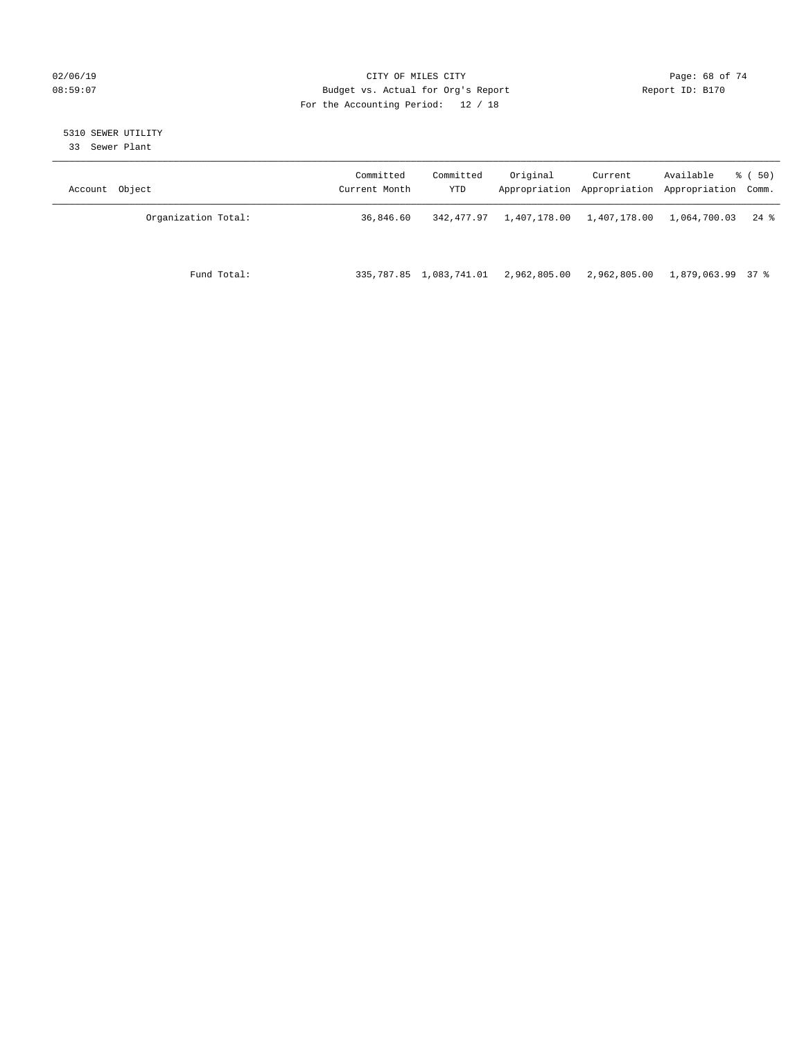## $O2/06/19$  Page: 68 of 74 08:59:07 Budget vs. Actual for Org's Report Report ID: B170 For the Accounting Period: 12 / 18

## 5310 SEWER UTILITY

33 Sewer Plant

| Account Object      | Committed<br>Current Month | Committed<br>YTD        | Original                  | Current<br>Appropriation Appropriation Appropriation Comm. | Available         | $\frac{1}{6}$ (50) |
|---------------------|----------------------------|-------------------------|---------------------------|------------------------------------------------------------|-------------------|--------------------|
| Organization Total: | 36,846.60                  | 342,477.97              | 1,407,178.00 1,407,178.00 |                                                            | 1,064,700.03      | 24 %               |
| Fund Total:         |                            | 335,787.85 1,083,741.01 | 2,962,805.00              | 2,962,805.00                                               | 1,879,063.99 37 % |                    |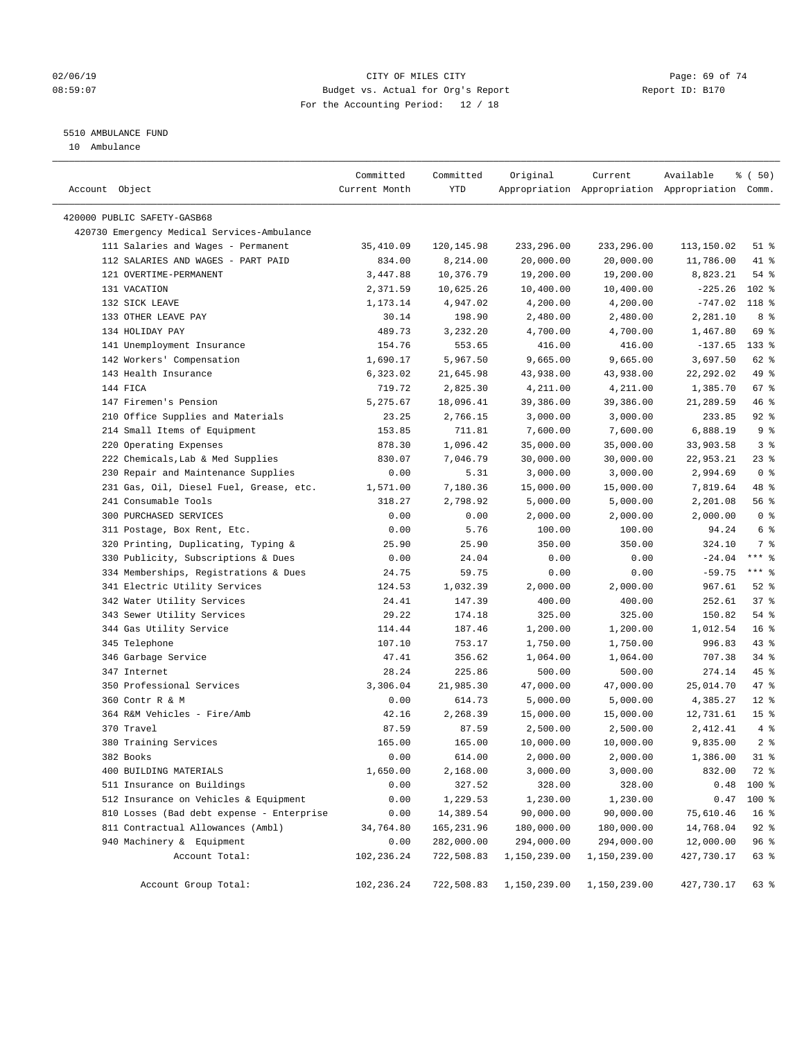## $O2/06/19$  Page: 69 of 74 08:59:07 Budget vs. Actual for Org's Report Report ID: B170 For the Accounting Period: 12 / 18

————————————————————————————————————————————————————————————————————————————————————————————————————————————————————————————————————

## 5510 AMBULANCE FUND

10 Ambulance

|                                             | Committed     | Committed  | Original                             | Current      | Available                                       | <sub>ර</sub> ි (50) |
|---------------------------------------------|---------------|------------|--------------------------------------|--------------|-------------------------------------------------|---------------------|
| Account Object                              | Current Month | YTD        |                                      |              | Appropriation Appropriation Appropriation Comm. |                     |
|                                             |               |            |                                      |              |                                                 |                     |
| 420000 PUBLIC SAFETY-GASB68                 |               |            |                                      |              |                                                 |                     |
| 420730 Emergency Medical Services-Ambulance |               |            |                                      |              |                                                 |                     |
| 111 Salaries and Wages - Permanent          | 35,410.09     | 120,145.98 | 233,296.00                           | 233,296.00   | 113,150.02                                      | $51$ %              |
| 112 SALARIES AND WAGES - PART PAID          | 834.00        | 8,214.00   | 20,000.00                            | 20,000.00    | 11,786.00                                       | 41 %                |
| 121 OVERTIME-PERMANENT                      | 3,447.88      | 10,376.79  | 19,200.00                            | 19,200.00    | 8,823.21                                        | 54 %                |
| 131 VACATION                                | 2,371.59      | 10,625.26  | 10,400.00                            | 10,400.00    | $-225.26$                                       | $102$ %             |
| 132 SICK LEAVE                              | 1,173.14      | 4,947.02   | 4,200.00                             | 4,200.00     | $-747.02$                                       | 118 %               |
| 133 OTHER LEAVE PAY                         | 30.14         | 198.90     | 2,480.00                             | 2,480.00     | 2,281.10                                        | 8%                  |
| 134 HOLIDAY PAY                             | 489.73        | 3,232.20   | 4,700.00                             | 4,700.00     | 1,467.80                                        | 69 %                |
| 141 Unemployment Insurance                  | 154.76        | 553.65     | 416.00                               | 416.00       | $-137.65$                                       | $133$ %             |
| 142 Workers' Compensation                   | 1,690.17      | 5,967.50   | 9,665.00                             | 9,665.00     | 3,697.50                                        | 62 %                |
| 143 Health Insurance                        | 6,323.02      | 21,645.98  | 43,938.00                            | 43,938.00    | 22, 292.02                                      | 49 %                |
| 144 FICA                                    | 719.72        | 2,825.30   | 4,211.00                             | 4,211.00     | 1,385.70                                        | 67%                 |
| 147 Firemen's Pension                       | 5,275.67      | 18,096.41  | 39,386.00                            | 39,386.00    | 21,289.59                                       | 46 %                |
| 210 Office Supplies and Materials           | 23.25         | 2,766.15   | 3,000.00                             | 3,000.00     | 233.85                                          | $92$ $%$            |
| 214 Small Items of Equipment                | 153.85        | 711.81     | 7,600.00                             | 7,600.00     | 6,888.19                                        | 9 <sup>°</sup>      |
| 220 Operating Expenses                      | 878.30        | 1,096.42   | 35,000.00                            | 35,000.00    | 33,903.58                                       | 3%                  |
| 222 Chemicals, Lab & Med Supplies           | 830.07        | 7,046.79   | 30,000.00                            | 30,000.00    | 22,953.21                                       | $23$ $%$            |
| 230 Repair and Maintenance Supplies         | 0.00          | 5.31       | 3,000.00                             | 3,000.00     | 2,994.69                                        | 0 <sup>8</sup>      |
| 231 Gas, Oil, Diesel Fuel, Grease, etc.     | 1,571.00      | 7,180.36   | 15,000.00                            | 15,000.00    | 7,819.64                                        | 48 %                |
| 241 Consumable Tools                        | 318.27        | 2,798.92   | 5,000.00                             | 5,000.00     | 2,201.08                                        | 56 %                |
| 300 PURCHASED SERVICES                      | 0.00          | 0.00       | 2,000.00                             | 2,000.00     | 2,000.00                                        | 0 <sup>8</sup>      |
| 311 Postage, Box Rent, Etc.                 | 0.00          | 5.76       | 100.00                               | 100.00       | 94.24                                           | 6 %                 |
| 320 Printing, Duplicating, Typing &         | 25.90         | 25.90      | 350.00                               | 350.00       | 324.10                                          | 7 %                 |
| 330 Publicity, Subscriptions & Dues         | 0.00          | 24.04      | 0.00                                 | 0.00         | $-24.04$                                        | $***$ $%$           |
| 334 Memberships, Registrations & Dues       | 24.75         | 59.75      | 0.00                                 | 0.00         | $-59.75$                                        | $***$ $%$           |
| 341 Electric Utility Services               | 124.53        | 1,032.39   | 2,000.00                             | 2,000.00     | 967.61                                          | $52$ $%$            |
| 342 Water Utility Services                  | 24.41         | 147.39     | 400.00                               | 400.00       | 252.61                                          | 37%                 |
| 343 Sewer Utility Services                  | 29.22         | 174.18     | 325.00                               | 325.00       | 150.82                                          | 54 %                |
| 344 Gas Utility Service                     | 114.44        | 187.46     | 1,200.00                             | 1,200.00     | 1,012.54                                        | 16 <sup>8</sup>     |
| 345 Telephone                               | 107.10        | 753.17     | 1,750.00                             | 1,750.00     | 996.83                                          | $43$ %              |
| 346 Garbage Service                         | 47.41         | 356.62     | 1,064.00                             | 1,064.00     | 707.38                                          | $34$ $%$            |
| 347 Internet                                | 28.24         | 225.86     | 500.00                               | 500.00       | 274.14                                          | $45$ %              |
| 350 Professional Services                   | 3,306.04      | 21,985.30  | 47,000.00                            | 47,000.00    | 25,014.70                                       | 47 %                |
| 360 Contr R & M                             | 0.00          | 614.73     | 5,000.00                             | 5,000.00     | 4,385.27                                        | $12*$               |
| 364 R&M Vehicles - Fire/Amb                 | 42.16         | 2,268.39   | 15,000.00                            | 15,000.00    | 12,731.61                                       | 15 <sup>°</sup>     |
| 370 Travel                                  | 87.59         | 87.59      | 2,500.00                             | 2,500.00     | 2,412.41                                        | 4%                  |
| 380 Training Services                       | 165.00        | 165.00     | 10,000.00                            | 10,000.00    | 9,835.00                                        | 2 <sup>8</sup>      |
| 382 Books                                   | 0.00          | 614.00     | 2,000.00                             | 2,000.00     | 1,386.00 31 %                                   |                     |
| 400 BUILDING MATERIALS                      | 1,650.00      | 2,168.00   | 3,000.00                             | 3,000.00     | 832.00                                          | 72 %                |
| 511 Insurance on Buildings                  | 0.00          | 327.52     | 328.00                               | 328.00       | 0.48                                            | $100*$              |
| 512 Insurance on Vehicles & Equipment       | 0.00          | 1,229.53   | 1,230.00                             | 1,230.00     | 0.47                                            | 100 %               |
| 810 Losses (Bad debt expense - Enterprise   | 0.00          | 14,389.54  | 90,000.00                            | 90,000.00    | 75,610.46                                       | 16 <sup>°</sup>     |
| 811 Contractual Allowances (Ambl)           | 34,764.80     | 165,231.96 | 180,000.00                           | 180,000.00   | 14,768.04                                       | $92$ $%$            |
| 940 Machinery & Equipment                   | 0.00          | 282,000.00 | 294,000.00                           | 294,000.00   | 12,000.00                                       | 96%                 |
| Account Total:                              | 102,236.24    | 722,508.83 | 1,150,239.00                         | 1,150,239.00 | 427,730.17                                      | 63 %                |
|                                             |               |            |                                      |              |                                                 |                     |
| Account Group Total:                        | 102,236.24    |            | 722,508.83 1,150,239.00 1,150,239.00 |              | 427,730.17                                      | 63 %                |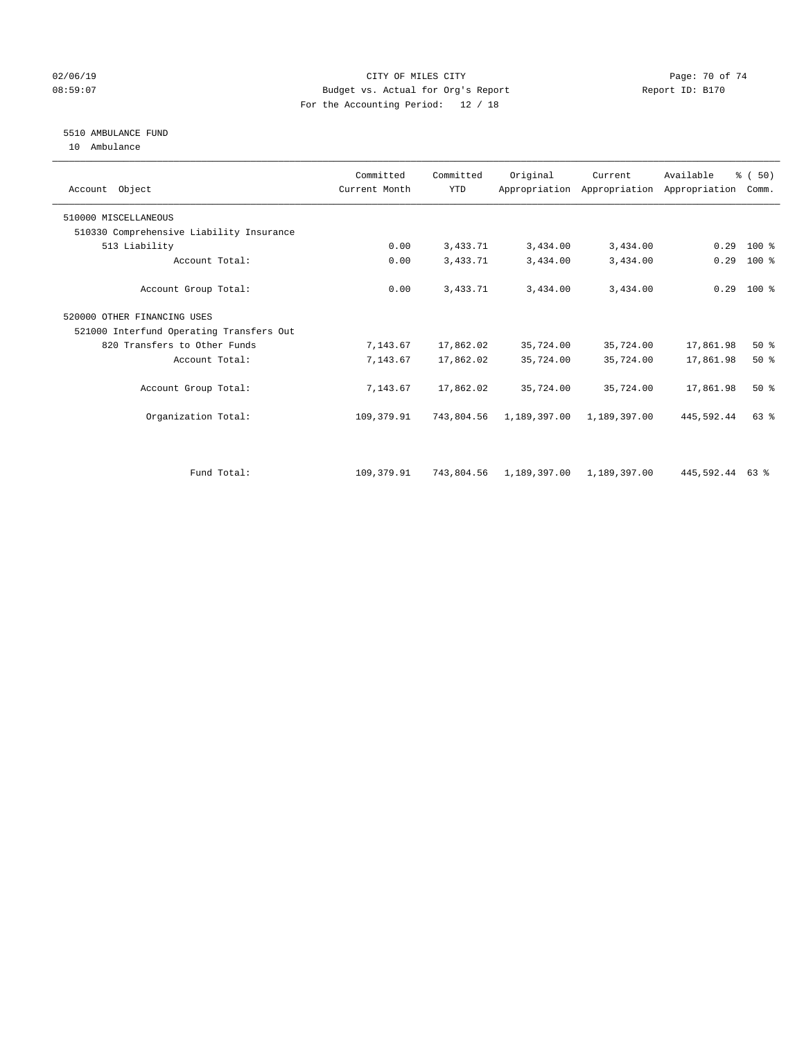## $O2/06/19$  Page: 70 of 74 08:59:07 Budget vs. Actual for Org's Report Changer Report ID: B170 For the Accounting Period: 12 / 18

## 5510 AMBULANCE FUND

10 Ambulance

| Account Object                           | Committed<br>Current Month | Committed<br><b>YTD</b> | Original                             | Current      | Available<br>Appropriation Appropriation Appropriation | % (50)<br>Comm. |  |
|------------------------------------------|----------------------------|-------------------------|--------------------------------------|--------------|--------------------------------------------------------|-----------------|--|
| 510000 MISCELLANEOUS                     |                            |                         |                                      |              |                                                        |                 |  |
| 510330 Comprehensive Liability Insurance |                            |                         |                                      |              |                                                        |                 |  |
| 513 Liability                            | 0.00                       | 3,433.71                | 3,434.00                             | 3,434.00     | 0.29                                                   | 100 %           |  |
| Account Total:                           | 0.00                       | 3,433.71                | 3,434.00                             | 3,434.00     | 0.29                                                   | $100$ %         |  |
| Account Group Total:                     | 0.00                       | 3,433.71                | 3,434.00                             | 3,434.00     |                                                        | $0.29$ 100 %    |  |
| 520000 OTHER FINANCING USES              |                            |                         |                                      |              |                                                        |                 |  |
| 521000 Interfund Operating Transfers Out |                            |                         |                                      |              |                                                        |                 |  |
| 820 Transfers to Other Funds             | 7,143.67                   | 17,862.02               | 35,724.00                            | 35,724.00    | 17,861.98                                              | 50%             |  |
| Account Total:                           | 7,143.67                   | 17,862.02               | 35,724.00                            | 35,724.00    | 17,861.98                                              | $50*$           |  |
| Account Group Total:                     | 7,143.67                   | 17,862.02               | 35,724.00                            | 35,724.00    | 17,861.98                                              | 50%             |  |
| Organization Total:                      | 109,379.91                 | 743,804.56              | 1,189,397.00                         | 1,189,397.00 | 445,592.44                                             | 63 %            |  |
|                                          |                            |                         |                                      |              |                                                        |                 |  |
| Fund Total:                              | 109, 379.91                |                         | 743,804.56 1,189,397.00 1,189,397.00 |              | 445,592.44 63 %                                        |                 |  |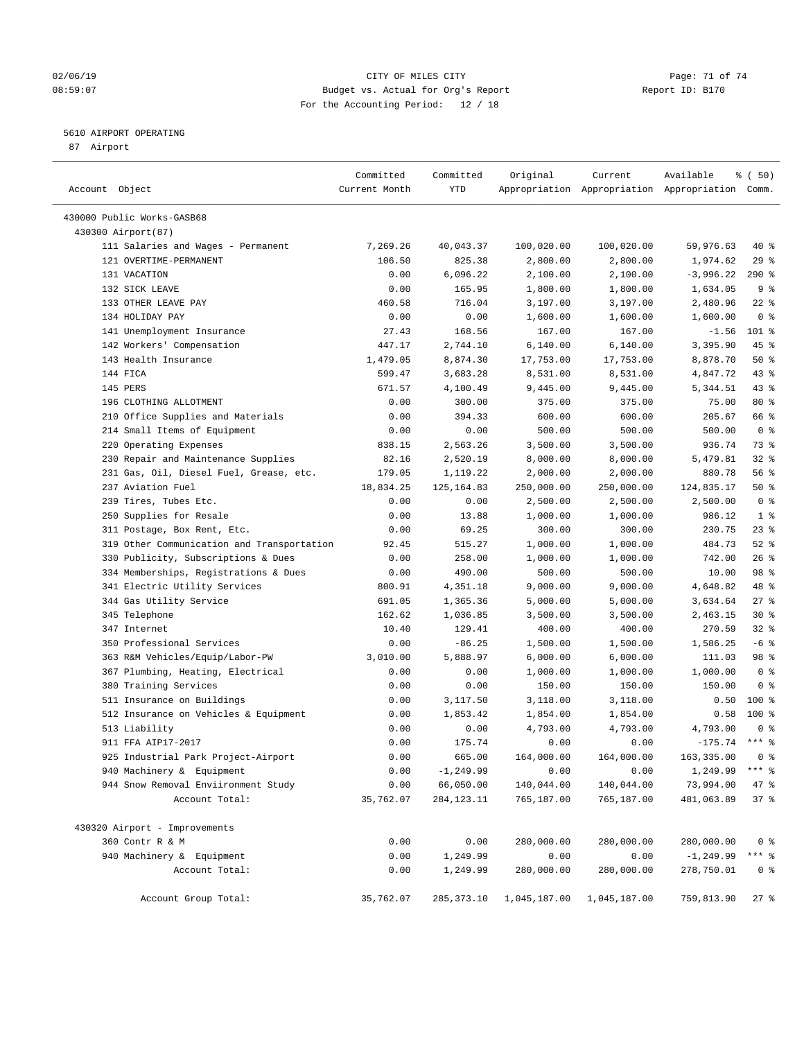## $O2/06/19$  Page: 71 of 74 08:59:07 Budget vs. Actual for Org's Report Report ID: B170 For the Accounting Period: 12 / 18

————————————————————————————————————————————————————————————————————————————————————————————————————————————————————————————————————

## 5610 AIRPORT OPERATING

87 Airport

|                                                                           | Committed         | Committed                 | Original                 | Current                  | Available                                       | % (50)                 |
|---------------------------------------------------------------------------|-------------------|---------------------------|--------------------------|--------------------------|-------------------------------------------------|------------------------|
| Account Object                                                            | Current Month     | YTD                       |                          |                          | Appropriation Appropriation Appropriation Comm. |                        |
| 430000 Public Works-GASB68                                                |                   |                           |                          |                          |                                                 |                        |
| 430300 Airport(87)                                                        |                   |                           |                          |                          |                                                 |                        |
| 111 Salaries and Wages - Permanent                                        | 7,269.26          | 40,043.37                 | 100,020.00               | 100,020.00               | 59,976.63                                       | 40 %                   |
| 121 OVERTIME-PERMANENT                                                    | 106.50            | 825.38                    | 2,800.00                 | 2,800.00                 | 1,974.62                                        | 29%                    |
| 131 VACATION                                                              | 0.00              | 6,096.22                  | 2,100.00                 | 2,100.00                 | $-3,996.22$                                     | $290*$                 |
| 132 SICK LEAVE                                                            | 0.00              | 165.95                    | 1,800.00                 | 1,800.00                 | 1,634.05                                        | 9 <sup>°</sup>         |
| 133 OTHER LEAVE PAY                                                       | 460.58            | 716.04                    | 3,197.00                 | 3,197.00                 | 2,480.96                                        | $22$ %                 |
| 134 HOLIDAY PAY                                                           | 0.00              | 0.00                      | 1,600.00                 | 1,600.00                 | 1,600.00                                        | 0 <sup>8</sup>         |
| 141 Unemployment Insurance                                                | 27.43             | 168.56                    | 167.00                   | 167.00                   | $-1.56$                                         | $101$ %                |
| 142 Workers' Compensation                                                 | 447.17            | 2,744.10                  | 6,140.00                 | 6,140.00                 | 3,395.90                                        | 45 %                   |
| 143 Health Insurance                                                      | 1,479.05          | 8,874.30                  | 17,753.00                | 17,753.00                | 8,878.70                                        | 50%                    |
| 144 FICA                                                                  | 599.47            | 3,683.28                  | 8,531.00                 | 8,531.00                 | 4,847.72                                        | 43 %                   |
| 145 PERS                                                                  | 671.57            | 4,100.49                  | 9,445.00                 | 9,445.00                 | 5,344.51                                        | 43 %                   |
| 196 CLOTHING ALLOTMENT                                                    | 0.00              | 300.00                    | 375.00                   | 375.00                   | 75.00                                           | 80 %                   |
| 210 Office Supplies and Materials                                         | 0.00              | 394.33                    | 600.00                   | 600.00                   | 205.67                                          | 66 %                   |
| 214 Small Items of Equipment                                              | 0.00              | 0.00                      | 500.00                   | 500.00                   | 500.00                                          | 0 <sup>8</sup>         |
| 220 Operating Expenses                                                    | 838.15            | 2,563.26                  | 3,500.00                 | 3,500.00                 | 936.74                                          | 73 %                   |
| 230 Repair and Maintenance Supplies                                       | 82.16             | 2,520.19                  | 8,000.00                 | 8,000.00                 | 5,479.81                                        | $32$ $%$               |
| 231 Gas, Oil, Diesel Fuel, Grease, etc.                                   | 179.05            | 1,119.22                  | 2,000.00                 | 2,000.00                 | 880.78                                          | 56%                    |
| 237 Aviation Fuel                                                         | 18,834.25         | 125, 164.83               |                          |                          | 124,835.17                                      | 50%                    |
| 239 Tires, Tubes Etc.                                                     | 0.00              | 0.00                      | 250,000.00<br>2,500.00   | 250,000.00<br>2,500.00   | 2,500.00                                        | 0 <sup>8</sup>         |
| 250 Supplies for Resale                                                   | 0.00              |                           | 1,000.00                 | 1,000.00                 | 986.12                                          | 1 <sup>°</sup>         |
|                                                                           | 0.00              | 13.88<br>69.25            |                          |                          | 230.75                                          | $23$ %                 |
| 311 Postage, Box Rent, Etc.<br>319 Other Communication and Transportation | 92.45             | 515.27                    | 300.00                   | 300.00                   | 484.73                                          | $52$ $%$               |
|                                                                           |                   |                           | 1,000.00                 | 1,000.00                 |                                                 | 26%                    |
| 330 Publicity, Subscriptions & Dues                                       | 0.00              | 258.00                    | 1,000.00                 | 1,000.00                 | 742.00                                          |                        |
| 334 Memberships, Registrations & Dues                                     | 0.00              | 490.00                    | 500.00                   | 500.00                   | 10.00                                           | 98 %                   |
| 341 Electric Utility Services                                             | 800.91            | 4,351.18                  | 9,000.00                 | 9,000.00                 | 4,648.82                                        | 48 %<br>27%            |
| 344 Gas Utility Service                                                   | 691.05            | 1,365.36                  | 5,000.00                 | 5,000.00                 | 3,634.64                                        | $30*$                  |
| 345 Telephone                                                             | 162.62            | 1,036.85                  | 3,500.00                 | 3,500.00                 | 2,463.15                                        |                        |
| 347 Internet                                                              | 10.40             | 129.41                    | 400.00                   | 400.00                   | 270.59                                          | $32$ $%$               |
| 350 Professional Services                                                 | 0.00              | $-86.25$                  | 1,500.00                 | 1,500.00                 | 1,586.25                                        | $-6$ %                 |
| 363 R&M Vehicles/Equip/Labor-PW                                           | 3,010.00          | 5,888.97                  | 6,000.00                 | 6,000.00                 | 111.03                                          | 98 %<br>0 <sup>8</sup> |
| 367 Plumbing, Heating, Electrical                                         | 0.00              | 0.00                      | 1,000.00                 | 1,000.00                 | 1,000.00                                        |                        |
| 380 Training Services                                                     | 0.00              | 0.00                      | 150.00                   | 150.00                   | 150.00                                          | 0 <sup>8</sup>         |
| 511 Insurance on Buildings                                                | 0.00              | 3,117.50                  | 3,118.00                 | 3,118.00                 | 0.50                                            | $100*$                 |
| 512 Insurance on Vehicles & Equipment                                     | 0.00              | 1,853.42                  | 1,854.00                 | 1,854.00                 | 0.58                                            | $100*$                 |
| 513 Liability                                                             | 0.00              | 0.00                      | 4,793.00                 | 4,793.00                 | 4,793.00<br>$-175.74$ *** %                     | 0 <sup>8</sup>         |
| 911 FFA AIP17-2017                                                        | 0.00              | 175.74                    | 0.00                     | 0.00                     |                                                 |                        |
| 925 Industrial Park Project-Airport                                       | 0.00              | 665.00                    | 164,000.00               | 164,000.00               | 163,335.00 0 %                                  |                        |
| 940 Machinery & Equipment                                                 | 0.00              | $-1, 249.99$              | 0.00                     | 0.00                     | 1,249.99 *** %                                  |                        |
| 944 Snow Removal Enviironment Study<br>Account Total:                     | 0.00<br>35,762.07 | 66,050.00<br>284, 123. 11 | 140,044.00<br>765,187.00 | 140,044.00<br>765,187.00 | 73,994.00<br>481,063.89                         | 47 %<br>37%            |
|                                                                           |                   |                           |                          |                          |                                                 |                        |
| 430320 Airport - Improvements                                             |                   |                           |                          |                          |                                                 |                        |
| 360 Contr R & M                                                           | 0.00              | 0.00                      | 280,000.00               | 280,000.00               | 280,000.00                                      | 0 <sup>8</sup>         |
| 940 Machinery & Equipment                                                 | 0.00              | 1,249.99                  | 0.00                     | 0.00                     | $-1, 249.99$                                    | $***$ $_{8}$           |
| Account Total:                                                            | 0.00              | 1,249.99                  | 280,000.00               | 280,000.00               | 278,750.01                                      | 0 <sup>8</sup>         |
| Account Group Total:                                                      | 35,762.07         | 285,373.10                | 1,045,187.00             | 1,045,187.00             | 759,813.90                                      | $27$ %                 |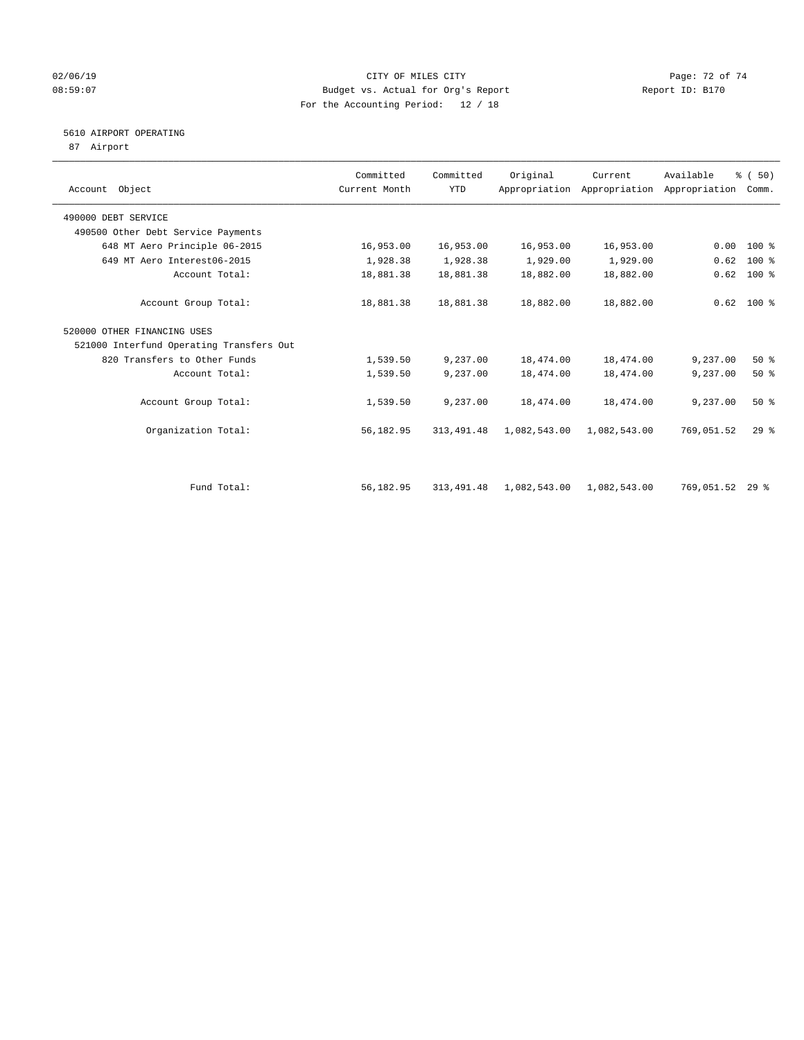## $O2/06/19$  Page: 72 of 74 08:59:07 Budget vs. Actual for Org's Report Changer Report ID: B170 For the Accounting Period: 12 / 18

## 5610 AIRPORT OPERATING

87 Airport

| Account Object                           | Committed<br>Current Month | Committed<br><b>YTD</b> | Original     | Current      | Available<br>Appropriation Appropriation Appropriation | % (50)<br>Comm. |  |
|------------------------------------------|----------------------------|-------------------------|--------------|--------------|--------------------------------------------------------|-----------------|--|
| 490000 DEBT SERVICE                      |                            |                         |              |              |                                                        |                 |  |
| 490500 Other Debt Service Payments       |                            |                         |              |              |                                                        |                 |  |
| 648 MT Aero Principle 06-2015            | 16,953.00                  | 16,953.00               | 16,953.00    | 16,953.00    | 0.00                                                   | $100*$          |  |
| 649 MT Aero Interest06-2015              | 1,928.38                   | 1,928.38                | 1,929.00     | 1,929.00     | 0.62                                                   | $100$ %         |  |
| Account Total:                           | 18,881.38                  | 18,881.38               | 18,882.00    | 18,882.00    | 0.62                                                   | 100 %           |  |
| Account Group Total:                     | 18,881.38                  | 18,881.38               | 18,882.00    | 18,882.00    |                                                        | $0.62$ 100 %    |  |
| 520000 OTHER FINANCING USES              |                            |                         |              |              |                                                        |                 |  |
| 521000 Interfund Operating Transfers Out |                            |                         |              |              |                                                        |                 |  |
| 820 Transfers to Other Funds             | 1,539.50                   | 9,237.00                | 18,474.00    | 18,474.00    | 9,237.00                                               | 50%             |  |
| Account Total:                           | 1,539.50                   | 9,237.00                | 18,474.00    | 18,474.00    | 9,237.00                                               | $50*$           |  |
| Account Group Total:                     | 1,539.50                   | 9,237.00                | 18,474.00    | 18,474.00    | 9,237.00                                               | 50%             |  |
| Organization Total:                      | 56,182.95                  | 313, 491.48             | 1,082,543.00 | 1,082,543.00 | 769,051.52                                             | $29$ $%$        |  |
| Fund Total:                              | 56,182.95                  | 313, 491.48             | 1,082,543.00 | 1,082,543.00 | 769,051.52                                             | $29*$           |  |